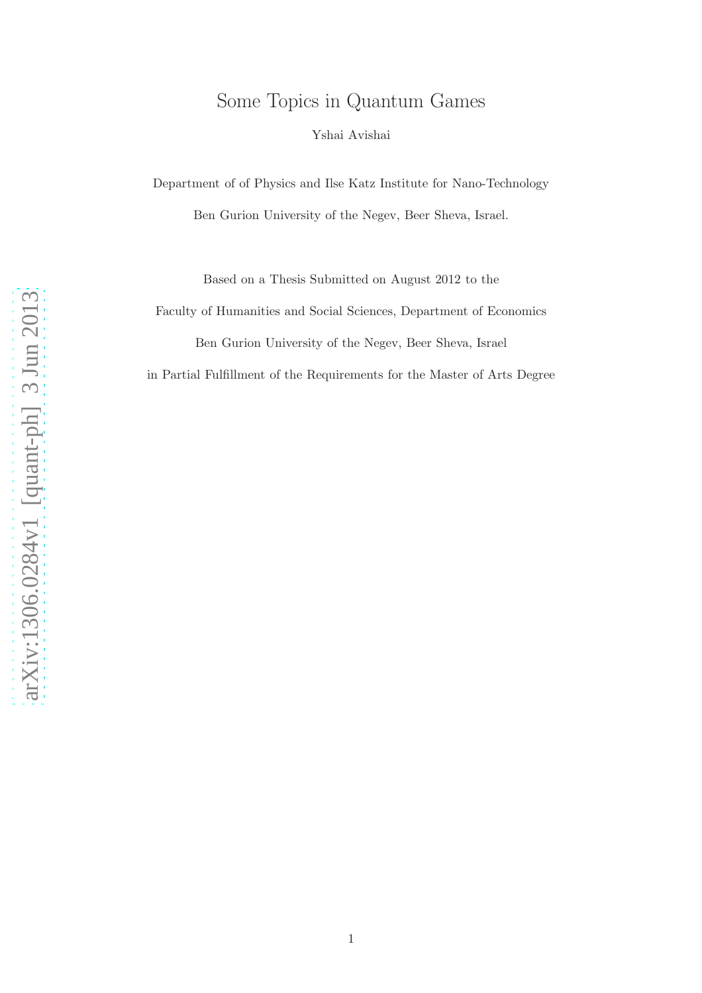# Some Topics in Quantum Games

Yshai Avishai

Department of of Physics and Ilse Katz Institute for Nano-Technology Ben Gurion University of the Negev, Beer Sheva, Israel.

Based on a Thesis Submitted on August 2012 to the

Faculty of Humanities and Social Sciences, Department of Economics

Ben Gurion University of the Negev, Beer Sheva, Israel

in Partial Fulfillment of the Requirements for the Master of Arts Degree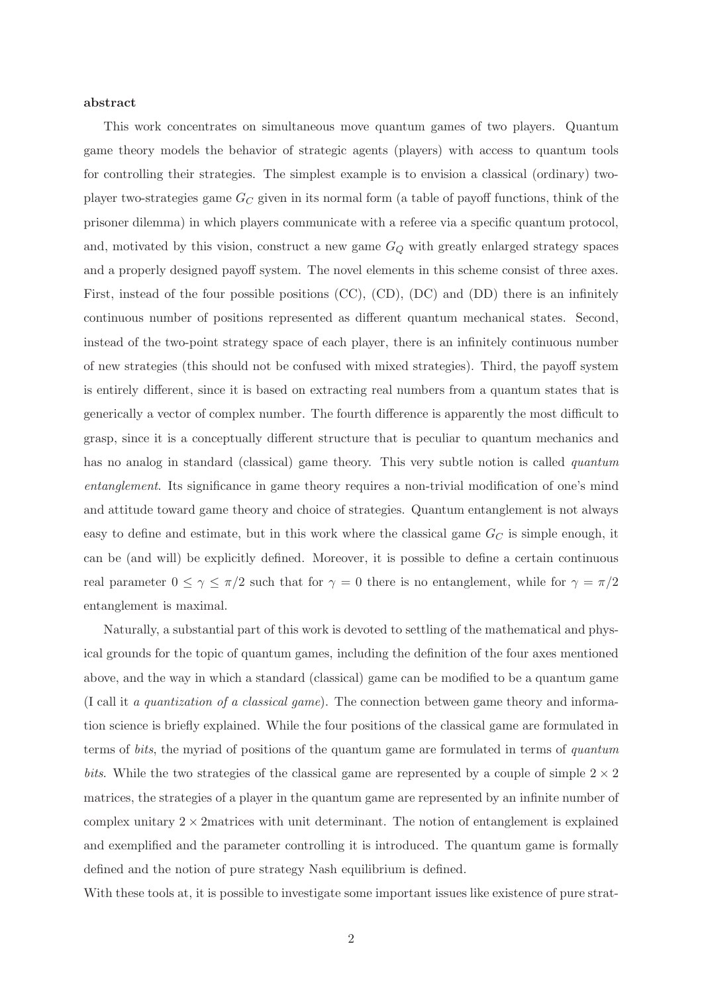#### abstract

This work concentrates on simultaneous move quantum games of two players. Quantum game theory models the behavior of strategic agents (players) with access to quantum tools for controlling their strategies. The simplest example is to envision a classical (ordinary) twoplayer two-strategies game  $G_C$  given in its normal form (a table of payoff functions, think of the prisoner dilemma) in which players communicate with a referee via a specific quantum protocol, and, motivated by this vision, construct a new game  $G_Q$  with greatly enlarged strategy spaces and a properly designed payoff system. The novel elements in this scheme consist of three axes. First, instead of the four possible positions (CC), (CD), (DC) and (DD) there is an infinitely continuous number of positions represented as different quantum mechanical states. Second, instead of the two-point strategy space of each player, there is an infinitely continuous number of new strategies (this should not be confused with mixed strategies). Third, the payoff system is entirely different, since it is based on extracting real numbers from a quantum states that is generically a vector of complex number. The fourth difference is apparently the most difficult to grasp, since it is a conceptually different structure that is peculiar to quantum mechanics and has no analog in standard (classical) game theory. This very subtle notion is called *quantum* entanglement. Its significance in game theory requires a non-trivial modification of one's mind and attitude toward game theory and choice of strategies. Quantum entanglement is not always easy to define and estimate, but in this work where the classical game  $G_C$  is simple enough, it can be (and will) be explicitly defined. Moreover, it is possible to define a certain continuous real parameter  $0 \le \gamma \le \pi/2$  such that for  $\gamma = 0$  there is no entanglement, while for  $\gamma = \pi/2$ entanglement is maximal.

Naturally, a substantial part of this work is devoted to settling of the mathematical and physical grounds for the topic of quantum games, including the definition of the four axes mentioned above, and the way in which a standard (classical) game can be modified to be a quantum game (I call it a quantization of a classical game). The connection between game theory and information science is briefly explained. While the four positions of the classical game are formulated in terms of bits, the myriad of positions of the quantum game are formulated in terms of quantum bits. While the two strategies of the classical game are represented by a couple of simple  $2 \times 2$ matrices, the strategies of a player in the quantum game are represented by an infinite number of complex unitary  $2 \times 2$  matrices with unit determinant. The notion of entanglement is explained and exemplified and the parameter controlling it is introduced. The quantum game is formally defined and the notion of pure strategy Nash equilibrium is defined.

With these tools at, it is possible to investigate some important issues like existence of pure strat-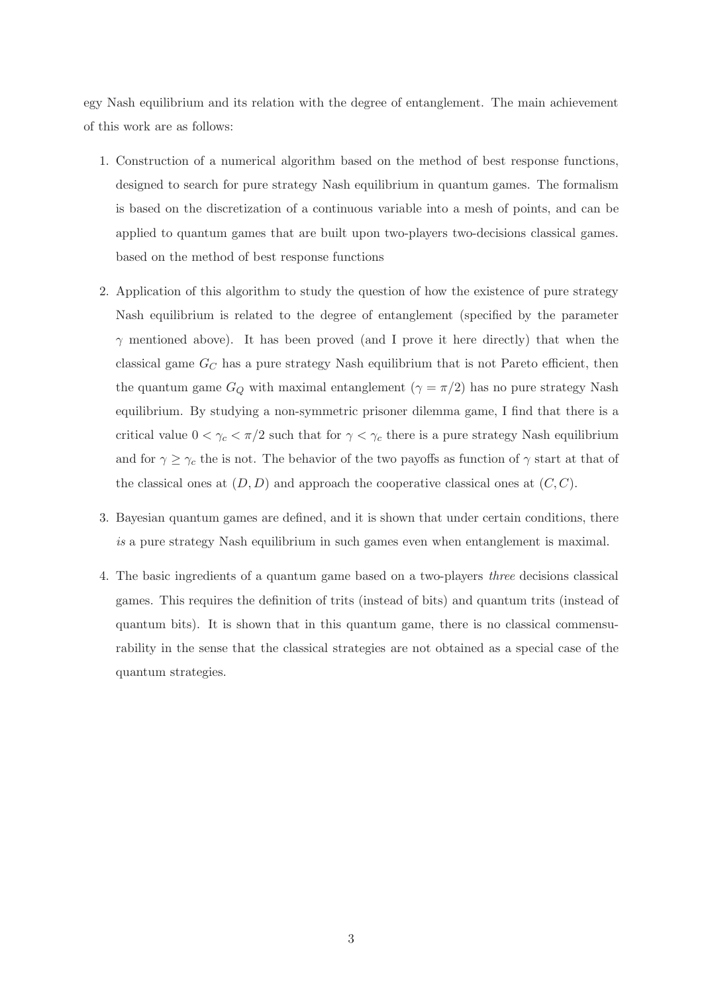egy Nash equilibrium and its relation with the degree of entanglement. The main achievement of this work are as follows:

- 1. Construction of a numerical algorithm based on the method of best response functions, designed to search for pure strategy Nash equilibrium in quantum games. The formalism is based on the discretization of a continuous variable into a mesh of points, and can be applied to quantum games that are built upon two-players two-decisions classical games. based on the method of best response functions
- 2. Application of this algorithm to study the question of how the existence of pure strategy Nash equilibrium is related to the degree of entanglement (specified by the parameter  $\gamma$  mentioned above). It has been proved (and I prove it here directly) that when the classical game  $G_C$  has a pure strategy Nash equilibrium that is not Pareto efficient, then the quantum game  $G_Q$  with maximal entanglement  $(\gamma = \pi/2)$  has no pure strategy Nash equilibrium. By studying a non-symmetric prisoner dilemma game, I find that there is a critical value  $0 < \gamma_c < \pi/2$  such that for  $\gamma < \gamma_c$  there is a pure strategy Nash equilibrium and for  $\gamma \geq \gamma_c$  the is not. The behavior of the two payoffs as function of  $\gamma$  start at that of the classical ones at  $(D, D)$  and approach the cooperative classical ones at  $(C, C)$ .
- 3. Bayesian quantum games are defined, and it is shown that under certain conditions, there is a pure strategy Nash equilibrium in such games even when entanglement is maximal.
- 4. The basic ingredients of a quantum game based on a two-players three decisions classical games. This requires the definition of trits (instead of bits) and quantum trits (instead of quantum bits). It is shown that in this quantum game, there is no classical commensurability in the sense that the classical strategies are not obtained as a special case of the quantum strategies.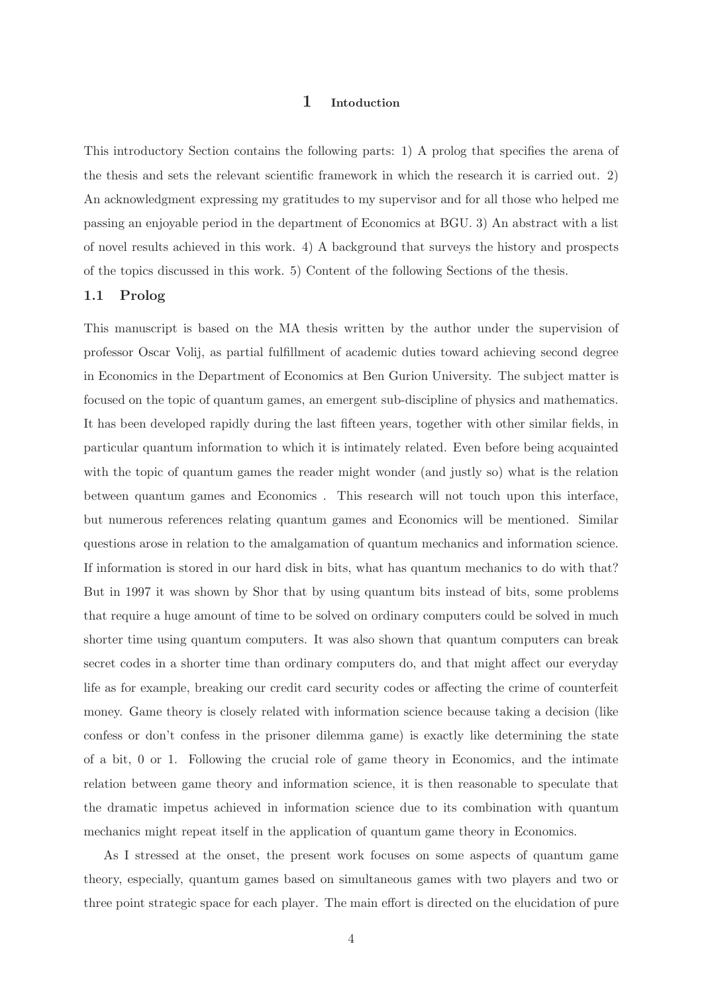## 1 Intoduction

<span id="page-3-0"></span>This introductory Section contains the following parts: 1) A prolog that specifies the arena of the thesis and sets the relevant scientific framework in which the research it is carried out. 2) An acknowledgment expressing my gratitudes to my supervisor and for all those who helped me passing an enjoyable period in the department of Economics at BGU. 3) An abstract with a list of novel results achieved in this work. 4) A background that surveys the history and prospects of the topics discussed in this work. 5) Content of the following Sections of the thesis.

#### 1.1 Prolog

This manuscript is based on the MA thesis written by the author under the supervision of professor Oscar Volij, as partial fulfillment of academic duties toward achieving second degree in Economics in the Department of Economics at Ben Gurion University. The subject matter is focused on the topic of quantum games, an emergent sub-discipline of physics and mathematics. It has been developed rapidly during the last fifteen years, together with other similar fields, in particular quantum information to which it is intimately related. Even before being acquainted with the topic of quantum games the reader might wonder (and justly so) what is the relation between quantum games and Economics . This research will not touch upon this interface, but numerous references relating quantum games and Economics will be mentioned. Similar questions arose in relation to the amalgamation of quantum mechanics and information science. If information is stored in our hard disk in bits, what has quantum mechanics to do with that? But in 1997 it was shown by Shor that by using quantum bits instead of bits, some problems that require a huge amount of time to be solved on ordinary computers could be solved in much shorter time using quantum computers. It was also shown that quantum computers can break secret codes in a shorter time than ordinary computers do, and that might affect our everyday life as for example, breaking our credit card security codes or affecting the crime of counterfeit money. Game theory is closely related with information science because taking a decision (like confess or don't confess in the prisoner dilemma game) is exactly like determining the state of a bit, 0 or 1. Following the crucial role of game theory in Economics, and the intimate relation between game theory and information science, it is then reasonable to speculate that the dramatic impetus achieved in information science due to its combination with quantum mechanics might repeat itself in the application of quantum game theory in Economics.

As I stressed at the onset, the present work focuses on some aspects of quantum game theory, especially, quantum games based on simultaneous games with two players and two or three point strategic space for each player. The main effort is directed on the elucidation of pure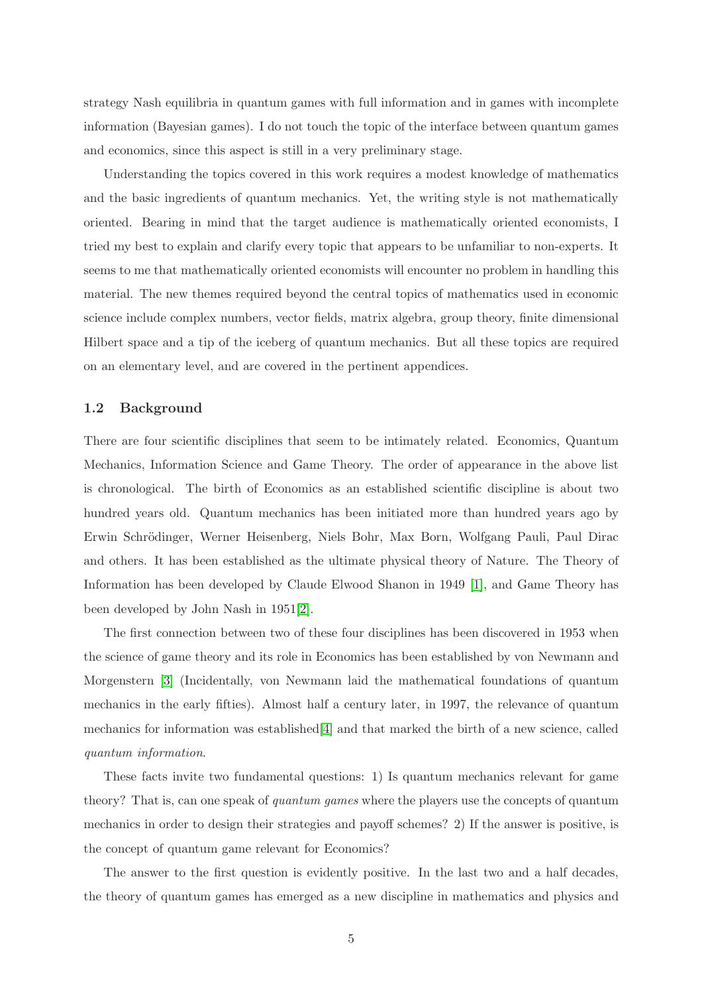strategy Nash equilibria in quantum games with full information and in games with incomplete information (Bayesian games). I do not touch the topic of the interface between quantum games and economics, since this aspect is still in a very preliminary stage.

Understanding the topics covered in this work requires a modest knowledge of mathematics and the basic ingredients of quantum mechanics. Yet, the writing style is not mathematically oriented. Bearing in mind that the target audience is mathematically oriented economists, I tried my best to explain and clarify every topic that appears to be unfamiliar to non-experts. It seems to me that mathematically oriented economists will encounter no problem in handling this material. The new themes required beyond the central topics of mathematics used in economic science include complex numbers, vector fields, matrix algebra, group theory, finite dimensional Hilbert space and a tip of the iceberg of quantum mechanics. But all these topics are required on an elementary level, and are covered in the pertinent appendices.

## 1.2 Background

There are four scientific disciplines that seem to be intimately related. Economics, Quantum Mechanics, Information Science and Game Theory. The order of appearance in the above list is chronological. The birth of Economics as an established scientific discipline is about two hundred years old. Quantum mechanics has been initiated more than hundred years ago by Erwin Schrödinger, Werner Heisenberg, Niels Bohr, Max Born, Wolfgang Pauli, Paul Dirac and others. It has been established as the ultimate physical theory of Nature. The Theory of Information has been developed by Claude Elwood Shanon in 1949 [\[1\]](#page-94-0), and Game Theory has been developed by John Nash in 1951[\[2\]](#page-94-1).

The first connection between two of these four disciplines has been discovered in 1953 when the science of game theory and its role in Economics has been established by von Newmann and Morgenstern [\[3\]](#page-94-2) (Incidentally, von Newmann laid the mathematical foundations of quantum mechanics in the early fifties). Almost half a century later, in 1997, the relevance of quantum mechanics for information was established[\[4\]](#page-94-3) and that marked the birth of a new science, called quantum information.

These facts invite two fundamental questions: 1) Is quantum mechanics relevant for game theory? That is, can one speak of quantum games where the players use the concepts of quantum mechanics in order to design their strategies and payoff schemes? 2) If the answer is positive, is the concept of quantum game relevant for Economics?

The answer to the first question is evidently positive. In the last two and a half decades, the theory of quantum games has emerged as a new discipline in mathematics and physics and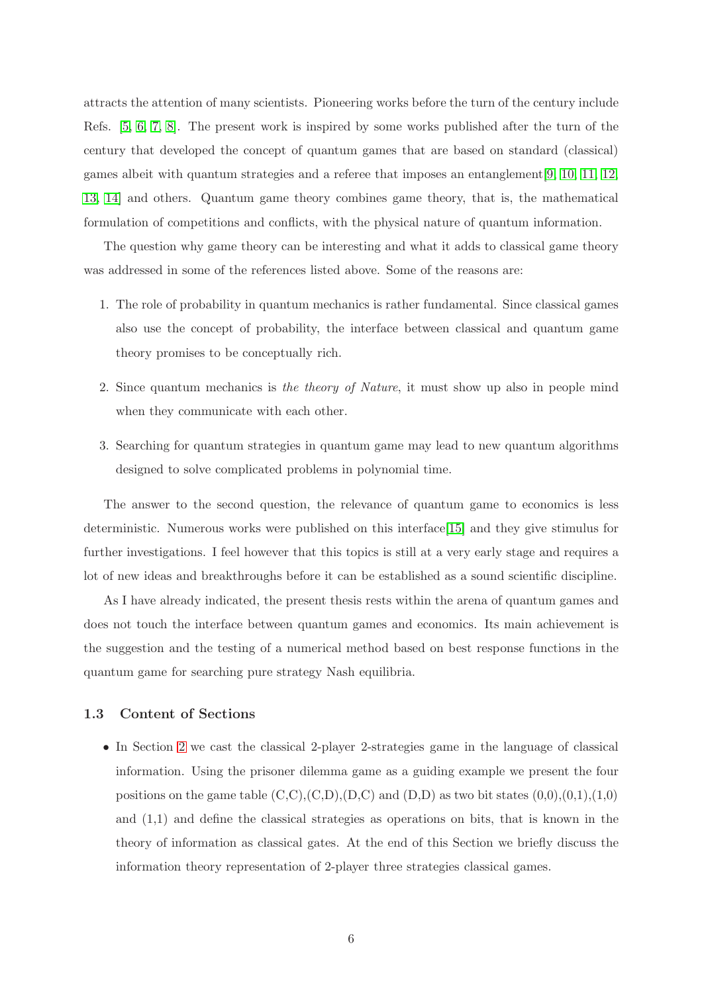attracts the attention of many scientists. Pioneering works before the turn of the century include Refs. [\[5,](#page-94-4) [6,](#page-94-5) [7,](#page-94-6) [8\]](#page-94-7). The present work is inspired by some works published after the turn of the century that developed the concept of quantum games that are based on standard (classical) games albeit with quantum strategies and a referee that imposes an entanglement[\[9,](#page-94-8) [10,](#page-94-9) [11,](#page-94-10) [12,](#page-94-11) [13,](#page-94-12) [14\]](#page-94-13) and others. Quantum game theory combines game theory, that is, the mathematical formulation of competitions and conflicts, with the physical nature of quantum information.

The question why game theory can be interesting and what it adds to classical game theory was addressed in some of the references listed above. Some of the reasons are:

- 1. The role of probability in quantum mechanics is rather fundamental. Since classical games also use the concept of probability, the interface between classical and quantum game theory promises to be conceptually rich.
- 2. Since quantum mechanics is the theory of Nature, it must show up also in people mind when they communicate with each other.
- 3. Searching for quantum strategies in quantum game may lead to new quantum algorithms designed to solve complicated problems in polynomial time.

The answer to the second question, the relevance of quantum game to economics is less deterministic. Numerous works were published on this interface[\[15\]](#page-94-14) and they give stimulus for further investigations. I feel however that this topics is still at a very early stage and requires a lot of new ideas and breakthroughs before it can be established as a sound scientific discipline.

As I have already indicated, the present thesis rests within the arena of quantum games and does not touch the interface between quantum games and economics. Its main achievement is the suggestion and the testing of a numerical method based on best response functions in the quantum game for searching pure strategy Nash equilibria.

#### 1.3 Content of Sections

• In Section [2](#page-6-0) we cast the classical 2-player 2-strategies game in the language of classical information. Using the prisoner dilemma game as a guiding example we present the four positions on the game table  $(C,C),(C,D),(D,C)$  and  $(D,D)$  as two bit states  $(0,0),(0,1),(1,0)$ and (1,1) and define the classical strategies as operations on bits, that is known in the theory of information as classical gates. At the end of this Section we briefly discuss the information theory representation of 2-player three strategies classical games.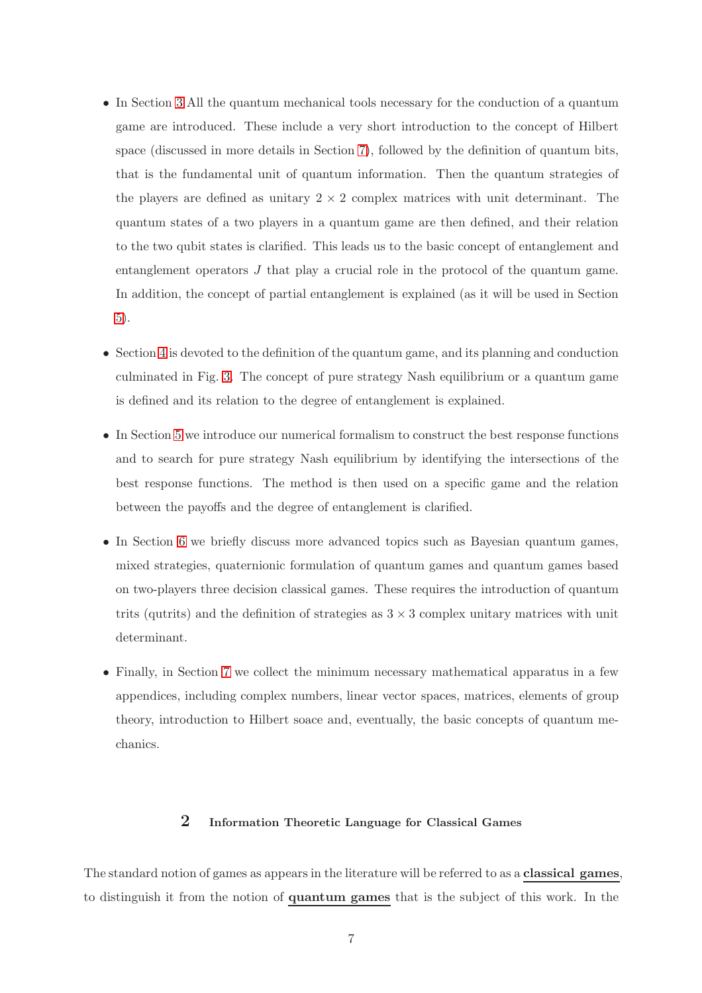- In Section [3](#page-11-0) All the quantum mechanical tools necessary for the conduction of a quantum game are introduced. These include a very short introduction to the concept of Hilbert space (discussed in more details in Section [7\)](#page-56-0), followed by the definition of quantum bits, that is the fundamental unit of quantum information. Then the quantum strategies of the players are defined as unitary  $2 \times 2$  complex matrices with unit determinant. The quantum states of a two players in a quantum game are then defined, and their relation to the two qubit states is clarified. This leads us to the basic concept of entanglement and entanglement operators J that play a crucial role in the protocol of the quantum game. In addition, the concept of partial entanglement is explained (as it will be used in Section [5\)](#page-32-0).
- Section [4](#page-21-0) is devoted to the definition of the quantum game, and its planning and conduction culminated in Fig. [3.](#page-25-0) The concept of pure strategy Nash equilibrium or a quantum game is defined and its relation to the degree of entanglement is explained.
- In Section [5](#page-32-0) we introduce our numerical formalism to construct the best response functions and to search for pure strategy Nash equilibrium by identifying the intersections of the best response functions. The method is then used on a specific game and the relation between the payoffs and the degree of entanglement is clarified.
- In Section [6](#page-40-0) we briefly discuss more advanced topics such as Bayesian quantum games, mixed strategies, quaternionic formulation of quantum games and quantum games based on two-players three decision classical games. These requires the introduction of quantum trits (qutrits) and the definition of strategies as  $3 \times 3$  complex unitary matrices with unit determinant.
- Finally, in Section [7](#page-56-0) we collect the minimum necessary mathematical apparatus in a few appendices, including complex numbers, linear vector spaces, matrices, elements of group theory, introduction to Hilbert soace and, eventually, the basic concepts of quantum mechanics.

# 2 Information Theoretic Language for Classical Games

<span id="page-6-0"></span>The standard notion of games as appears in the literature will be referred to as a **classical games**, to distinguish it from the notion of quantum games that is the subject of this work. In the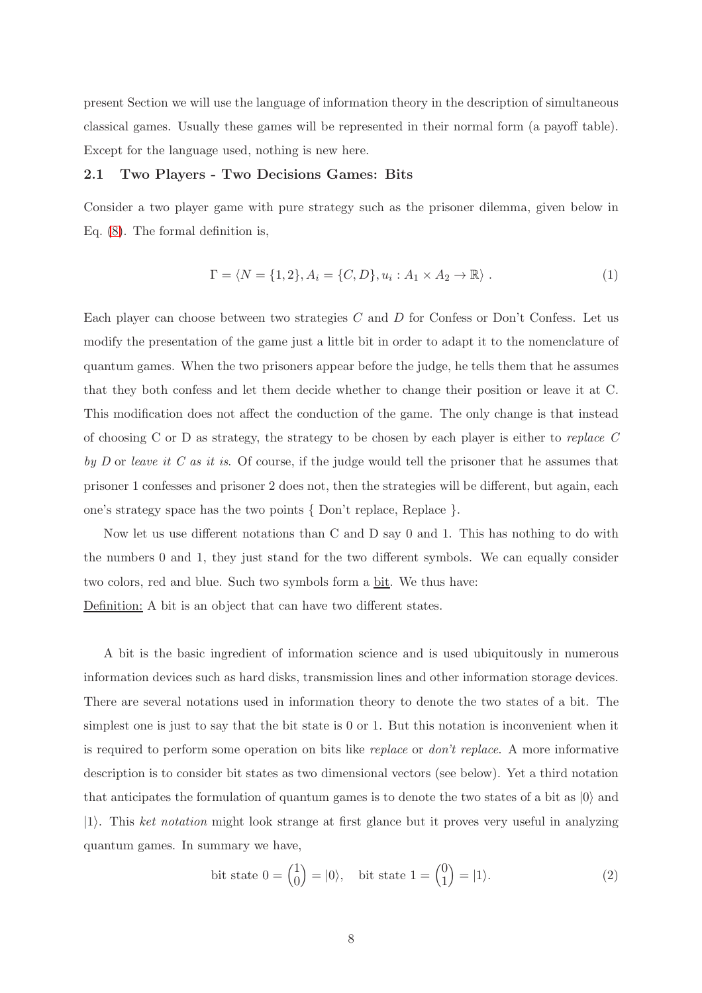present Section we will use the language of information theory in the description of simultaneous classical games. Usually these games will be represented in their normal form (a payoff table). Except for the language used, nothing is new here.

### 2.1 Two Players - Two Decisions Games: Bits

Consider a two player game with pure strategy such as the prisoner dilemma, given below in Eq. [\(8\)](#page-9-0). The formal definition is,

<span id="page-7-1"></span>
$$
\Gamma = \langle N = \{1, 2\}, A_i = \{C, D\}, u_i : A_1 \times A_2 \to \mathbb{R} \rangle.
$$
 (1)

Each player can choose between two strategies  $C$  and  $D$  for Confess or Don't Confess. Let us modify the presentation of the game just a little bit in order to adapt it to the nomenclature of quantum games. When the two prisoners appear before the judge, he tells them that he assumes that they both confess and let them decide whether to change their position or leave it at C. This modification does not affect the conduction of the game. The only change is that instead of choosing C or D as strategy, the strategy to be chosen by each player is either to replace  $C$ by D or leave it C as it is. Of course, if the judge would tell the prisoner that he assumes that prisoner 1 confesses and prisoner 2 does not, then the strategies will be different, but again, each one's strategy space has the two points { Don't replace, Replace }.

Now let us use different notations than C and D say 0 and 1. This has nothing to do with the numbers 0 and 1, they just stand for the two different symbols. We can equally consider two colors, red and blue. Such two symbols form a bit. We thus have:

Definition: A bit is an object that can have two different states.

A bit is the basic ingredient of information science and is used ubiquitously in numerous information devices such as hard disks, transmission lines and other information storage devices. There are several notations used in information theory to denote the two states of a bit. The simplest one is just to say that the bit state is 0 or 1. But this notation is inconvenient when it is required to perform some operation on bits like replace or don't replace. A more informative description is to consider bit states as two dimensional vectors (see below). Yet a third notation that anticipates the formulation of quantum games is to denote the two states of a bit as  $|0\rangle$  and  $|1\rangle$ . This ket notation might look strange at first glance but it proves very useful in analyzing quantum games. In summary we have,

<span id="page-7-0"></span>bit state 
$$
0 = \begin{pmatrix} 1 \\ 0 \end{pmatrix} = |0\rangle
$$
, bit state  $1 = \begin{pmatrix} 0 \\ 1 \end{pmatrix} = |1\rangle$ . (2)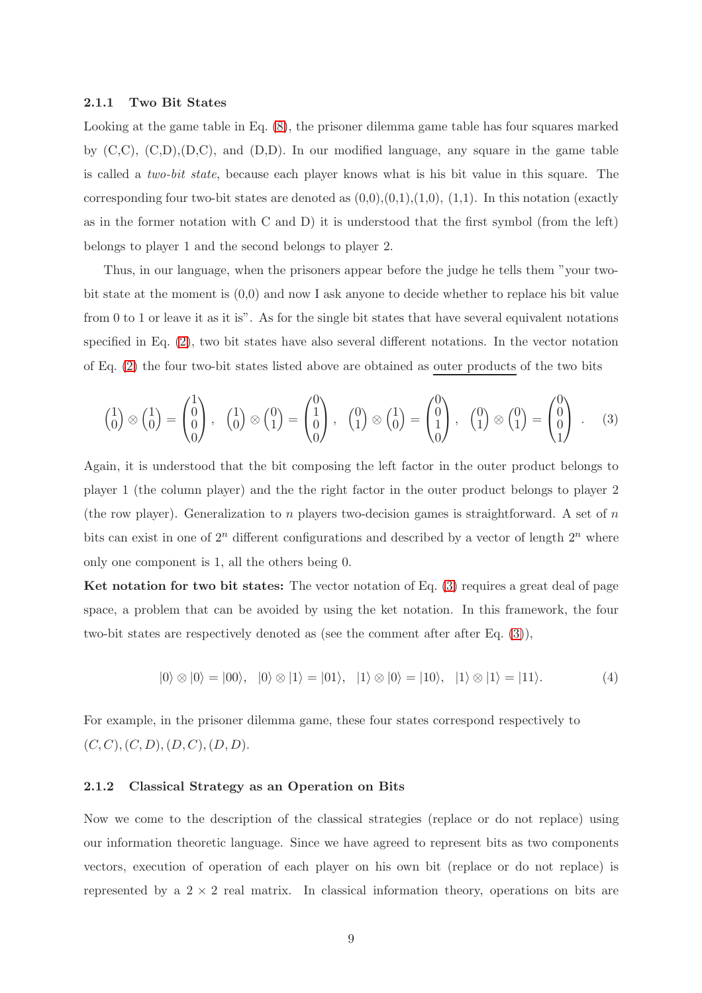#### 2.1.1 Two Bit States

Looking at the game table in Eq. [\(8\)](#page-9-0), the prisoner dilemma game table has four squares marked by  $(C, C), (C, D), (D, C),$  and  $(D, D)$ . In our modified language, any square in the game table is called a two-bit state, because each player knows what is his bit value in this square. The corresponding four two-bit states are denoted as  $(0,0),(0,1),(1,0),(1,1)$ . In this notation (exactly as in the former notation with C and D) it is understood that the first symbol (from the left) belongs to player 1 and the second belongs to player 2.

Thus, in our language, when the prisoners appear before the judge he tells them "your twobit state at the moment is (0,0) and now I ask anyone to decide whether to replace his bit value from 0 to 1 or leave it as it is". As for the single bit states that have several equivalent notations specified in Eq. [\(2\)](#page-7-0), two bit states have also several different notations. In the vector notation of Eq. [\(2\)](#page-7-0) the four two-bit states listed above are obtained as outer products of the two bits

<span id="page-8-0"></span>
$$
\begin{pmatrix} 1 \\ 0 \end{pmatrix} \otimes \begin{pmatrix} 1 \\ 0 \end{pmatrix} = \begin{pmatrix} 1 \\ 0 \\ 0 \end{pmatrix}, \quad \begin{pmatrix} 1 \\ 0 \end{pmatrix} \otimes \begin{pmatrix} 0 \\ 1 \end{pmatrix} = \begin{pmatrix} 0 \\ 1 \\ 0 \end{pmatrix}, \quad \begin{pmatrix} 0 \\ 1 \end{pmatrix} \otimes \begin{pmatrix} 1 \\ 0 \end{pmatrix} = \begin{pmatrix} 0 \\ 0 \\ 1 \end{pmatrix} \otimes \begin{pmatrix} 0 \\ 1 \end{pmatrix} = \begin{pmatrix} 0 \\ 0 \\ 1 \end{pmatrix} . \quad (3)
$$

Again, it is understood that the bit composing the left factor in the outer product belongs to player 1 (the column player) and the the right factor in the outer product belongs to player 2 (the row player). Generalization to n players two-decision games is straightforward. A set of  $n$ bits can exist in one of  $2^n$  different configurations and described by a vector of length  $2^n$  where only one component is 1, all the others being 0.

Ket notation for two bit states: The vector notation of Eq. [\(3\)](#page-8-0) requires a great deal of page space, a problem that can be avoided by using the ket notation. In this framework, the four two-bit states are respectively denoted as (see the comment after after Eq. [\(3\)](#page-8-0)),

<span id="page-8-1"></span>
$$
|0\rangle \otimes |0\rangle = |00\rangle, \quad |0\rangle \otimes |1\rangle = |01\rangle, \quad |1\rangle \otimes |0\rangle = |10\rangle, \quad |1\rangle \otimes |1\rangle = |11\rangle. \tag{4}
$$

For example, in the prisoner dilemma game, these four states correspond respectively to  $(C, C), (C, D), (D, C), (D, D).$ 

#### 2.1.2 Classical Strategy as an Operation on Bits

Now we come to the description of the classical strategies (replace or do not replace) using our information theoretic language. Since we have agreed to represent bits as two components vectors, execution of operation of each player on his own bit (replace or do not replace) is represented by a  $2 \times 2$  real matrix. In classical information theory, operations on bits are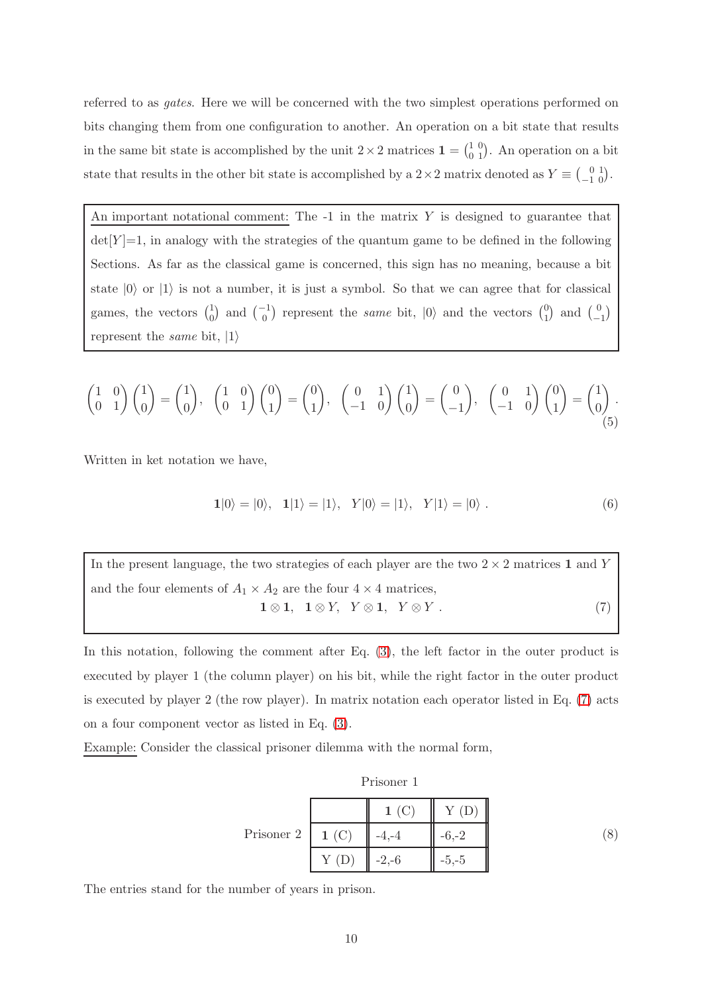referred to as gates. Here we will be concerned with the two simplest operations performed on bits changing them from one configuration to another. An operation on a bit state that results in the same bit state is accomplished by the unit  $2 \times 2$  matrices  $\mathbf{1} = \begin{pmatrix} 1 & 0 \\ 0 & 1 \end{pmatrix}$ . An operation on a bit state that results in the other bit state is accomplished by a  $2 \times 2$  matrix denoted as  $Y \equiv \begin{pmatrix} 0 & 1 \\ -1 & 0 \end{pmatrix}$ .

An important notational comment: The  $-1$  in the matrix Y is designed to guarantee that  $det[Y]=1$ , in analogy with the strategies of the quantum game to be defined in the following Sections. As far as the classical game is concerned, this sign has no meaning, because a bit state  $|0\rangle$  or  $|1\rangle$  is not a number, it is just a symbol. So that we can agree that for classical games, the vectors  $\binom{1}{0}$  $_{0}^{1}$  and  $_{0}^{(-1)}$  represent the *same* bit,  $|0\rangle$  and the vectors  $_{1}^{(0)}$  $\binom{0}{1}$  and  $\binom{0}{-1}$  $\begin{pmatrix} 0 \\ -1 \end{pmatrix}$ represent the *same* bit,  $|1\rangle$ 

<span id="page-9-2"></span>
$$
\begin{pmatrix} 1 & 0 \ 0 & 1 \end{pmatrix} \begin{pmatrix} 1 \ 0 \end{pmatrix} = \begin{pmatrix} 1 \ 0 \end{pmatrix}, \quad \begin{pmatrix} 1 & 0 \ 0 & 1 \end{pmatrix} \begin{pmatrix} 0 \ 1 \end{pmatrix} = \begin{pmatrix} 0 \ 1 \end{pmatrix}, \quad \begin{pmatrix} 0 & 1 \ -1 & 0 \end{pmatrix} \begin{pmatrix} 1 \ 0 \end{pmatrix} = \begin{pmatrix} 1 \ 0 \end{pmatrix} \begin{pmatrix} 0 \ 1 \end{pmatrix} = \begin{pmatrix} 1 \ 0 \end{pmatrix}.
$$
\n(5)

Written in ket notation we have,

<span id="page-9-3"></span><span id="page-9-1"></span>
$$
1|0\rangle = |0\rangle, \quad 1|1\rangle = |1\rangle, \quad Y|0\rangle = |1\rangle, \quad Y|1\rangle = |0\rangle. \tag{6}
$$

In the present language, the two strategies of each player are the two  $2 \times 2$  matrices 1 and Y and the four elements of  $A_1 \times A_2$  are the four  $4 \times 4$  matrices,  $1 \otimes 1$ ,  $1 \otimes Y$ ,  $Y \otimes 1$ ,  $Y \otimes Y$ . (7)

In this notation, following the comment after Eq. [\(3\)](#page-8-0), the left factor in the outer product is executed by player 1 (the column player) on his bit, while the right factor in the outer product is executed by player 2 (the row player). In matrix notation each operator listed in Eq. [\(7\)](#page-9-1) acts on a four component vector as listed in Eq. [\(3\)](#page-8-0).

Example: Consider the classical prisoner dilemma with the normal form,

| isone |  |
|-------|--|
|       |  |

<span id="page-9-0"></span>

|                     |      | 1(C)    |         |  |
|---------------------|------|---------|---------|--|
| Prisoner 2   $1(C)$ |      |         | $-6-2$  |  |
|                     | Y(D) | $-2,-6$ | $-5,-5$ |  |

The entries stand for the number of years in prison.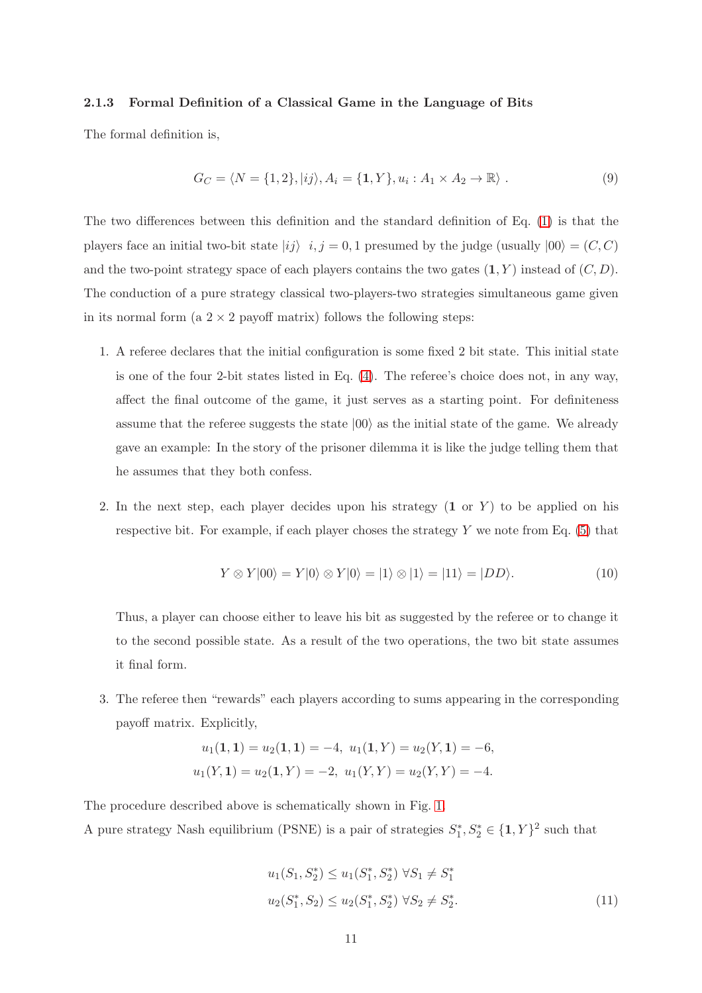## 2.1.3 Formal Definition of a Classical Game in the Language of Bits

The formal definition is,

$$
G_C = \langle N = \{1, 2\}, |ij\rangle, A_i = \{1, Y\}, u_i : A_1 \times A_2 \to \mathbb{R}\rangle. \tag{9}
$$

The two differences between this definition and the standard definition of Eq. [\(1\)](#page-7-1) is that the players face an initial two-bit state  $|ij\rangle$  i, j = 0, 1 presumed by the judge (usually  $|00\rangle = (C, C)$ and the two-point strategy space of each players contains the two gates  $(1, Y)$  instead of  $(C, D)$ . The conduction of a pure strategy classical two-players-two strategies simultaneous game given in its normal form (a  $2 \times 2$  payoff matrix) follows the following steps:

- 1. A referee declares that the initial configuration is some fixed 2 bit state. This initial state is one of the four 2-bit states listed in Eq. [\(4\)](#page-8-1). The referee's choice does not, in any way, affect the final outcome of the game, it just serves as a starting point. For definiteness assume that the referee suggests the state  $|00\rangle$  as the initial state of the game. We already gave an example: In the story of the prisoner dilemma it is like the judge telling them that he assumes that they both confess.
- 2. In the next step, each player decides upon his strategy  $(1 \text{ or } Y)$  to be applied on his respective bit. For example, if each player choses the strategy  $Y$  we note from Eq. [\(5\)](#page-9-2) that

<span id="page-10-0"></span>
$$
Y \otimes Y|00\rangle = Y|0\rangle \otimes Y|0\rangle = |1\rangle \otimes |1\rangle = |11\rangle = |DD\rangle. \tag{10}
$$

Thus, a player can choose either to leave his bit as suggested by the referee or to change it to the second possible state. As a result of the two operations, the two bit state assumes it final form.

3. The referee then "rewards" each players according to sums appearing in the corresponding payoff matrix. Explicitly,

$$
u_1(1, 1) = u_2(1, 1) = -4, u_1(1, Y) = u_2(Y, 1) = -6,
$$
  
 $u_1(Y, 1) = u_2(1, Y) = -2, u_1(Y, Y) = u_2(Y, Y) = -4.$ 

The procedure described above is schematically shown in Fig. [1.](#page-11-1) A pure strategy Nash equilibrium (PSNE) is a pair of strategies  $S_1^*, S_2^* \in \{1, Y\}^2$  such that

$$
u_1(S_1, S_2^*) \le u_1(S_1^*, S_2^*) \ \forall S_1 \neq S_1^*
$$
  

$$
u_2(S_1^*, S_2) \le u_2(S_1^*, S_2^*) \ \forall S_2 \neq S_2^*.
$$
 (11)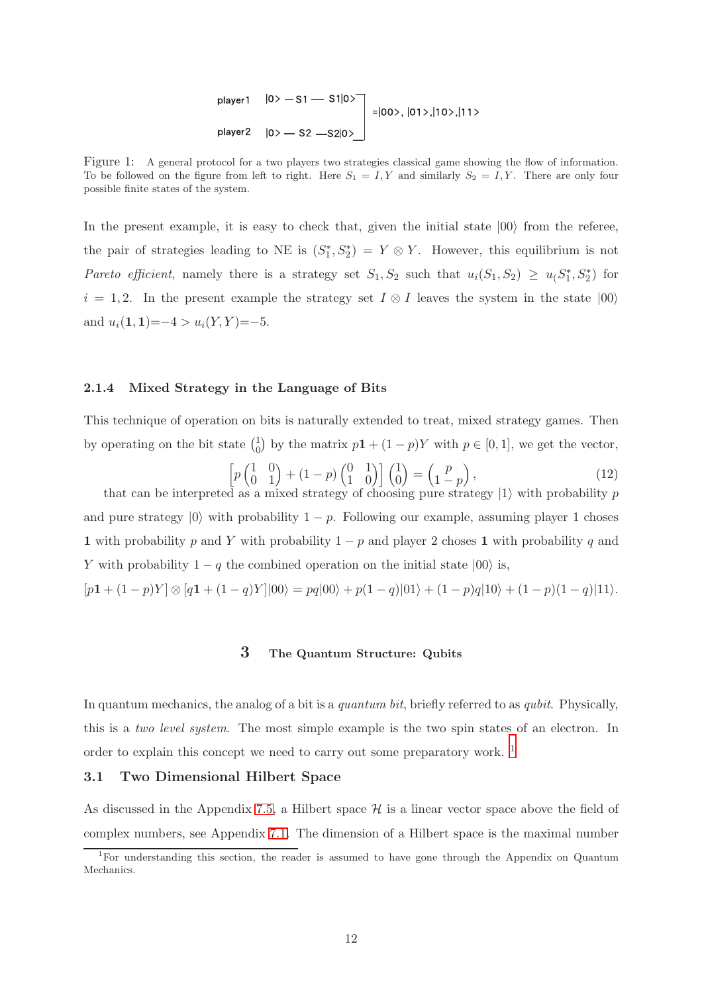\n
$$
|0\rangle - 51 - 51|0\rangle
$$
\n  
\n $|0\rangle - 52 - 52|0\rangle$ \n  
\n $|00\rangle, |01\rangle, |10\rangle, |11\rangle$ \n  
\n $|00\rangle - 52 - 52|0\rangle$ \n

<span id="page-11-1"></span>Figure 1: A general protocol for a two players two strategies classical game showing the flow of information. To be followed on the figure from left to right. Here  $S_1 = I, Y$  and similarly  $S_2 = I, Y$ . There are only four possible finite states of the system.

In the present example, it is easy to check that, given the initial state  $|00\rangle$  from the referee, the pair of strategies leading to NE is  $(S_1^*, S_2^*) = Y \otimes Y$ . However, this equilibrium is not Pareto efficient, namely there is a strategy set  $S_1, S_2$  such that  $u_i(S_1, S_2) \ge u_i(S_1^*, S_2^*)$  for  $i = 1, 2$ . In the present example the strategy set  $I \otimes I$  leaves the system in the state  $|00\rangle$ and  $u_i(1, 1) = -4 > u_i(Y, Y) = -5$ .

#### 2.1.4 Mixed Strategy in the Language of Bits

This technique of operation on bits is naturally extended to treat, mixed strategy games. Then by operating on the bit state  $\binom{1}{0}$  $_{0}^{1}$ ) by the matrix  $p1 + (1-p)Y$  with  $p \in [0,1]$ , we get the vector,

$$
\[p\begin{pmatrix} 1 & 0 \\ 0 & 1 \end{pmatrix} + (1-p)\begin{pmatrix} 0 & 1 \\ 1 & 0 \end{pmatrix}\begin{pmatrix} 1 \\ 0 \end{pmatrix} = \begin{pmatrix} p \\ 1-p \end{pmatrix}, \tag{12}
$$
\nd as a mixed strategy of choosing pure strategy  $|1\rangle$  with probability *n*

that can be interpreted as a mixed strategy of choosing pure strategy  $|1\rangle$  with probability p and pure strategy  $|0\rangle$  with probability  $1 - p$ . Following our example, assuming player 1 choses 1 with probability p and Y with probability  $1 - p$  and player 2 choses 1 with probability q and Y with probability  $1 - q$  the combined operation on the initial state  $|00\rangle$  is,

<span id="page-11-0"></span> $[p1 + (1-p)Y] \otimes [q1 + (1-q)Y]|00\rangle = pq|00\rangle + p(1-q)|01\rangle + (1-p)q|10\rangle + (1-p)(1-q)|11\rangle.$ 

# 3 The Quantum Structure: Qubits

In quantum mechanics, the analog of a bit is a quantum bit, briefly referred to as qubit. Physically, this is a two level system. The most simple example is the two spin states of an electron. In order to explain this concept we need to carry out some preparatory work. <sup>1</sup>

#### 3.1 Two Dimensional Hilbert Space

As discussed in the Appendix [7.5,](#page-90-0) a Hilbert space  $\mathcal H$  is a linear vector space above the field of complex numbers, see Appendix [7.1.](#page-57-0) The dimension of a Hilbert space is the maximal number

<sup>&</sup>lt;sup>1</sup>For understanding this section, the reader is assumed to have gone through the Appendix on Quantum Mechanics.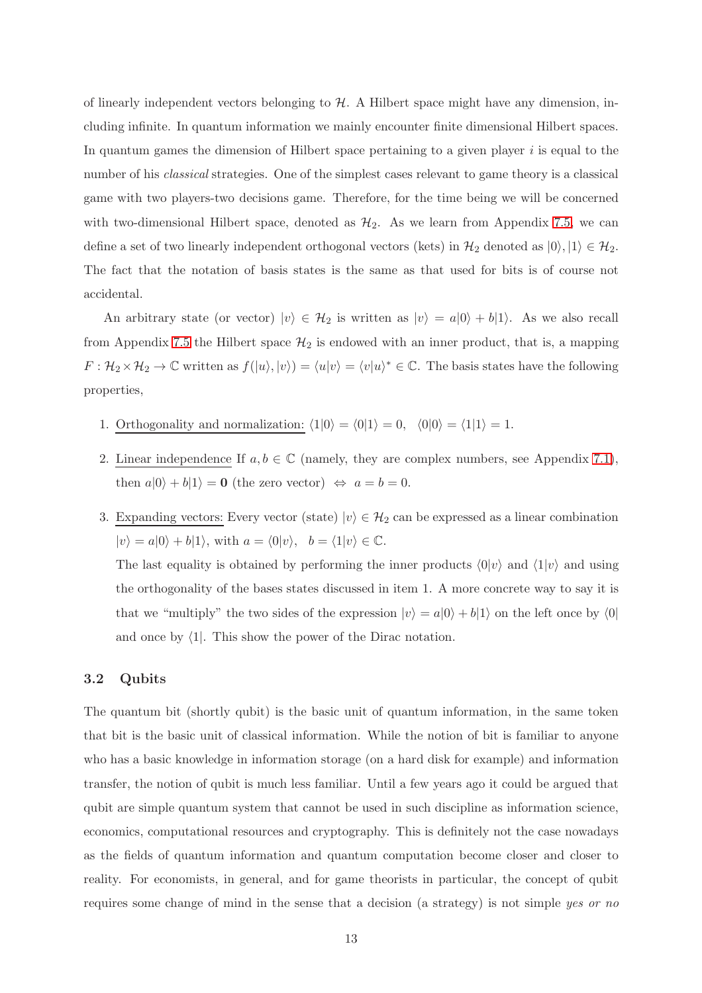of linearly independent vectors belonging to  $H$ . A Hilbert space might have any dimension, including infinite. In quantum information we mainly encounter finite dimensional Hilbert spaces. In quantum games the dimension of Hilbert space pertaining to a given player  $i$  is equal to the number of his *classical* strategies. One of the simplest cases relevant to game theory is a classical game with two players-two decisions game. Therefore, for the time being we will be concerned with two-dimensional Hilbert space, denoted as  $\mathcal{H}_2$ . As we learn from Appendix [7.5,](#page-90-0) we can define a set of two linearly independent orthogonal vectors (kets) in  $\mathcal{H}_2$  denoted as  $|0\rangle, |1\rangle \in \mathcal{H}_2$ . The fact that the notation of basis states is the same as that used for bits is of course not accidental.

An arbitrary state (or vector)  $|v\rangle \in \mathcal{H}_2$  is written as  $|v\rangle = a|0\rangle + b|1\rangle$ . As we also recall from Appendix [7.5](#page-90-0) the Hilbert space  $\mathcal{H}_2$  is endowed with an inner product, that is, a mapping  $F: \mathcal{H}_2 \times \mathcal{H}_2 \to \mathbb{C}$  written as  $f(|u\rangle, |v\rangle) = \langle u|v\rangle = \langle v|u\rangle^* \in \mathbb{C}$ . The basis states have the following properties,

- 1. Orthogonality and normalization:  $\langle 1|0\rangle = \langle 0|1\rangle = 0$ ,  $\langle 0|0\rangle = \langle 1|1\rangle = 1$ .
- 2. Linear independence If  $a, b \in \mathbb{C}$  (namely, they are complex numbers, see Appendix [7.1\)](#page-57-0), then  $a|0\rangle + b|1\rangle = 0$  (the zero vector)  $\Leftrightarrow a = b = 0$ .
- 3. Expanding vectors: Every vector (state)  $|v\rangle \in \mathcal{H}_2$  can be expressed as a linear combination  $|v\rangle = a|0\rangle + b|1\rangle$ , with  $a = \langle 0|v\rangle$ ,  $b = \langle 1|v\rangle \in \mathbb{C}$ .

The last equality is obtained by performing the inner products  $\langle 0|v \rangle$  and  $\langle 1|v \rangle$  and using the orthogonality of the bases states discussed in item 1. A more concrete way to say it is that we "multiply" the two sides of the expression  $|v\rangle = a|0\rangle + b|1\rangle$  on the left once by  $\langle 0|$ and once by  $\langle 1|$ . This show the power of the Dirac notation.

## 3.2 Qubits

The quantum bit (shortly qubit) is the basic unit of quantum information, in the same token that bit is the basic unit of classical information. While the notion of bit is familiar to anyone who has a basic knowledge in information storage (on a hard disk for example) and information transfer, the notion of qubit is much less familiar. Until a few years ago it could be argued that qubit are simple quantum system that cannot be used in such discipline as information science, economics, computational resources and cryptography. This is definitely not the case nowadays as the fields of quantum information and quantum computation become closer and closer to reality. For economists, in general, and for game theorists in particular, the concept of qubit requires some change of mind in the sense that a decision (a strategy) is not simple yes or no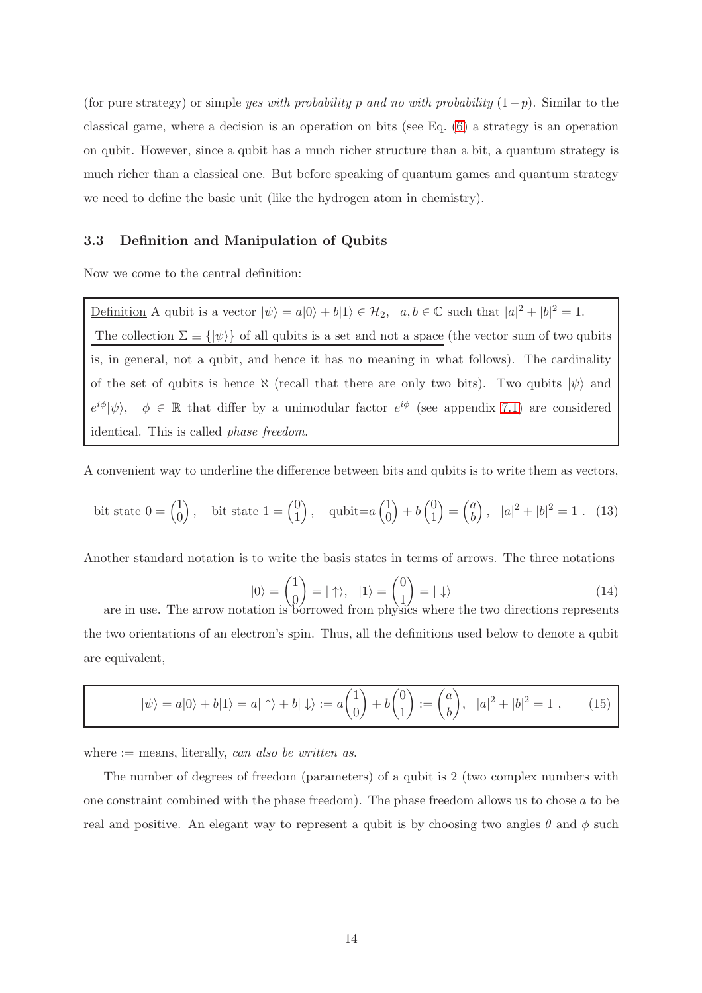(for pure strategy) or simple yes with probability p and no with probability  $(1-p)$ . Similar to the classical game, where a decision is an operation on bits (see Eq. [\(6\)](#page-9-3) a strategy is an operation on qubit. However, since a qubit has a much richer structure than a bit, a quantum strategy is much richer than a classical one. But before speaking of quantum games and quantum strategy we need to define the basic unit (like the hydrogen atom in chemistry).

## 3.3 Definition and Manipulation of Qubits

Now we come to the central definition:

Definition A qubit is a vector  $|\psi\rangle = a|0\rangle + b|1\rangle \in \mathcal{H}_2$ ,  $a, b \in \mathbb{C}$  such that  $|a|^2 + |b|^2 = 1$ . The collection  $\Sigma \equiv \{ |\psi \rangle \}$  of all qubits is a set and not a space (the vector sum of two qubits is, in general, not a qubit, and hence it has no meaning in what follows). The cardinality of the set of qubits is hence  $\aleph$  (recall that there are only two bits). Two qubits  $|\psi\rangle$  and  $e^{i\phi}|\psi\rangle, \quad \phi \in \mathbb{R}$  that differ by a unimodular factor  $e^{i\phi}$  (see appendix [7.1\)](#page-57-0) are considered identical. This is called phase freedom.

A convenient way to underline the difference between bits and qubits is to write them as vectors,

<span id="page-13-0"></span>bit state 
$$
0 = \begin{pmatrix} 1 \\ 0 \end{pmatrix}
$$
, bit state  $1 = \begin{pmatrix} 0 \\ 1 \end{pmatrix}$ , qubit= $a \begin{pmatrix} 1 \\ 0 \end{pmatrix} + b \begin{pmatrix} 0 \\ 1 \end{pmatrix} = \begin{pmatrix} a \\ b \end{pmatrix}$ ,  $|a|^2 + |b|^2 = 1$ . (13)

Another standard notation is to write the basis states in terms of arrows. The three notations

<span id="page-13-2"></span>
$$
|0\rangle = \begin{pmatrix} 1 \\ 0 \end{pmatrix} = |\uparrow\rangle, \quad |1\rangle = \begin{pmatrix} 0 \\ 1 \end{pmatrix} = |\downarrow\rangle
$$
 (14)

are in use. The arrow notation is borrowed from physics where the two directions represents the two orientations of an electron's spin. Thus, all the definitions used below to denote a qubit are equivalent,

<span id="page-13-1"></span>
$$
|\psi\rangle = a|0\rangle + b|1\rangle = a|\uparrow\rangle + b|\downarrow\rangle := a\begin{pmatrix} 1\\0 \end{pmatrix} + b\begin{pmatrix} 0\\1 \end{pmatrix} := \begin{pmatrix} a\\b \end{pmatrix}, |a|^2 + |b|^2 = 1 , \qquad (15)
$$

where  $:=$  means, literally, can also be written as.

The number of degrees of freedom (parameters) of a qubit is 2 (two complex numbers with one constraint combined with the phase freedom). The phase freedom allows us to chose a to be real and positive. An elegant way to represent a qubit is by choosing two angles  $\theta$  and  $\phi$  such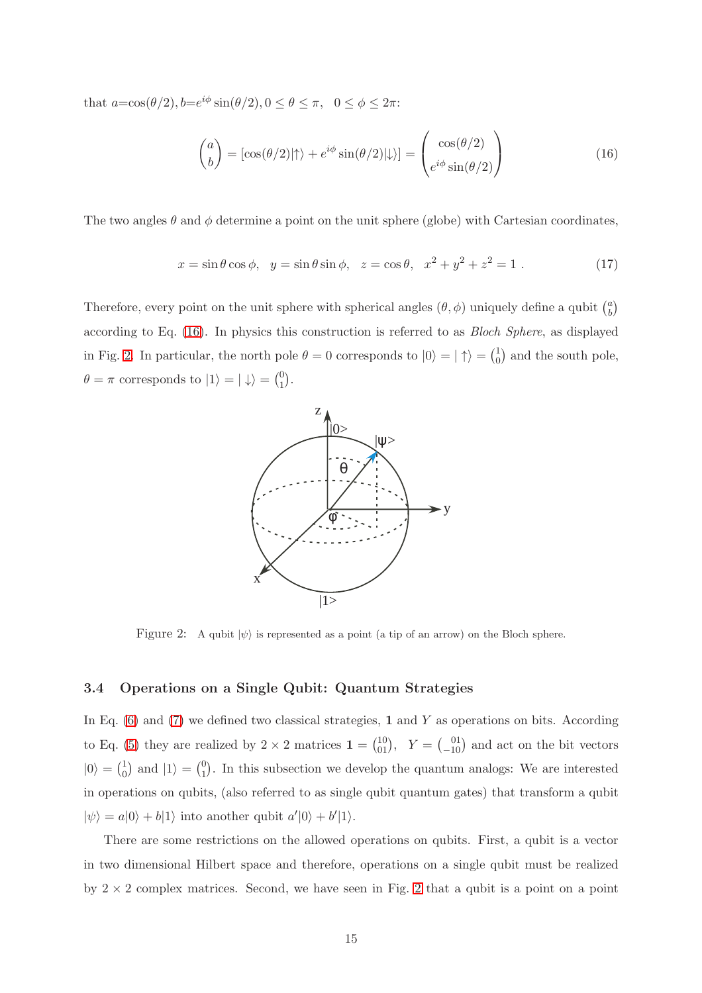that  $a = \cos(\theta/2), b = e^{i\phi} \sin(\theta/2), 0 \le \theta \le \pi, 0 \le \phi \le 2\pi$ :

<span id="page-14-0"></span>
$$
\begin{pmatrix} a \\ b \end{pmatrix} = \left[ \cos(\theta/2) \middle| \uparrow \right\rangle + e^{i\phi} \sin(\theta/2) \middle| \downarrow \rangle = \begin{pmatrix} \cos(\theta/2) \\ e^{i\phi} \sin(\theta/2) \end{pmatrix}
$$
(16)

The two angles  $\theta$  and  $\phi$  determine a point on the unit sphere (globe) with Cartesian coordinates,

$$
x = \sin \theta \cos \phi, \ \ y = \sin \theta \sin \phi, \ \ z = \cos \theta, \ \ x^2 + y^2 + z^2 = 1 \ . \tag{17}
$$

Therefore, every point on the unit sphere with spherical angles  $(\theta, \phi)$  uniquely define a qubit  $\binom{a}{b}$  $\binom{a}{b}$ according to Eq. [\(16\)](#page-14-0). In physics this construction is referred to as Bloch Sphere, as displayed in Fig. [2.](#page-14-1) In particular, the north pole  $\theta = 0$  corresponds to  $|0\rangle = | \uparrow \rangle = \begin{pmatrix} 1 \\ 0 \end{pmatrix}$  $_{0}^{1}$  and the south pole,  $\theta = \pi$  corresponds to  $|1\rangle = | \downarrow \rangle = \begin{pmatrix} 0 \\ 1 \end{pmatrix}$  $\binom{0}{1}$ .



<span id="page-14-1"></span>Figure 2: A qubit  $|\psi\rangle$  is represented as a point (a tip of an arrow) on the Bloch sphere.

## 3.4 Operations on a Single Qubit: Quantum Strategies

In Eq.  $(6)$  and  $(7)$  we defined two classical strategies, 1 and Y as operations on bits. According to Eq. [\(5\)](#page-9-2) they are realized by  $2 \times 2$  matrices  $\mathbf{1} = \begin{pmatrix} 10 \\ 01 \end{pmatrix}$ ,  $Y = \begin{pmatrix} 01 \\ -10 \end{pmatrix}$  and act on the bit vectors  $|0\rangle = \begin{pmatrix} 1 \\ 0 \end{pmatrix}$  $_{0}^{1}$  and  $|1\rangle = {0 \choose 1}$  $_{1}^{0}$ ). In this subsection we develop the quantum analogs: We are interested in operations on qubits, (also referred to as single qubit quantum gates) that transform a qubit  $|\psi\rangle = a|0\rangle + b|1\rangle$  into another qubit  $a'|0\rangle + b'|1\rangle$ .

There are some restrictions on the allowed operations on qubits. First, a qubit is a vector in two dimensional Hilbert space and therefore, operations on a single qubit must be realized by  $2 \times 2$  $2 \times 2$  complex matrices. Second, we have seen in Fig. 2 that a qubit is a point on a point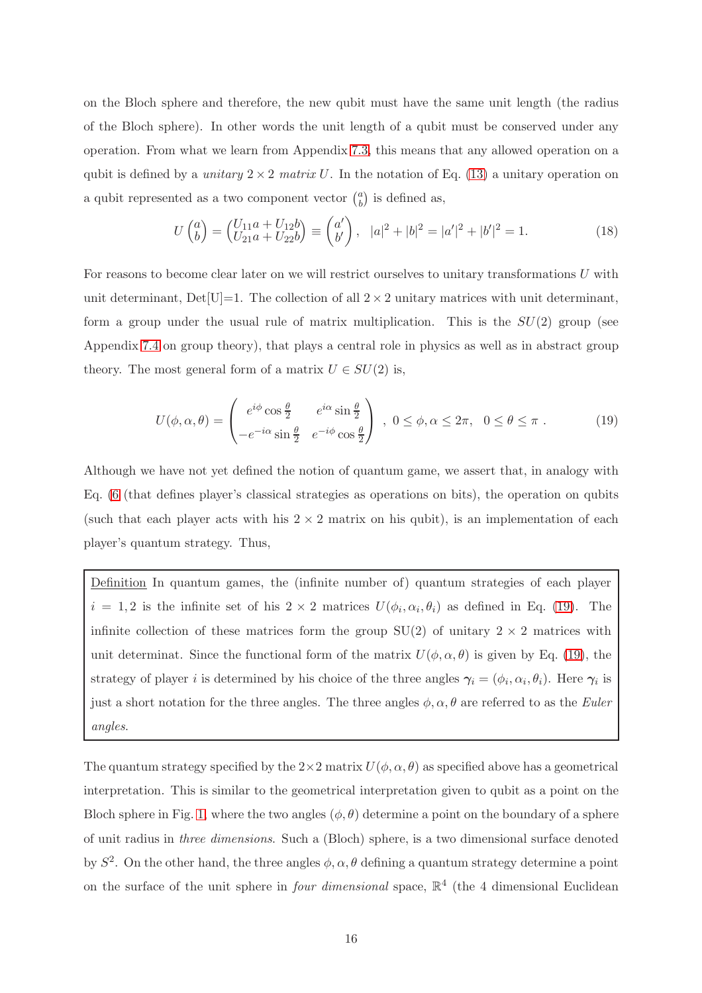on the Bloch sphere and therefore, the new qubit must have the same unit length (the radius of the Bloch sphere). In other words the unit length of a qubit must be conserved under any operation. From what we learn from Appendix [7.3,](#page-70-0) this means that any allowed operation on a qubit is defined by a *unitary*  $2 \times 2$  matrix U. In the notation of Eq. [\(13\)](#page-13-0) a unitary operation on a qubit represented as a two component vector  $\binom{a}{b}$  $\binom{a}{b}$  is defined as,

<span id="page-15-1"></span>
$$
U\begin{pmatrix} a \\ b \end{pmatrix} = \begin{pmatrix} U_{11}a + U_{12}b \\ U_{21}a + U_{22}b \end{pmatrix} \equiv \begin{pmatrix} a' \\ b' \end{pmatrix}, \ \ |a|^2 + |b|^2 = |a'|^2 + |b'|^2 = 1. \tag{18}
$$

For reasons to become clear later on we will restrict ourselves to unitary transformations U with unit determinant, Det $[U]=1$ . The collection of all  $2\times 2$  unitary matrices with unit determinant, form a group under the usual rule of matrix multiplication. This is the  $SU(2)$  group (see Appendix [7.4](#page-76-0) on group theory), that plays a central role in physics as well as in abstract group theory. The most general form of a matrix  $U \in SU(2)$  is,

<span id="page-15-0"></span>
$$
U(\phi, \alpha, \theta) = \begin{pmatrix} e^{i\phi}\cos\frac{\theta}{2} & e^{i\alpha}\sin\frac{\theta}{2} \\ -e^{-i\alpha}\sin\frac{\theta}{2} & e^{-i\phi}\cos\frac{\theta}{2} \end{pmatrix}, 0 \le \phi, \alpha \le 2\pi, 0 \le \theta \le \pi.
$$
 (19)

Although we have not yet defined the notion of quantum game, we assert that, in analogy with Eq. [\(6](#page-9-3) (that defines player's classical strategies as operations on bits), the operation on qubits (such that each player acts with his  $2 \times 2$  matrix on his qubit), is an implementation of each player's quantum strategy. Thus,

Definition In quantum games, the (infinite number of) quantum strategies of each player  $i = 1, 2$  is the infinite set of his  $2 \times 2$  matrices  $U(\phi_i, \alpha_i, \theta_i)$  as defined in Eq. [\(19\)](#page-15-0). The infinite collection of these matrices form the group  $SU(2)$  of unitary  $2 \times 2$  matrices with unit determinat. Since the functional form of the matrix  $U(\phi, \alpha, \theta)$  is given by Eq. [\(19\)](#page-15-0), the strategy of player *i* is determined by his choice of the three angles  $\gamma_i = (\phi_i, \alpha_i, \theta_i)$ . Here  $\gamma_i$  is just a short notation for the three angles. The three angles  $\phi$ ,  $\alpha$ ,  $\theta$  are referred to as the *Euler* angles.

The quantum strategy specified by the  $2\times 2$  matrix  $U(\phi, \alpha, \theta)$  as specified above has a geometrical interpretation. This is similar to the geometrical interpretation given to qubit as a point on the Bloch sphere in Fig. [1,](#page-11-1) where the two angles  $(\phi, \theta)$  determine a point on the boundary of a sphere of unit radius in three dimensions. Such a (Bloch) sphere, is a two dimensional surface denoted by  $S^2$ . On the other hand, the three angles  $\phi$ ,  $\alpha$ ,  $\theta$  defining a quantum strategy determine a point on the surface of the unit sphere in *four dimensional* space,  $\mathbb{R}^4$  (the 4 dimensional Euclidean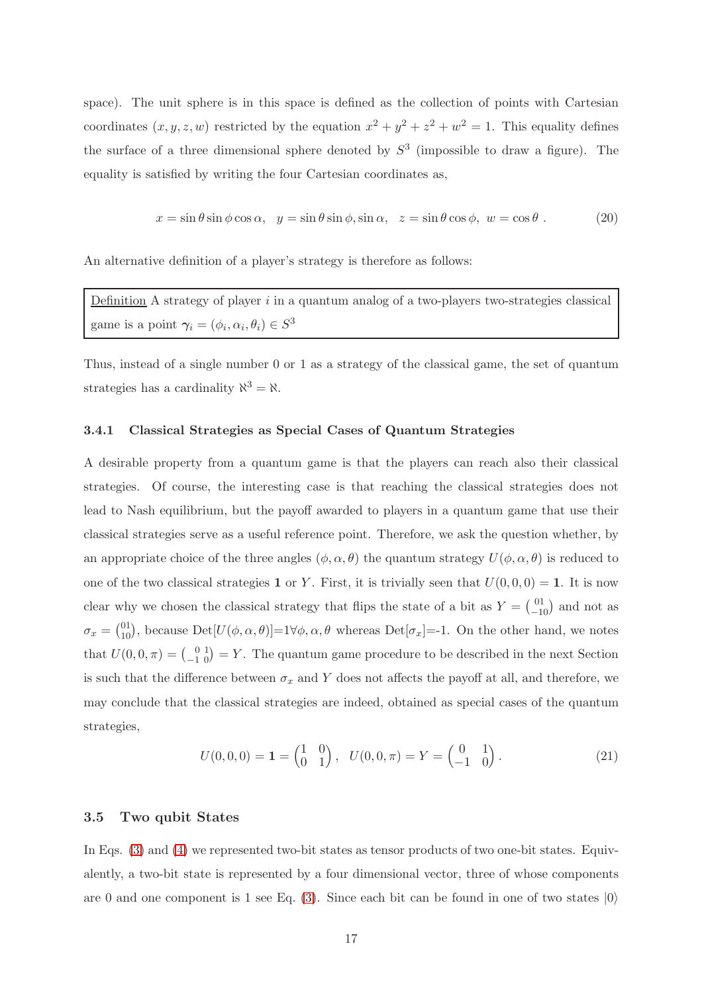space). The unit sphere is in this space is defined as the collection of points with Cartesian coordinates  $(x, y, z, w)$  restricted by the equation  $x^2 + y^2 + z^2 + w^2 = 1$ . This equality defines the surface of a three dimensional sphere denoted by  $S<sup>3</sup>$  (impossible to draw a figure). The equality is satisfied by writing the four Cartesian coordinates as,

$$
x = \sin \theta \sin \phi \cos \alpha, \quad y = \sin \theta \sin \phi, \sin \alpha, \quad z = \sin \theta \cos \phi, \quad w = \cos \theta \tag{20}
$$

An alternative definition of a player's strategy is therefore as follows:

Definition A strategy of player  $i$  in a quantum analog of a two-players two-strategies classical game is a point  $\gamma_i = (\phi_i, \alpha_i, \theta_i) \in S^3$ 

Thus, instead of a single number 0 or 1 as a strategy of the classical game, the set of quantum strategies has a cardinality  $\aleph^3 = \aleph$ .

#### 3.4.1 Classical Strategies as Special Cases of Quantum Strategies

A desirable property from a quantum game is that the players can reach also their classical strategies. Of course, the interesting case is that reaching the classical strategies does not lead to Nash equilibrium, but the payoff awarded to players in a quantum game that use their classical strategies serve as a useful reference point. Therefore, we ask the question whether, by an appropriate choice of the three angles  $(\phi, \alpha, \theta)$  the quantum strategy  $U(\phi, \alpha, \theta)$  is reduced to one of the two classical strategies 1 or Y. First, it is trivially seen that  $U(0, 0, 0) = 1$ . It is now clear why we chosen the classical strategy that flips the state of a bit as  $Y = \begin{pmatrix} 0 & 1 \\ -10 & 0 \end{pmatrix}$  and not as  $\sigma_x = \begin{pmatrix} 0 & 1 \\ 1 & 0 \end{pmatrix}$ , because  $Det[U(\phi, \alpha, \theta)] = 1 \forall \phi, \alpha, \theta$  whereas  $Det[\sigma_x] = -1$ . On the other hand, we notes that  $U(0, 0, \pi) = \begin{pmatrix} 0 & 1 \\ -1 & 0 \end{pmatrix} = Y$ . The quantum game procedure to be described in the next Section is such that the difference between  $\sigma_x$  and Y does not affects the payoff at all, and therefore, we may conclude that the classical strategies are indeed, obtained as special cases of the quantum strategies,

<span id="page-16-0"></span>
$$
U(0,0,0) = \mathbf{1} = \begin{pmatrix} 1 & 0 \\ 0 & 1 \end{pmatrix}, \quad U(0,0,\pi) = Y = \begin{pmatrix} 0 & 1 \\ -1 & 0 \end{pmatrix}.
$$
 (21)

## 3.5 Two qubit States

In Eqs. [\(3\)](#page-8-0) and [\(4\)](#page-8-1) we represented two-bit states as tensor products of two one-bit states. Equivalently, a two-bit state is represented by a four dimensional vector, three of whose components are 0 and one component is 1 see Eq. [\(3\)](#page-8-0). Since each bit can be found in one of two states  $|0\rangle$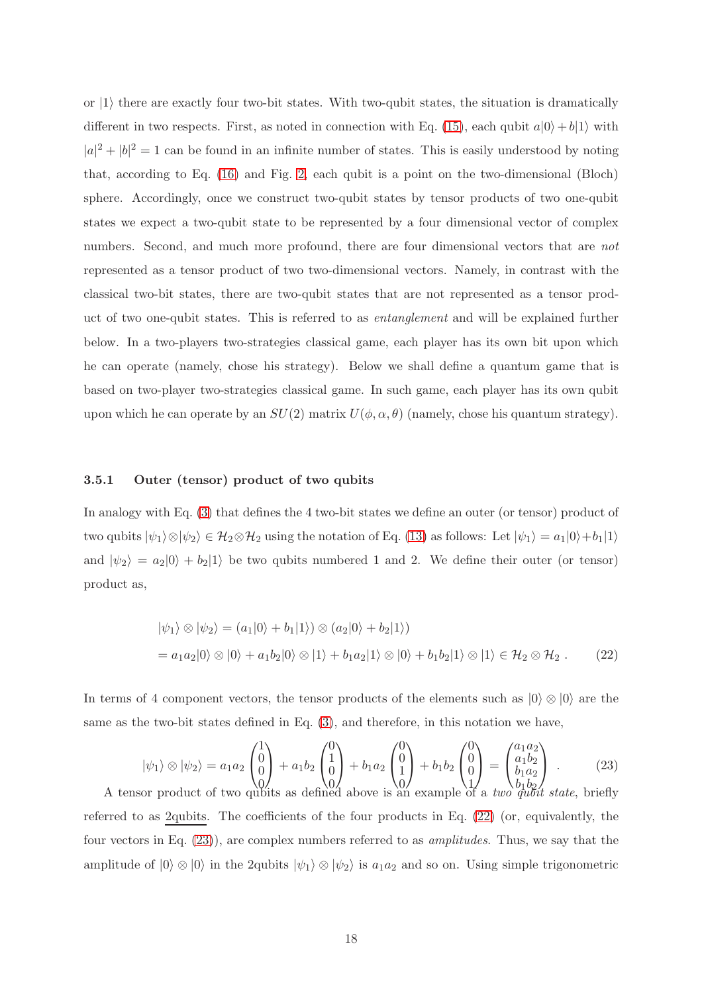or  $|1\rangle$  there are exactly four two-bit states. With two-qubit states, the situation is dramatically different in two respects. First, as noted in connection with Eq. [\(15\)](#page-13-1), each qubit  $a|0\rangle + b|1\rangle$  with  $|a|^2 + |b|^2 = 1$  can be found in an infinite number of states. This is easily understood by noting that, according to Eq. [\(16\)](#page-14-0) and Fig. [2,](#page-14-1) each qubit is a point on the two-dimensional (Bloch) sphere. Accordingly, once we construct two-qubit states by tensor products of two one-qubit states we expect a two-qubit state to be represented by a four dimensional vector of complex numbers. Second, and much more profound, there are four dimensional vectors that are *not* represented as a tensor product of two two-dimensional vectors. Namely, in contrast with the classical two-bit states, there are two-qubit states that are not represented as a tensor product of two one-qubit states. This is referred to as entanglement and will be explained further below. In a two-players two-strategies classical game, each player has its own bit upon which he can operate (namely, chose his strategy). Below we shall define a quantum game that is based on two-player two-strategies classical game. In such game, each player has its own qubit upon which he can operate by an  $SU(2)$  matrix  $U(\phi, \alpha, \theta)$  (namely, chose his quantum strategy).

#### 3.5.1 Outer (tensor) product of two qubits

In analogy with Eq. [\(3\)](#page-8-0) that defines the 4 two-bit states we define an outer (or tensor) product of two qubits  $|\psi_1\rangle \otimes |\psi_2\rangle \in \mathcal{H}_2 \otimes \mathcal{H}_2$  using the notation of Eq. [\(13\)](#page-13-0) as follows: Let  $|\psi_1\rangle = a_1|0\rangle + b_1|1\rangle$ and  $|\psi_2\rangle = a_2|0\rangle + b_2|1\rangle$  be two qubits numbered 1 and 2. We define their outer (or tensor) product as,

<span id="page-17-0"></span>
$$
|\psi_1\rangle \otimes |\psi_2\rangle = (a_1|0\rangle + b_1|1\rangle) \otimes (a_2|0\rangle + b_2|1\rangle)
$$
  
=  $a_1a_2|0\rangle \otimes |0\rangle + a_1b_2|0\rangle \otimes |1\rangle + b_1a_2|1\rangle \otimes |0\rangle + b_1b_2|1\rangle \otimes |1\rangle \in \mathcal{H}_2 \otimes \mathcal{H}_2$ . (22)

In terms of 4 component vectors, the tensor products of the elements such as  $|0\rangle \otimes |0\rangle$  are the same as the two-bit states defined in Eq. [\(3\)](#page-8-0), and therefore, in this notation we have,

<span id="page-17-1"></span>
$$
|\psi_1\rangle \otimes |\psi_2\rangle = a_1 a_2 \begin{pmatrix} 1 \\ 0 \\ 0 \\ 0 \end{pmatrix} + a_1 b_2 \begin{pmatrix} 0 \\ 1 \\ 0 \\ 0 \end{pmatrix} + b_1 a_2 \begin{pmatrix} 0 \\ 0 \\ 1 \\ 0 \end{pmatrix} + b_1 b_2 \begin{pmatrix} 0 \\ 0 \\ 0 \\ 1 \end{pmatrix} = \begin{pmatrix} a_1 a_2 \\ a_1 b_2 \\ b_1 a_2 \\ b_1 b_2 \\ a_2 b_1 b_2 \end{pmatrix} . \tag{23}
$$
  
A tensor product of two qubits as defined above is an example of a *two* qubit state, briefly

referred to as 2qubits. The coefficients of the four products in Eq. [\(22\)](#page-17-0) (or, equivalently, the four vectors in Eq. [\(23\)](#page-17-1)), are complex numbers referred to as amplitudes. Thus, we say that the amplitude of  $|0\rangle \otimes |0\rangle$  in the 2qubits  $|\psi_1\rangle \otimes |\psi_2\rangle$  is  $a_1a_2$  and so on. Using simple trigonometric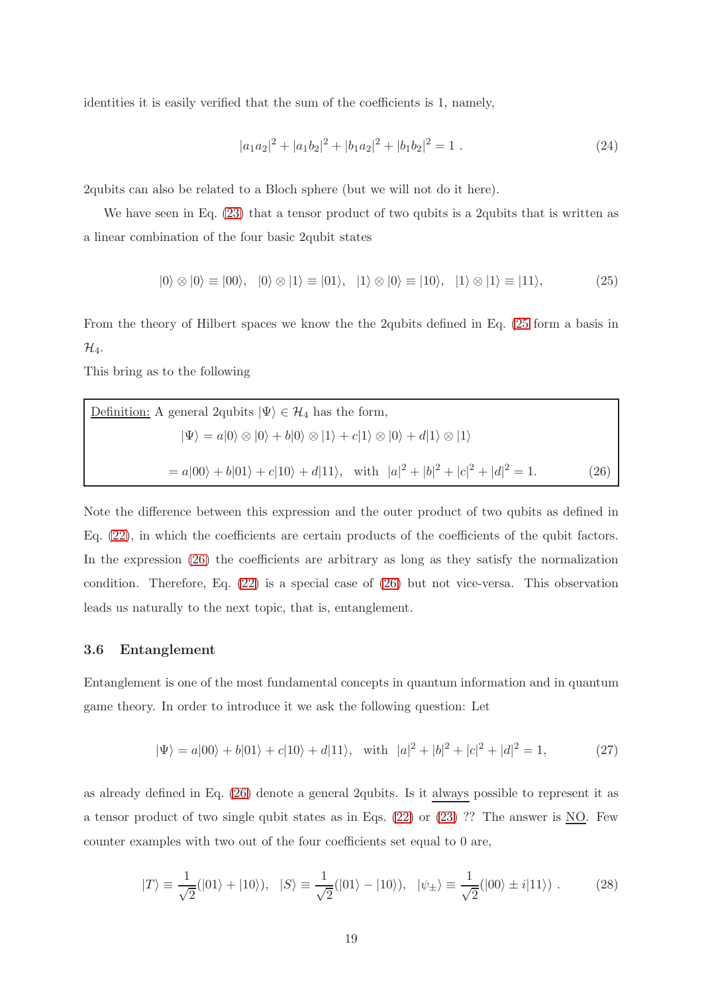identities it is easily verified that the sum of the coefficients is 1, namely,

$$
|a_1 a_2|^2 + |a_1 b_2|^2 + |b_1 a_2|^2 + |b_1 b_2|^2 = 1.
$$
 (24)

2qubits can also be related to a Bloch sphere (but we will not do it here).

We have seen in Eq.  $(23)$  that a tensor product of two qubits is a 2qubits that is written as a linear combination of the four basic 2qubit states

<span id="page-18-0"></span>
$$
|0\rangle \otimes |0\rangle \equiv |00\rangle, \quad |0\rangle \otimes |1\rangle \equiv |01\rangle, \quad |1\rangle \otimes |0\rangle \equiv |10\rangle, \quad |1\rangle \otimes |1\rangle \equiv |11\rangle, \tag{25}
$$

From the theory of Hilbert spaces we know the the 2qubits defined in Eq. [\(25](#page-18-0) form a basis in  $\mathcal{H}_4$ .

This bring as to the following

<span id="page-18-1"></span>Definition: A general 2qubits 
$$
|\Psi\rangle \in \mathcal{H}_4
$$
 has the form,  
\n
$$
|\Psi\rangle = a|0\rangle \otimes |0\rangle + b|0\rangle \otimes |1\rangle + c|1\rangle \otimes |0\rangle + d|1\rangle \otimes |1\rangle
$$
\n
$$
= a|00\rangle + b|01\rangle + c|10\rangle + d|11\rangle, \text{ with } |a|^2 + |b|^2 + |c|^2 + |d|^2 = 1. \tag{26}
$$

Note the difference between this expression and the outer product of two qubits as defined in Eq. [\(22\)](#page-17-0), in which the coefficients are certain products of the coefficients of the qubit factors. In the expression [\(26\)](#page-18-1) the coefficients are arbitrary as long as they satisfy the normalization condition. Therefore, Eq. [\(22\)](#page-17-0) is a special case of [\(26\)](#page-18-1) but not vice-versa. This observation leads us naturally to the next topic, that is, entanglement.

#### 3.6 Entanglement

Entanglement is one of the most fundamental concepts in quantum information and in quantum game theory. In order to introduce it we ask the following question: Let

<span id="page-18-2"></span>
$$
|\Psi\rangle = a|00\rangle + b|01\rangle + c|10\rangle + d|11\rangle, \text{ with } |a|^2 + |b|^2 + |c|^2 + |d|^2 = 1,
$$
 (27)

as already defined in Eq. [\(26\)](#page-18-1) denote a general 2qubits. Is it always possible to represent it as a tensor product of two single qubit states as in Eqs.  $(22)$  or  $(23)$  ?? The answer is NO. Few counter examples with two out of the four coefficients set equal to 0 are,

<span id="page-18-3"></span>
$$
|T\rangle \equiv \frac{1}{\sqrt{2}}(|01\rangle + |10\rangle), \quad |S\rangle \equiv \frac{1}{\sqrt{2}}(|01\rangle - |10\rangle), \quad |\psi_{\pm}\rangle \equiv \frac{1}{\sqrt{2}}(|00\rangle \pm i|11\rangle). \tag{28}
$$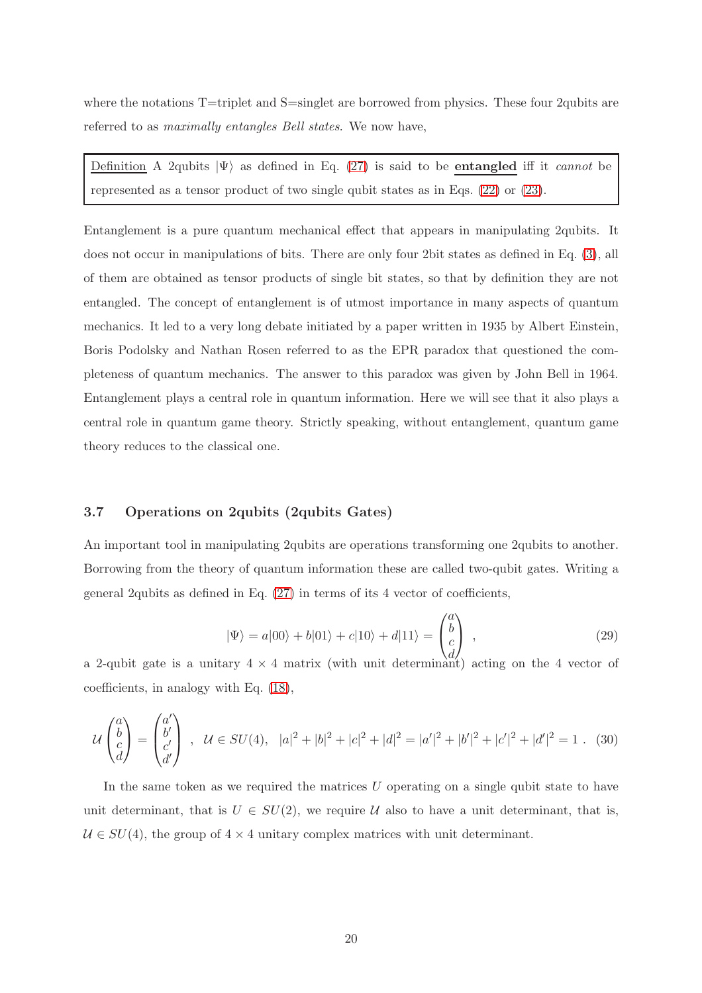where the notations T=triplet and S=singlet are borrowed from physics. These four 2qubits are referred to as maximally entangles Bell states. We now have,

Definition A 2qubits  $|\Psi\rangle$  as defined in Eq. [\(27\)](#page-18-2) is said to be **entangled** iff it *cannot* be represented as a tensor product of two single qubit states as in Eqs. [\(22\)](#page-17-0) or [\(23\)](#page-17-1).

Entanglement is a pure quantum mechanical effect that appears in manipulating 2qubits. It does not occur in manipulations of bits. There are only four 2bit states as defined in Eq. [\(3\)](#page-8-0), all of them are obtained as tensor products of single bit states, so that by definition they are not entangled. The concept of entanglement is of utmost importance in many aspects of quantum mechanics. It led to a very long debate initiated by a paper written in 1935 by Albert Einstein, Boris Podolsky and Nathan Rosen referred to as the EPR paradox that questioned the completeness of quantum mechanics. The answer to this paradox was given by John Bell in 1964. Entanglement plays a central role in quantum information. Here we will see that it also plays a central role in quantum game theory. Strictly speaking, without entanglement, quantum game theory reduces to the classical one.

## 3.7 Operations on 2qubits (2qubits Gates)

An important tool in manipulating 2qubits are operations transforming one 2qubits to another. Borrowing from the theory of quantum information these are called two-qubit gates. Writing a general 2qubits as defined in Eq. [\(27\)](#page-18-2) in terms of its 4 vector of coefficients,

<span id="page-19-0"></span>
$$
|\Psi\rangle = a|00\rangle + b|01\rangle + c|10\rangle + d|11\rangle = \begin{pmatrix} a \\ b \\ c \\ d \end{pmatrix} ,
$$
 (29)

a 2-qubit gate is a unitary  $4 \times 4$  matrix (with unit determinant) acting on the 4 vector of coefficients, in analogy with Eq. [\(18\)](#page-15-1),

<span id="page-19-1"></span>
$$
\mathcal{U}\begin{pmatrix}a\\b\\c\\d\end{pmatrix} = \begin{pmatrix}a'\\b'\\c'\\d'\end{pmatrix}, \ \mathcal{U}\in SU(4), \ |a|^2+|b|^2+|c|^2+|d|^2=|a'|^2+|b'|^2+|c'|^2+|d'|^2=1 \ . \ (30)
$$

In the same token as we required the matrices  $U$  operating on a single qubit state to have unit determinant, that is  $U \in SU(2)$ , we require U also to have a unit determinant, that is,  $U \in SU(4)$ , the group of  $4 \times 4$  unitary complex matrices with unit determinant.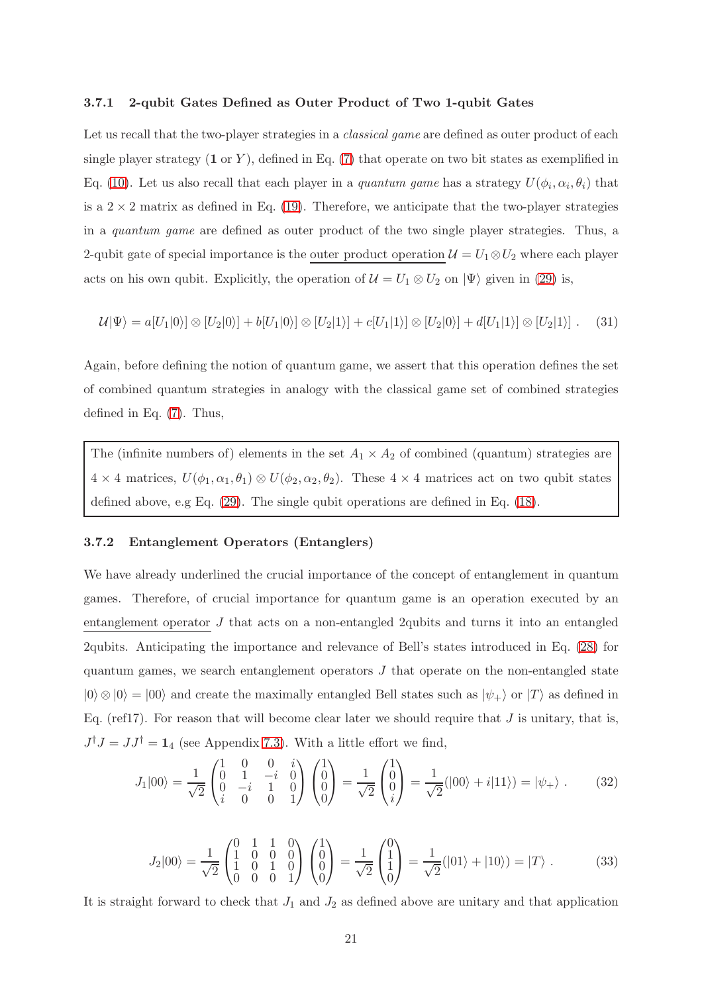#### 3.7.1 2-qubit Gates Defined as Outer Product of Two 1-qubit Gates

Let us recall that the two-player strategies in a *classical game* are defined as outer product of each single player strategy  $(1 \text{ or } Y)$ , defined in Eq.  $(7)$  that operate on two bit states as exemplified in Eq. [\(10\)](#page-10-0). Let us also recall that each player in a *quantum game* has a strategy  $U(\phi_i, \alpha_i, \theta_i)$  that is a  $2 \times 2$  matrix as defined in Eq. [\(19\)](#page-15-0). Therefore, we anticipate that the two-player strategies in a quantum game are defined as outer product of the two single player strategies. Thus, a 2-qubit gate of special importance is the outer product operation  $\mathcal{U} = U_1 \otimes U_2$  where each player acts on his own qubit. Explicitly, the operation of  $\mathcal{U} = U_1 \otimes U_2$  on  $|\Psi\rangle$  given in [\(29\)](#page-19-0) is,

<span id="page-20-2"></span>
$$
\mathcal{U}|\Psi\rangle = a[U_1|0\rangle] \otimes [U_2|0\rangle] + b[U_1|0\rangle] \otimes [U_2|1\rangle] + c[U_1|1\rangle] \otimes [U_2|0\rangle] + d[U_1|1\rangle] \otimes [U_2|1\rangle]. \tag{31}
$$

Again, before defining the notion of quantum game, we assert that this operation defines the set of combined quantum strategies in analogy with the classical game set of combined strategies defined in Eq. [\(7\)](#page-9-1). Thus,

The (infinite numbers of) elements in the set  $A_1 \times A_2$  of combined (quantum) strategies are  $4 \times 4$  matrices,  $U(\phi_1, \alpha_1, \theta_1) \otimes U(\phi_2, \alpha_2, \theta_2)$ . These  $4 \times 4$  matrices act on two qubit states defined above, e.g Eq. [\(29\)](#page-19-0). The single qubit operations are defined in Eq. [\(18\)](#page-15-1).

## 3.7.2 Entanglement Operators (Entanglers)

We have already underlined the crucial importance of the concept of entanglement in quantum games. Therefore, of crucial importance for quantum game is an operation executed by an entanglement operator J that acts on a non-entangled 2qubits and turns it into an entangled 2qubits. Anticipating the importance and relevance of Bell's states introduced in Eq. [\(28\)](#page-18-3) for quantum games, we search entanglement operators  $J$  that operate on the non-entangled state  $|0\rangle \otimes |0\rangle = |00\rangle$  and create the maximally entangled Bell states such as  $|\psi_+\rangle$  or  $|T\rangle$  as defined in Eq. (ref17). For reason that will become clear later we should require that  $J$  is unitary, that is,  $J^{\dagger}J = JJ^{\dagger} = \mathbf{1}_4$  (see Appendix [7.3\)](#page-70-0). With a little effort we find,

<span id="page-20-0"></span>
$$
J_1|00\rangle = \frac{1}{\sqrt{2}} \begin{pmatrix} 1 & 0 & 0 & i \\ 0 & 1 & -i & 0 \\ i & 0 & 0 & 1 \end{pmatrix} \begin{pmatrix} 1 \\ 0 \\ 0 \\ 0 \end{pmatrix} = \frac{1}{\sqrt{2}} \begin{pmatrix} 1 \\ 0 \\ 0 \\ i \end{pmatrix} = \frac{1}{\sqrt{2}}(|00\rangle + i|11\rangle) = |\psi_+\rangle . \tag{32}
$$

<span id="page-20-1"></span>
$$
J_2|00\rangle = \frac{1}{\sqrt{2}} \begin{pmatrix} 0 & 1 & 1 & 0 \\ 1 & 0 & 0 & 0 \\ 1 & 0 & 1 & 0 \\ 0 & 0 & 0 & 1 \end{pmatrix} \begin{pmatrix} 1 \\ 0 \\ 0 \end{pmatrix} = \frac{1}{\sqrt{2}} \begin{pmatrix} 0 \\ 1 \\ 1 \end{pmatrix} = \frac{1}{\sqrt{2}}(|01\rangle + |10\rangle) = |T\rangle.
$$
 (33)

It is straight forward to check that  $J_1$  and  $J_2$  as defined above are unitary and that application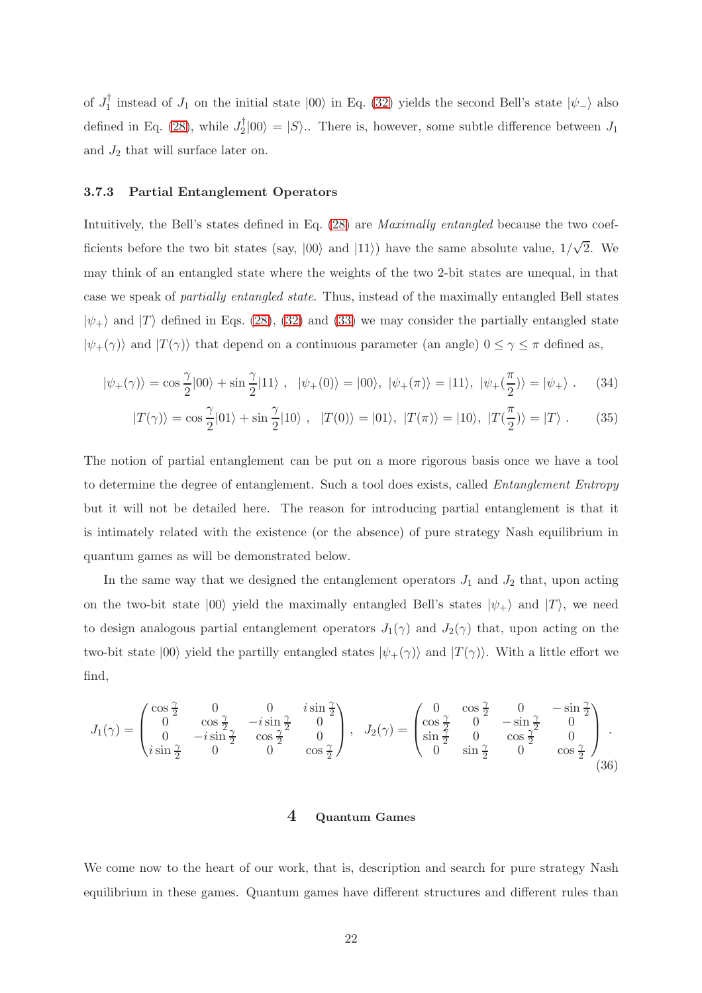of  $J_1^{\dagger}$  instead of  $J_1$  on the initial state  $|00\rangle$  in Eq. [\(32\)](#page-20-0) yields the second Bell's state  $|\psi_-\rangle$  also defined in Eq. [\(28\)](#page-18-3), while  $J_2^{\dagger} |00\rangle = |S\rangle$ . There is, however, some subtle difference between  $J_1$ and  $J_2$  that will surface later on.

## 3.7.3 Partial Entanglement Operators

Intuitively, the Bell's states defined in Eq. [\(28\)](#page-18-3) are Maximally entangled because the two coefficients before the two bit states (say,  $|00\rangle$  and  $|11\rangle$ ) have the same absolute value,  $1/\sqrt{2}$ . We may think of an entangled state where the weights of the two 2-bit states are unequal, in that case we speak of partially entangled state. Thus, instead of the maximally entangled Bell states  $|\psi_{+}\rangle$  and  $|T\rangle$  defined in Eqs. [\(28\)](#page-18-3), [\(32\)](#page-20-0) and [\(33\)](#page-20-1) we may consider the partially entangled state  $|\psi_{+}(\gamma)\rangle$  and  $|T(\gamma)\rangle$  that depend on a continuous parameter (an angle)  $0 \leq \gamma \leq \pi$  defined as,

<span id="page-21-2"></span>
$$
|\psi_{+}(\gamma)\rangle = \cos\frac{\gamma}{2}|00\rangle + \sin\frac{\gamma}{2}|11\rangle , \quad |\psi_{+}(0)\rangle = |00\rangle, \quad |\psi_{+}(\pi)\rangle = |11\rangle, \quad |\psi_{+}(\frac{\pi}{2})\rangle = |\psi_{+}\rangle . \tag{34}
$$

$$
|T(\gamma)\rangle = \cos\frac{\gamma}{2}|01\rangle + \sin\frac{\gamma}{2}|10\rangle \;, \quad |T(0)\rangle = |01\rangle, \ |T(\pi)\rangle = |10\rangle, \ |T(\frac{\pi}{2})\rangle = |T\rangle \;.
$$
 (35)

The notion of partial entanglement can be put on a more rigorous basis once we have a tool to determine the degree of entanglement. Such a tool does exists, called Entanglement Entropy but it will not be detailed here. The reason for introducing partial entanglement is that it is intimately related with the existence (or the absence) of pure strategy Nash equilibrium in quantum games as will be demonstrated below.

In the same way that we designed the entanglement operators  $J_1$  and  $J_2$  that, upon acting on the two-bit state  $|00\rangle$  yield the maximally entangled Bell's states  $|\psi_{+}\rangle$  and  $|T\rangle$ , we need to design analogous partial entanglement operators  $J_1(\gamma)$  and  $J_2(\gamma)$  that, upon acting on the two-bit state  $|00\rangle$  yield the partilly entangled states  $|\psi_{+}(\gamma)\rangle$  and  $|T(\gamma)\rangle$ . With a little effort we find,

<span id="page-21-1"></span>
$$
J_1(\gamma) = \begin{pmatrix} \cos\frac{\gamma}{2} & 0 & 0 & i\sin\frac{\gamma}{2} \\ 0 & \cos\frac{\gamma}{2} & -i\sin\frac{\gamma}{2} & 0 \\ 0 & -i\sin\frac{\gamma}{2} & 0 & \cos\frac{\gamma}{2} \end{pmatrix}, \quad J_2(\gamma) = \begin{pmatrix} 0 & \cos\frac{\gamma}{2} & 0 & -\sin\frac{\gamma}{2} \\ \cos\frac{\gamma}{2} & 0 & -\sin\frac{\gamma}{2} & 0 \\ \sin\frac{\gamma}{2} & 0 & \cos\frac{\gamma}{2} & 0 \\ 0 & \sin\frac{\gamma}{2} & 0 & \cos\frac{\gamma}{2} \end{pmatrix}.
$$
\n(36)

#### 4 Quantum Games

<span id="page-21-0"></span>We come now to the heart of our work, that is, description and search for pure strategy Nash equilibrium in these games. Quantum games have different structures and different rules than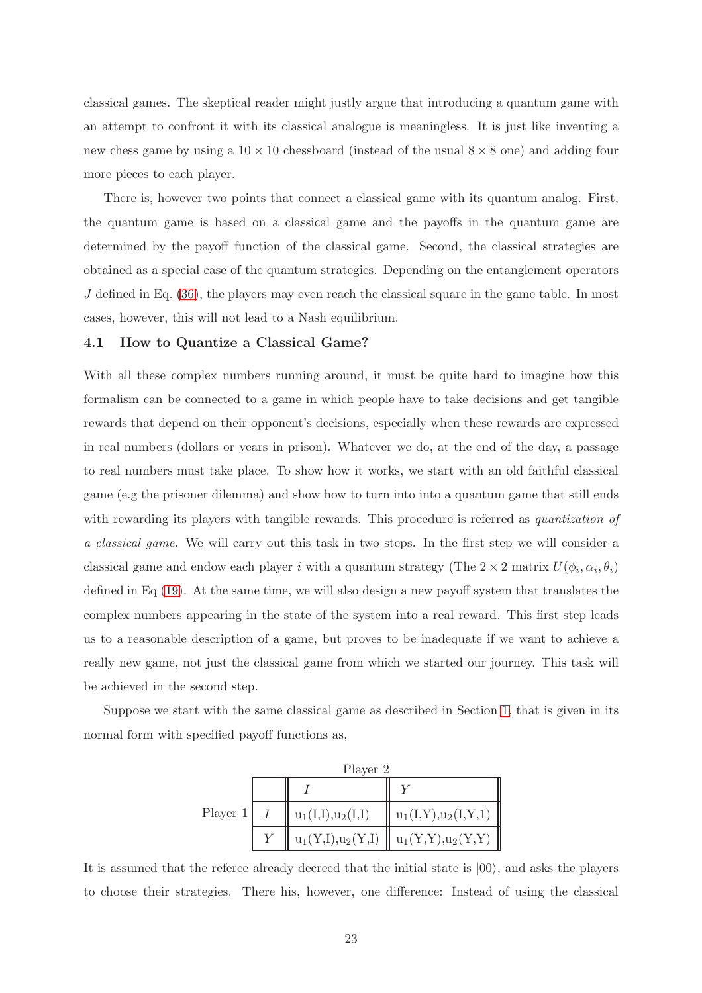classical games. The skeptical reader might justly argue that introducing a quantum game with an attempt to confront it with its classical analogue is meaningless. It is just like inventing a new chess game by using a  $10 \times 10$  chessboard (instead of the usual  $8 \times 8$  one) and adding four more pieces to each player.

There is, however two points that connect a classical game with its quantum analog. First, the quantum game is based on a classical game and the payoffs in the quantum game are determined by the payoff function of the classical game. Second, the classical strategies are obtained as a special case of the quantum strategies. Depending on the entanglement operators  $J$  defined in Eq.  $(36)$ , the players may even reach the classical square in the game table. In most cases, however, this will not lead to a Nash equilibrium.

#### 4.1 How to Quantize a Classical Game?

With all these complex numbers running around, it must be quite hard to imagine how this formalism can be connected to a game in which people have to take decisions and get tangible rewards that depend on their opponent's decisions, especially when these rewards are expressed in real numbers (dollars or years in prison). Whatever we do, at the end of the day, a passage to real numbers must take place. To show how it works, we start with an old faithful classical game (e.g the prisoner dilemma) and show how to turn into into a quantum game that still ends with rewarding its players with tangible rewards. This procedure is referred as *quantization of* a classical game. We will carry out this task in two steps. In the first step we will consider a classical game and endow each player *i* with a quantum strategy (The  $2 \times 2$  matrix  $U(\phi_i, \alpha_i, \theta_i)$ defined in Eq [\(19\)](#page-15-0). At the same time, we will also design a new payoff system that translates the complex numbers appearing in the state of the system into a real reward. This first step leads us to a reasonable description of a game, but proves to be inadequate if we want to achieve a really new game, not just the classical game from which we started our journey. This task will be achieved in the second step.

Suppose we start with the same classical game as described in Section [1,](#page-3-0) that is given in its normal form with specified payoff functions as,

|            | Player 2 |                      |                                                             |  |
|------------|----------|----------------------|-------------------------------------------------------------|--|
|            |          |                      |                                                             |  |
| Player $1$ |          | $u_1(I,I), u_2(I,I)$ | $u_1(I,Y), u_2(I,Y,1)$                                      |  |
|            |          |                      | $u_1(Y,I), u_2(Y,I) \parallel u_1(Y,Y), u_2(Y,Y) \parallel$ |  |

It is assumed that the referee already decreed that the initial state is  $|00\rangle$ , and asks the players to choose their strategies. There his, however, one difference: Instead of using the classical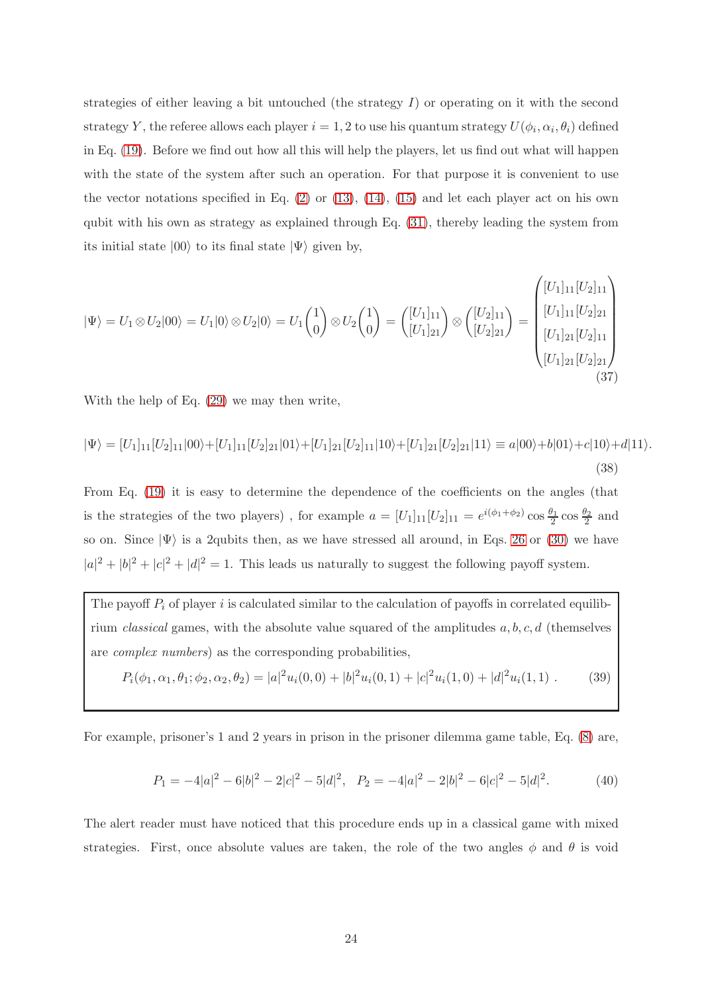strategies of either leaving a bit untouched (the strategy  $I$ ) or operating on it with the second strategy Y, the referee allows each player  $i = 1, 2$  to use his quantum strategy  $U(\phi_i, \alpha_i, \theta_i)$  defined in Eq. [\(19\)](#page-15-0). Before we find out how all this will help the players, let us find out what will happen with the state of the system after such an operation. For that purpose it is convenient to use the vector notations specified in Eq.  $(2)$  or  $(13)$ ,  $(14)$ ,  $(15)$  and let each player act on his own qubit with his own as strategy as explained through Eq. [\(31\)](#page-20-2), thereby leading the system from its initial state  $|00\rangle$  to its final state  $|\Psi\rangle$  given by,

<span id="page-23-2"></span>
$$
|\Psi\rangle = U_1 \otimes U_2 |00\rangle = U_1 |0\rangle \otimes U_2 |0\rangle = U_1 \begin{pmatrix} 1 \\ 0 \end{pmatrix} \otimes U_2 \begin{pmatrix} 1 \\ 0 \end{pmatrix} = \begin{pmatrix} [U_1]_{11} \\ [U_1]_{21} \end{pmatrix} \otimes \begin{pmatrix} [U_2]_{11} \\ [U_2]_{21} \end{pmatrix} = \begin{pmatrix} [U_1]_{11} [U_2]_{21} \\ [U_1]_{21} [U_2]_{21} \\ [U_1]_{21} [U_2]_{21} \\ [U_1]_{21} [U_2]_{21} \end{pmatrix}
$$
\n(37)

With the help of Eq. [\(29\)](#page-19-0) we may then write,

<span id="page-23-1"></span>
$$
|\Psi\rangle = [U_1]_{11}[U_2]_{11}|00\rangle + [U_1]_{11}[U_2]_{21}|01\rangle + [U_1]_{21}[U_2]_{11}|10\rangle + [U_1]_{21}[U_2]_{21}|11\rangle \equiv a|00\rangle + b|01\rangle + c|10\rangle + d|11\rangle.
$$
\n(38)

From Eq. [\(19\)](#page-15-0) it is easy to determine the dependence of the coefficients on the angles (that is the strategies of the two players), for example  $a = [U_1]_{11}[U_2]_{11} = e^{i(\phi_1 + \phi_2)} \cos \frac{\theta_1}{2} \cos \frac{\theta_2}{2}$  and so on. Since  $|\Psi\rangle$  is a 2qubits then, as we have stressed all around, in Eqs. [26](#page-18-1) or [\(30\)](#page-19-1) we have  $|a|^2 + |b|^2 + |c|^2 + |d|^2 = 1$ . This leads us naturally to suggest the following payoff system.

The payoff  $P_i$  of player i is calculated similar to the calculation of payoffs in correlated equilibrium classical games, with the absolute value squared of the amplitudes  $a, b, c, d$  (themselves are complex numbers) as the corresponding probabilities,

<span id="page-23-0"></span>
$$
P_i(\phi_1, \alpha_1, \theta_1; \phi_2, \alpha_2, \theta_2) = |a|^2 u_i(0, 0) + |b|^2 u_i(0, 1) + |c|^2 u_i(1, 0) + |d|^2 u_i(1, 1) \tag{39}
$$

For example, prisoner's 1 and 2 years in prison in the prisoner dilemma game table, Eq. [\(8\)](#page-9-0) are,

<span id="page-23-3"></span>
$$
P_1 = -4|a|^2 - 6|b|^2 - 2|c|^2 - 5|d|^2, \quad P_2 = -4|a|^2 - 2|b|^2 - 6|c|^2 - 5|d|^2. \tag{40}
$$

The alert reader must have noticed that this procedure ends up in a classical game with mixed strategies. First, once absolute values are taken, the role of the two angles  $\phi$  and  $\theta$  is void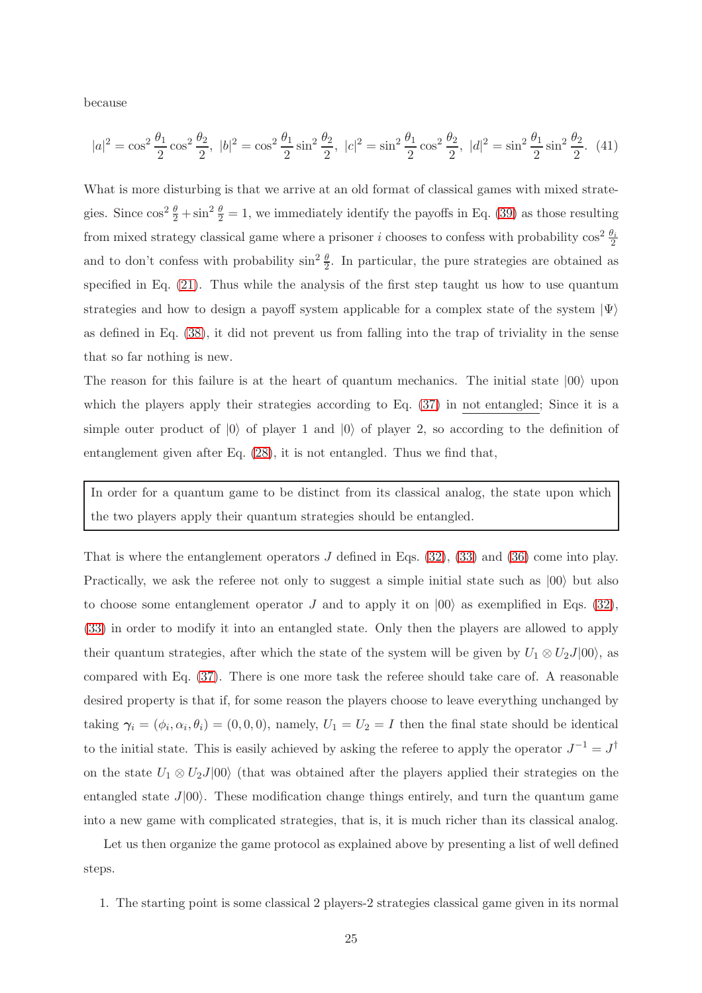because

<span id="page-24-0"></span>
$$
|a|^2 = \cos^2 \frac{\theta_1}{2} \cos^2 \frac{\theta_2}{2}, \ |b|^2 = \cos^2 \frac{\theta_1}{2} \sin^2 \frac{\theta_2}{2}, \ |c|^2 = \sin^2 \frac{\theta_1}{2} \cos^2 \frac{\theta_2}{2}, \ |d|^2 = \sin^2 \frac{\theta_1}{2} \sin^2 \frac{\theta_2}{2}.
$$
 (41)

What is more disturbing is that we arrive at an old format of classical games with mixed strategies. Since  $\cos^2 \frac{\theta}{2} + \sin^2 \frac{\theta}{2} = 1$ , we immediately identify the payoffs in Eq. [\(39\)](#page-23-0) as those resulting from mixed strategy classical game where a prisoner i chooses to confess with probability  $\cos^2 \frac{\theta_i}{2}$ and to don't confess with probability  $\sin^2 \frac{\theta}{2}$ . In particular, the pure strategies are obtained as specified in Eq. [\(21\)](#page-16-0). Thus while the analysis of the first step taught us how to use quantum strategies and how to design a payoff system applicable for a complex state of the system  $|\Psi\rangle$ as defined in Eq. [\(38\)](#page-23-1), it did not prevent us from falling into the trap of triviality in the sense that so far nothing is new.

The reason for this failure is at the heart of quantum mechanics. The initial state  $|00\rangle$  upon which the players apply their strategies according to Eq. [\(37\)](#page-23-2) in not entangled; Since it is a simple outer product of  $|0\rangle$  of player 1 and  $|0\rangle$  of player 2, so according to the definition of entanglement given after Eq. [\(28\)](#page-18-3), it is not entangled. Thus we find that,

In order for a quantum game to be distinct from its classical analog, the state upon which the two players apply their quantum strategies should be entangled.

That is where the entanglement operators  $J$  defined in Eqs. [\(32\)](#page-20-0), [\(33\)](#page-20-1) and [\(36\)](#page-21-1) come into play. Practically, we ask the referee not only to suggest a simple initial state such as  $|00\rangle$  but also to choose some entanglement operator J and to apply it on  $|00\rangle$  as exemplified in Eqs. [\(32\)](#page-20-0). [\(33\)](#page-20-1) in order to modify it into an entangled state. Only then the players are allowed to apply their quantum strategies, after which the state of the system will be given by  $U_1 \otimes U_2J|00\rangle$ , as compared with Eq. [\(37\)](#page-23-2). There is one more task the referee should take care of. A reasonable desired property is that if, for some reason the players choose to leave everything unchanged by taking  $\gamma_i = (\phi_i, \alpha_i, \theta_i) = (0, 0, 0)$ , namely,  $U_1 = U_2 = I$  then the final state should be identical to the initial state. This is easily achieved by asking the referee to apply the operator  $J^{-1} = J^{\dagger}$ on the state  $U_1 \otimes U_2J|00\rangle$  (that was obtained after the players applied their strategies on the entangled state  $J|00\rangle$ . These modification change things entirely, and turn the quantum game into a new game with complicated strategies, that is, it is much richer than its classical analog.

Let us then organize the game protocol as explained above by presenting a list of well defined steps.

1. The starting point is some classical 2 players-2 strategies classical game given in its normal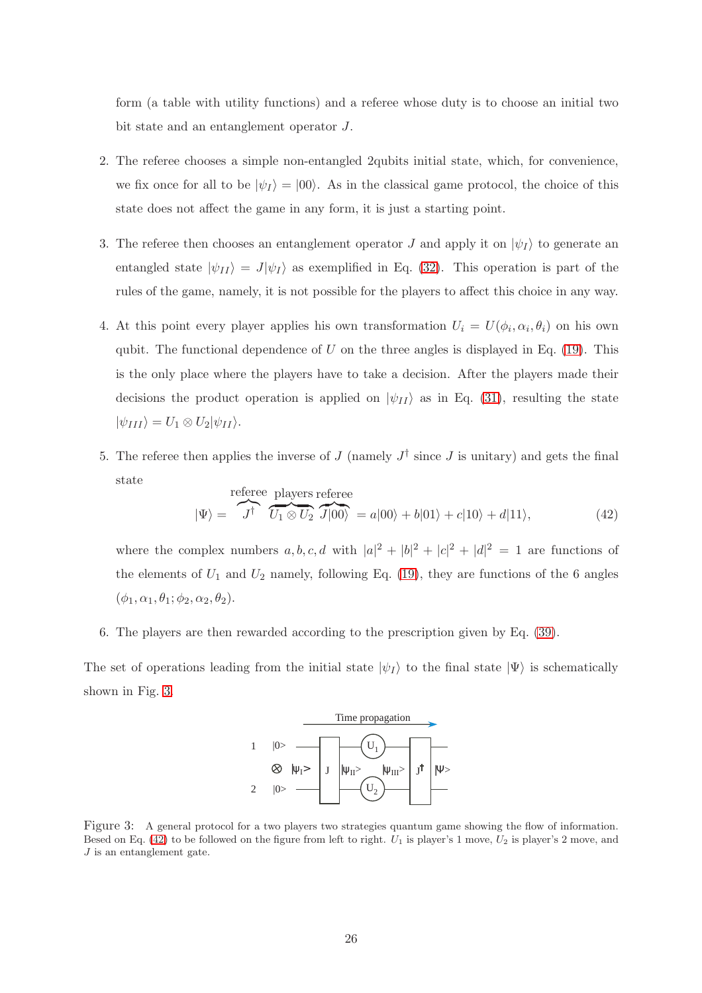form (a table with utility functions) and a referee whose duty is to choose an initial two bit state and an entanglement operator J.

- 2. The referee chooses a simple non-entangled 2qubits initial state, which, for convenience, we fix once for all to be  $|\psi_I\rangle = |00\rangle$ . As in the classical game protocol, the choice of this state does not affect the game in any form, it is just a starting point.
- 3. The referee then chooses an entanglement operator J and apply it on  $|\psi_I\rangle$  to generate an entangled state  $|\psi_{II}\rangle = J|\psi_I\rangle$  as exemplified in Eq. [\(32\)](#page-20-0). This operation is part of the rules of the game, namely, it is not possible for the players to affect this choice in any way.
- 4. At this point every player applies his own transformation  $U_i = U(\phi_i, \alpha_i, \theta_i)$  on his own qubit. The functional dependence of U on the three angles is displayed in Eq. [\(19\)](#page-15-0). This is the only place where the players have to take a decision. After the players made their decisions the product operation is applied on  $|\psi_{II}\rangle$  as in Eq. [\(31\)](#page-20-2), resulting the state  $|\psi_{III}\rangle = U_1 \otimes U_2 |\psi_{II}\rangle.$
- 5. The referee then applies the inverse of  $J$  (namely  $J^{\dagger}$  since  $J$  is unitary) and gets the final state

<span id="page-25-1"></span>
$$
|\Psi\rangle = \overbrace{J^{\dagger}}^{\text{reference}} \overbrace{U_1 \otimes U_2}^{\text{players reference}} \overbrace{J|00\rangle}^{\text{reference}} = a|00\rangle + b|01\rangle + c|10\rangle + d|11\rangle,\tag{42}
$$

where the complex numbers  $a, b, c, d$  with  $|a|^2 + |b|^2 + |c|^2 + |d|^2 = 1$  are functions of the elements of  $U_1$  and  $U_2$  namely, following Eq. [\(19\)](#page-15-0), they are functions of the 6 angles  $(\phi_1, \alpha_1, \theta_1; \phi_2, \alpha_2, \theta_2).$ 

6. The players are then rewarded according to the prescription given by Eq. [\(39\)](#page-23-0).

The set of operations leading from the initial state  $|\psi_I\rangle$  to the final state  $|\Psi\rangle$  is schematically shown in Fig. [3.](#page-25-0)



<span id="page-25-0"></span>Figure 3: A general protocol for a two players two strategies quantum game showing the flow of information. Besed on Eq. [\(42\)](#page-25-1) to be followed on the figure from left to right.  $U_1$  is player's 1 move,  $U_2$  is player's 2 move, and  $J$  is an entanglement gate.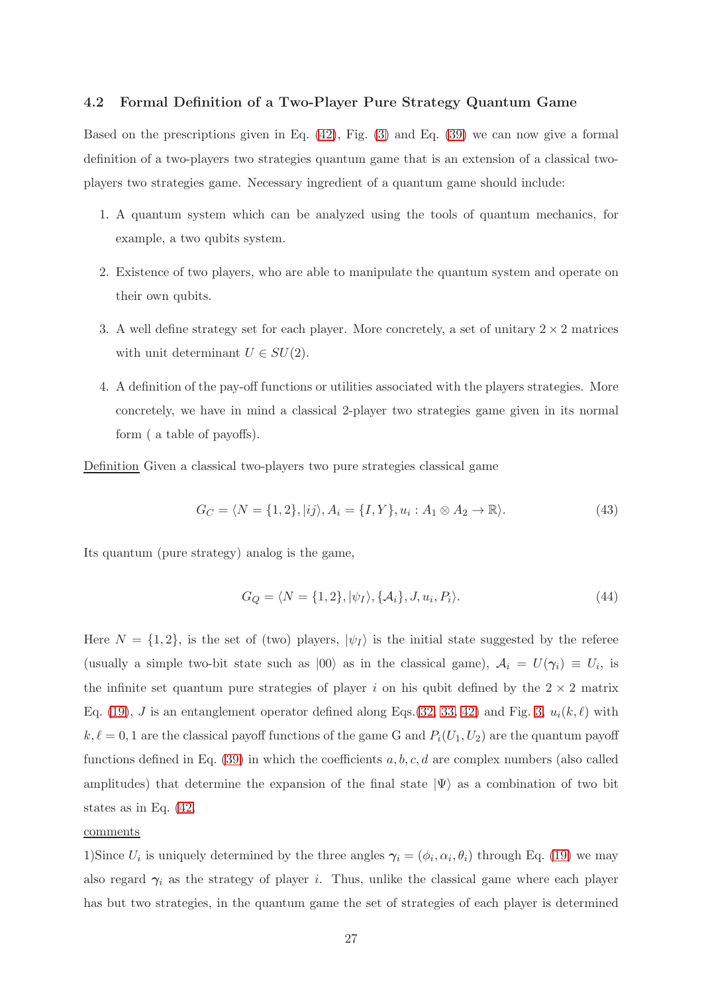## 4.2 Formal Definition of a Two-Player Pure Strategy Quantum Game

Based on the prescriptions given in Eq. [\(42\)](#page-25-1), Fig. [\(3\)](#page-25-0) and Eq. [\(39\)](#page-23-0) we can now give a formal definition of a two-players two strategies quantum game that is an extension of a classical twoplayers two strategies game. Necessary ingredient of a quantum game should include:

- 1. A quantum system which can be analyzed using the tools of quantum mechanics, for example, a two qubits system.
- 2. Existence of two players, who are able to manipulate the quantum system and operate on their own qubits.
- 3. A well define strategy set for each player. More concretely, a set of unitary  $2 \times 2$  matrices with unit determinant  $U \in SU(2)$ .
- 4. A definition of the pay-off functions or utilities associated with the players strategies. More concretely, we have in mind a classical 2-player two strategies game given in its normal form ( a table of payoffs).

Definition Given a classical two-players two pure strategies classical game

$$
G_C = \langle N = \{1, 2\}, |ij\rangle, A_i = \{I, Y\}, u_i : A_1 \otimes A_2 \to \mathbb{R}\rangle.
$$
 (43)

Its quantum (pure strategy) analog is the game,

<span id="page-26-0"></span>
$$
G_Q = \langle N = \{1, 2\}, |\psi_I\rangle, \{\mathcal{A}_i\}, J, u_i, P_i\rangle.
$$
\n(44)

Here  $N = \{1, 2\}$ , is the set of (two) players,  $|\psi_I\rangle$  is the initial state suggested by the referee (usually a simple two-bit state such as  $|00\rangle$  as in the classical game),  $A_i = U(\gamma_i) \equiv U_i$ , is the infinite set quantum pure strategies of player i on his qubit defined by the  $2 \times 2$  matrix Eq. [\(19\)](#page-15-0), J is an entanglement operator defined along Eqs.[\(32,](#page-20-0) [33,](#page-20-1) [42\)](#page-25-1) and Fig. [3,](#page-25-0)  $u_i(k, \ell)$  with  $k, \ell = 0, 1$  are the classical payoff functions of the game G and  $P_i(U_1, U_2)$  are the quantum payoff functions defined in Eq. [\(39\)](#page-23-0) in which the coefficients  $a, b, c, d$  are complex numbers (also called amplitudes) that determine the expansion of the final state  $|\Psi\rangle$  as a combination of two bit states as in Eq. [\(42.](#page-25-1)

## comments

1)Since  $U_i$  is uniquely determined by the three angles  $\gamma_i = (\phi_i, \alpha_i, \theta_i)$  through Eq. [\(19\)](#page-15-0) we may also regard  $\gamma_i$  as the strategy of player *i*. Thus, unlike the classical game where each player has but two strategies, in the quantum game the set of strategies of each player is determined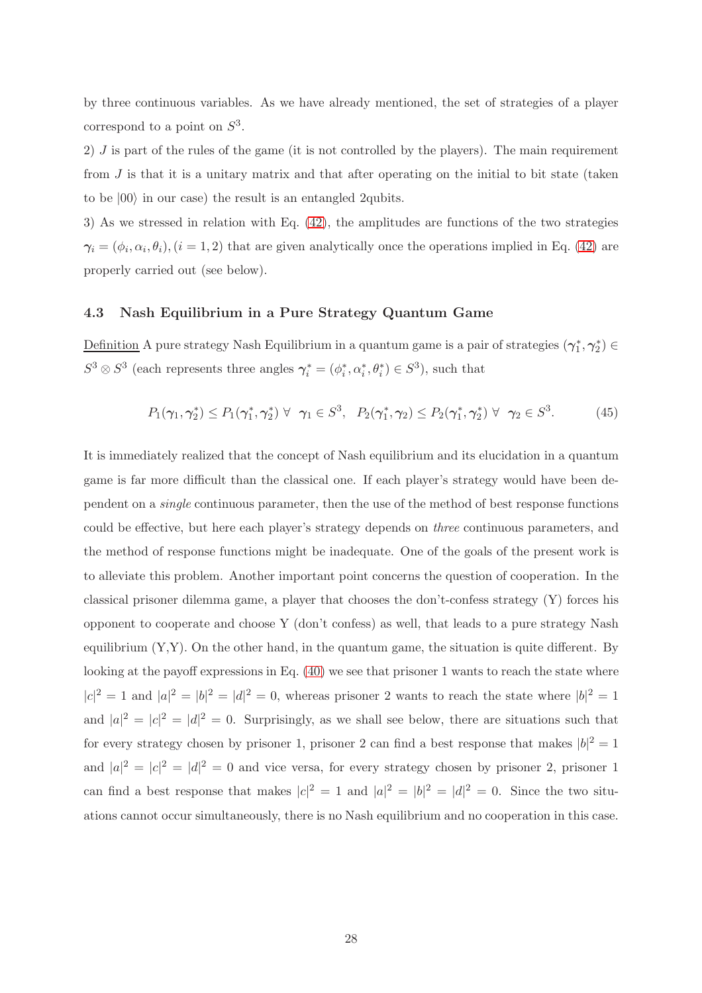by three continuous variables. As we have already mentioned, the set of strategies of a player correspond to a point on  $S^3$ .

2) J is part of the rules of the game (it is not controlled by the players). The main requirement from  $J$  is that it is a unitary matrix and that after operating on the initial to bit state (taken to be  $|00\rangle$  in our case) the result is an entangled 2qubits.

3) As we stressed in relation with Eq. [\(42\)](#page-25-1), the amplitudes are functions of the two strategies  $\gamma_i = (\phi_i, \alpha_i, \theta_i), (i = 1, 2)$  that are given analytically once the operations implied in Eq. [\(42\)](#page-25-1) are properly carried out (see below).

## 4.3 Nash Equilibrium in a Pure Strategy Quantum Game

Definition A pure strategy Nash Equilibrium in a quantum game is a pair of strategies  $(\gamma_1^*, \gamma_2^*) \in$  $S^3 \otimes S^3$  (each represents three angles  $\gamma_i^* = (\phi_i^*, \alpha_i^*, \theta_i^*) \in S^3$ ), such that

<span id="page-27-0"></span>
$$
P_1(\gamma_1, \gamma_2^*) \le P_1(\gamma_1^*, \gamma_2^*) \ \forall \ \gamma_1 \in S^3, \ P_2(\gamma_1^*, \gamma_2) \le P_2(\gamma_1^*, \gamma_2^*) \ \forall \ \gamma_2 \in S^3.
$$
 (45)

It is immediately realized that the concept of Nash equilibrium and its elucidation in a quantum game is far more difficult than the classical one. If each player's strategy would have been dependent on a single continuous parameter, then the use of the method of best response functions could be effective, but here each player's strategy depends on three continuous parameters, and the method of response functions might be inadequate. One of the goals of the present work is to alleviate this problem. Another important point concerns the question of cooperation. In the classical prisoner dilemma game, a player that chooses the don't-confess strategy (Y) forces his opponent to cooperate and choose Y (don't confess) as well, that leads to a pure strategy Nash equilibrium  $(Y, Y)$ . On the other hand, in the quantum game, the situation is quite different. By looking at the payoff expressions in Eq. [\(40\)](#page-23-3) we see that prisoner 1 wants to reach the state where  $|c|^2 = 1$  and  $|a|^2 = |b|^2 = |d|^2 = 0$ , whereas prisoner 2 wants to reach the state where  $|b|^2 = 1$ and  $|a|^2 = |c|^2 = |d|^2 = 0$ . Surprisingly, as we shall see below, there are situations such that for every strategy chosen by prisoner 1, prisoner 2 can find a best response that makes  $|b|^2 = 1$ and  $|a|^2 = |c|^2 = |d|^2 = 0$  and vice versa, for every strategy chosen by prisoner 2, prisoner 1 can find a best response that makes  $|c|^2 = 1$  and  $|a|^2 = |b|^2 = |d|^2 = 0$ . Since the two situations cannot occur simultaneously, there is no Nash equilibrium and no cooperation in this case.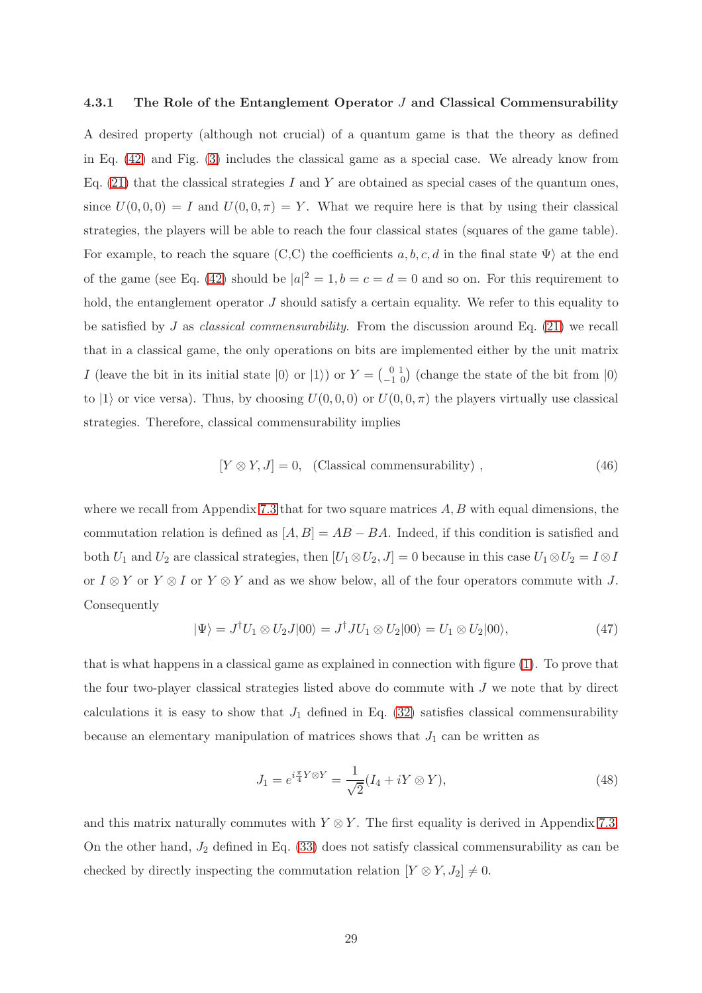#### 4.3.1 The Role of the Entanglement Operator J and Classical Commensurability

A desired property (although not crucial) of a quantum game is that the theory as defined in Eq. [\(42\)](#page-25-1) and Fig. [\(3\)](#page-25-0) includes the classical game as a special case. We already know from Eq.  $(21)$  that the classical strategies I and Y are obtained as special cases of the quantum ones, since  $U(0,0,0) = I$  and  $U(0,0,\pi) = Y$ . What we require here is that by using their classical strategies, the players will be able to reach the four classical states (squares of the game table). For example, to reach the square (C,C) the coefficients  $a, b, c, d$  in the final state  $\Psi$ ) at the end of the game (see Eq. [\(42\)](#page-25-1) should be  $|a|^2 = 1$ ,  $b = c = d = 0$  and so on. For this requirement to hold, the entanglement operator J should satisfy a certain equality. We refer to this equality to be satisfied by J as *classical commensurability*. From the discussion around Eq.  $(21)$  we recall that in a classical game, the only operations on bits are implemented either by the unit matrix I (leave the bit in its initial state  $|0\rangle$  or  $|1\rangle$ ) or  $Y = \begin{pmatrix} 0 & 1 \\ -1 & 0 \end{pmatrix}$  (change the state of the bit from  $|0\rangle$ to  $|1\rangle$  or vice versa). Thus, by choosing  $U(0, 0, 0)$  or  $U(0, 0, \pi)$  the players virtually use classical strategies. Therefore, classical commensurability implies

$$
[Y \otimes Y, J] = 0, \quad \text{(Classical commensurability)} \tag{46}
$$

where we recall from Appendix [7.3](#page-70-0) that for two square matrices  $A, B$  with equal dimensions, the commutation relation is defined as  $[A, B] = AB - BA$ . Indeed, if this condition is satisfied and both  $U_1$  and  $U_2$  are classical strategies, then  $[U_1 \otimes U_2, J] = 0$  because in this case  $U_1 \otimes U_2 = I \otimes I$ or  $I \otimes Y$  or  $Y \otimes I$  or  $Y \otimes Y$  and as we show below, all of the four operators commute with J. Consequently

$$
|\Psi\rangle = J^{\dagger}U_1 \otimes U_2 J|00\rangle = J^{\dagger}JU_1 \otimes U_2|00\rangle = U_1 \otimes U_2|00\rangle, \tag{47}
$$

that is what happens in a classical game as explained in connection with figure [\(1\)](#page-11-1). To prove that the four two-player classical strategies listed above do commute with  $J$  we note that by direct calculations it is easy to show that  $J_1$  defined in Eq. [\(32\)](#page-20-0) satisfies classical commensurability because an elementary manipulation of matrices shows that  $J_1$  can be written as

$$
J_1 = e^{i\frac{\pi}{4}Y \otimes Y} = \frac{1}{\sqrt{2}} (I_4 + iY \otimes Y), \qquad (48)
$$

and this matrix naturally commutes with  $Y \otimes Y$ . The first equality is derived in Appendix [7.3.](#page-70-0) On the other hand,  $J_2$  defined in Eq. [\(33\)](#page-20-1) does not satisfy classical commensurability as can be checked by directly inspecting the commutation relation  $[Y \otimes Y, J_2] \neq 0$ .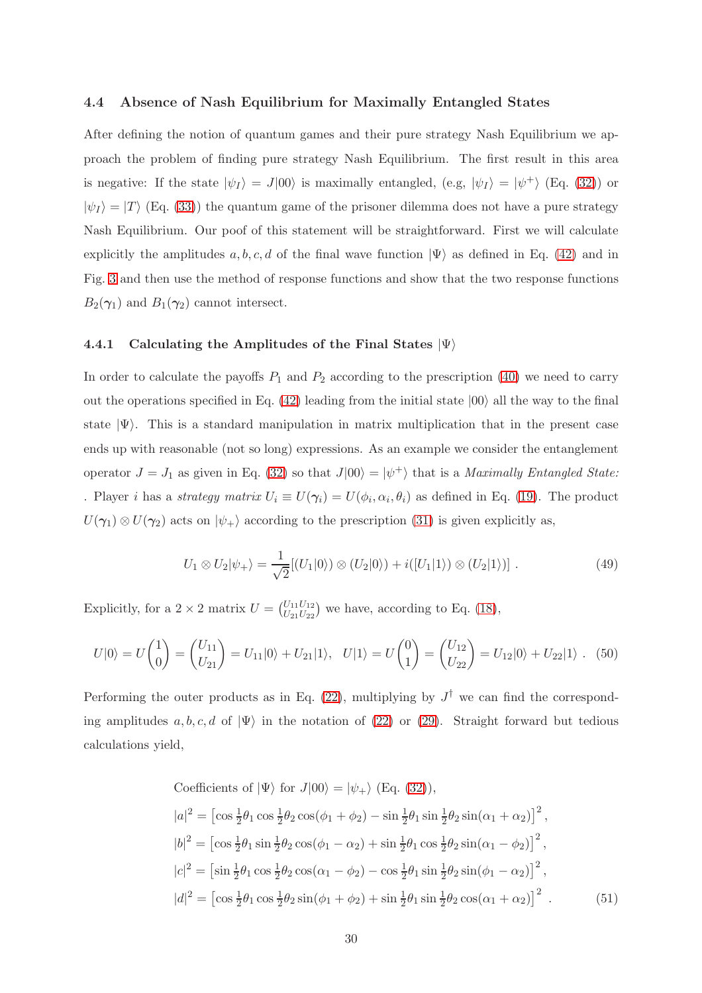#### <span id="page-29-1"></span>4.4 Absence of Nash Equilibrium for Maximally Entangled States

After defining the notion of quantum games and their pure strategy Nash Equilibrium we approach the problem of finding pure strategy Nash Equilibrium. The first result in this area is negative: If the state  $|\psi_I\rangle = J|00\rangle$  is maximally entangled, (e.g,  $|\psi_I\rangle = |\psi^+\rangle$  (Eq. [\(32\)](#page-20-0)) or  $|\psi_I\rangle = |T\rangle$  (Eq. [\(33\)](#page-20-1)) the quantum game of the prisoner dilemma does not have a pure strategy Nash Equilibrium. Our poof of this statement will be straightforward. First we will calculate explicitly the amplitudes a, b, c, d of the final wave function  $|\Psi\rangle$  as defined in Eq. [\(42\)](#page-25-1) and in Fig. [3](#page-25-0) and then use the method of response functions and show that the two response functions  $B_2(\gamma_1)$  and  $B_1(\gamma_2)$  cannot intersect.

## 4.4.1 Calculating the Amplitudes of the Final States  $|\Psi\rangle$

In order to calculate the payoffs  $P_1$  and  $P_2$  according to the prescription [\(40\)](#page-23-3) we need to carry out the operations specified in Eq. [\(42\)](#page-25-1) leading from the initial state  $|00\rangle$  all the way to the final state  $|\Psi\rangle$ . This is a standard manipulation in matrix multiplication that in the present case ends up with reasonable (not so long) expressions. As an example we consider the entanglement operator  $J = J_1$  as given in Eq. [\(32\)](#page-20-0) so that  $J|00\rangle = |\psi^+\rangle$  that is a *Maximally Entangled State:* . Player *i* has a *strategy matrix*  $U_i \equiv U(\gamma_i) = U(\phi_i, \alpha_i, \theta_i)$  as defined in Eq. [\(19\)](#page-15-0). The product  $U(\gamma_1) \otimes U(\gamma_2)$  acts on  $|\psi_+\rangle$  according to the prescription [\(31\)](#page-20-2) is given explicitly as,

$$
U_1 \otimes U_2 |\psi_+ \rangle = \frac{1}{\sqrt{2}} [(U_1 | 0 \rangle) \otimes (U_2 | 0 \rangle) + i ([U_1 | 1 \rangle) \otimes (U_2 | 1 \rangle)]. \tag{49}
$$

Explicitly, for a  $2 \times 2$  matrix  $U = \begin{pmatrix} U_{11}U_{12} \\ U_{21}U_{22} \end{pmatrix}$  we have, according to Eq. [\(18\)](#page-15-1),

$$
U|0\rangle = U\begin{pmatrix} 1 \\ 0 \end{pmatrix} = \begin{pmatrix} U_{11} \\ U_{21} \end{pmatrix} = U_{11}|0\rangle + U_{21}|1\rangle, \quad U|1\rangle = U\begin{pmatrix} 0 \\ 1 \end{pmatrix} = \begin{pmatrix} U_{12} \\ U_{22} \end{pmatrix} = U_{12}|0\rangle + U_{22}|1\rangle. \quad (50)
$$

Performing the outer products as in Eq.  $(22)$ , multiplying by  $J^{\dagger}$  we can find the corresponding amplitudes a, b, c, d of  $|\Psi\rangle$  in the notation of [\(22\)](#page-17-0) or [\(29\)](#page-19-0). Straight forward but tedious calculations yield,

<span id="page-29-0"></span>Coefficients of 
$$
|\Psi\rangle
$$
 for  $J|00\rangle = |\psi_+\rangle$  (Eq. (32)),  
\n $|a|^2 = \left[\cos\frac{1}{2}\theta_1 \cos\frac{1}{2}\theta_2 \cos(\phi_1 + \phi_2) - \sin\frac{1}{2}\theta_1 \sin\frac{1}{2}\theta_2 \sin(\alpha_1 + \alpha_2)\right]^2$ ,  
\n $|b|^2 = \left[\cos\frac{1}{2}\theta_1 \sin\frac{1}{2}\theta_2 \cos(\phi_1 - \alpha_2) + \sin\frac{1}{2}\theta_1 \cos\frac{1}{2}\theta_2 \sin(\alpha_1 - \phi_2)\right]^2$ ,  
\n $|c|^2 = \left[\sin\frac{1}{2}\theta_1 \cos\frac{1}{2}\theta_2 \cos(\alpha_1 - \phi_2) - \cos\frac{1}{2}\theta_1 \sin\frac{1}{2}\theta_2 \sin(\phi_1 - \alpha_2)\right]^2$ ,  
\n $|d|^2 = \left[\cos\frac{1}{2}\theta_1 \cos\frac{1}{2}\theta_2 \sin(\phi_1 + \phi_2) + \sin\frac{1}{2}\theta_1 \sin\frac{1}{2}\theta_2 \cos(\alpha_1 + \alpha_2)\right]^2$ . (51)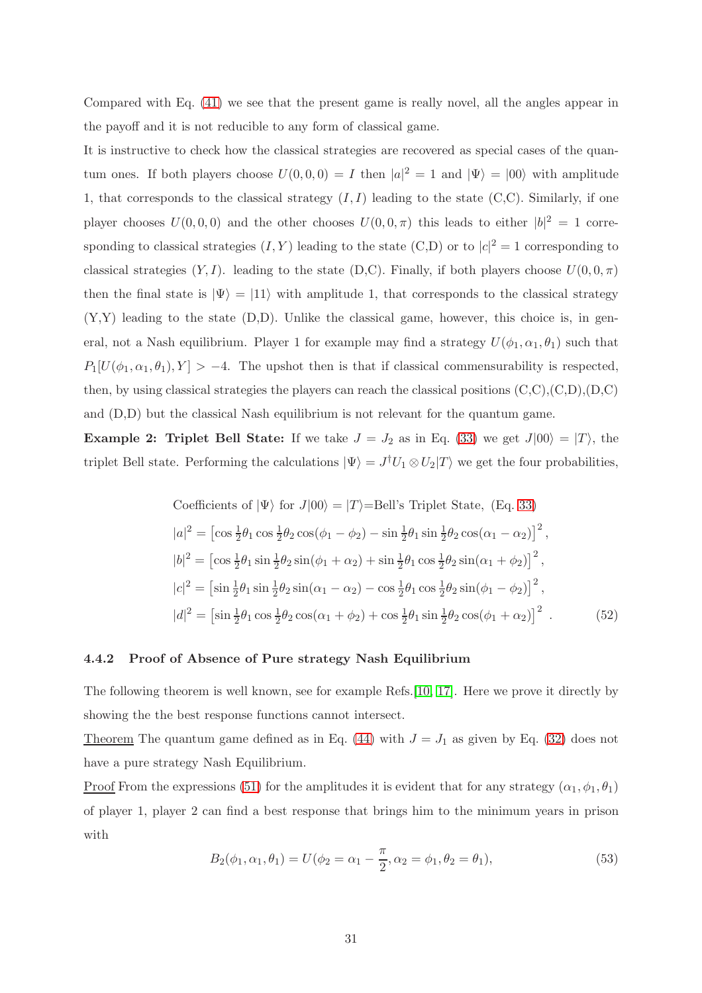Compared with Eq. [\(41\)](#page-24-0) we see that the present game is really novel, all the angles appear in the payoff and it is not reducible to any form of classical game.

It is instructive to check how the classical strategies are recovered as special cases of the quantum ones. If both players choose  $U(0,0,0) = I$  then  $|a|^2 = 1$  and  $|\Psi\rangle = |00\rangle$  with amplitude 1, that corresponds to the classical strategy  $(I, I)$  leading to the state  $(C, C)$ . Similarly, if one player chooses  $U(0,0,0)$  and the other chooses  $U(0,0,\pi)$  this leads to either  $|b|^2 = 1$  corresponding to classical strategies  $(I, Y)$  leading to the state  $(C,D)$  or to  $|c|^2 = 1$  corresponding to classical strategies  $(Y, I)$ . leading to the state (D,C). Finally, if both players choose  $U(0, 0, \pi)$ then the final state is  $|\Psi\rangle = |11\rangle$  with amplitude 1, that corresponds to the classical strategy  $(Y,Y)$  leading to the state  $(D,D)$ . Unlike the classical game, however, this choice is, in general, not a Nash equilibrium. Player 1 for example may find a strategy  $U(\phi_1, \alpha_1, \theta_1)$  such that  $P_1[U(\phi_1,\alpha_1,\theta_1),Y] > -4.$  The upshot then is that if classical commensurability is respected, then, by using classical strategies the players can reach the classical positions  $(C, C), (C, D), (D, C)$ and (D,D) but the classical Nash equilibrium is not relevant for the quantum game.

**Example 2: Triplet Bell State:** If we take  $J = J_2$  as in Eq. [\(33\)](#page-20-1) we get  $J|00\rangle = |T\rangle$ , the triplet Bell state. Performing the calculations  $|\Psi\rangle = J^{\dagger}U_1 \otimes U_2 |T\rangle$  we get the four probabilities,

<span id="page-30-0"></span>Coefficients of 
$$
|\Psi\rangle
$$
 for  $J|00\rangle = |T\rangle$ =Bell's Triple State, (Eq. 33)  
\n $|a|^2 = \left[\cos \frac{1}{2}\theta_1 \cos \frac{1}{2}\theta_2 \cos(\phi_1 - \phi_2) - \sin \frac{1}{2}\theta_1 \sin \frac{1}{2}\theta_2 \cos(\alpha_1 - \alpha_2)\right]^2$ ,  
\n $|b|^2 = \left[\cos \frac{1}{2}\theta_1 \sin \frac{1}{2}\theta_2 \sin(\phi_1 + \alpha_2) + \sin \frac{1}{2}\theta_1 \cos \frac{1}{2}\theta_2 \sin(\alpha_1 + \phi_2)\right]^2$ ,  
\n $|c|^2 = \left[\sin \frac{1}{2}\theta_1 \sin \frac{1}{2}\theta_2 \sin(\alpha_1 - \alpha_2) - \cos \frac{1}{2}\theta_1 \cos \frac{1}{2}\theta_2 \sin(\phi_1 - \phi_2)\right]^2$ ,  
\n $|d|^2 = \left[\sin \frac{1}{2}\theta_1 \cos \frac{1}{2}\theta_2 \cos(\alpha_1 + \phi_2) + \cos \frac{1}{2}\theta_1 \sin \frac{1}{2}\theta_2 \cos(\phi_1 + \alpha_2)\right]^2$ . (52)

## 4.4.2 Proof of Absence of Pure strategy Nash Equilibrium

The following theorem is well known, see for example Refs.[\[10,](#page-94-9) [17\]](#page-94-15). Here we prove it directly by showing the the best response functions cannot intersect.

Theorem The quantum game defined as in Eq. [\(44\)](#page-26-0) with  $J = J_1$  as given by Eq. [\(32\)](#page-20-0) does not have a pure strategy Nash Equilibrium.

<u>Proof</u> From the expressions [\(51\)](#page-29-0) for the amplitudes it is evident that for any strategy  $(\alpha_1, \phi_1, \theta_1)$ of player 1, player 2 can find a best response that brings him to the minimum years in prison with

$$
B_2(\phi_1, \alpha_1, \theta_1) = U(\phi_2 = \alpha_1 - \frac{\pi}{2}, \alpha_2 = \phi_1, \theta_2 = \theta_1),
$$
\n(53)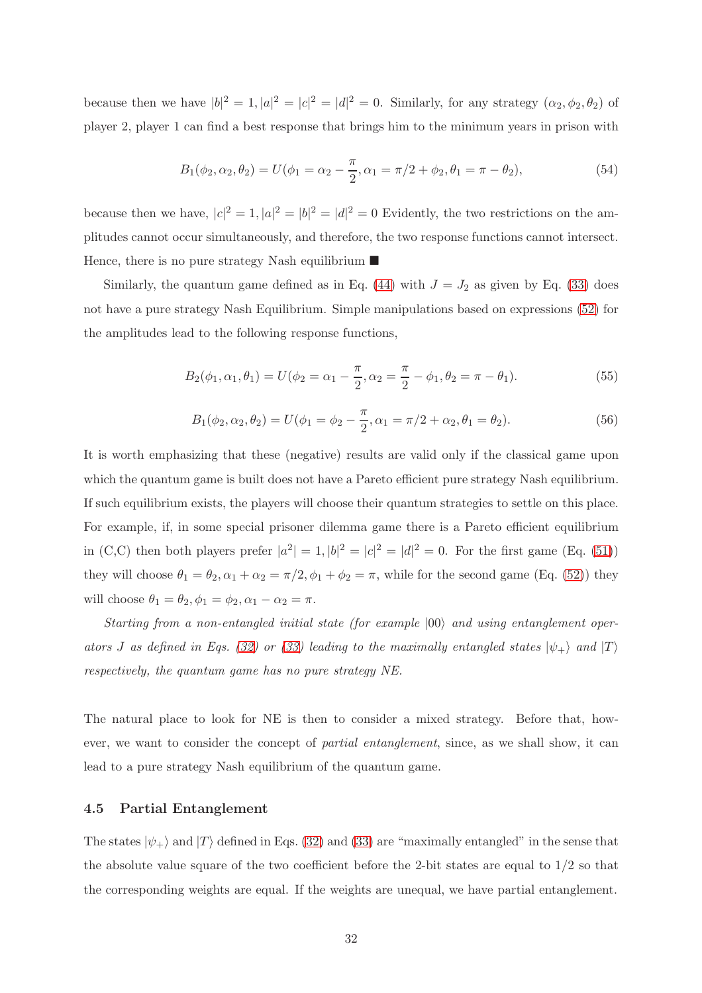because then we have  $|b|^2 = 1, |a|^2 = |c|^2 = |d|^2 = 0$ . Similarly, for any strategy  $(\alpha_2, \phi_2, \theta_2)$  of player 2, player 1 can find a best response that brings him to the minimum years in prison with

$$
B_1(\phi_2, \alpha_2, \theta_2) = U(\phi_1 = \alpha_2 - \frac{\pi}{2}, \alpha_1 = \pi/2 + \phi_2, \theta_1 = \pi - \theta_2),
$$
\n(54)

because then we have,  $|c|^2 = 1, |a|^2 = |b|^2 = |d|^2 = 0$  Evidently, the two restrictions on the amplitudes cannot occur simultaneously, and therefore, the two response functions cannot intersect. Hence, there is no pure strategy Nash equilibrium  $\blacksquare$ 

Similarly, the quantum game defined as in Eq. [\(44\)](#page-26-0) with  $J = J_2$  as given by Eq. [\(33\)](#page-20-1) does not have a pure strategy Nash Equilibrium. Simple manipulations based on expressions [\(52\)](#page-30-0) for the amplitudes lead to the following response functions,

$$
B_2(\phi_1, \alpha_1, \theta_1) = U(\phi_2 = \alpha_1 - \frac{\pi}{2}, \alpha_2 = \frac{\pi}{2} - \phi_1, \theta_2 = \pi - \theta_1). \tag{55}
$$

$$
B_1(\phi_2, \alpha_2, \theta_2) = U(\phi_1 = \phi_2 - \frac{\pi}{2}, \alpha_1 = \pi/2 + \alpha_2, \theta_1 = \theta_2).
$$
 (56)

It is worth emphasizing that these (negative) results are valid only if the classical game upon which the quantum game is built does not have a Pareto efficient pure strategy Nash equilibrium. If such equilibrium exists, the players will choose their quantum strategies to settle on this place. For example, if, in some special prisoner dilemma game there is a Pareto efficient equilibrium in (C,C) then both players prefer  $|a^2| = 1, |b|^2 = |c|^2 = |d|^2 = 0$ . For the first game (Eq. [\(51\)](#page-29-0)) they will choose  $\theta_1 = \theta_2, \alpha_1 + \alpha_2 = \pi/2, \phi_1 + \phi_2 = \pi$ , while for the second game (Eq. [\(52\)](#page-30-0)) they will choose  $\theta_1 = \theta_2, \phi_1 = \phi_2, \alpha_1 - \alpha_2 = \pi$ .

Starting from a non-entangled initial state (for example  $|00\rangle$  and using entanglement oper-ators J as defined in Eqs. [\(32\)](#page-20-0) or [\(33\)](#page-20-1) leading to the maximally entangled states  $|\psi_{+}\rangle$  and  $|T\rangle$ respectively, the quantum game has no pure strategy NE.

The natural place to look for NE is then to consider a mixed strategy. Before that, however, we want to consider the concept of *partial entanglement*, since, as we shall show, it can lead to a pure strategy Nash equilibrium of the quantum game.

## 4.5 Partial Entanglement

The states  $|\psi_{+}\rangle$  and  $|T\rangle$  defined in Eqs. [\(32\)](#page-20-0) and [\(33\)](#page-20-1) are "maximally entangled" in the sense that the absolute value square of the two coefficient before the 2-bit states are equal to  $1/2$  so that the corresponding weights are equal. If the weights are unequal, we have partial entanglement.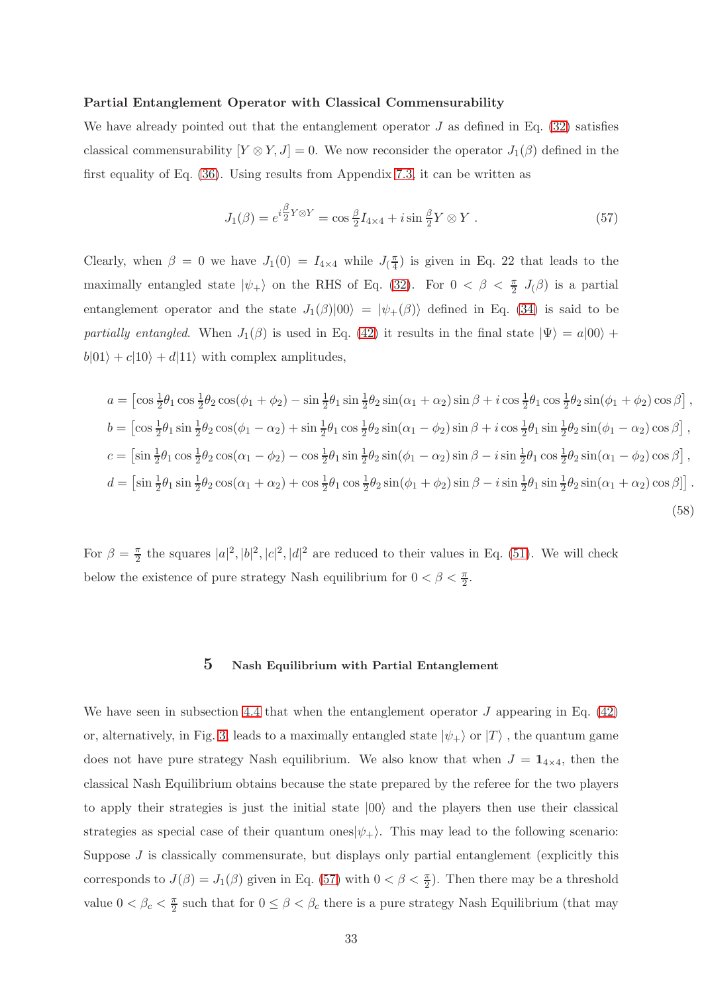#### Partial Entanglement Operator with Classical Commensurability

We have already pointed out that the entanglement operator  $J$  as defined in Eq. [\(32\)](#page-20-0) satisfies classical commensurability  $[Y \otimes Y, J] = 0$ . We now reconsider the operator  $J_1(\beta)$  defined in the first equality of Eq. [\(36\)](#page-21-1). Using results from Appendix [7.3,](#page-70-0) it can be written as

<span id="page-32-1"></span>
$$
J_1(\beta) = e^{i\frac{\beta}{2}Y \otimes Y} = \cos\frac{\beta}{2}I_{4\times 4} + i\sin\frac{\beta}{2}Y \otimes Y \ . \tag{57}
$$

Clearly, when  $\beta = 0$  we have  $J_1(0) = I_{4 \times 4}$  while  $J_1(\frac{\pi}{4})$  $\frac{\pi}{4}$ ) is given in Eq. 22 that leads to the maximally entangled state  $|\psi_+\rangle$  on the RHS of Eq. [\(32\)](#page-20-0). For  $0 < \beta < \frac{\pi}{2}$   $J_{(\beta)}$  is a partial entanglement operator and the state  $J_1(\beta)|00\rangle = |\psi_+(\beta)\rangle$  defined in Eq. [\(34\)](#page-21-2) is said to be partially entangled. When  $J_1(\beta)$  is used in Eq. [\(42\)](#page-25-1) it results in the final state  $|\Psi\rangle = a|00\rangle +$  $b|01\rangle + c|10\rangle + d|11\rangle$  with complex amplitudes,

$$
a = \left[\cos\frac{1}{2}\theta_1\cos\frac{1}{2}\theta_2\cos(\phi_1 + \phi_2) - \sin\frac{1}{2}\theta_1\sin\frac{1}{2}\theta_2\sin(\alpha_1 + \alpha_2)\sin\beta + i\cos\frac{1}{2}\theta_1\cos\frac{1}{2}\theta_2\sin(\phi_1 + \phi_2)\cos\beta\right],
$$
  
\n
$$
b = \left[\cos\frac{1}{2}\theta_1\sin\frac{1}{2}\theta_2\cos(\phi_1 - \alpha_2) + \sin\frac{1}{2}\theta_1\cos\frac{1}{2}\theta_2\sin(\alpha_1 - \phi_2)\sin\beta + i\cos\frac{1}{2}\theta_1\sin\frac{1}{2}\theta_2\sin(\phi_1 - \alpha_2)\cos\beta\right],
$$
  
\n
$$
c = \left[\sin\frac{1}{2}\theta_1\cos\frac{1}{2}\theta_2\cos(\alpha_1 - \phi_2) - \cos\frac{1}{2}\theta_1\sin\frac{1}{2}\theta_2\sin(\phi_1 - \alpha_2)\sin\beta - i\sin\frac{1}{2}\theta_1\cos\frac{1}{2}\theta_2\sin(\alpha_1 - \phi_2)\cos\beta\right],
$$
  
\n
$$
d = \left[\sin\frac{1}{2}\theta_1\sin\frac{1}{2}\theta_2\cos(\alpha_1 + \alpha_2) + \cos\frac{1}{2}\theta_1\cos\frac{1}{2}\theta_2\sin(\phi_1 + \phi_2)\sin\beta - i\sin\frac{1}{2}\theta_1\sin\frac{1}{2}\theta_2\sin(\alpha_1 + \alpha_2)\cos\beta\right].
$$
  
\n(58)

For  $\beta = \frac{\pi}{2}$  $\frac{\pi}{2}$  the squares  $|a|^2, |b|^2, |c|^2, |d|^2$  are reduced to their values in Eq. [\(51\)](#page-29-0). We will check below the existence of pure strategy Nash equilibrium for  $0 < \beta < \frac{\pi}{2}$ .

## 5 Nash Equilibrium with Partial Entanglement

<span id="page-32-0"></span>We have seen in subsection [4.4](#page-29-1) that when the entanglement operator  $J$  appearing in Eq. [\(42\)](#page-25-1) or, alternatively, in Fig. [3,](#page-25-0) leads to a maximally entangled state  $|\psi_{+}\rangle$  or  $|T\rangle$ , the quantum game does not have pure strategy Nash equilibrium. We also know that when  $J = \mathbf{1}_{4 \times 4}$ , then the classical Nash Equilibrium obtains because the state prepared by the referee for the two players to apply their strategies is just the initial state  $|00\rangle$  and the players then use their classical strategies as special case of their quantum ones $|\psi_{+}\rangle$ . This may lead to the following scenario: Suppose  $J$  is classically commensurate, but displays only partial entanglement (explicitly this corresponds to  $J(\beta) = J_1(\beta)$  given in Eq. [\(57\)](#page-32-1) with  $0 < \beta < \frac{\pi}{2}$ ). Then there may be a threshold value  $0 < \beta_c < \frac{\pi}{2}$  such that for  $0 \le \beta < \beta_c$  there is a pure strategy Nash Equilibrium (that may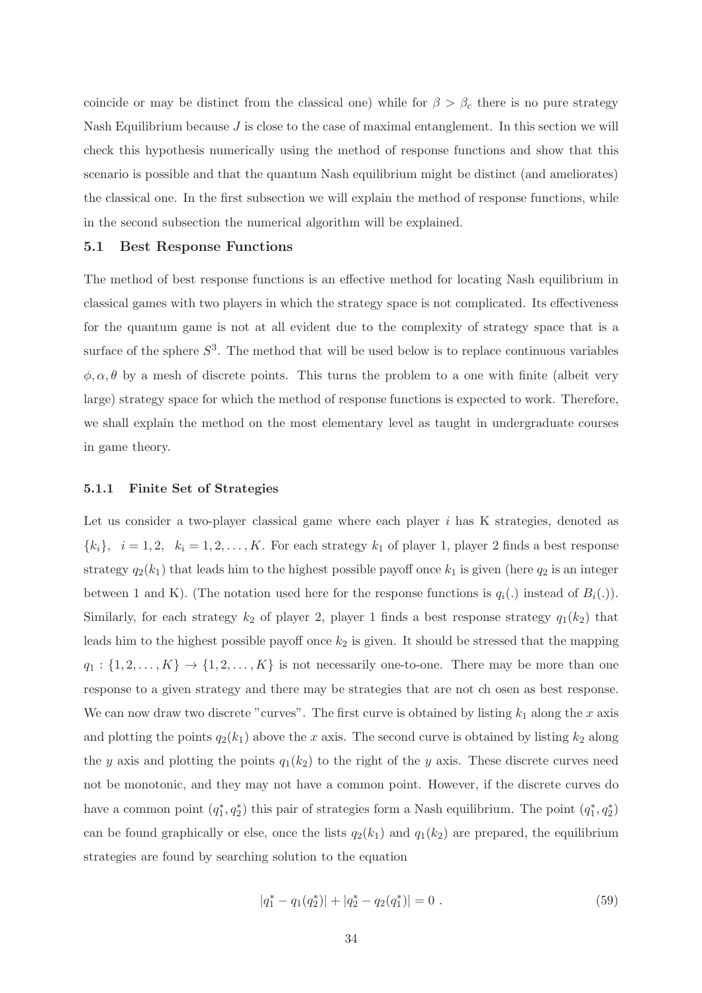coincide or may be distinct from the classical one) while for  $\beta > \beta_c$  there is no pure strategy Nash Equilibrium because  $J$  is close to the case of maximal entanglement. In this section we will check this hypothesis numerically using the method of response functions and show that this scenario is possible and that the quantum Nash equilibrium might be distinct (and ameliorates) the classical one. In the first subsection we will explain the method of response functions, while in the second subsection the numerical algorithm will be explained.

#### 5.1 Best Response Functions

The method of best response functions is an effective method for locating Nash equilibrium in classical games with two players in which the strategy space is not complicated. Its effectiveness for the quantum game is not at all evident due to the complexity of strategy space that is a surface of the sphere  $S^3$ . The method that will be used below is to replace continuous variables  $\phi, \alpha, \theta$  by a mesh of discrete points. This turns the problem to a one with finite (albeit very large) strategy space for which the method of response functions is expected to work. Therefore, we shall explain the method on the most elementary level as taught in undergraduate courses in game theory.

#### <span id="page-33-0"></span>5.1.1 Finite Set of Strategies

Let us consider a two-player classical game where each player i has K strategies, denoted as  ${k_i}, i = 1, 2, k_i = 1, 2, \ldots, K$ . For each strategy  $k_1$  of player 1, player 2 finds a best response strategy  $q_2(k_1)$  that leads him to the highest possible payoff once  $k_1$  is given (here  $q_2$  is an integer between 1 and K). (The notation used here for the response functions is  $q_i(.)$  instead of  $B_i(.)$ ). Similarly, for each strategy  $k_2$  of player 2, player 1 finds a best response strategy  $q_1(k_2)$  that leads him to the highest possible payoff once  $k_2$  is given. It should be stressed that the mapping  $q_1: \{1, 2, \ldots, K\} \rightarrow \{1, 2, \ldots, K\}$  is not necessarily one-to-one. There may be more than one response to a given strategy and there may be strategies that are not ch osen as best response. We can now draw two discrete "curves". The first curve is obtained by listing  $k_1$  along the x axis and plotting the points  $q_2(k_1)$  above the x axis. The second curve is obtained by listing  $k_2$  along the y axis and plotting the points  $q_1(k_2)$  to the right of the y axis. These discrete curves need not be monotonic, and they may not have a common point. However, if the discrete curves do have a common point  $(q_1^*, q_2^*)$  this pair of strategies form a Nash equilibrium. The point  $(q_1^*, q_2^*)$ can be found graphically or else, once the lists  $q_2(k_1)$  and  $q_1(k_2)$  are prepared, the equilibrium strategies are found by searching solution to the equation

$$
|q_1^* - q_1(q_2^*)| + |q_2^* - q_2(q_1^*)| = 0.
$$
\n(59)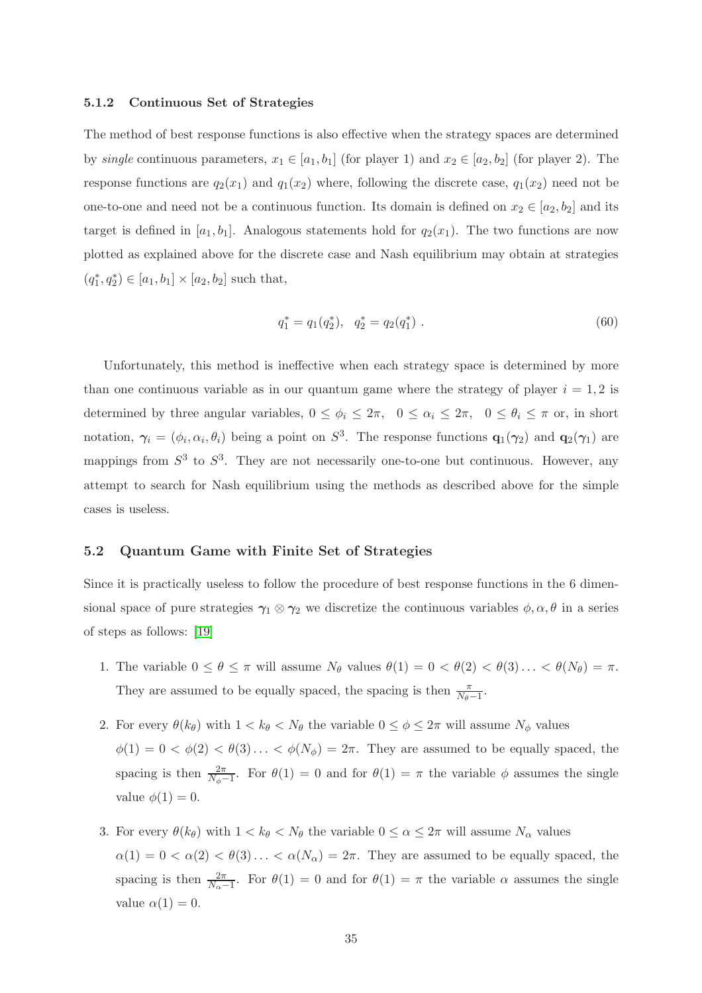#### 5.1.2 Continuous Set of Strategies

The method of best response functions is also effective when the strategy spaces are determined by single continuous parameters,  $x_1 \in [a_1, b_1]$  (for player 1) and  $x_2 \in [a_2, b_2]$  (for player 2). The response functions are  $q_2(x_1)$  and  $q_1(x_2)$  where, following the discrete case,  $q_1(x_2)$  need not be one-to-one and need not be a continuous function. Its domain is defined on  $x_2 \in [a_2, b_2]$  and its target is defined in  $[a_1, b_1]$ . Analogous statements hold for  $q_2(x_1)$ . The two functions are now plotted as explained above for the discrete case and Nash equilibrium may obtain at strategies  $(q_1^*, q_2^*) \in [a_1, b_1] \times [a_2, b_2]$  such that,

$$
q_1^* = q_1(q_2^*), \quad q_2^* = q_2(q_1^*).
$$
\n(60)

Unfortunately, this method is ineffective when each strategy space is determined by more than one continuous variable as in our quantum game where the strategy of player  $i = 1, 2$  is determined by three angular variables,  $0 \le \phi_i \le 2\pi$ ,  $0 \le \alpha_i \le 2\pi$ ,  $0 \le \theta_i \le \pi$  or, in short notation,  $\gamma_i = (\phi_i, \alpha_i, \theta_i)$  being a point on  $S^3$ . The response functions  $\mathbf{q}_1(\gamma_2)$  and  $\mathbf{q}_2(\gamma_1)$  are mappings from  $S^3$  to  $S^3$ . They are not necessarily one-to-one but continuous. However, any attempt to search for Nash equilibrium using the methods as described above for the simple cases is useless.

#### 5.2 Quantum Game with Finite Set of Strategies

Since it is practically useless to follow the procedure of best response functions in the 6 dimensional space of pure strategies  $\gamma_1 \otimes \gamma_2$  we discretize the continuous variables  $\phi, \alpha, \theta$  in a series of steps as follows: [\[19\]](#page-95-0)

- 1. The variable  $0 \le \theta \le \pi$  will assume  $N_{\theta}$  values  $\theta(1) = 0 < \theta(2) < \theta(3) \ldots < \theta(N_{\theta}) = \pi$ . They are assumed to be equally spaced, the spacing is then  $\frac{\pi}{N_{\theta}-1}$ .
- 2. For every  $\theta(k_\theta)$  with  $1 < k_\theta < N_\theta$  the variable  $0 \leq \phi \leq 2\pi$  will assume  $N_\phi$  values  $\phi(1) = 0 < \phi(2) < \theta(3) \ldots < \phi(N_\phi) = 2\pi$ . They are assumed to be equally spaced, the spacing is then  $\frac{2\pi}{N_{\phi}-1}$ . For  $\theta(1) = 0$  and for  $\theta(1) = \pi$  the variable  $\phi$  assumes the single value  $\phi(1) = 0$ .
- 3. For every  $\theta(k_\theta)$  with  $1 < k_\theta < N_\theta$  the variable  $0 \leq \alpha \leq 2\pi$  will assume  $N_\alpha$  values  $\alpha(1) = 0 < \alpha(2) < \theta(3) \ldots < \alpha(N_\alpha) = 2\pi$ . They are assumed to be equally spaced, the spacing is then  $\frac{2\pi}{N_{\alpha}-1}$ . For  $\theta(1)=0$  and for  $\theta(1)=\pi$  the variable  $\alpha$  assumes the single value  $\alpha(1) = 0$ .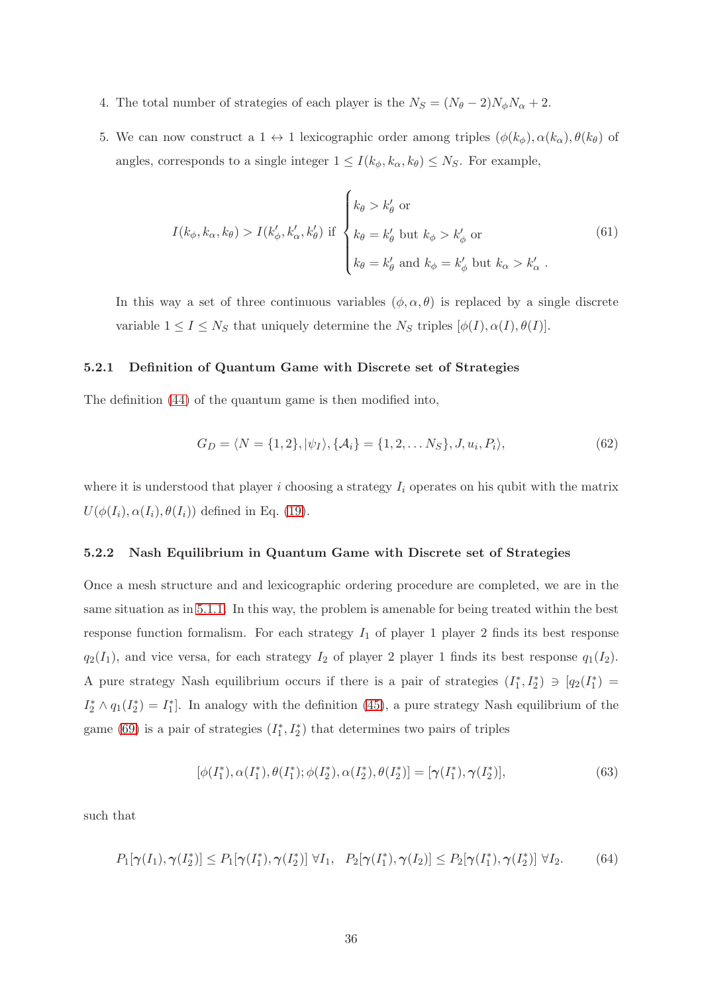- 4. The total number of strategies of each player is the  $N_S = (N_\theta 2)N_\phi N_\alpha + 2$ .
- 5. We can now construct a  $1 \leftrightarrow 1$  lexicographic order among triples  $(\phi(k_{\phi}), \alpha(k_{\alpha}), \theta(k_{\theta}))$  of angles, corresponds to a single integer  $1 \leq I(k_{\phi}, k_{\alpha}, k_{\theta}) \leq N_S$ . For example,

$$
I(k_{\phi}, k_{\alpha}, k_{\theta}) > I(k'_{\phi}, k'_{\alpha}, k'_{\theta}) \text{ if }\begin{cases} k_{\theta} > k'_{\theta} \text{ or} \\ k_{\theta} = k'_{\theta} \text{ but } k_{\phi} > k'_{\phi} \text{ or} \\ k_{\theta} = k'_{\theta} \text{ and } k_{\phi} = k'_{\phi} \text{ but } k_{\alpha} > k'_{\alpha} \text{ .} \end{cases}
$$
(61)

In this way a set of three continuous variables  $(\phi, \alpha, \theta)$  is replaced by a single discrete variable  $1 \le I \le N_S$  that uniquely determine the  $N_S$  triples  $[\phi(I), \alpha(I), \theta(I)]$ .

#### 5.2.1 Definition of Quantum Game with Discrete set of Strategies

The definition [\(44\)](#page-26-0) of the quantum game is then modified into,

$$
G_D = \langle N = \{1, 2\}, |\psi_I\rangle, \{\mathcal{A}_i\} = \{1, 2, \dots N_S\}, J, u_i, P_i\rangle,
$$
(62)

where it is understood that player i choosing a strategy  $I_i$  operates on his qubit with the matrix  $U(\phi(I_i), \alpha(I_i), \theta(I_i))$  defined in Eq. [\(19\)](#page-15-0).

## 5.2.2 Nash Equilibrium in Quantum Game with Discrete set of Strategies

Once a mesh structure and and lexicographic ordering procedure are completed, we are in the same situation as in [5.1.1.](#page-33-0) In this way, the problem is amenable for being treated within the best response function formalism. For each strategy  $I_1$  of player 1 player 2 finds its best response  $q_2(I_1)$ , and vice versa, for each strategy  $I_2$  of player 2 player 1 finds its best response  $q_1(I_2)$ . A pure strategy Nash equilibrium occurs if there is a pair of strategies  $(I_1^*, I_2^*) \ni [q_2(I_1^*) =$  $I_2^* \wedge q_1(I_2^*) = I_1^*$ . In analogy with the definition [\(45\)](#page-27-0), a pure strategy Nash equilibrium of the game [\(69\)](#page-44-0) is a pair of strategies  $(I_1^*, I_2^*)$  that determines two pairs of triples

$$
[\phi(I_1^*), \alpha(I_1^*), \theta(I_1^*); \phi(I_2^*), \alpha(I_2^*), \theta(I_2^*)] = [\gamma(I_1^*), \gamma(I_2^*)],
$$
\n(63)

such that

$$
P_1[\gamma(I_1), \gamma(I_2^*)] \le P_1[\gamma(I_1^*), \gamma(I_2^*)] \ \forall I_1, \ P_2[\gamma(I_1^*), \gamma(I_2)] \le P_2[\gamma(I_1^*), \gamma(I_2^*)] \ \forall I_2.
$$
 (64)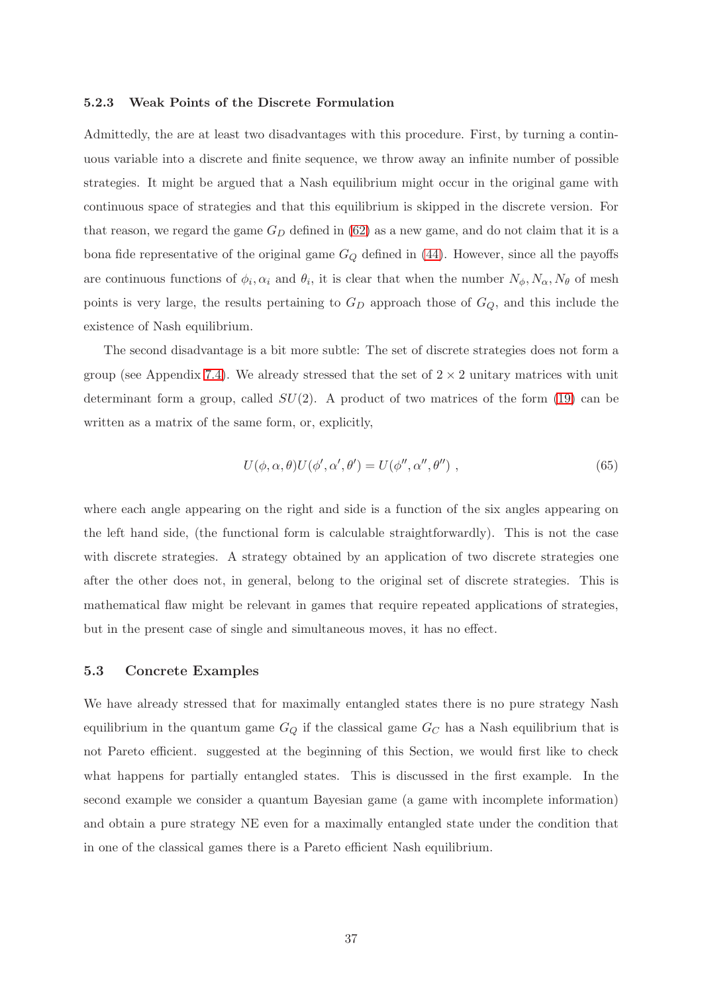### 5.2.3 Weak Points of the Discrete Formulation

Admittedly, the are at least two disadvantages with this procedure. First, by turning a continuous variable into a discrete and finite sequence, we throw away an infinite number of possible strategies. It might be argued that a Nash equilibrium might occur in the original game with continuous space of strategies and that this equilibrium is skipped in the discrete version. For that reason, we regard the game  $G_D$  defined in [\(62\)](#page-35-0) as a new game, and do not claim that it is a bona fide representative of the original game  $G_Q$  defined in [\(44\)](#page-26-0). However, since all the payoffs are continuous functions of  $\phi_i, \alpha_i$  and  $\theta_i$ , it is clear that when the number  $N_\phi, N_\alpha, N_\theta$  of mesh points is very large, the results pertaining to  $G_D$  approach those of  $G_Q$ , and this include the existence of Nash equilibrium.

The second disadvantage is a bit more subtle: The set of discrete strategies does not form a group (see Appendix [7.4\)](#page-76-0). We already stressed that the set of  $2 \times 2$  unitary matrices with unit determinant form a group, called  $SU(2)$ . A product of two matrices of the form [\(19\)](#page-15-0) can be written as a matrix of the same form, or, explicitly,

$$
U(\phi, \alpha, \theta)U(\phi', \alpha', \theta') = U(\phi'', \alpha'', \theta'')
$$
, (65)

where each angle appearing on the right and side is a function of the six angles appearing on the left hand side, (the functional form is calculable straightforwardly). This is not the case with discrete strategies. A strategy obtained by an application of two discrete strategies one after the other does not, in general, belong to the original set of discrete strategies. This is mathematical flaw might be relevant in games that require repeated applications of strategies, but in the present case of single and simultaneous moves, it has no effect.

### 5.3 Concrete Examples

We have already stressed that for maximally entangled states there is no pure strategy Nash equilibrium in the quantum game  $G_Q$  if the classical game  $G_C$  has a Nash equilibrium that is not Pareto efficient. suggested at the beginning of this Section, we would first like to check what happens for partially entangled states. This is discussed in the first example. In the second example we consider a quantum Bayesian game (a game with incomplete information) and obtain a pure strategy NE even for a maximally entangled state under the condition that in one of the classical games there is a Pareto efficient Nash equilibrium.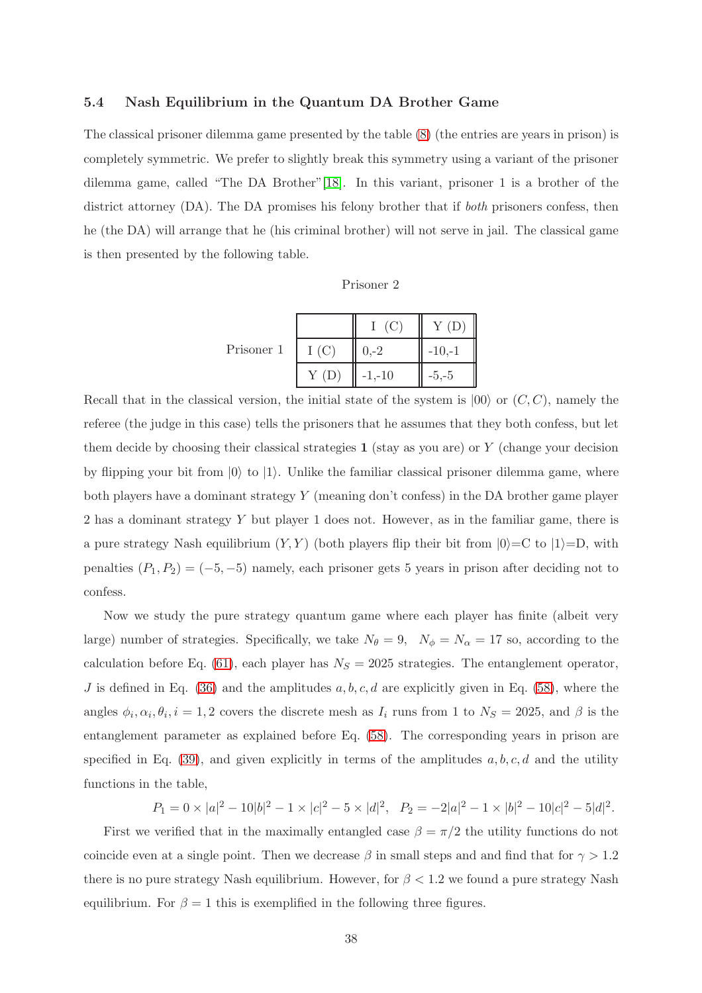# 5.4 Nash Equilibrium in the Quantum DA Brother Game

The classical prisoner dilemma game presented by the table [\(8\)](#page-9-0) (the entries are years in prison) is completely symmetric. We prefer to slightly break this symmetry using a variant of the prisoner dilemma game, called "The DA Brother"[\[18\]](#page-94-0). In this variant, prisoner 1 is a brother of the district attorney (DA). The DA promises his felony brother that if *both* prisoners confess, then he (the DA) will arrange that he (his criminal brother) will not serve in jail. The classical game is then presented by the following table.

| risoner |  |
|---------|--|
|---------|--|

|            |      | (C)       | Y(D)     |
|------------|------|-----------|----------|
| Prisoner 1 | I(C) | $0,-2$    | $-10,-1$ |
|            | Y(D) | $-1, -10$ | $-5,-5$  |

Recall that in the classical version, the initial state of the system is  $|00\rangle$  or  $(C, C)$ , namely the referee (the judge in this case) tells the prisoners that he assumes that they both confess, but let them decide by choosing their classical strategies  $1$  (stay as you are) or Y (change your decision by flipping your bit from  $|0\rangle$  to  $|1\rangle$ . Unlike the familiar classical prisoner dilemma game, where both players have a dominant strategy Y (meaning don't confess) in the DA brother game player 2 has a dominant strategy Y but player 1 does not. However, as in the familiar game, there is a pure strategy Nash equilibrium  $(Y, Y)$  (both players flip their bit from  $|0\rangle = C$  to  $|1\rangle = D$ , with penalties  $(P_1, P_2) = (-5, -5)$  namely, each prisoner gets 5 years in prison after deciding not to confess.

Now we study the pure strategy quantum game where each player has finite (albeit very large) number of strategies. Specifically, we take  $N_{\theta} = 9$ ,  $N_{\phi} = N_{\alpha} = 17$  so, according to the calculation before Eq. [\(61\)](#page-35-1), each player has  $N_S = 2025$  strategies. The entanglement operator, J is defined in Eq. [\(36\)](#page-21-0) and the amplitudes  $a, b, c, d$  are explicitly given in Eq. [\(58\)](#page-32-0), where the angles  $\phi_i, \alpha_i, \theta_i, i = 1, 2$  covers the discrete mesh as  $I_i$  runs from 1 to  $N_S = 2025$ , and  $\beta$  is the entanglement parameter as explained before Eq. [\(58\)](#page-32-0). The corresponding years in prison are specified in Eq. [\(39\)](#page-23-0), and given explicitly in terms of the amplitudes  $a, b, c, d$  and the utility functions in the table,

 $P_1 = 0 \times |a|^2 - 10|b|^2 - 1 \times |c|^2 - 5 \times |d|^2$ ,  $P_2 = -2|a|^2 - 1 \times |b|^2 - 10|c|^2 - 5|d|^2$ .

First we verified that in the maximally entangled case  $\beta = \pi/2$  the utility functions do not coincide even at a single point. Then we decrease  $\beta$  in small steps and and find that for  $\gamma > 1.2$ there is no pure strategy Nash equilibrium. However, for  $\beta < 1.2$  we found a pure strategy Nash equilibrium. For  $\beta = 1$  this is exemplified in the following three figures.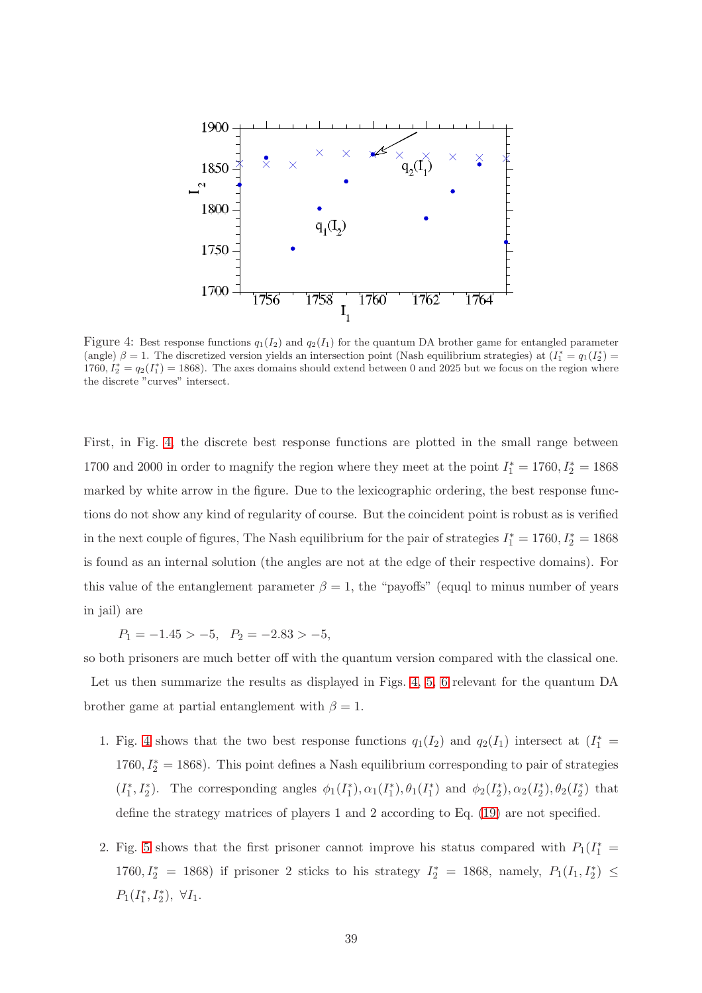

<span id="page-38-0"></span>Figure 4: Best response functions  $q_1(I_2)$  and  $q_2(I_1)$  for the quantum DA brother game for entangled parameter (angle)  $\beta = 1$ . The discretized version yields an intersection point (Nash equilibrium strategies) at  $(I_1^* = q_1(I_2^*) =$  $1760, I_2^* = q_2(I_1^*) = 1868$ . The axes domains should extend between 0 and 2025 but we focus on the region where the discrete "curves" intersect.

First, in Fig. [4,](#page-38-0) the discrete best response functions are plotted in the small range between 1700 and 2000 in order to magnify the region where they meet at the point  $I_1^* = 1760, I_2^* = 1868$ marked by white arrow in the figure. Due to the lexicographic ordering, the best response functions do not show any kind of regularity of course. But the coincident point is robust as is verified in the next couple of figures, The Nash equilibrium for the pair of strategies  $I_1^* = 1760, I_2^* = 1868$ is found as an internal solution (the angles are not at the edge of their respective domains). For this value of the entanglement parameter  $\beta = 1$ , the "payoffs" (equql to minus number of years in jail) are

 $P_1 = -1.45 > -5$ ,  $P_2 = -2.83 > -5$ ,

so both prisoners are much better off with the quantum version compared with the classical one. Let us then summarize the results as displayed in Figs. [4,](#page-38-0) [5,](#page-39-0) [6](#page-39-1) relevant for the quantum DA brother game at partial entanglement with  $\beta = 1$ .

- 1. Fig. [4](#page-38-0) shows that the two best response functions  $q_1(I_2)$  and  $q_2(I_1)$  intersect at  $(I_1^* =$  $1760, I_2^* = 1868$ ). This point defines a Nash equilibrium corresponding to pair of strategies  $(I_1^*, I_2^*)$ . The corresponding angles  $\phi_1(I_1^*), \alpha_1(I_1^*), \theta_1(I_1^*)$  and  $\phi_2(I_2^*), \alpha_2(I_2^*), \theta_2(I_2^*)$  that define the strategy matrices of players 1 and 2 according to Eq. [\(19\)](#page-15-0) are not specified.
- 2. Fig. [5](#page-39-0) shows that the first prisoner cannot improve his status compared with  $P_1(I_1^* =$ 1760,  $I_2^* = 1868$ ) if prisoner 2 sticks to his strategy  $I_2^* = 1868$ , namely,  $P_1(I_1, I_2^*) \leq$  $P_1(I_1^*, I_2^*), \ \forall I_1.$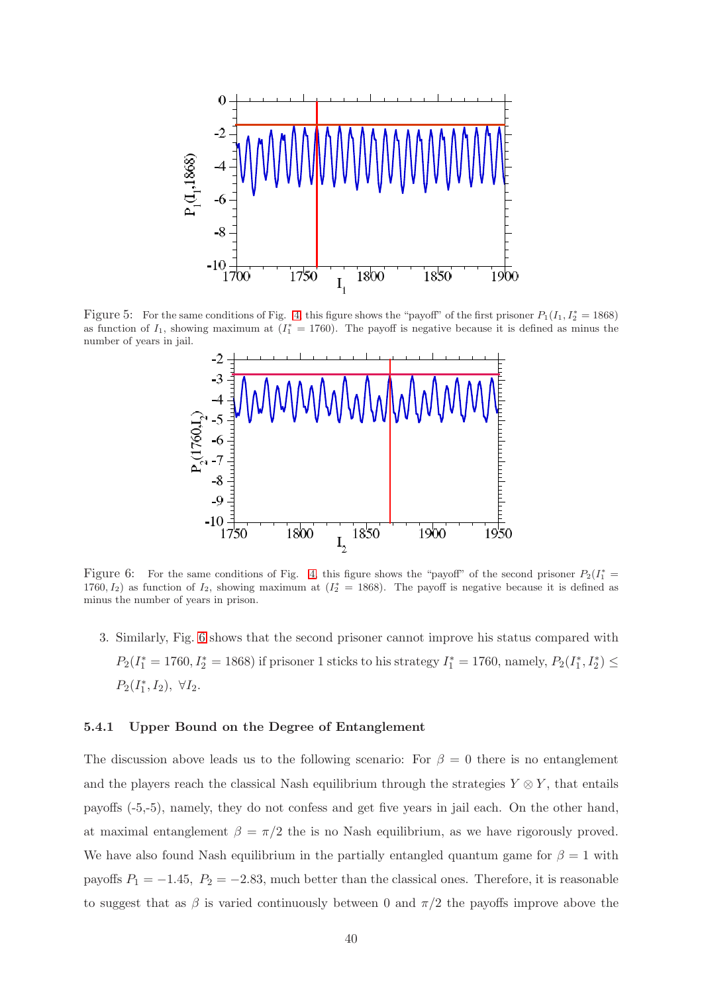

<span id="page-39-0"></span>Figure 5: For the same conditions of Fig. [4,](#page-38-0) this figure shows the "payoff" of the first prisoner  $P_1(I_1, I_2^* = 1868)$ as function of  $I_1$ , showing maximum at  $(I_1^* = 1760)$ . The payoff is negative because it is defined as minus the number of years in jail.



<span id="page-39-1"></span>Figure 6: For the same conditions of Fig. [4,](#page-38-0) this figure shows the "payoff" of the second prisoner  $P_2(I_1^*)$ 1760,  $I_2$ ) as function of  $I_2$ , showing maximum at  $(I_2^* = 1868)$ . The payoff is negative because it is defined as minus the number of years in prison.

3. Similarly, Fig. [6](#page-39-1) shows that the second prisoner cannot improve his status compared with  $P_2(I_1^* = 1760, I_2^* = 1868)$  if prisoner 1 sticks to his strategy  $I_1^* = 1760$ , namely,  $P_2(I_1^*, I_2^*) \le$  $P_2(I_1^*, I_2), \ \forall I_2.$ 

# 5.4.1 Upper Bound on the Degree of Entanglement

The discussion above leads us to the following scenario: For  $\beta = 0$  there is no entanglement and the players reach the classical Nash equilibrium through the strategies  $Y \otimes Y$ , that entails payoffs (-5,-5), namely, they do not confess and get five years in jail each. On the other hand, at maximal entanglement  $\beta = \pi/2$  the is no Nash equilibrium, as we have rigorously proved. We have also found Nash equilibrium in the partially entangled quantum game for  $\beta = 1$  with payoffs  $P_1 = -1.45$ ,  $P_2 = -2.83$ , much better than the classical ones. Therefore, it is reasonable to suggest that as  $\beta$  is varied continuously between 0 and  $\pi/2$  the payoffs improve above the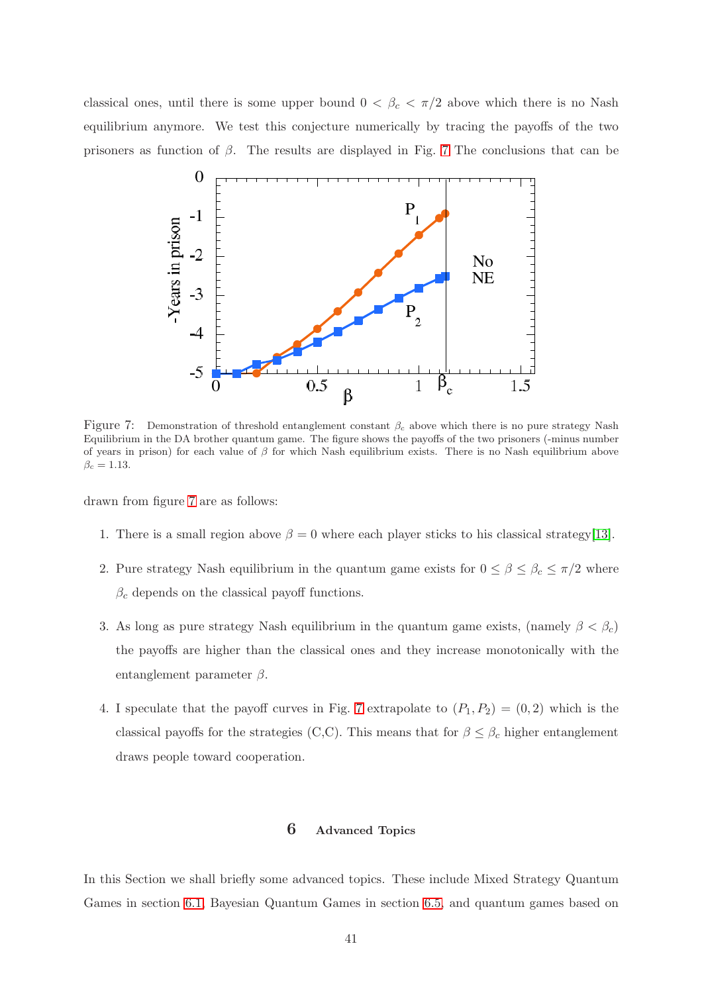classical ones, until there is some upper bound  $0 < \beta_c < \pi/2$  above which there is no Nash equilibrium anymore. We test this conjecture numerically by tracing the payoffs of the two prisoners as function of  $\beta$ . The results are displayed in Fig. [7](#page-40-0) The conclusions that can be



<span id="page-40-0"></span>Figure 7: Demonstration of threshold entanglement constant  $\beta_c$  above which there is no pure strategy Nash Equilibrium in the DA brother quantum game. The figure shows the payoffs of the two prisoners (-minus number of years in prison) for each value of  $\beta$  for which Nash equilibrium exists. There is no Nash equilibrium above  $\beta_c=1.13.$ 

drawn from figure [7](#page-40-0) are as follows:

- 1. There is a small region above  $\beta = 0$  where each player sticks to his classical strategy[\[13\]](#page-94-1).
- 2. Pure strategy Nash equilibrium in the quantum game exists for  $0 \le \beta \le \beta_c \le \pi/2$  where  $\beta_c$  depends on the classical payoff functions.
- 3. As long as pure strategy Nash equilibrium in the quantum game exists, (namely  $\beta < \beta_c$ ) the payoffs are higher than the classical ones and they increase monotonically with the entanglement parameter  $\beta$ .
- 4. I speculate that the payoff curves in Fig. [7](#page-40-0) extrapolate to  $(P_1, P_2) = (0, 2)$  which is the classical payoffs for the strategies (C,C). This means that for  $\beta \leq \beta_c$  higher entanglement draws people toward cooperation.

# 6 Advanced Topics

In this Section we shall briefly some advanced topics. These include Mixed Strategy Quantum Games in section [6.1,](#page-41-0) Bayesian Quantum Games in section [6.5,](#page-45-0) and quantum games based on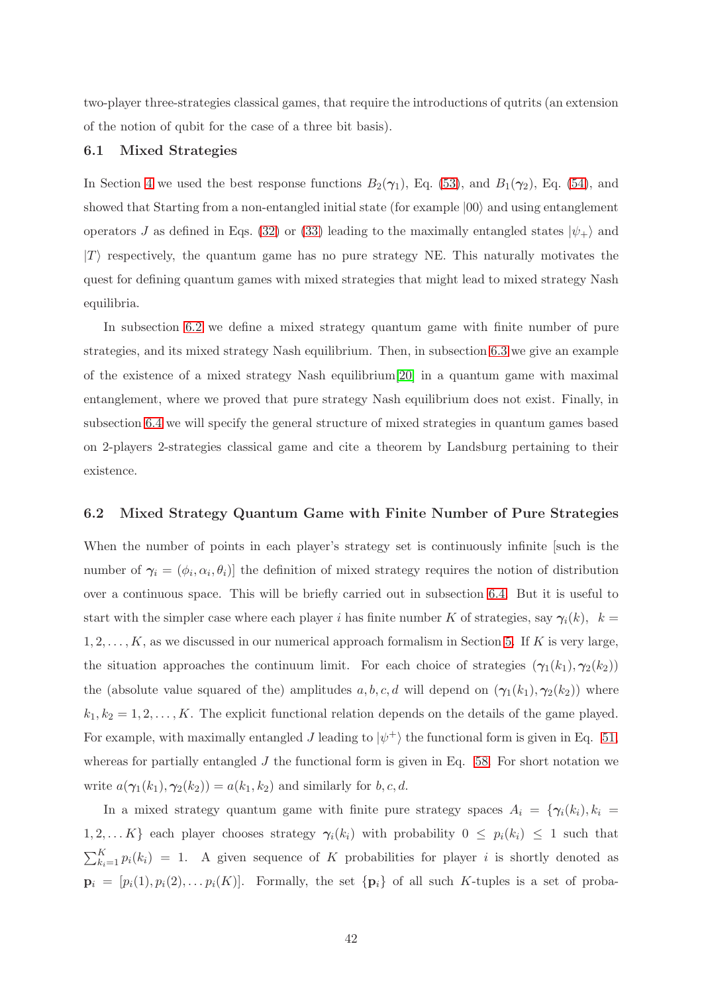<span id="page-41-0"></span>two-player three-strategies classical games, that require the introductions of qutrits (an extension of the notion of qubit for the case of a three bit basis).

# 6.1 Mixed Strategies

In Section [4](#page-21-1) we used the best response functions  $B_2(\gamma_1)$ , Eq. [\(53\)](#page-30-0), and  $B_1(\gamma_2)$ , Eq. [\(54\)](#page-31-0), and showed that Starting from a non-entangled initial state (for example  $|00\rangle$ ) and using entanglement operators J as defined in Eqs. [\(32\)](#page-20-0) or [\(33\)](#page-20-1) leading to the maximally entangled states  $|\psi_{+}\rangle$  and  $|T\rangle$  respectively, the quantum game has no pure strategy NE. This naturally motivates the quest for defining quantum games with mixed strategies that might lead to mixed strategy Nash equilibria.

In subsection [6.2](#page-41-1) we define a mixed strategy quantum game with finite number of pure strategies, and its mixed strategy Nash equilibrium. Then, in subsection [6.3](#page-42-0) we give an example of the existence of a mixed strategy Nash equilibrium[\[20\]](#page-95-0) in a quantum game with maximal entanglement, where we proved that pure strategy Nash equilibrium does not exist. Finally, in subsection [6.4](#page-43-0) we will specify the general structure of mixed strategies in quantum games based on 2-players 2-strategies classical game and cite a theorem by Landsburg pertaining to their existence.

# <span id="page-41-1"></span>6.2 Mixed Strategy Quantum Game with Finite Number of Pure Strategies

When the number of points in each player's strategy set is continuously infinite [such is the number of  $\gamma_i = (\phi_i, \alpha_i, \theta_i)$  the definition of mixed strategy requires the notion of distribution over a continuous space. This will be briefly carried out in subsection [6.4.](#page-43-0) But it is useful to start with the simpler case where each player i has finite number K of strategies, say  $\gamma_i(k)$ ,  $k =$  $1, 2, \ldots, K$ , as we discussed in our numerical approach formalism in Section [5.](#page-32-1) If K is very large, the situation approaches the continuum limit. For each choice of strategies  $(\gamma_1(k_1), \gamma_2(k_2))$ the (absolute value squared of the) amplitudes a, b, c, d will depend on  $(\gamma_1(k_1), \gamma_2(k_2))$  where  $k_1, k_2 = 1, 2, \ldots, K$ . The explicit functional relation depends on the details of the game played. For example, with maximally entangled  $J$  leading to  $|\psi^+\rangle$  the functional form is given in Eq. [51,](#page-29-0) whereas for partially entangled  $J$  the functional form is given in Eq. [58.](#page-32-0) For short notation we write  $a(\gamma_1(k_1), \gamma_2(k_2)) = a(k_1, k_2)$  and similarly for b, c, d.

In a mixed strategy quantum game with finite pure strategy spaces  $A_i = \{ \gamma_i(k_i), k_i =$ 1, 2, ... K} each player chooses strategy  $\gamma_i(k_i)$  with probability  $0 \leq p_i(k_i) \leq 1$  such that  $\sum_{k_i=1}^{K} p_i(k_i) = 1$ . A given sequence of K probabilities for player i is shortly denoted as  $\mathbf{p}_i = [p_i(1), p_i(2), \dots, p_i(K)]$ . Formally, the set  $\{\mathbf{p}_i\}$  of all such K-tuples is a set of proba-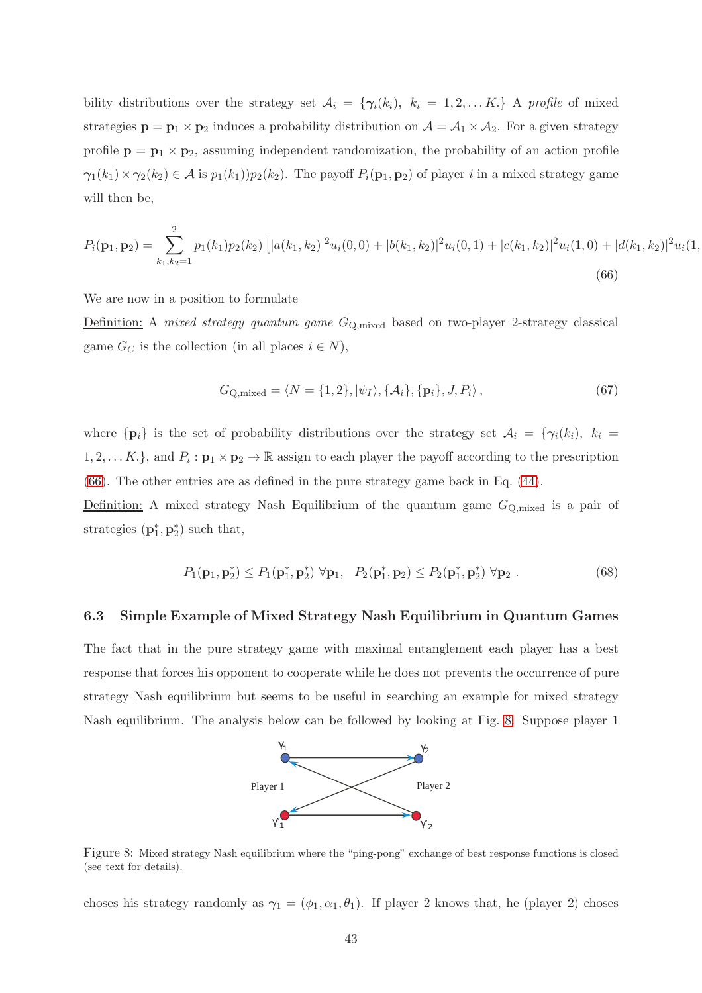bility distributions over the strategy set  $A_i = \{ \gamma_i(k_i), k_i = 1, 2, \ldots K. \}$  A profile of mixed strategies  $\mathbf{p} = \mathbf{p}_1 \times \mathbf{p}_2$  induces a probability distribution on  $\mathcal{A} = \mathcal{A}_1 \times \mathcal{A}_2$ . For a given strategy profile  $p = p_1 \times p_2$ , assuming independent randomization, the probability of an action profile  $\gamma_1(k_1)\times \gamma_2(k_2) \in \mathcal{A}$  is  $p_1(k_1)p_2(k_2)$ . The payoff  $P_i(\mathbf{p}_1, \mathbf{p}_2)$  of player i in a mixed strategy game will then be,

<span id="page-42-1"></span>
$$
P_i(\mathbf{p}_1, \mathbf{p}_2) = \sum_{k_1, k_2=1}^2 p_1(k_1) p_2(k_2) \left[ |a(k_1, k_2)|^2 u_i(0, 0) + |b(k_1, k_2)|^2 u_i(0, 1) + |c(k_1, k_2)|^2 u_i(1, 0) + |d(k_1, k_2)|^2 u_i(1, 0) \right]
$$
\n
$$
(66)
$$

We are now in a position to formulate

Definition: A mixed strategy quantum game GQ,mixed based on two-player 2-strategy classical game  $G_C$  is the collection (in all places  $i \in N$ ),

<span id="page-42-3"></span>
$$
G_{\mathbf{Q},\text{mixed}} = \langle N = \{1,2\}, |\psi_I\rangle, \{\mathcal{A}_i\}, \{\mathbf{p}_i\}, J, P_i\rangle, \tag{67}
$$

where  $\{p_i\}$  is the set of probability distributions over the strategy set  $\mathcal{A}_i = \{\gamma_i(k_i), k_i =$ 1, 2, ... K.}, and  $P_i: \mathbf{p}_1 \times \mathbf{p}_2 \to \mathbb{R}$  assign to each player the payoff according to the prescription [\(66\)](#page-42-1). The other entries are as defined in the pure strategy game back in Eq. [\(44\)](#page-26-0).

Definition: A mixed strategy Nash Equilibrium of the quantum game  $G_{\mathbf{Q},\text{mixed}}$  is a pair of strategies  $(\mathbf{p}_1^*, \mathbf{p}_2^*)$  such that,

<span id="page-42-4"></span>
$$
P_1(\mathbf{p}_1, \mathbf{p}_2^*) \le P_1(\mathbf{p}_1^*, \mathbf{p}_2^*) \ \forall \mathbf{p}_1, \ P_2(\mathbf{p}_1^*, \mathbf{p}_2) \le P_2(\mathbf{p}_1^*, \mathbf{p}_2^*) \ \forall \mathbf{p}_2 \ . \tag{68}
$$

### <span id="page-42-0"></span>6.3 Simple Example of Mixed Strategy Nash Equilibrium in Quantum Games

The fact that in the pure strategy game with maximal entanglement each player has a best response that forces his opponent to cooperate while he does not prevents the occurrence of pure strategy Nash equilibrium but seems to be useful in searching an example for mixed strategy Nash equilibrium. The analysis below can be followed by looking at Fig. [8.](#page-42-2) Suppose player 1



<span id="page-42-2"></span>Figure 8: Mixed strategy Nash equilibrium where the "ping-pong" exchange of best response functions is closed (see text for details).

choses his strategy randomly as  $\gamma_1 = (\phi_1, \alpha_1, \theta_1)$ . If player 2 knows that, he (player 2) choses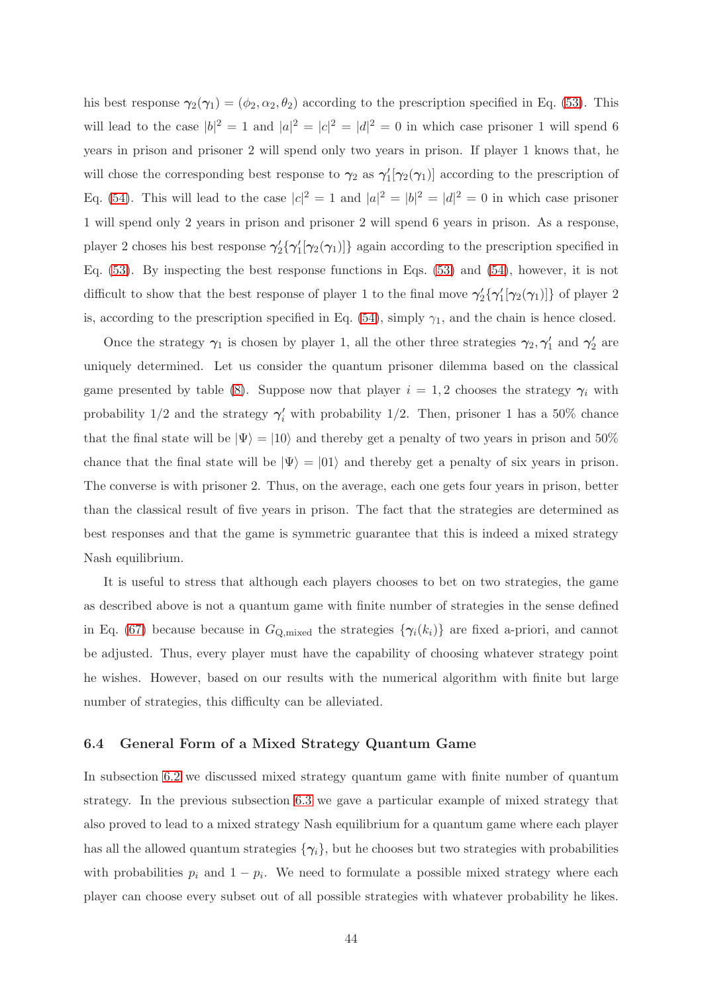his best response  $\gamma_2(\gamma_1) = (\phi_2, \alpha_2, \theta_2)$  according to the prescription specified in Eq. [\(53\)](#page-30-0). This will lead to the case  $|b|^2 = 1$  and  $|a|^2 = |c|^2 = |d|^2 = 0$  in which case prisoner 1 will spend 6 years in prison and prisoner 2 will spend only two years in prison. If player 1 knows that, he will chose the corresponding best response to  $\gamma_2$  as  $\gamma'_1[\gamma_2(\gamma_1)]$  according to the prescription of Eq. [\(54\)](#page-31-0). This will lead to the case  $|c|^2 = 1$  and  $|a|^2 = |b|^2 = |d|^2 = 0$  in which case prisoner 1 will spend only 2 years in prison and prisoner 2 will spend 6 years in prison. As a response, player 2 choses his best response  $\gamma'_2\{\gamma'_1[\gamma_2(\gamma_1)]\}$  again according to the prescription specified in Eq. [\(53\)](#page-30-0). By inspecting the best response functions in Eqs. [\(53\)](#page-30-0) and [\(54\)](#page-31-0), however, it is not difficult to show that the best response of player 1 to the final move  $\gamma'_2\{\gamma'_1[\gamma_2(\gamma_1)]\}$  of player 2 is, according to the prescription specified in Eq.  $(54)$ , simply  $\gamma_1$ , and the chain is hence closed.

Once the strategy  $\gamma_1$  is chosen by player 1, all the other three strategies  $\gamma_2, \gamma'_1$  and  $\gamma'_2$  are uniquely determined. Let us consider the quantum prisoner dilemma based on the classical game presented by table [\(8\)](#page-9-0). Suppose now that player  $i = 1, 2$  chooses the strategy  $\gamma_i$  with probability  $1/2$  and the strategy  $\gamma'_i$  with probability  $1/2$ . Then, prisoner 1 has a 50% chance that the final state will be  $|\Psi\rangle = |10\rangle$  and thereby get a penalty of two years in prison and 50% chance that the final state will be  $|\Psi\rangle = |01\rangle$  and thereby get a penalty of six years in prison. The converse is with prisoner 2. Thus, on the average, each one gets four years in prison, better than the classical result of five years in prison. The fact that the strategies are determined as best responses and that the game is symmetric guarantee that this is indeed a mixed strategy Nash equilibrium.

It is useful to stress that although each players chooses to bet on two strategies, the game as described above is not a quantum game with finite number of strategies in the sense defined in Eq. [\(67\)](#page-42-3) because because in  $G_{\text{Q,mixed}}$  the strategies  $\{\gamma_i(k_i)\}\$ are fixed a-priori, and cannot be adjusted. Thus, every player must have the capability of choosing whatever strategy point he wishes. However, based on our results with the numerical algorithm with finite but large number of strategies, this difficulty can be alleviated.

### <span id="page-43-0"></span>6.4 General Form of a Mixed Strategy Quantum Game

In subsection [6.2](#page-41-1) we discussed mixed strategy quantum game with finite number of quantum strategy. In the previous subsection [6.3](#page-42-0) we gave a particular example of mixed strategy that also proved to lead to a mixed strategy Nash equilibrium for a quantum game where each player has all the allowed quantum strategies  $\{\gamma_i\}$ , but he chooses but two strategies with probabilities with probabilities  $p_i$  and  $1 - p_i$ . We need to formulate a possible mixed strategy where each player can choose every subset out of all possible strategies with whatever probability he likes.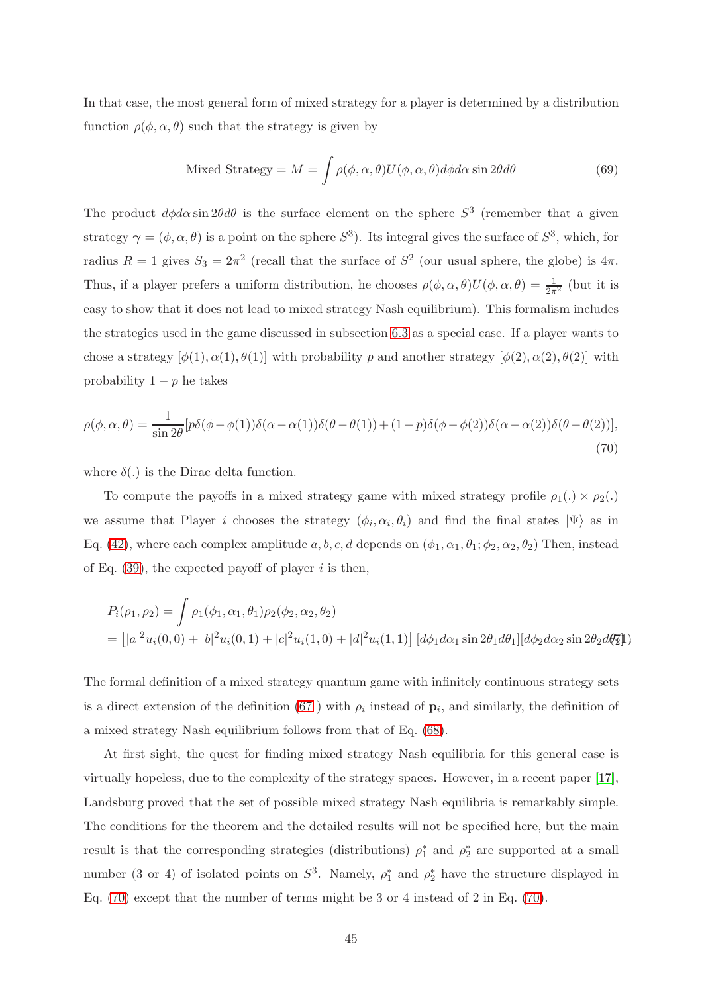In that case, the most general form of mixed strategy for a player is determined by a distribution function  $\rho(\phi, \alpha, \theta)$  such that the strategy is given by

Mixed Strategy = 
$$
M = \int \rho(\phi, \alpha, \theta) U(\phi, \alpha, \theta) d\phi d\alpha \sin 2\theta d\theta
$$
 (69)

The product  $d\phi d\alpha \sin 2\theta d\theta$  is the surface element on the sphere  $S^3$  (remember that a given strategy  $\gamma = (\phi, \alpha, \theta)$  is a point on the sphere  $S^3$ ). Its integral gives the surface of  $S^3$ , which, for radius  $R = 1$  gives  $S_3 = 2\pi^2$  (recall that the surface of  $S^2$  (our usual sphere, the globe) is  $4\pi$ . Thus, if a player prefers a uniform distribution, he chooses  $\rho(\phi, \alpha, \theta)U(\phi, \alpha, \theta) = \frac{1}{2\pi^2}$  (but it is easy to show that it does not lead to mixed strategy Nash equilibrium). This formalism includes the strategies used in the game discussed in subsection [6.3](#page-42-0) as a special case. If a player wants to chose a strategy  $[\phi(1), \alpha(1), \theta(1)]$  with probability p and another strategy  $[\phi(2), \alpha(2), \theta(2)]$  with probability  $1 - p$  he takes

<span id="page-44-0"></span>
$$
\rho(\phi,\alpha,\theta) = \frac{1}{\sin 2\theta} [p\delta(\phi-\phi(1))\delta(\alpha-\alpha(1))\delta(\theta-\theta(1)) + (1-p)\delta(\phi-\phi(2))\delta(\alpha-\alpha(2))\delta(\theta-\theta(2))],
$$
\n(70)

where  $\delta(.)$  is the Dirac delta function.

To compute the payoffs in a mixed strategy game with mixed strategy profile  $\rho_1(.) \times \rho_2(.)$ we assume that Player *i* chooses the strategy  $(\phi_i, \alpha_i, \theta_i)$  and find the final states  $|\Psi\rangle$  as in Eq. [\(42\)](#page-25-0), where each complex amplitude a, b, c, d depends on  $(\phi_1, \alpha_1, \theta_1; \phi_2, \alpha_2, \theta_2)$  Then, instead of Eq.  $(39)$ , the expected payoff of player i is then,

$$
P_i(\rho_1, \rho_2) = \int \rho_1(\phi_1, \alpha_1, \theta_1) \rho_2(\phi_2, \alpha_2, \theta_2)
$$
  
= 
$$
[|a|^2 u_i(0, 0) + |b|^2 u_i(0, 1) + |c|^2 u_i(1, 0) + |d|^2 u_i(1, 1)] [d\phi_1 d\alpha_1 \sin 2\theta_1 d\theta_1][d\phi_2 d\alpha_2 \sin 2\theta_2 d\theta_2]
$$

The formal definition of a mixed strategy quantum game with infinitely continuous strategy sets is a direct extension of the definition [\(67](#page-42-3)) with  $\rho_i$  instead of  $\mathbf{p}_i$ , and similarly, the definition of a mixed strategy Nash equilibrium follows from that of Eq. [\(68\)](#page-42-4).

At first sight, the quest for finding mixed strategy Nash equilibria for this general case is virtually hopeless, due to the complexity of the strategy spaces. However, in a recent paper [\[17\]](#page-94-2), Landsburg proved that the set of possible mixed strategy Nash equilibria is remarkably simple. The conditions for the theorem and the detailed results will not be specified here, but the main result is that the corresponding strategies (distributions)  $\rho_1^*$  and  $\rho_2^*$  are supported at a small number (3 or 4) of isolated points on  $S^3$ . Namely,  $\rho_1^*$  and  $\rho_2^*$  have the structure displayed in Eq. [\(70\)](#page-44-0) except that the number of terms might be 3 or 4 instead of 2 in Eq. [\(70\)](#page-44-0).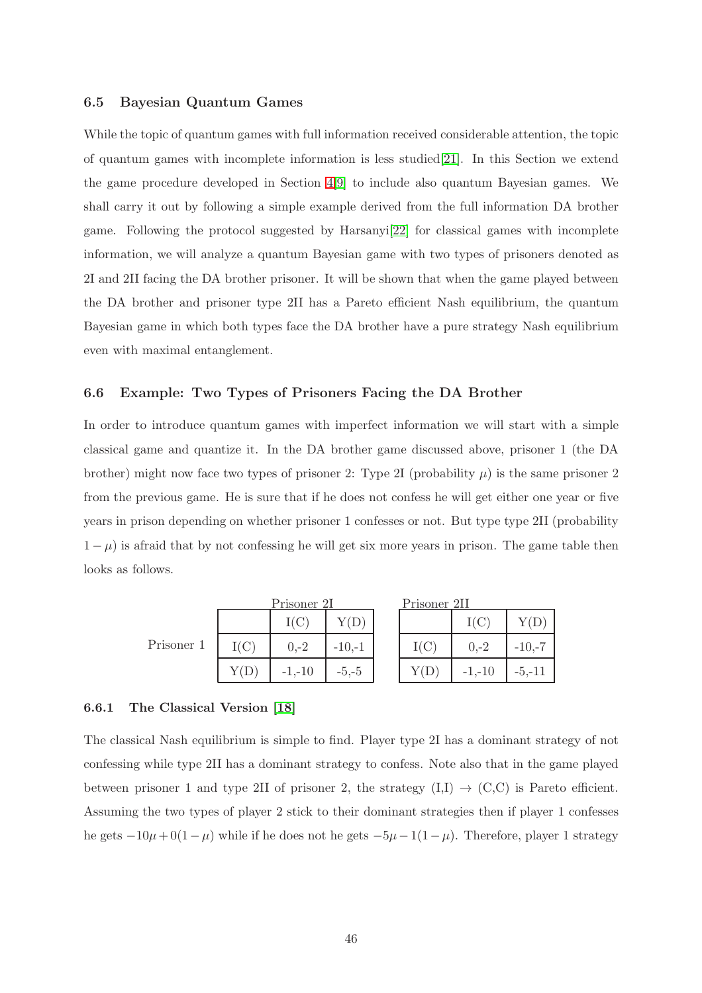# <span id="page-45-0"></span>6.5 Bayesian Quantum Games

While the topic of quantum games with full information received considerable attention, the topic of quantum games with incomplete information is less studied[\[21\]](#page-95-1). In this Section we extend the game procedure developed in Section [4](#page-21-1)[\[9\]](#page-94-3) to include also quantum Bayesian games. We shall carry it out by following a simple example derived from the full information DA brother game. Following the protocol suggested by Harsanyi[\[22\]](#page-95-2) for classical games with incomplete information, we will analyze a quantum Bayesian game with two types of prisoners denoted as 2I and 2II facing the DA brother prisoner. It will be shown that when the game played between the DA brother and prisoner type 2II has a Pareto efficient Nash equilibrium, the quantum Bayesian game in which both types face the DA brother have a pure strategy Nash equilibrium even with maximal entanglement.

# 6.6 Example: Two Types of Prisoners Facing the DA Brother

In order to introduce quantum games with imperfect information we will start with a simple classical game and quantize it. In the DA brother game discussed above, prisoner 1 (the DA brother) might now face two types of prisoner 2: Type 2I (probability  $\mu$ ) is the same prisoner 2 from the previous game. He is sure that if he does not confess he will get either one year or five years in prison depending on whether prisoner 1 confesses or not. But type type 2II (probability  $1 - \mu$ ) is afraid that by not confessing he will get six more years in prison. The game table then looks as follows.

Prisone

|     |      | I(C)     | Y(D)     |
|-----|------|----------|----------|
| r 1 | I(C) | $0,-2$   | $-10,-1$ |
|     | Y(D) | $-1,-10$ | $-5,-5$  |

Prisoner 2I

| Prisoner 211 |          |          |  |
|--------------|----------|----------|--|
|              | I(C)     | Y(D)     |  |
| I(C)         | $0,-2$   | $-10,-7$ |  |
| Y(D)         | $-1,-10$ | $-5,-11$ |  |

### 6.6.1 The Classical Version [\[18\]](#page-94-0)

The classical Nash equilibrium is simple to find. Player type 2I has a dominant strategy of not confessing while type 2II has a dominant strategy to confess. Note also that in the game played between prisoner 1 and type 2II of prisoner 2, the strategy  $(I,I) \rightarrow (C,C)$  is Pareto efficient. Assuming the two types of player 2 stick to their dominant strategies then if player 1 confesses he gets  $-10\mu + 0(1-\mu)$  while if he does not he gets  $-5\mu - 1(1-\mu)$ . Therefore, player 1 strategy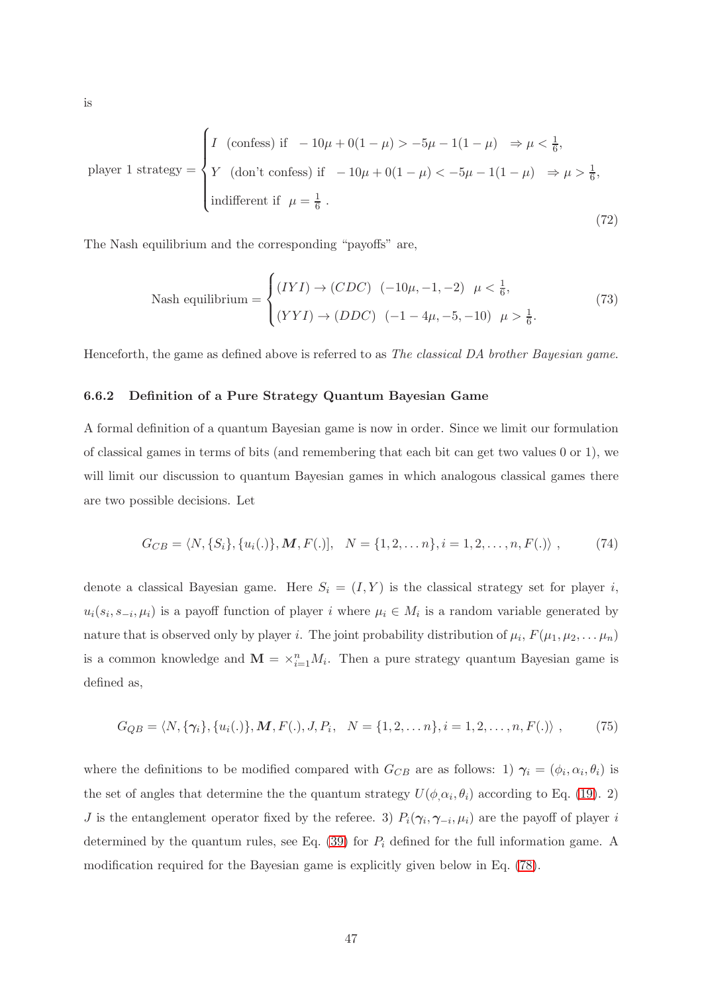$$
\text{player 1 strategy} = \begin{cases} I \text{ (confess) if } -10\mu + 0(1 - \mu) > -5\mu - 1(1 - \mu) \implies \mu < \frac{1}{6}, \\ Y \text{ (don't confess) if } -10\mu + 0(1 - \mu) < -5\mu - 1(1 - \mu) \implies \mu > \frac{1}{6}, \\ \text{indifferent if } \mu = \frac{1}{6} \end{cases} \tag{72}
$$

The Nash equilibrium and the corresponding "payoffs" are,

Nash equilibrium = 
$$
\begin{cases} (IVI) \to (CDC) & (-10\mu, -1, -2) \\ (YYI) \to (DDC) & (-1 - 4\mu, -5, -10) \\ \mu > \frac{1}{6}.\end{cases}
$$
 (73)

Henceforth, the game as defined above is referred to as The classical DA brother Bayesian game.

### 6.6.2 Definition of a Pure Strategy Quantum Bayesian Game

A formal definition of a quantum Bayesian game is now in order. Since we limit our formulation of classical games in terms of bits (and remembering that each bit can get two values 0 or 1), we will limit our discussion to quantum Bayesian games in which analogous classical games there are two possible decisions. Let

$$
G_{CB} = \langle N, \{S_i\}, \{u_i(.)\}, \mathbf{M}, F(.)], \quad N = \{1, 2, \dots, n\}, i = 1, 2, \dots, n, F(.)\rangle, \tag{74}
$$

denote a classical Bayesian game. Here  $S_i = (I, Y)$  is the classical strategy set for player i,  $u_i(s_i, s_{-i}, \mu_i)$  is a payoff function of player i where  $\mu_i \in M_i$  is a random variable generated by nature that is observed only by player *i*. The joint probability distribution of  $\mu_i$ ,  $F(\mu_1, \mu_2, \dots \mu_n)$ is a common knowledge and  $\mathbf{M} = \times_{i=1}^{n} M_i$ . Then a pure strategy quantum Bayesian game is defined as,

<span id="page-46-0"></span>
$$
G_{QB} = \langle N, \{\gamma_i\}, \{u_i(.)\}, \boldsymbol{M}, \boldsymbol{F}(.) , \boldsymbol{J}, \boldsymbol{P}_i, \ \ N = \{1, 2, \dots n\}, i = 1, 2, \dots, n, \boldsymbol{F}(.) \rangle \ , \tag{75}
$$

where the definitions to be modified compared with  $G_{CB}$  are as follows: 1)  $\gamma_i = (\phi_i, \alpha_i, \theta_i)$  is the set of angles that determine the the quantum strategy  $U(\phi, \alpha_i, \theta_i)$  according to Eq. [\(19\)](#page-15-0). 2) J is the entanglement operator fixed by the referee. 3)  $P_i(\gamma_i, \gamma_{-i}, \mu_i)$  are the payoff of player i determined by the quantum rules, see Eq.  $(39)$  for  $P_i$  defined for the full information game. A modification required for the Bayesian game is explicitly given below in Eq. [\(78\)](#page-47-0).

is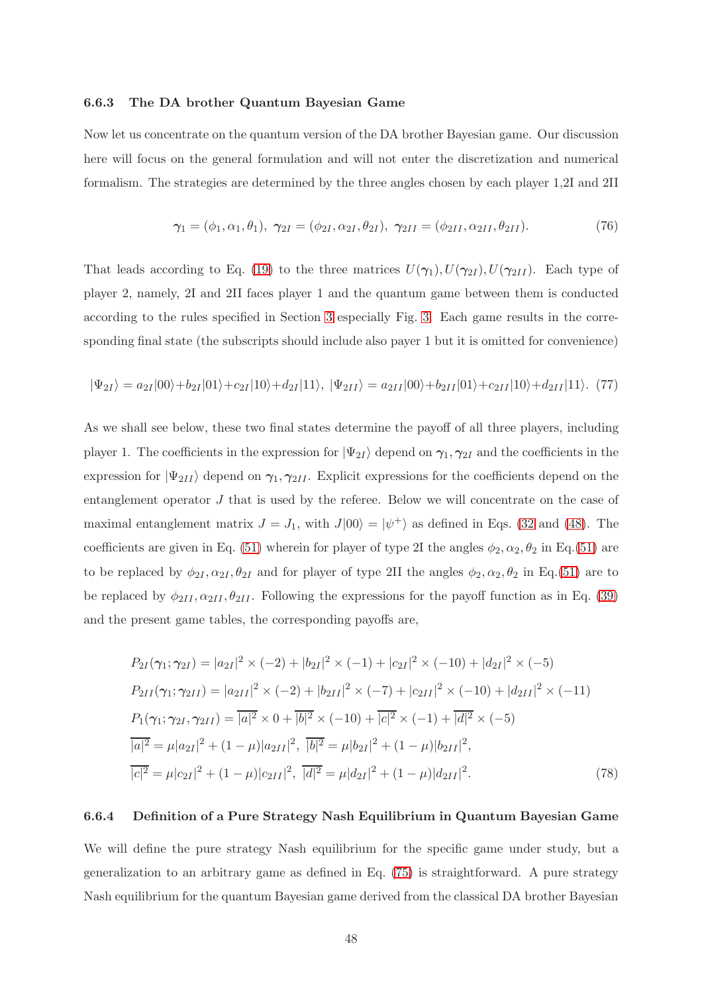### 6.6.3 The DA brother Quantum Bayesian Game

Now let us concentrate on the quantum version of the DA brother Bayesian game. Our discussion here will focus on the general formulation and will not enter the discretization and numerical formalism. The strategies are determined by the three angles chosen by each player 1,2I and 2II

<span id="page-47-1"></span>
$$
\gamma_1 = (\phi_1, \alpha_1, \theta_1), \ \gamma_{2I} = (\phi_{2I}, \alpha_{2I}, \theta_{2I}), \ \gamma_{2II} = (\phi_{2II}, \alpha_{2II}, \theta_{2II}). \tag{76}
$$

That leads according to Eq. [\(19\)](#page-15-0) to the three matrices  $U(\gamma_1)$ ,  $U(\gamma_{2I})$ ,  $U(\gamma_{2II})$ . Each type of player 2, namely, 2I and 2II faces player 1 and the quantum game between them is conducted according to the rules specified in Section [3](#page-11-0) especially Fig. [3.](#page-25-1) Each game results in the corresponding final state (the subscripts should include also payer 1 but it is omitted for convenience)

$$
|\Psi_{2I}\rangle = a_{2I}|00\rangle + b_{2I}|01\rangle + c_{2I}|10\rangle + d_{2I}|11\rangle, \quad |\Psi_{2II}\rangle = a_{2II}|00\rangle + b_{2II}|01\rangle + c_{2II}|10\rangle + d_{2II}|11\rangle. \tag{77}
$$

As we shall see below, these two final states determine the payoff of all three players, including player 1. The coefficients in the expression for  $|\Psi_{2I}\rangle$  depend on  $\gamma_1, \gamma_{2I}$  and the coefficients in the expression for  $|\Psi_{2II}\rangle$  depend on  $\gamma_1, \gamma_{2II}$ . Explicit expressions for the coefficients depend on the entanglement operator J that is used by the referee. Below we will concentrate on the case of maximal entanglement matrix  $J = J_1$ , with  $J|00\rangle = |\psi^+\rangle$  as defined in Eqs. [\(32](#page-20-0) and [\(48\)](#page-28-0). The coefficients are given in Eq. [\(51\)](#page-29-0) wherein for player of type 2I the angles  $\phi_2, \alpha_2, \theta_2$  in Eq.[\(51\)](#page-29-0) are to be replaced by  $\phi_{2I}, \alpha_{2I}, \theta_{2I}$  and for player of type 2II the angles  $\phi_2, \alpha_2, \theta_2$  in Eq.[\(51\)](#page-29-0) are to be replaced by  $\phi_{2II}, \alpha_{2II}, \theta_{2II}$ . Following the expressions for the payoff function as in Eq. [\(39\)](#page-23-0) and the present game tables, the corresponding payoffs are,

<span id="page-47-0"></span>
$$
P_{2I}(\gamma_1; \gamma_{2I}) = |a_{2I}|^2 \times (-2) + |b_{2I}|^2 \times (-1) + |c_{2I}|^2 \times (-10) + |d_{2I}|^2 \times (-5)
$$
  
\n
$$
P_{2II}(\gamma_1; \gamma_{2II}) = |a_{2II}|^2 \times (-2) + |b_{2II}|^2 \times (-7) + |c_{2II}|^2 \times (-10) + |d_{2II}|^2 \times (-11)
$$
  
\n
$$
P_1(\gamma_1; \gamma_{2I}, \gamma_{2II}) = |a|^2 \times 0 + |b|^2 \times (-10) + |c|^2 \times (-1) + |d|^2 \times (-5)
$$
  
\n
$$
|a|^2 = \mu |a_{2I}|^2 + (1 - \mu) |a_{2II}|^2, \quad |b|^2 = \mu |b_{2I}|^2 + (1 - \mu) |b_{2II}|^2,
$$
  
\n
$$
|c|^2 = \mu |c_{2I}|^2 + (1 - \mu) |c_{2II}|^2, \quad |d|^2 = \mu |d_{2I}|^2 + (1 - \mu) |d_{2II}|^2.
$$
 (78)

### 6.6.4 Definition of a Pure Strategy Nash Equilibrium in Quantum Bayesian Game

We will define the pure strategy Nash equilibrium for the specific game under study, but a generalization to an arbitrary game as defined in Eq. [\(75\)](#page-46-0) is straightforward. A pure strategy Nash equilibrium for the quantum Bayesian game derived from the classical DA brother Bayesian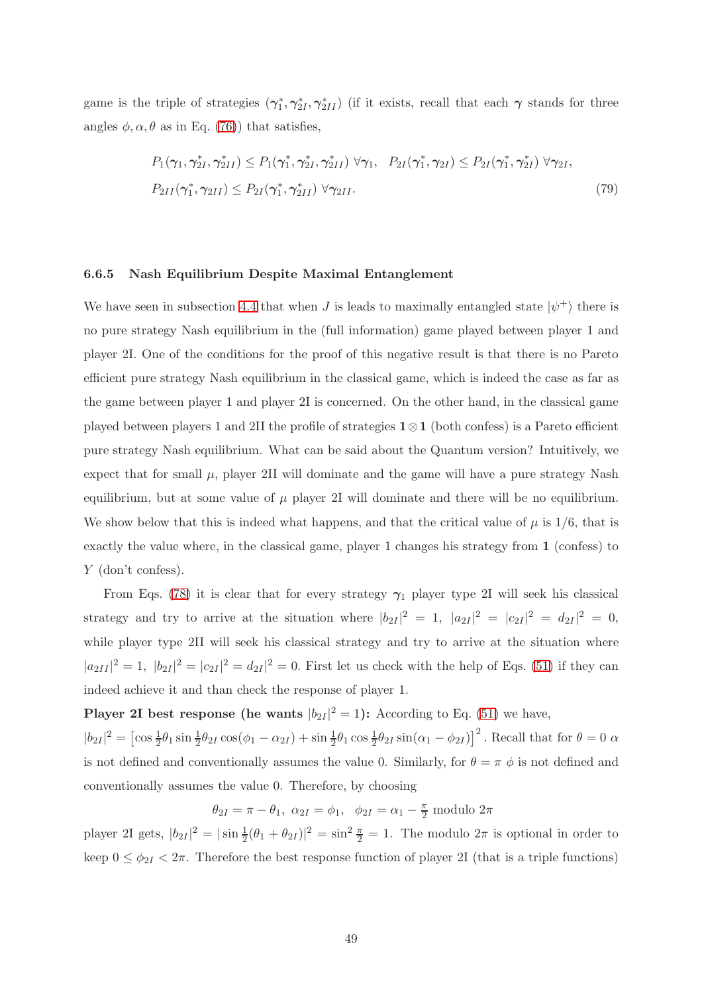game is the triple of strategies  $(\gamma_1^*, \gamma_{2I}^*, \gamma_{2II}^*)$  (if it exists, recall that each  $\gamma$  stands for three angles  $\phi, \alpha, \theta$  as in Eq. [\(76\)](#page-47-1)) that satisfies,

$$
P_1(\gamma_1, \gamma_{2I}^*, \gamma_{2II}^*) \le P_1(\gamma_1^*, \gamma_{2I}^*, \gamma_{2II}^*) \ \forall \gamma_1, \ P_{2I}(\gamma_1^*, \gamma_{2I}) \le P_{2I}(\gamma_1^*, \gamma_{2I}^*) \ \forall \gamma_{2I},
$$
  
\n
$$
P_{2II}(\gamma_1^*, \gamma_{2II}) \le P_{2I}(\gamma_1^*, \gamma_{2II}^*) \ \forall \gamma_{2II}.
$$
\n
$$
(79)
$$

#### 6.6.5 Nash Equilibrium Despite Maximal Entanglement

We have seen in subsection [4.4](#page-29-1) that when J is leads to maximally entangled state  $|\psi^+\rangle$  there is no pure strategy Nash equilibrium in the (full information) game played between player 1 and player 2I. One of the conditions for the proof of this negative result is that there is no Pareto efficient pure strategy Nash equilibrium in the classical game, which is indeed the case as far as the game between player 1 and player 2I is concerned. On the other hand, in the classical game played between players 1 and 2II the profile of strategies 1⊗1 (both confess) is a Pareto efficient pure strategy Nash equilibrium. What can be said about the Quantum version? Intuitively, we expect that for small  $\mu$ , player 2II will dominate and the game will have a pure strategy Nash equilibrium, but at some value of  $\mu$  player 2I will dominate and there will be no equilibrium. We show below that this is indeed what happens, and that the critical value of  $\mu$  is 1/6, that is exactly the value where, in the classical game, player 1 changes his strategy from 1 (confess) to Y (don't confess).

From Eqs. [\(78\)](#page-47-0) it is clear that for every strategy  $\gamma_1$  player type 2I will seek his classical strategy and try to arrive at the situation where  $|b_{2I}|^2 = 1$ ,  $|a_{2I}|^2 = |c_{2I}|^2 = d_{2I}|^2 = 0$ , while player type 2II will seek his classical strategy and try to arrive at the situation where  $|a_{2II}|^2 = 1$ ,  $|b_{2I}|^2 = |c_{2I}|^2 = d_{2I}|^2 = 0$ . First let us check with the help of Eqs. [\(51\)](#page-29-0) if they can indeed achieve it and than check the response of player 1.

**Player 2I** best response (he wants  $|b_{2I}|^2 = 1$ ): According to Eq. [\(51\)](#page-29-0) we have,

 $|b_{2I}|^2 = \left[\cos \frac{1}{2}\theta_1 \sin \frac{1}{2}\theta_{2I} \cos(\phi_1 - \alpha_{2I}) + \sin \frac{1}{2}\theta_1 \cos \frac{1}{2}\theta_{2I} \sin(\alpha_1 - \phi_{2I})\right]^2$ . Recall that for  $\theta = 0$   $\alpha$ is not defined and conventionally assumes the value 0. Similarly, for  $\theta = \pi \phi$  is not defined and conventionally assumes the value 0. Therefore, by choosing

 $\theta_{2I} = \pi - \theta_1$ ,  $\alpha_{2I} = \phi_1$ ,  $\phi_{2I} = \alpha_1 - \frac{\pi}{2}$  modulo  $2\pi$ 

player 2I gets,  $|b_{2I}|^2 = |\sin \frac{1}{2}(\theta_1 + \theta_{2I})|^2 = \sin^2 \frac{\pi}{2} = 1$ . The modulo  $2\pi$  is optional in order to keep  $0 \le \phi_{2I} < 2\pi$ . Therefore the best response function of player 2I (that is a triple functions)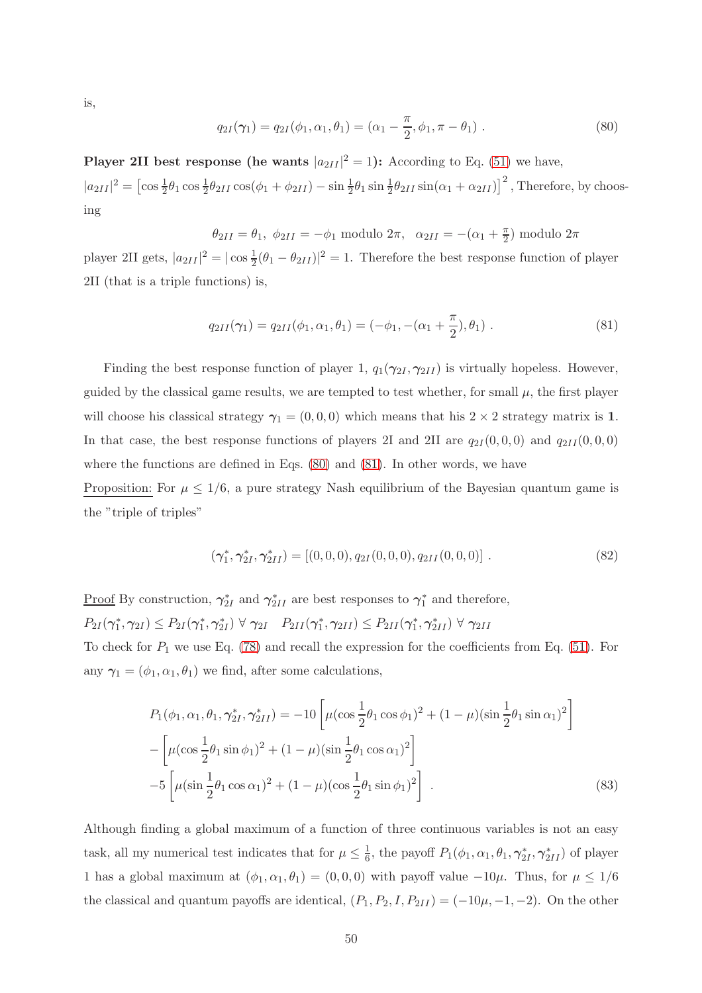is,

<span id="page-49-0"></span>
$$
q_{2I}(\gamma_1) = q_{2I}(\phi_1, \alpha_1, \theta_1) = (\alpha_1 - \frac{\pi}{2}, \phi_1, \pi - \theta_1).
$$
 (80)

**Player 2II** best response (he wants  $|a_{2II}|^2 = 1$ ): According to Eq. [\(51\)](#page-29-0) we have,  $|a_{2II}|^2 = \left[\cos\frac{1}{2}\theta_1\cos\frac{1}{2}\theta_{2II}\cos(\phi_1 + \phi_{2II}) - \sin\frac{1}{2}\theta_1\sin\frac{1}{2}\theta_{2II}\sin(\alpha_1 + \alpha_{2II})\right]^2$ , Therefore, by choosing

 $\theta_{2II} = \theta_1, \ \phi_{2II} = -\phi_1 \text{ modulo } 2\pi, \ \ \alpha_{2II} = -(\alpha_1 + \frac{\pi}{2})$  $\frac{\pi}{2}$ ) modulo  $2\pi$ player 2II gets,  $|a_{2II}|^2 = |\cos \frac{1}{2}(\theta_1 - \theta_{2II})|^2 = 1$ . Therefore the best response function of player 2II (that is a triple functions) is,

<span id="page-49-1"></span>
$$
q_{2II}(\gamma_1) = q_{2II}(\phi_1, \alpha_1, \theta_1) = (-\phi_1, -(\alpha_1 + \frac{\pi}{2}), \theta_1) \tag{81}
$$

Finding the best response function of player 1,  $q_1(\gamma_{2I}, \gamma_{2II})$  is virtually hopeless. However, guided by the classical game results, we are tempted to test whether, for small  $\mu$ , the first player will choose his classical strategy  $\gamma_1 = (0, 0, 0)$  which means that his  $2 \times 2$  strategy matrix is 1. In that case, the best response functions of players 2I and 2II are  $q_{2I}(0,0,0)$  and  $q_{2II}(0,0,0)$ where the functions are defined in Eqs. [\(80\)](#page-49-0) and [\(81\)](#page-49-1). In other words, we have

Proposition: For  $\mu \leq 1/6$ , a pure strategy Nash equilibrium of the Bayesian quantum game is the "triple of triples"

$$
(\gamma_1^*, \gamma_{2I}^*, \gamma_{2II}^*) = [(0, 0, 0), q_{2I}(0, 0, 0), q_{2II}(0, 0, 0)].
$$
\n(82)

Proof By construction,  $\gamma_{2I}^*$  and  $\gamma_{2II}^*$  are best responses to  $\gamma_1^*$  and therefore,  $P_{2I}(\gamma_1^*, \gamma_{2I}) \leq P_{2I}(\gamma_1^*, \gamma_{2I}^*) \ \forall \ \gamma_{2I} \quad P_{2II}(\gamma_1^*, \gamma_{2II}) \leq P_{2II}(\gamma_1^*, \gamma_{2II}^*) \ \forall \ \gamma_{2II}$ To check for  $P_1$  we use Eq. [\(78\)](#page-47-0) and recall the expression for the coefficients from Eq. [\(51\)](#page-29-0). For any  $\gamma_1 = (\phi_1, \alpha_1, \theta_1)$  we find, after some calculations,

<span id="page-49-2"></span>
$$
P_1(\phi_1, \alpha_1, \theta_1, \gamma_{2I}^*, \gamma_{2II}^*) = -10 \left[ \mu (\cos \frac{1}{2} \theta_1 \cos \phi_1)^2 + (1 - \mu)(\sin \frac{1}{2} \theta_1 \sin \alpha_1)^2 \right] -\left[ \mu (\cos \frac{1}{2} \theta_1 \sin \phi_1)^2 + (1 - \mu)(\sin \frac{1}{2} \theta_1 \cos \alpha_1)^2 \right] -5 \left[ \mu (\sin \frac{1}{2} \theta_1 \cos \alpha_1)^2 + (1 - \mu)(\cos \frac{1}{2} \theta_1 \sin \phi_1)^2 \right].
$$
 (83)

Although finding a global maximum of a function of three continuous variables is not an easy task, all my numerical test indicates that for  $\mu \leq \frac{1}{6}$  $\frac{1}{6}$ , the payoff  $P_1(\phi_1, \alpha_1, \theta_1, \gamma_{2I}^*, \gamma_{2II}^*)$  of player 1 has a global maximum at  $(\phi_1, \alpha_1, \theta_1) = (0, 0, 0)$  with payoff value  $-10\mu$ . Thus, for  $\mu \leq 1/6$ the classical and quantum payoffs are identical,  $(P_1, P_2, I, P_{2II}) = (-10\mu, -1, -2)$ . On the other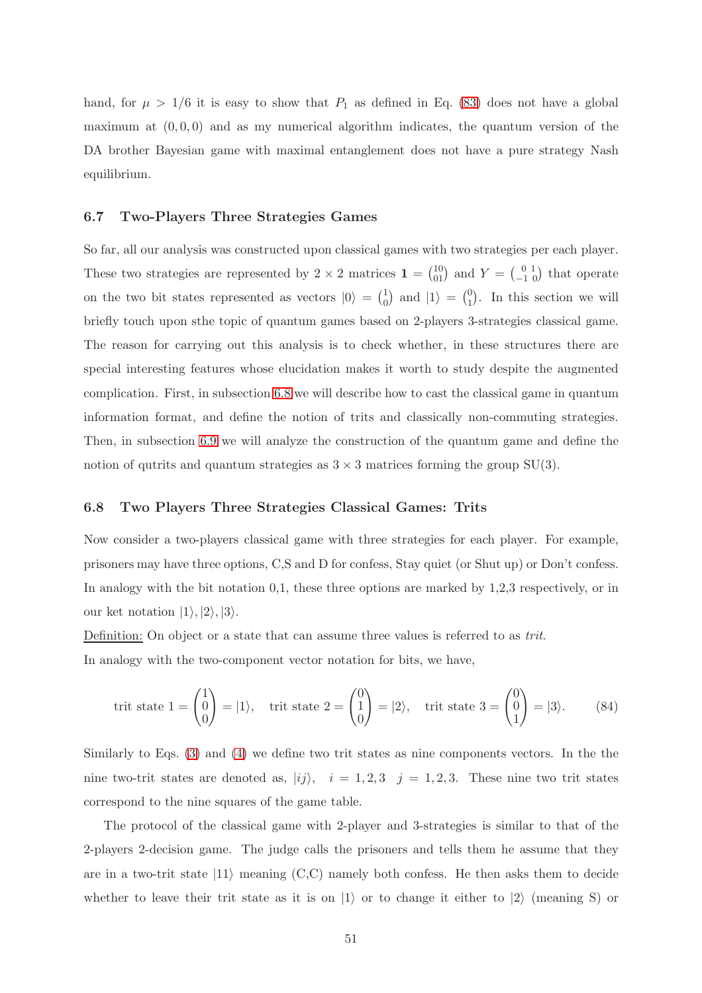hand, for  $\mu > 1/6$  it is easy to show that  $P_1$  as defined in Eq. [\(83\)](#page-49-2) does not have a global maximum at  $(0, 0, 0)$  and as my numerical algorithm indicates, the quantum version of the DA brother Bayesian game with maximal entanglement does not have a pure strategy Nash equilibrium.

### 6.7 Two-Players Three Strategies Games

So far, all our analysis was constructed upon classical games with two strategies per each player. These two strategies are represented by 2  $\times$  2 matrices  $\mathbf{1} = \begin{pmatrix} 10 \\ 01 \end{pmatrix}$  and  $Y = \begin{pmatrix} 0 & 1 \\ -1 & 0 \end{pmatrix}$  that operate on the two bit states represented as vectors  $|0\rangle = \begin{pmatrix} 1 \\ 0 \end{pmatrix}$  $\binom{1}{0}$  and  $\ket{1} = \binom{0}{1}$  $_{1}^{0}$ ). In this section we will briefly touch upon sthe topic of quantum games based on 2-players 3-strategies classical game. The reason for carrying out this analysis is to check whether, in these structures there are special interesting features whose elucidation makes it worth to study despite the augmented complication. First, in subsection [6.8](#page-50-0) we will describe how to cast the classical game in quantum information format, and define the notion of trits and classically non-commuting strategies. Then, in subsection [6.9](#page-51-0) we will analyze the construction of the quantum game and define the notion of qutrits and quantum strategies as  $3 \times 3$  matrices forming the group SU(3).

# <span id="page-50-0"></span>6.8 Two Players Three Strategies Classical Games: Trits

Now consider a two-players classical game with three strategies for each player. For example, prisoners may have three options, C,S and D for confess, Stay quiet (or Shut up) or Don't confess. In analogy with the bit notation 0,1, these three options are marked by 1,2,3 respectively, or in our ket notation  $|1\rangle, |2\rangle, |3\rangle.$ 

Definition: On object or a state that can assume three values is referred to as *trit*.

In analogy with the two-component vector notation for bits, we have,

$$
\text{trit state } 1 = \begin{pmatrix} 1 \\ 0 \\ 0 \end{pmatrix} = |1\rangle, \quad \text{trit state } 2 = \begin{pmatrix} 0 \\ 1 \\ 0 \end{pmatrix} = |2\rangle, \quad \text{trit state } 3 = \begin{pmatrix} 0 \\ 0 \\ 1 \end{pmatrix} = |3\rangle. \tag{84}
$$

Similarly to Eqs. [\(3\)](#page-8-0) and [\(4\)](#page-8-1) we define two trit states as nine components vectors. In the the nine two-trit states are denoted as,  $|ij\rangle$ ,  $i = 1, 2, 3$   $j = 1, 2, 3$ . These nine two trit states correspond to the nine squares of the game table.

The protocol of the classical game with 2-player and 3-strategies is similar to that of the 2-players 2-decision game. The judge calls the prisoners and tells them he assume that they are in a two-trit state  $|11\rangle$  meaning  $(C, C)$  namely both confess. He then asks them to decide whether to leave their trit state as it is on  $|1\rangle$  or to change it either to  $|2\rangle$  (meaning S) or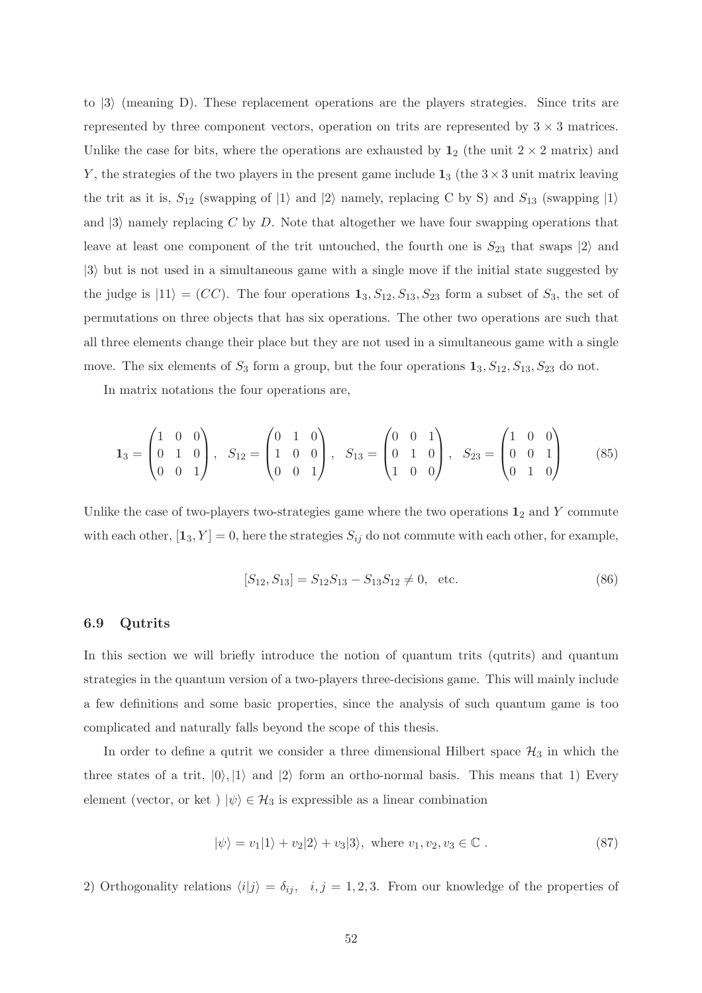to  $|3\rangle$  (meaning D). These replacement operations are the players strategies. Since trits are represented by three component vectors, operation on trits are represented by  $3 \times 3$  matrices. Unlike the case for bits, where the operations are exhausted by  $1_2$  (the unit  $2 \times 2$  matrix) and Y, the strategies of the two players in the present game include  $1_3$  (the  $3 \times 3$  unit matrix leaving the trit as it is,  $S_{12}$  (swapping of  $|1\rangle$  and  $|2\rangle$  namely, replacing C by S) and  $S_{13}$  (swapping  $|1\rangle$ and  $|3\rangle$  namely replacing C by D. Note that altogether we have four swapping operations that leave at least one component of the trit untouched, the fourth one is  $S_{23}$  that swaps  $|2\rangle$  and  $|3\rangle$  but is not used in a simultaneous game with a single move if the initial state suggested by the judge is  $|11\rangle = (CC)$ . The four operations  $\mathbf{1}_3, S_{12}, S_{13}, S_{23}$  form a subset of  $S_3$ , the set of permutations on three objects that has six operations. The other two operations are such that all three elements change their place but they are not used in a simultaneous game with a single move. The six elements of  $S_3$  form a group, but the four operations  $\mathbf{1}_3$ ,  $S_{12}$ ,  $S_{13}$ ,  $S_{23}$  do not.

In matrix notations the four operations are,

<span id="page-51-1"></span>
$$
\mathbf{1}_3 = \begin{pmatrix} 1 & 0 & 0 \\ 0 & 1 & 0 \\ 0 & 0 & 1 \end{pmatrix}, \quad S_{12} = \begin{pmatrix} 0 & 1 & 0 \\ 1 & 0 & 0 \\ 0 & 0 & 1 \end{pmatrix}, \quad S_{13} = \begin{pmatrix} 0 & 0 & 1 \\ 0 & 1 & 0 \\ 1 & 0 & 0 \end{pmatrix}, \quad S_{23} = \begin{pmatrix} 1 & 0 & 0 \\ 0 & 0 & 1 \\ 0 & 1 & 0 \end{pmatrix}
$$
(85)

Unlike the case of two-players two-strategies game where the two operations  $\mathbf{1}_2$  and Y commute with each other,  $[\mathbf{1}_3, Y] = 0$ , here the strategies  $S_{ij}$  do not commute with each other, for example,

$$
[S_{12}, S_{13}] = S_{12}S_{13} - S_{13}S_{12} \neq 0, \text{ etc.}
$$
 (86)

### <span id="page-51-0"></span>6.9 Qutrits

In this section we will briefly introduce the notion of quantum trits (qutrits) and quantum strategies in the quantum version of a two-players three-decisions game. This will mainly include a few definitions and some basic properties, since the analysis of such quantum game is too complicated and naturally falls beyond the scope of this thesis.

In order to define a qutrit we consider a three dimensional Hilbert space  $\mathcal{H}_3$  in which the three states of a trit,  $|0\rangle, |1\rangle$  and  $|2\rangle$  form an ortho-normal basis. This means that 1) Every element (vector, or ket )  $|\psi\rangle \in \mathcal{H}_3$  is expressible as a linear combination

$$
|\psi\rangle = v_1|1\rangle + v_2|2\rangle + v_3|3\rangle, \text{ where } v_1, v_2, v_3 \in \mathbb{C} .
$$
 (87)

2) Orthogonality relations  $\langle i|j \rangle = \delta_{ij}$ ,  $i, j = 1, 2, 3$ . From our knowledge of the properties of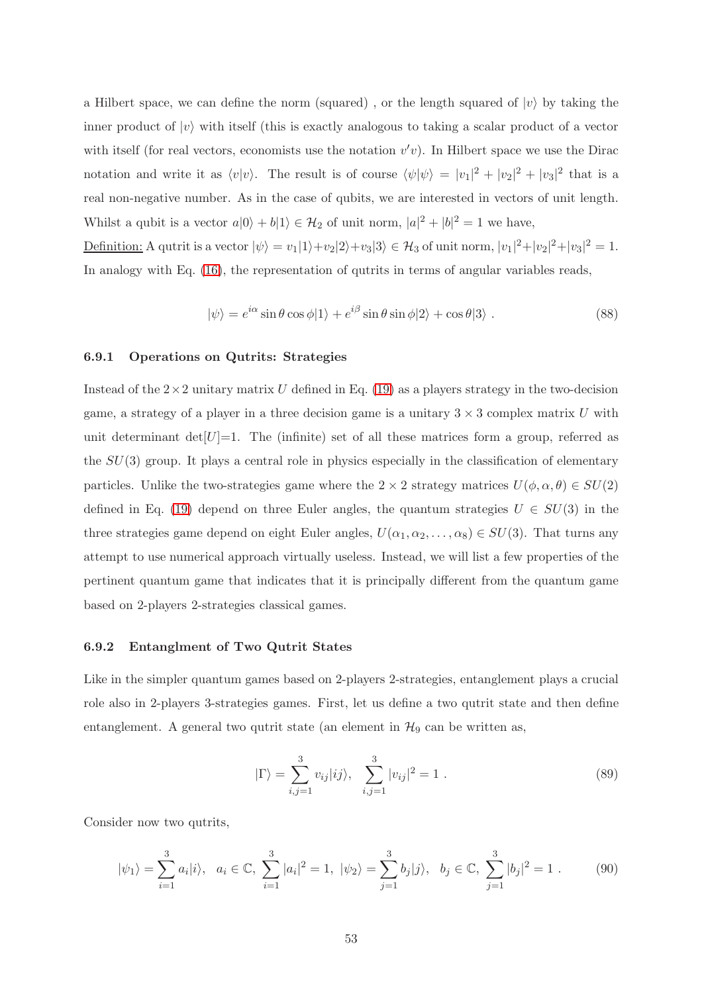a Hilbert space, we can define the norm (squared), or the length squared of  $|v\rangle$  by taking the inner product of  $|v\rangle$  with itself (this is exactly analogous to taking a scalar product of a vector with itself (for real vectors, economists use the notation  $v'v$ ). In Hilbert space we use the Dirac notation and write it as  $\langle v | v \rangle$ . The result is of course  $\langle \psi | \psi \rangle = |v_1|^2 + |v_2|^2 + |v_3|^2$  that is a real non-negative number. As in the case of qubits, we are interested in vectors of unit length. Whilst a qubit is a vector  $a|0\rangle + b|1\rangle \in \mathcal{H}_2$  of unit norm,  $|a|^2 + |b|^2 = 1$  we have,

Definition: A qutrit is a vector  $|\psi\rangle = v_1|1\rangle + v_2|2\rangle + v_3|3\rangle \in \mathcal{H}_3$  of unit norm,  $|v_1|^2 + |v_2|^2 + |v_3|^2 = 1$ . In analogy with Eq. [\(16\)](#page-14-0), the representation of qutrits in terms of angular variables reads,

$$
|\psi\rangle = e^{i\alpha}\sin\theta\cos\phi|1\rangle + e^{i\beta}\sin\theta\sin\phi|2\rangle + \cos\theta|3\rangle.
$$
 (88)

## 6.9.1 Operations on Qutrits: Strategies

Instead of the  $2\times 2$  unitary matrix U defined in Eq. [\(19\)](#page-15-0) as a players strategy in the two-decision game, a strategy of a player in a three decision game is a unitary  $3 \times 3$  complex matrix U with unit determinant det $[U]=1$ . The (infinite) set of all these matrices form a group, referred as the  $SU(3)$  group. It plays a central role in physics especially in the classification of elementary particles. Unlike the two-strategies game where the  $2 \times 2$  strategy matrices  $U(\phi, \alpha, \theta) \in SU(2)$ defined in Eq. [\(19\)](#page-15-0) depend on three Euler angles, the quantum strategies  $U \in SU(3)$  in the three strategies game depend on eight Euler angles,  $U(\alpha_1, \alpha_2, \ldots, \alpha_8) \in SU(3)$ . That turns any attempt to use numerical approach virtually useless. Instead, we will list a few properties of the pertinent quantum game that indicates that it is principally different from the quantum game based on 2-players 2-strategies classical games.

### 6.9.2 Entanglment of Two Qutrit States

Like in the simpler quantum games based on 2-players 2-strategies, entanglement plays a crucial role also in 2-players 3-strategies games. First, let us define a two qutrit state and then define entanglement. A general two qutrit state (an element in  $\mathcal{H}_9$  can be written as,

<span id="page-52-0"></span>
$$
|\Gamma\rangle = \sum_{i,j=1}^{3} v_{ij} |ij\rangle, \quad \sum_{i,j=1}^{3} |v_{ij}|^2 = 1 . \tag{89}
$$

Consider now two qutrits,

$$
|\psi_1\rangle = \sum_{i=1}^3 a_i |i\rangle, \quad a_i \in \mathbb{C}, \ \sum_{i=1}^3 |a_i|^2 = 1, \ |\psi_2\rangle = \sum_{j=1}^3 b_j |j\rangle, \quad b_j \in \mathbb{C}, \ \sum_{j=1}^3 |b_j|^2 = 1 \ . \tag{90}
$$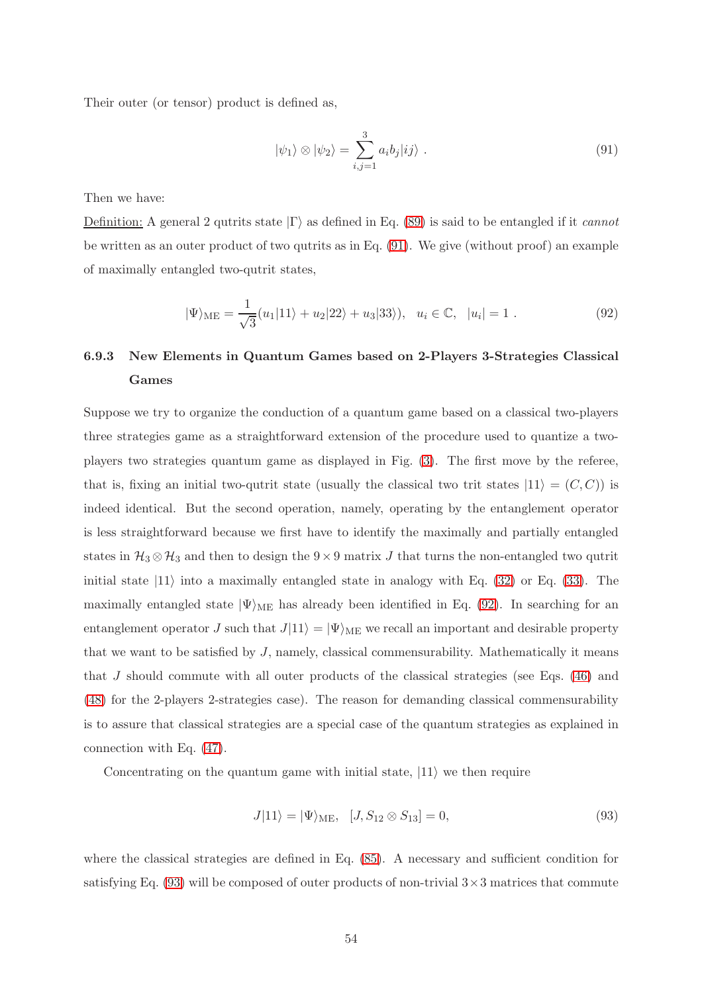Their outer (or tensor) product is defined as,

<span id="page-53-0"></span>
$$
|\psi_1\rangle \otimes |\psi_2\rangle = \sum_{i,j=1}^3 a_i b_j |ij\rangle . \qquad (91)
$$

Then we have:

Definition: A general 2 qutrits state  $|\Gamma\rangle$  as defined in Eq. [\(89\)](#page-52-0) is said to be entangled if it *cannot* be written as an outer product of two qutrits as in Eq. [\(91\)](#page-53-0). We give (without proof) an example of maximally entangled two-qutrit states,

<span id="page-53-1"></span>
$$
|\Psi\rangle_{\text{ME}} = \frac{1}{\sqrt{3}}(u_1|11\rangle + u_2|22\rangle + u_3|33\rangle), \ \ u_i \in \mathbb{C}, \ |u_i| = 1. \tag{92}
$$

# 6.9.3 New Elements in Quantum Games based on 2-Players 3-Strategies Classical Games

Suppose we try to organize the conduction of a quantum game based on a classical two-players three strategies game as a straightforward extension of the procedure used to quantize a twoplayers two strategies quantum game as displayed in Fig. [\(3\)](#page-25-1). The first move by the referee, that is, fixing an initial two-qutrit state (usually the classical two trit states  $|11\rangle = (C, C)$ ) is indeed identical. But the second operation, namely, operating by the entanglement operator is less straightforward because we first have to identify the maximally and partially entangled states in  $\mathcal{H}_3 \otimes \mathcal{H}_3$  and then to design the 9×9 matrix J that turns the non-entangled two qutrit initial state  $|11\rangle$  into a maximally entangled state in analogy with Eq. [\(32\)](#page-20-0) or Eq. [\(33\)](#page-20-1). The maximally entangled state  $|\Psi\rangle_{\text{ME}}$  has already been identified in Eq. [\(92\)](#page-53-1). In searching for an entanglement operator J such that  $J|11\rangle = |\Psi\rangle_{ME}$  we recall an important and desirable property that we want to be satisfied by  $J$ , namely, classical commensurability. Mathematically it means that  $J$  should commute with all outer products of the classical strategies (see Eqs.  $(46)$ ) and [\(48\)](#page-28-0) for the 2-players 2-strategies case). The reason for demanding classical commensurability is to assure that classical strategies are a special case of the quantum strategies as explained in connection with Eq. [\(47\)](#page-28-2).

Concentrating on the quantum game with initial state,  $|11\rangle$  we then require

<span id="page-53-2"></span>
$$
J|11\rangle = |\Psi\rangle_{\text{ME}}, \quad [J, S_{12} \otimes S_{13}] = 0,\tag{93}
$$

where the classical strategies are defined in Eq. [\(85\)](#page-51-1). A necessary and sufficient condition for satisfying Eq.  $(93)$  will be composed of outer products of non-trivial  $3 \times 3$  matrices that commute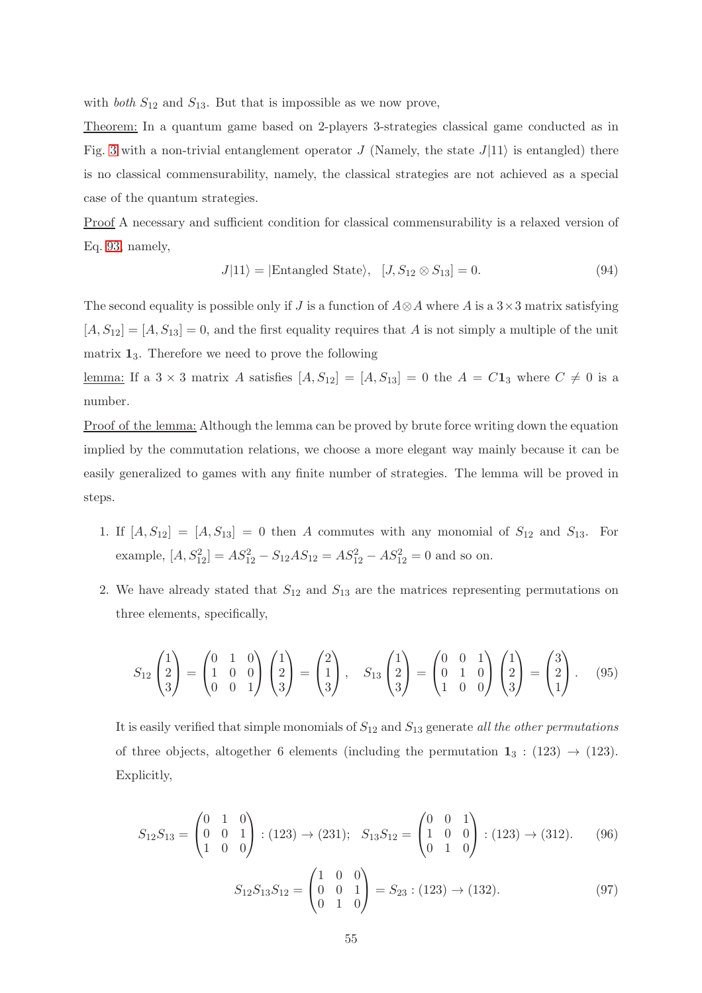with *both*  $S_{12}$  and  $S_{13}$ . But that is impossible as we now prove,

Theorem: In a quantum game based on 2-players 3-strategies classical game conducted as in Fig. [3](#page-25-1) with a non-trivial entanglement operator J (Namely, the state  $J(11)$ ) is entangled) there is no classical commensurability, namely, the classical strategies are not achieved as a special case of the quantum strategies.

Proof A necessary and sufficient condition for classical commensurability is a relaxed version of Eq. [93,](#page-53-2) namely,

$$
J|11\rangle = |\text{Entangled State}\rangle, [J, S_{12} \otimes S_{13}] = 0.
$$
 (94)

The second equality is possible only if J is a function of  $A \otimes A$  where A is a 3×3 matrix satisfying  $[A, S_{12}] = [A, S_{13}] = 0$ , and the first equality requires that A is not simply a multiple of the unit matrix  $1_3$ . Therefore we need to prove the following

<u>lemma:</u> If a  $3 \times 3$  matrix A satisfies  $[A, S_{12}] = [A, S_{13}] = 0$  the  $A = C1_3$  where  $C \neq 0$  is a number.

Proof of the lemma: Although the lemma can be proved by brute force writing down the equation implied by the commutation relations, we choose a more elegant way mainly because it can be easily generalized to games with any finite number of strategies. The lemma will be proved in steps.

- 1. If  $[A, S_{12}] = [A, S_{13}] = 0$  then A commutes with any monomial of  $S_{12}$  and  $S_{13}$ . For example,  $[A, S_{12}^2] = AS_{12}^2 - S_{12}AS_{12} = AS_{12}^2 - AS_{12}^2 = 0$  and so on.
- 2. We have already stated that  $S_{12}$  and  $S_{13}$  are the matrices representing permutations on three elements, specifically,

$$
S_{12}\begin{pmatrix}1\\2\\3\end{pmatrix}=\begin{pmatrix}0&1&0\\1&0&0\\0&0&1\end{pmatrix}\begin{pmatrix}1\\2\\3\end{pmatrix}=\begin{pmatrix}2\\1\\3\end{pmatrix},\quad S_{13}\begin{pmatrix}1\\2\\3\end{pmatrix}=\begin{pmatrix}0&0&1\\0&1&0\\1&0&0\end{pmatrix}\begin{pmatrix}1\\2\\3\end{pmatrix}=\begin{pmatrix}3\\2\\1\end{pmatrix}.\tag{95}
$$

It is easily verified that simple monomials of  $S_{12}$  and  $S_{13}$  generate all the other permutations of three objects, altogether 6 elements (including the permutation  $1_3$ : (123)  $\rightarrow$  (123). Explicitly,

<span id="page-54-0"></span>
$$
S_{12}S_{13} = \begin{pmatrix} 0 & 1 & 0 \\ 0 & 0 & 1 \\ 1 & 0 & 0 \end{pmatrix} : (123) \to (231); \quad S_{13}S_{12} = \begin{pmatrix} 0 & 0 & 1 \\ 1 & 0 & 0 \\ 0 & 1 & 0 \end{pmatrix} : (123) \to (312). \tag{96}
$$

$$
S_{12}S_{13}S_{12} = \begin{pmatrix} 1 & 0 & 0 \\ 0 & 0 & 1 \\ 0 & 1 & 0 \end{pmatrix} = S_{23} : (123) \to (132). \tag{97}
$$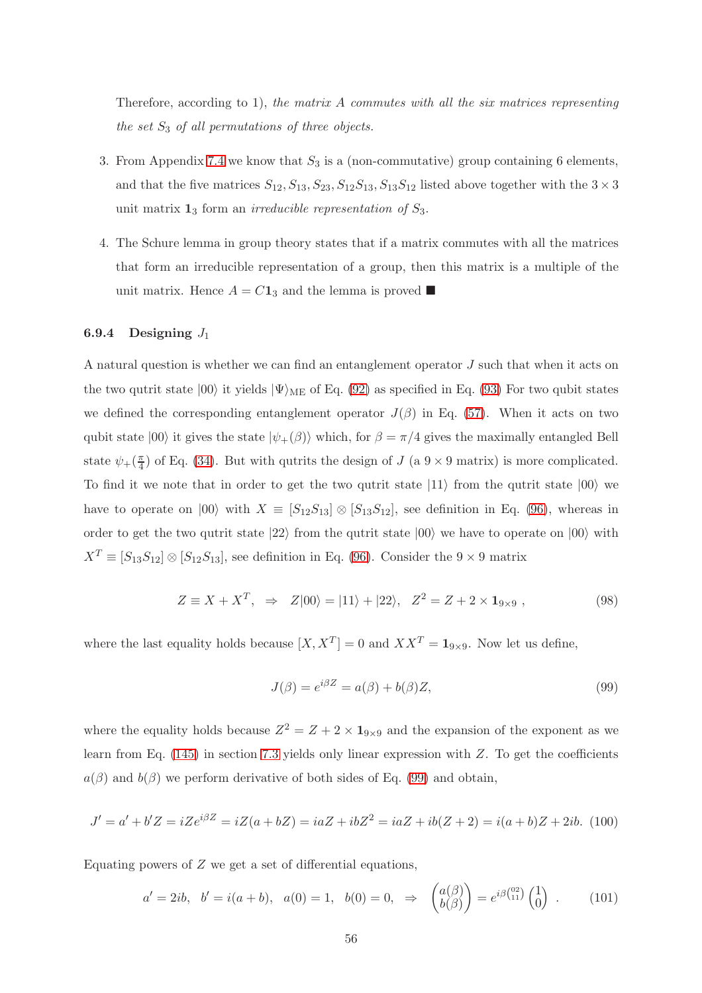Therefore, according to 1), the matrix  $A$  commutes with all the six matrices representing the set  $S_3$  of all permutations of three objects.

- 3. From Appendix [7.4](#page-76-0) we know that  $S_3$  is a (non-commutative) group containing 6 elements, and that the five matrices  $S_{12}, S_{13}, S_{23}, S_{12}S_{13}, S_{13}S_{12}$  listed above together with the  $3 \times 3$ unit matrix  $\mathbf{1}_3$  form an *irreducible representation of*  $S_3$ .
- 4. The Schure lemma in group theory states that if a matrix commutes with all the matrices that form an irreducible representation of a group, then this matrix is a multiple of the unit matrix. Hence  $A = C\mathbf{1}_3$  and the lemma is proved

# 6.9.4 Designing  $J_1$

A natural question is whether we can find an entanglement operator J such that when it acts on the two qutrit state  $|00\rangle$  it yields  $|\Psi\rangle_{\text{ME}}$  of Eq. [\(92\)](#page-53-1) as specified in Eq. [\(93\)](#page-53-2) For two qubit states we defined the corresponding entanglement operator  $J(\beta)$  in Eq. [\(57\)](#page-32-2). When it acts on two qubit state  $|00\rangle$  it gives the state  $|\psi_{+}(\beta)\rangle$  which, for  $\beta = \pi/4$  gives the maximally entangled Bell state  $\psi_+(\frac{\pi}{4})$  $\frac{\pi}{4}$  of Eq. [\(34\)](#page-21-2). But with qutrits the design of J (a  $9 \times 9$  matrix) is more complicated. To find it we note that in order to get the two qutrit state  $|11\rangle$  from the qutrit state  $|00\rangle$  we have to operate on  $|00\rangle$  with  $X \equiv [S_{12}S_{13}] \otimes [S_{13}S_{12}]$ , see definition in Eq. [\(96\)](#page-54-0), whereas in order to get the two qutrit state  $|22\rangle$  from the qutrit state  $|00\rangle$  we have to operate on  $|00\rangle$  with  $X^T \equiv [S_{13}S_{12}] \otimes [S_{12}S_{13}]$ , see definition in Eq. [\(96\)](#page-54-0). Consider the 9 × 9 matrix

<span id="page-55-1"></span>
$$
Z \equiv X + X^T, \Rightarrow Z|00\rangle = |11\rangle + |22\rangle, \quad Z^2 = Z + 2 \times \mathbf{1}_{9 \times 9} , \tag{98}
$$

where the last equality holds because  $[X, X^T] = 0$  and  $XX^T = \mathbf{1}_{9 \times 9}$ . Now let us define,

<span id="page-55-0"></span>
$$
J(\beta) = e^{i\beta Z} = a(\beta) + b(\beta)Z,
$$
\n(99)

where the equality holds because  $Z^2 = Z + 2 \times 1_{9 \times 9}$  and the expansion of the exponent as we learn from Eq.  $(145)$  in section [7.3](#page-70-0) yields only linear expression with Z. To get the coefficients  $a(\beta)$  and  $b(\beta)$  we perform derivative of both sides of Eq. [\(99\)](#page-55-0) and obtain,

$$
J' = a' + b'Z = iZe^{i\beta Z} = iZ(a + bZ) = iaZ + ibZ^2 = iaZ + ib(Z + 2) = i(a + b)Z + 2ib.
$$
 (100)

Equating powers of  $Z$  we get a set of differential equations,

$$
a' = 2ib, \quad b' = i(a+b), \quad a(0) = 1, \quad b(0) = 0, \quad \Rightarrow \quad \begin{pmatrix} a(\beta) \\ b(\beta) \end{pmatrix} = e^{i\beta \begin{pmatrix} 02 \\ 11 \end{pmatrix}} \begin{pmatrix} 1 \\ 0 \end{pmatrix} . \tag{101}
$$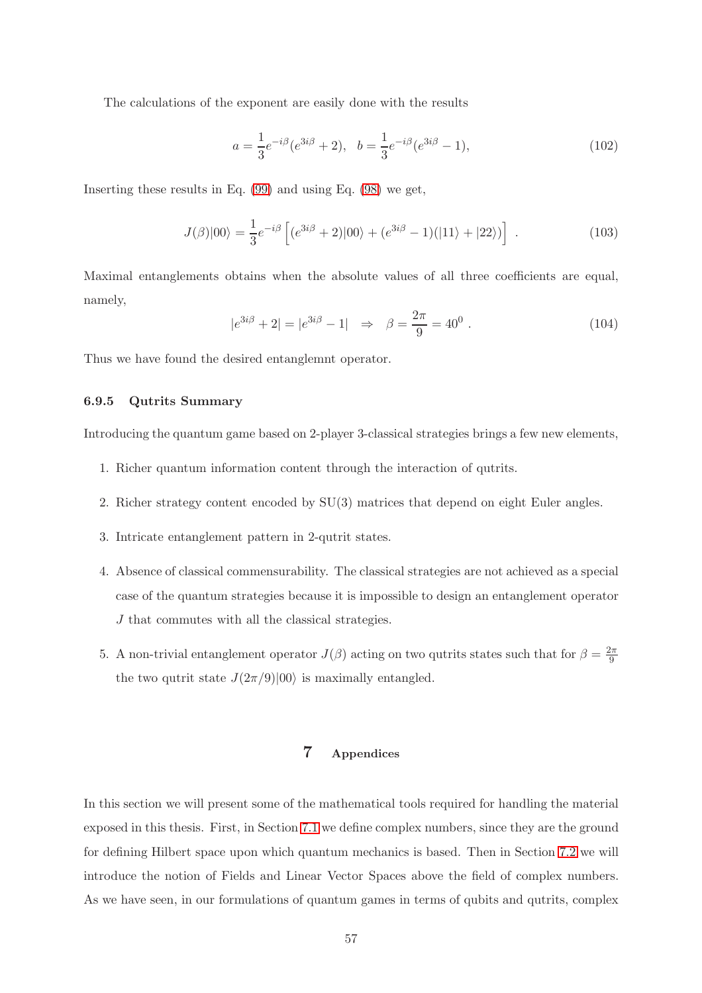The calculations of the exponent are easily done with the results

$$
a = \frac{1}{3}e^{-i\beta}(e^{3i\beta} + 2), \quad b = \frac{1}{3}e^{-i\beta}(e^{3i\beta} - 1),\tag{102}
$$

Inserting these results in Eq. [\(99\)](#page-55-0) and using Eq. [\(98\)](#page-55-1) we get,

$$
J(\beta)|00\rangle = \frac{1}{3}e^{-i\beta} \left[ (e^{3i\beta} + 2)|00\rangle + (e^{3i\beta} - 1)(|11\rangle + |22\rangle) \right] . \tag{103}
$$

Maximal entanglements obtains when the absolute values of all three coefficients are equal, namely,

$$
|e^{3i\beta} + 2| = |e^{3i\beta} - 1| \Rightarrow \beta = \frac{2\pi}{9} = 40^0.
$$
 (104)

Thus we have found the desired entanglemnt operator.

# 6.9.5 Qutrits Summary

Introducing the quantum game based on 2-player 3-classical strategies brings a few new elements,

- 1. Richer quantum information content through the interaction of qutrits.
- 2. Richer strategy content encoded by SU(3) matrices that depend on eight Euler angles.
- 3. Intricate entanglement pattern in 2-qutrit states.
- 4. Absence of classical commensurability. The classical strategies are not achieved as a special case of the quantum strategies because it is impossible to design an entanglement operator J that commutes with all the classical strategies.
- 5. A non-trivial entanglement operator  $J(\beta)$  acting on two qutrits states such that for  $\beta = \frac{2\pi}{9}$ 9 the two qutrit state  $J(2\pi/9)|00\rangle$  is maximally entangled.

# 7 Appendices

In this section we will present some of the mathematical tools required for handling the material exposed in this thesis. First, in Section [7.1](#page-57-0) we define complex numbers, since they are the ground for defining Hilbert space upon which quantum mechanics is based. Then in Section [7.2](#page-64-0) we will introduce the notion of Fields and Linear Vector Spaces above the field of complex numbers. As we have seen, in our formulations of quantum games in terms of qubits and qutrits, complex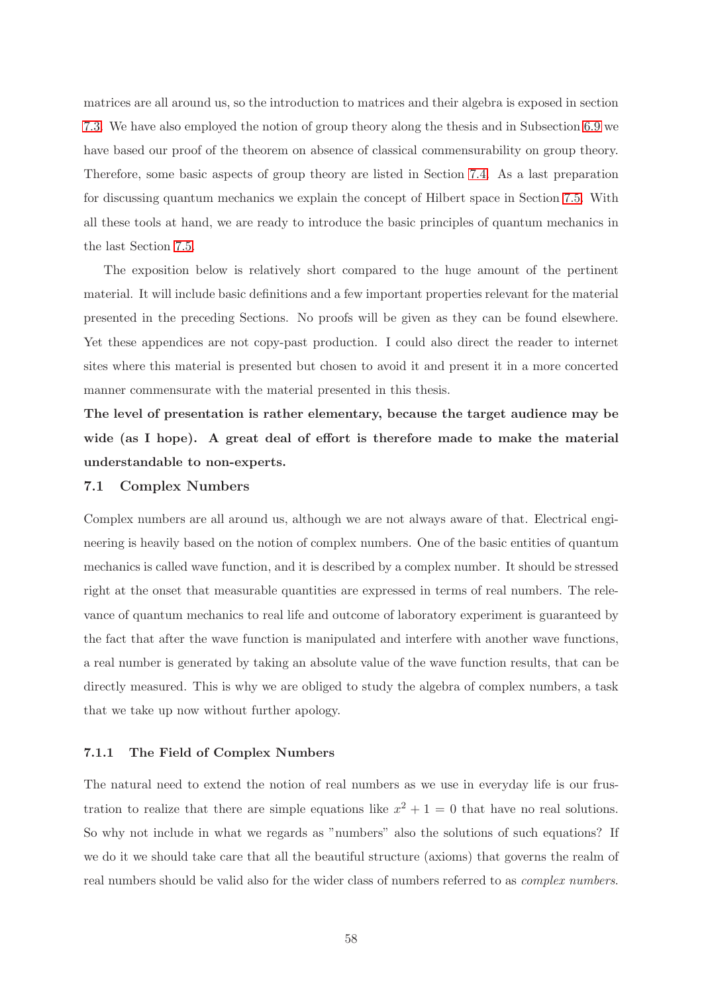matrices are all around us, so the introduction to matrices and their algebra is exposed in section [7.3.](#page-70-0) We have also employed the notion of group theory along the thesis and in Subsection [6.9](#page-51-0) we have based our proof of the theorem on absence of classical commensurability on group theory. Therefore, some basic aspects of group theory are listed in Section [7.4.](#page-76-0) As a last preparation for discussing quantum mechanics we explain the concept of Hilbert space in Section [7.5.](#page-90-0) With all these tools at hand, we are ready to introduce the basic principles of quantum mechanics in the last Section [7.5.](#page-90-0)

The exposition below is relatively short compared to the huge amount of the pertinent material. It will include basic definitions and a few important properties relevant for the material presented in the preceding Sections. No proofs will be given as they can be found elsewhere. Yet these appendices are not copy-past production. I could also direct the reader to internet sites where this material is presented but chosen to avoid it and present it in a more concerted manner commensurate with the material presented in this thesis.

The level of presentation is rather elementary, because the target audience may be wide (as I hope). A great deal of effort is therefore made to make the material understandable to non-experts.

### <span id="page-57-0"></span>7.1 Complex Numbers

Complex numbers are all around us, although we are not always aware of that. Electrical engineering is heavily based on the notion of complex numbers. One of the basic entities of quantum mechanics is called wave function, and it is described by a complex number. It should be stressed right at the onset that measurable quantities are expressed in terms of real numbers. The relevance of quantum mechanics to real life and outcome of laboratory experiment is guaranteed by the fact that after the wave function is manipulated and interfere with another wave functions, a real number is generated by taking an absolute value of the wave function results, that can be directly measured. This is why we are obliged to study the algebra of complex numbers, a task that we take up now without further apology.

# 7.1.1 The Field of Complex Numbers

The natural need to extend the notion of real numbers as we use in everyday life is our frustration to realize that there are simple equations like  $x^2 + 1 = 0$  that have no real solutions. So why not include in what we regards as "numbers" also the solutions of such equations? If we do it we should take care that all the beautiful structure (axioms) that governs the realm of real numbers should be valid also for the wider class of numbers referred to as complex numbers.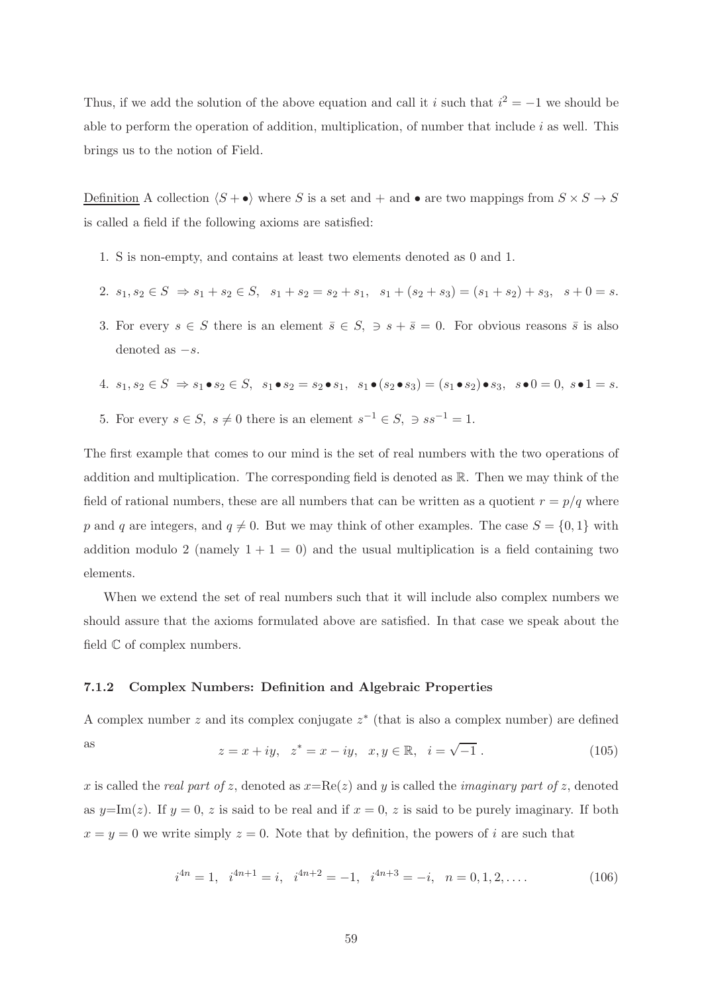Thus, if we add the solution of the above equation and call it *i* such that  $i^2 = -1$  we should be able to perform the operation of addition, multiplication, of number that include  $i$  as well. This brings us to the notion of Field.

Definition A collection  $\langle S + \bullet \rangle$  where S is a set and + and  $\bullet$  are two mappings from  $S \times S \to S$ is called a field if the following axioms are satisfied:

- 1. S is non-empty, and contains at least two elements denoted as 0 and 1.
- 2.  $s_1, s_2 \in S \Rightarrow s_1 + s_2 \in S$ ,  $s_1 + s_2 = s_2 + s_1$ ,  $s_1 + (s_2 + s_3) = (s_1 + s_2) + s_3$ ,  $s + 0 = s$ .
- 3. For every  $s \in S$  there is an element  $\overline{s} \in S$ ,  $\Rightarrow s + \overline{s} = 0$ . For obvious reasons  $\overline{s}$  is also denoted as  $-s$ .

4. 
$$
s_1, s_2 \in S \Rightarrow s_1 \bullet s_2 \in S
$$
,  $s_1 \bullet s_2 = s_2 \bullet s_1$ ,  $s_1 \bullet (s_2 \bullet s_3) = (s_1 \bullet s_2) \bullet s_3$ ,  $s \bullet 0 = 0$ ,  $s \bullet 1 = s$ .

5. For every  $s \in S$ ,  $s \neq 0$  there is an element  $s^{-1} \in S$ ,  $\Rightarrow ss^{-1} = 1$ .

The first example that comes to our mind is the set of real numbers with the two operations of addition and multiplication. The corresponding field is denoted as R. Then we may think of the field of rational numbers, these are all numbers that can be written as a quotient  $r = p/q$  where p and q are integers, and  $q \neq 0$ . But we may think of other examples. The case  $S = \{0, 1\}$  with addition modulo 2 (namely  $1 + 1 = 0$ ) and the usual multiplication is a field containing two elements.

When we extend the set of real numbers such that it will include also complex numbers we should assure that the axioms formulated above are satisfied. In that case we speak about the field  $\mathbb C$  of complex numbers.

### 7.1.2 Complex Numbers: Definition and Algebraic Properties

<span id="page-58-0"></span>A complex number z and its complex conjugate  $z^*$  (that is also a complex number) are defined as  $z = x + iy$ ,  $z^* = x - iy$ ,  $x, y \in \mathbb{R}$ ,  $i = \sqrt{\ }$  $(105)$ 

x is called the real part of z, denoted as  $x=Re(z)$  and y is called the *imaginary part of z*, denoted as  $y=\text{Im}(z)$ . If  $y=0, z$  is said to be real and if  $x=0, z$  is said to be purely imaginary. If both  $x = y = 0$  we write simply  $z = 0$ . Note that by definition, the powers of i are such that

$$
i^{4n} = 1, \quad i^{4n+1} = i, \quad i^{4n+2} = -1, \quad i^{4n+3} = -i, \quad n = 0, 1, 2, \dots
$$
\n
$$
(106)
$$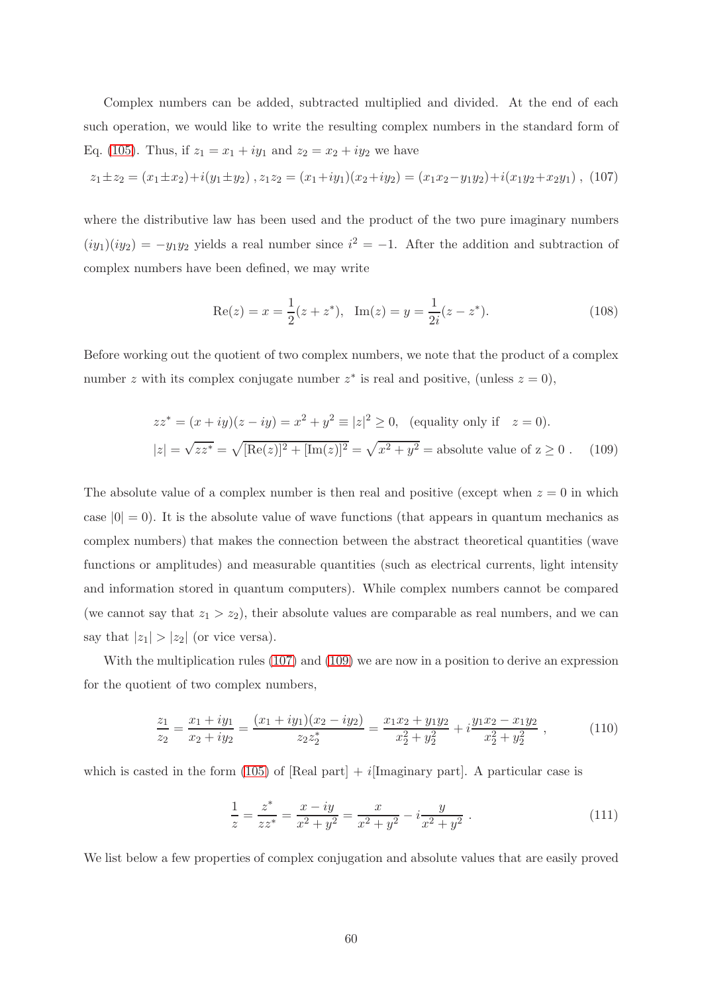Complex numbers can be added, subtracted multiplied and divided. At the end of each such operation, we would like to write the resulting complex numbers in the standard form of Eq. [\(105\)](#page-58-0). Thus, if  $z_1 = x_1 + iy_1$  and  $z_2 = x_2 + iy_2$  we have

<span id="page-59-0"></span>
$$
z_1 \pm z_2 = (x_1 \pm x_2) + i(y_1 \pm y_2), z_1 z_2 = (x_1 + iy_1)(x_2 + iy_2) = (x_1 x_2 - y_1 y_2) + i(x_1 y_2 + x_2 y_1),
$$
 (107)

where the distributive law has been used and the product of the two pure imaginary numbers  $(iy_1)(iy_2) = -y_1y_2$  yields a real number since  $i^2 = -1$ . After the addition and subtraction of complex numbers have been defined, we may write

$$
Re(z) = x = \frac{1}{2}(z + z^*), Im(z) = y = \frac{1}{2i}(z - z^*).
$$
 (108)

Before working out the quotient of two complex numbers, we note that the product of a complex number z with its complex conjugate number  $z^*$  is real and positive, (unless  $z = 0$ ),

<span id="page-59-1"></span>
$$
zz^* = (x + iy)(z - iy) = x^2 + y^2 \equiv |z|^2 \ge 0, \text{ (equality only if } z = 0).
$$
  

$$
|z| = \sqrt{zz^*} = \sqrt{[\text{Re}(z)]^2 + [\text{Im}(z)]^2} = \sqrt{x^2 + y^2} = \text{absolute value of } z \ge 0. \quad (109)
$$

The absolute value of a complex number is then real and positive (except when  $z = 0$  in which case  $|0| = 0$ ). It is the absolute value of wave functions (that appears in quantum mechanics as complex numbers) that makes the connection between the abstract theoretical quantities (wave functions or amplitudes) and measurable quantities (such as electrical currents, light intensity and information stored in quantum computers). While complex numbers cannot be compared (we cannot say that  $z_1 > z_2$ ), their absolute values are comparable as real numbers, and we can say that  $|z_1| > |z_2|$  (or vice versa).

With the multiplication rules [\(107\)](#page-59-0) and [\(109\)](#page-59-1) we are now in a position to derive an expression for the quotient of two complex numbers,

$$
\frac{z_1}{z_2} = \frac{x_1 + iy_1}{x_2 + iy_2} = \frac{(x_1 + iy_1)(x_2 - iy_2)}{z_2 z_2^*} = \frac{x_1 x_2 + y_1 y_2}{x_2^2 + y_2^2} + i \frac{y_1 x_2 - x_1 y_2}{x_2^2 + y_2^2} ,\qquad (110)
$$

which is casted in the form [\(105\)](#page-58-0) of [Real part]  $+ i$ [Imaginary part]. A particular case is

$$
\frac{1}{z} = \frac{z^*}{zz^*} = \frac{x - iy}{x^2 + y^2} = \frac{x}{x^2 + y^2} - i\frac{y}{x^2 + y^2} \ . \tag{111}
$$

We list below a few properties of complex conjugation and absolute values that are easily proved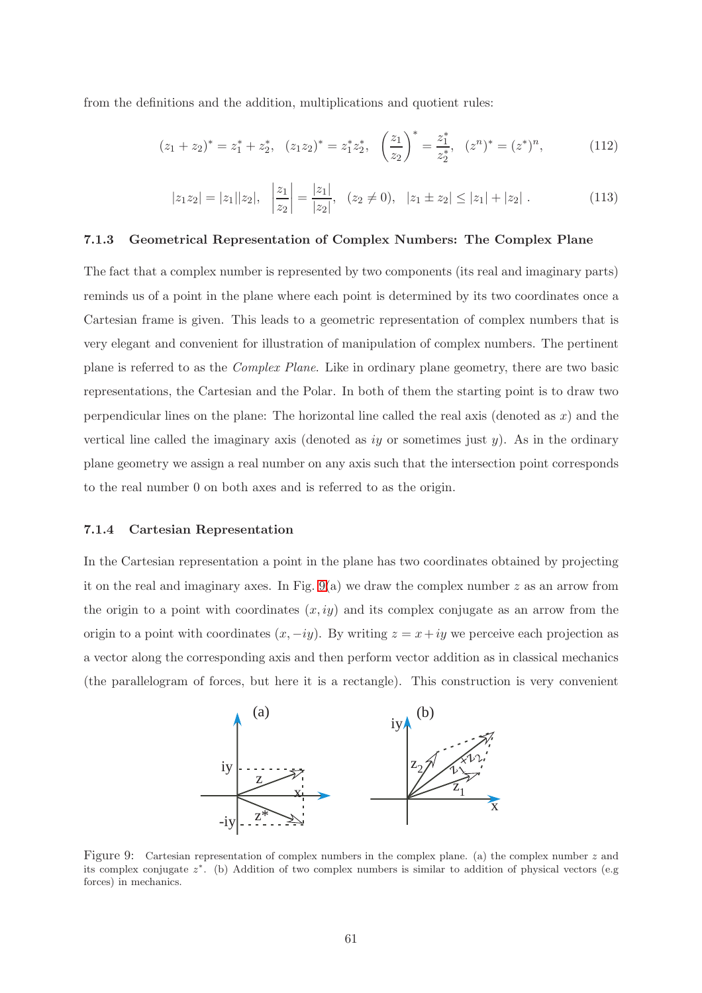from the definitions and the addition, multiplications and quotient rules:

$$
(z_1 + z_2)^* = z_1^* + z_2^*, \quad (z_1 z_2)^* = z_1^* z_2^*, \quad \left(\frac{z_1}{z_2}\right)^* = \frac{z_1^*}{z_2^*}, \quad (z^n)^* = (z^*)^n, \tag{112}
$$

$$
|z_1 z_2| = |z_1||z_2|, \quad \left|\frac{z_1}{z_2}\right| = \frac{|z_1|}{|z_2|}, \quad (z_2 \neq 0), \quad |z_1 \pm z_2| \leq |z_1| + |z_2| \,. \tag{113}
$$

# 7.1.3 Geometrical Representation of Complex Numbers: The Complex Plane

The fact that a complex number is represented by two components (its real and imaginary parts) reminds us of a point in the plane where each point is determined by its two coordinates once a Cartesian frame is given. This leads to a geometric representation of complex numbers that is very elegant and convenient for illustration of manipulation of complex numbers. The pertinent plane is referred to as the Complex Plane. Like in ordinary plane geometry, there are two basic representations, the Cartesian and the Polar. In both of them the starting point is to draw two perpendicular lines on the plane: The horizontal line called the real axis (denoted as  $x$ ) and the vertical line called the imaginary axis (denoted as  $iy$  or sometimes just  $y$ ). As in the ordinary plane geometry we assign a real number on any axis such that the intersection point corresponds to the real number 0 on both axes and is referred to as the origin.

#### 7.1.4 Cartesian Representation

In the Cartesian representation a point in the plane has two coordinates obtained by projecting it on the real and imaginary axes. In Fig.  $9(a)$  we draw the complex number z as an arrow from the origin to a point with coordinates  $(x, iy)$  and its complex conjugate as an arrow from the origin to a point with coordinates  $(x, -iy)$ . By writing  $z = x + iy$  we perceive each projection as a vector along the corresponding axis and then perform vector addition as in classical mechanics (the parallelogram of forces, but here it is a rectangle). This construction is very convenient



<span id="page-60-0"></span>Figure 9: Cartesian representation of complex numbers in the complex plane. (a) the complex number  $z$  and its complex conjugate z ∗ . (b) Addition of two complex numbers is similar to addition of physical vectors (e.g forces) in mechanics.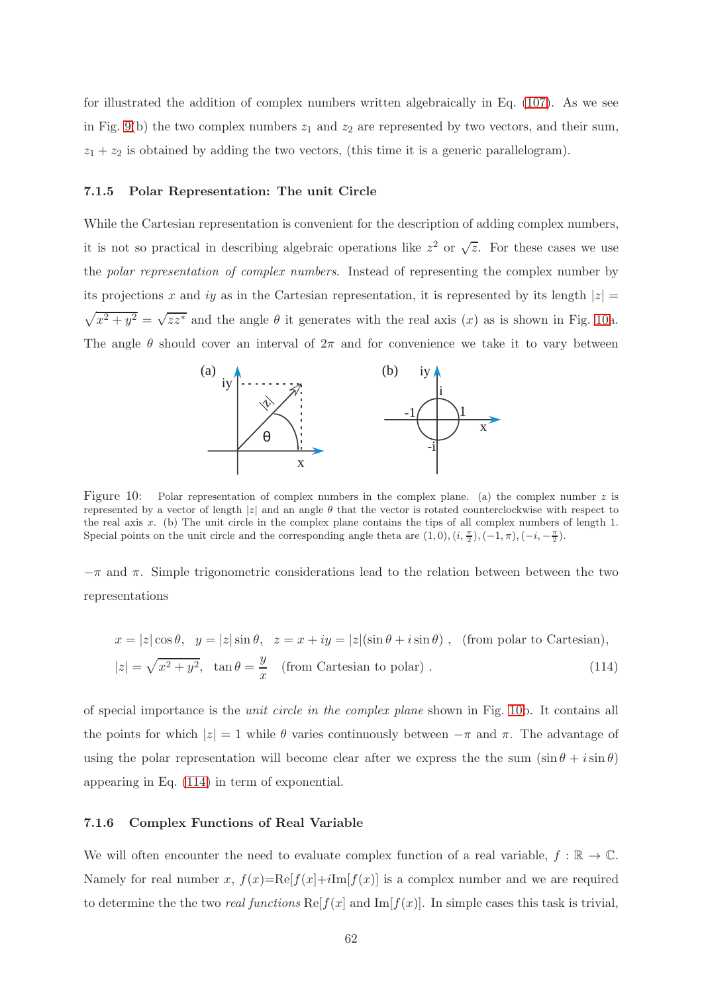for illustrated the addition of complex numbers written algebraically in Eq. [\(107\)](#page-59-0). As we see in Fig. [9\(](#page-60-0)b) the two complex numbers  $z_1$  and  $z_2$  are represented by two vectors, and their sum,  $z_1 + z_2$  is obtained by adding the two vectors, (this time it is a generic parallelogram).

#### 7.1.5 Polar Representation: The unit Circle

While the Cartesian representation is convenient for the description of adding complex numbers, it is not so practical in describing algebraic operations like  $z^2$  or  $\sqrt{z}$ . For these cases we use the polar representation of complex numbers. Instead of representing the complex number by its projections x and iy as in the Cartesian representation, it is represented by its length  $|z|$  =  $\sqrt{x^2 + y^2} = \sqrt{zz^*}$  and the angle  $\theta$  it generates with the real axis  $(x)$  as is shown in Fig. [10a](#page-61-0). The angle  $\theta$  should cover an interval of  $2\pi$  and for convenience we take it to vary between



<span id="page-61-0"></span>Figure 10: Polar representation of complex numbers in the complex plane. (a) the complex number  $z$  is represented by a vector of length |z| and an angle  $\theta$  that the vector is rotated counterclockwise with respect to the real axis  $x$ . (b) The unit circle in the complex plane contains the tips of all complex numbers of length 1. Special points on the unit circle and the corresponding angle theta are  $(1,0)$ ,  $(i, \frac{\pi}{2})$ ,  $(-1,\pi)$ ,  $(-i, -\frac{\pi}{2})$ .

 $-\pi$  and  $\pi$ . Simple trigonometric considerations lead to the relation between between the two representations

<span id="page-61-1"></span>
$$
x = |z|\cos\theta, \quad y = |z|\sin\theta, \quad z = x + iy = |z|(\sin\theta + i\sin\theta), \quad \text{(from polar to Cartesian)},
$$

$$
|z| = \sqrt{x^2 + y^2}, \quad \tan\theta = \frac{y}{x} \quad \text{(from Cartesian to polar)}.
$$
 (114)

of special importance is the unit circle in the complex plane shown in Fig. [10b](#page-61-0). It contains all the points for which  $|z| = 1$  while  $\theta$  varies continuously between  $-\pi$  and  $\pi$ . The advantage of using the polar representation will become clear after we express the the sum  $(\sin \theta + i \sin \theta)$ appearing in Eq. [\(114\)](#page-61-1) in term of exponential.

### 7.1.6 Complex Functions of Real Variable

We will often encounter the need to evaluate complex function of a real variable,  $f : \mathbb{R} \to \mathbb{C}$ . Namely for real number x,  $f(x)=Re[f(x]+iIm[f(x)]$  is a complex number and we are required to determine the two real functions  $\text{Re}[f(x)]$  and  $\text{Im}[f(x)]$ . In simple cases this task is trivial,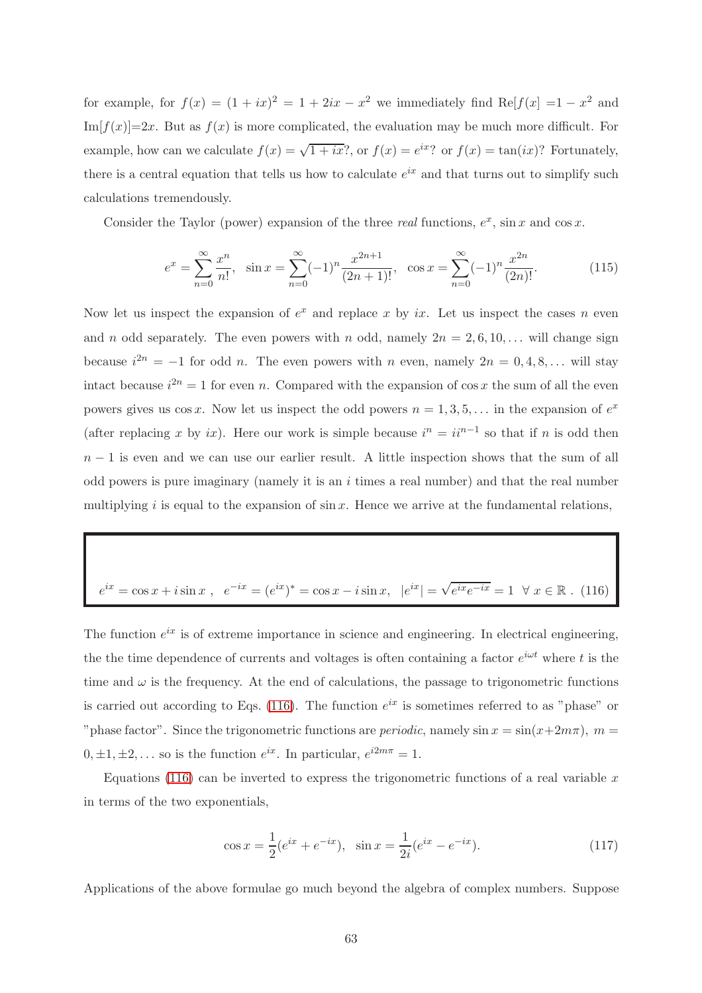for example, for  $f(x) = (1 + ix)^2 = 1 + 2ix - x^2$  we immediately find Re[ $f(x) = 1 - x^2$  and  $Im[f(x)] = 2x$ . But as  $f(x)$  is more complicated, the evaluation may be much more difficult. For example, how can we calculate  $f(x) = \sqrt{1 + ix}$ ?, or  $f(x) = e^{ix}$ ? or  $f(x) = \tan(ix)$ ? Fortunately, there is a central equation that tells us how to calculate  $e^{ix}$  and that turns out to simplify such calculations tremendously.

Consider the Taylor (power) expansion of the three real functions,  $e^x$ , sin x and cos x.

$$
e^{x} = \sum_{n=0}^{\infty} \frac{x^{n}}{n!}, \quad \sin x = \sum_{n=0}^{\infty} (-1)^{n} \frac{x^{2n+1}}{(2n+1)!}, \quad \cos x = \sum_{n=0}^{\infty} (-1)^{n} \frac{x^{2n}}{(2n)!}.
$$
 (115)

Now let us inspect the expansion of  $e^x$  and replace x by ix. Let us inspect the cases n even and n odd separately. The even powers with n odd, namely  $2n = 2, 6, 10, \ldots$  will change sign because  $i^{2n} = -1$  for odd *n*. The even powers with *n* even, namely  $2n = 0, 4, 8, \ldots$  will stay intact because  $i^{2n} = 1$  for even n. Compared with the expansion of cos x the sum of all the even powers gives us cos x. Now let us inspect the odd powers  $n = 1, 3, 5, \ldots$  in the expansion of  $e^x$ (after replacing x by ix). Here our work is simple because  $i^n = ii^{n-1}$  so that if n is odd then  $n-1$  is even and we can use our earlier result. A little inspection shows that the sum of all odd powers is pure imaginary (namely it is an  $i$  times a real number) and that the real number multiplying i is equal to the expansion of  $\sin x$ . Hence we arrive at the fundamental relations,

<span id="page-62-0"></span>
$$
e^{ix} = \cos x + i \sin x \ , \quad e^{-ix} = (e^{ix})^* = \cos x - i \sin x, \quad |e^{ix}| = \sqrt{e^{ix}e^{-ix}} = 1 \ \ \forall \ x \in \mathbb{R} \ . \tag{116}
$$

The function  $e^{ix}$  is of extreme importance in science and engineering. In electrical engineering, the the time dependence of currents and voltages is often containing a factor  $e^{i\omega t}$  where t is the time and  $\omega$  is the frequency. At the end of calculations, the passage to trigonometric functions is carried out according to Eqs. [\(116\)](#page-62-0). The function  $e^{ix}$  is sometimes referred to as "phase" or "phase factor". Since the trigonometric functions are *periodic*, namely  $\sin x = \sin(x+2m\pi)$ ,  $m =$  $0, \pm 1, \pm 2, \ldots$  so is the function  $e^{ix}$ . In particular,  $e^{i2m\pi} = 1$ .

Equations [\(116\)](#page-62-0) can be inverted to express the trigonometric functions of a real variable  $x$ in terms of the two exponentials,

$$
\cos x = \frac{1}{2}(e^{ix} + e^{-ix}), \quad \sin x = \frac{1}{2i}(e^{ix} - e^{-ix}).
$$
\n(117)

Applications of the above formulae go much beyond the algebra of complex numbers. Suppose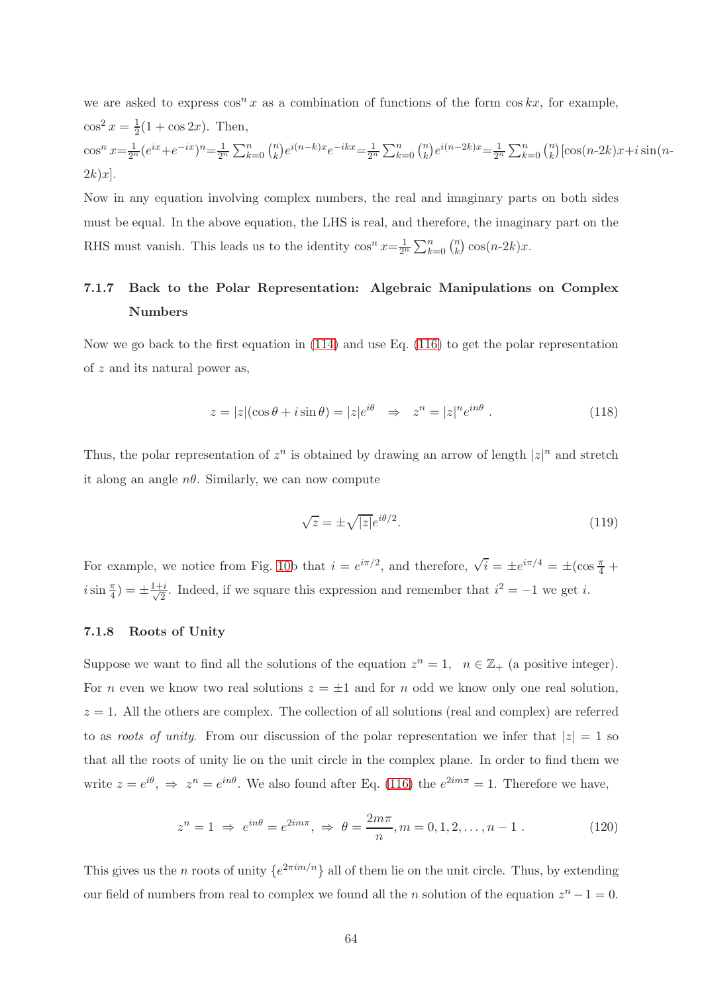we are asked to express  $\cos^n x$  as a combination of functions of the form  $\cos kx$ , for example,  $\cos^2 x = \frac{1}{2}$  $\frac{1}{2}(1 + \cos 2x)$ . Then,  $\cos^n x = \frac{1}{2^n} (e^{ix} + e^{-ix})^n = \frac{1}{2^n} \sum_{k=0}^n {n \choose k}$  $\binom{n}{k} e^{i(n-k)x} e^{-ikx} = \frac{1}{2^n} \sum_{k=0}^n \binom{n}{k}$  $_{k}^{n}$ ) $e^{i(n-2k)x} = \frac{1}{2^{n}} \sum_{k=0}^{n} {n \choose k}$  $\binom{n}{k}$ [cos(n-2k)x+i sin(n- $2k)x$ ].

Now in any equation involving complex numbers, the real and imaginary parts on both sides must be equal. In the above equation, the LHS is real, and therefore, the imaginary part on the RHS must vanish. This leads us to the identity  $\cos^n x = \frac{1}{2^n} \sum_{k=0}^n {n \choose k}$  $_{k}^{n}$ )  $\cos(n-2k)x$ .

# 7.1.7 Back to the Polar Representation: Algebraic Manipulations on Complex Numbers

Now we go back to the first equation in  $(114)$  and use Eq. [\(116\)](#page-62-0) to get the polar representation of z and its natural power as,

$$
z = |z|(\cos\theta + i\sin\theta) = |z|e^{i\theta} \Rightarrow z^n = |z|^n e^{in\theta}.
$$
 (118)

Thus, the polar representation of  $z^n$  is obtained by drawing an arrow of length  $|z|^n$  and stretch it along an angle  $n\theta$ . Similarly, we can now compute

$$
\sqrt{z} = \pm \sqrt{|z|} e^{i\theta/2}.
$$
\n(119)

For example, we notice from Fig. [10b](#page-61-0) that  $i = e^{i\pi/2}$ , and therefore,  $\sqrt{i} = \pm e^{i\pi/4} = \pm(\cos{\frac{\pi}{4}} + \cos{\frac{\pi}{4}})$  $i\sin\frac{\pi}{4}$  =  $\pm\frac{1+i}{\sqrt{2}}$  $\frac{i}{2}$ . Indeed, if we square this expression and remember that  $i^2 = -1$  we get *i*.

# 7.1.8 Roots of Unity

Suppose we want to find all the solutions of the equation  $z^n = 1$ ,  $n \in \mathbb{Z}_+$  (a positive integer). For *n* even we know two real solutions  $z = \pm 1$  and for *n* odd we know only one real solution,  $z = 1$ . All the others are complex. The collection of all solutions (real and complex) are referred to as roots of unity. From our discussion of the polar representation we infer that  $|z|=1$  so that all the roots of unity lie on the unit circle in the complex plane. In order to find them we write  $z = e^{i\theta}$ ,  $\Rightarrow z^n = e^{in\theta}$ . We also found after Eq. [\(116\)](#page-62-0) the  $e^{2im\pi} = 1$ . Therefore we have,

$$
z^{n} = 1 \implies e^{in\theta} = e^{2im\pi}, \implies \theta = \frac{2m\pi}{n}, m = 0, 1, 2, \dots, n - 1.
$$
 (120)

This gives us the *n* roots of unity  $\{e^{2\pi im/n}\}\$  all of them lie on the unit circle. Thus, by extending our field of numbers from real to complex we found all the *n* solution of the equation  $z^n - 1 = 0$ .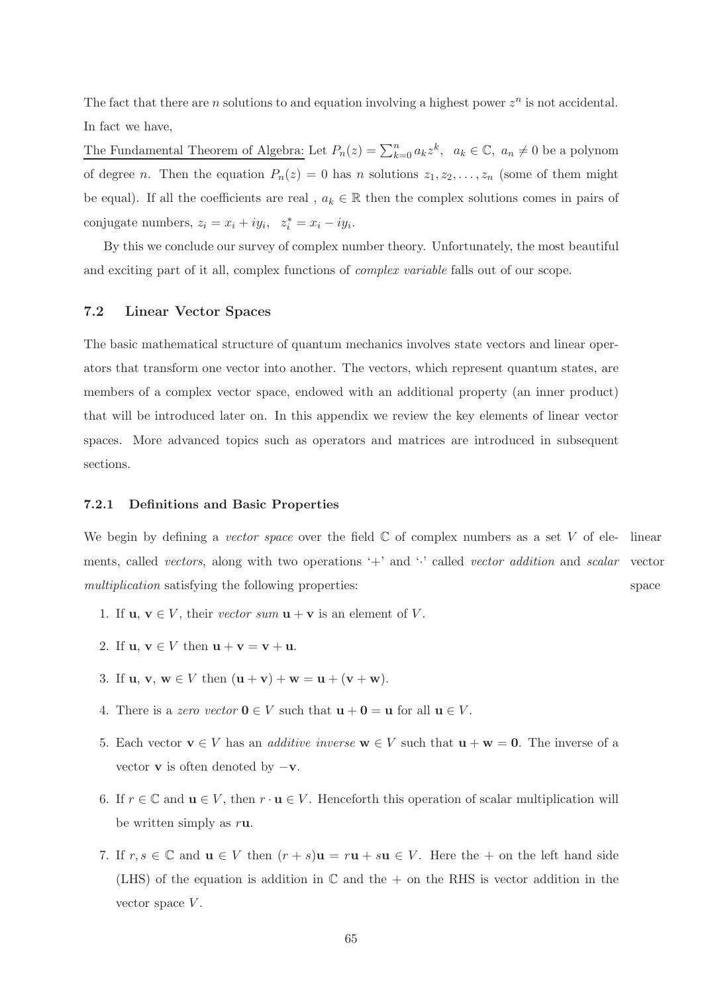The fact that there are n solutions to and equation involving a highest power  $z^n$  is not accidental. In fact we have,

The Fundamental Theorem of Algebra: Let  $P_n(z) = \sum_{k=0}^n a_k z^k$ ,  $a_k \in \mathbb{C}$ ,  $a_n \neq 0$  be a polynom of degree n. Then the equation  $P_n(z) = 0$  has n solutions  $z_1, z_2, \ldots, z_n$  (some of them might be equal). If all the coefficients are real,  $a_k \in \mathbb{R}$  then the complex solutions comes in pairs of conjugate numbers,  $z_i = x_i + iy_i$ ,  $z_i^* = x_i - iy_i$ .

<span id="page-64-0"></span>By this we conclude our survey of complex number theory. Unfortunately, the most beautiful and exciting part of it all, complex functions of *complex variable* falls out of our scope.

# 7.2 Linear Vector Spaces

The basic mathematical structure of quantum mechanics involves state vectors and linear operators that transform one vector into another. The vectors, which represent quantum states, are members of a complex vector space, endowed with an additional property (an inner product) that will be introduced later on. In this appendix we review the key elements of linear vector spaces. More advanced topics such as operators and matrices are introduced in subsequent sections.

### 7.2.1 Definitions and Basic Properties

We begin by defining a vector space over the field  $\mathbb C$  of complex numbers as a set V of ele- linear ments, called *vectors*, along with two operations '+' and ' $\cdot$ ' called *vector addition* and *scalar* vector space multiplication satisfying the following properties:

- 1. If  $\mathbf{u}, \mathbf{v} \in V$ , their vector sum  $\mathbf{u} + \mathbf{v}$  is an element of V.
- 2. If  $\mathbf{u}, \mathbf{v} \in V$  then  $\mathbf{u} + \mathbf{v} = \mathbf{v} + \mathbf{u}$ .
- 3. If  $u, v, w \in V$  then  $(u + v) + w = u + (v + w)$ .
- 4. There is a zero vector  $\mathbf{0} \in V$  such that  $\mathbf{u} + \mathbf{0} = \mathbf{u}$  for all  $\mathbf{u} \in V$ .
- 5. Each vector  $\mathbf{v} \in V$  has an *additive inverse*  $\mathbf{w} \in V$  such that  $\mathbf{u} + \mathbf{w} = \mathbf{0}$ . The inverse of a vector **v** is often denoted by  $-\mathbf{v}$ .
- 6. If  $r \in \mathbb{C}$  and  $\mathbf{u} \in V$ , then  $r \cdot \mathbf{u} \in V$ . Henceforth this operation of scalar multiplication will be written simply as ru.
- 7. If  $r, s \in \mathbb{C}$  and  $\mathbf{u} \in V$  then  $(r + s)\mathbf{u} = r\mathbf{u} + s\mathbf{u} \in V$ . Here the + on the left hand side (LHS) of the equation is addition in  $\mathbb C$  and the  $+$  on the RHS is vector addition in the vector space  $V$ .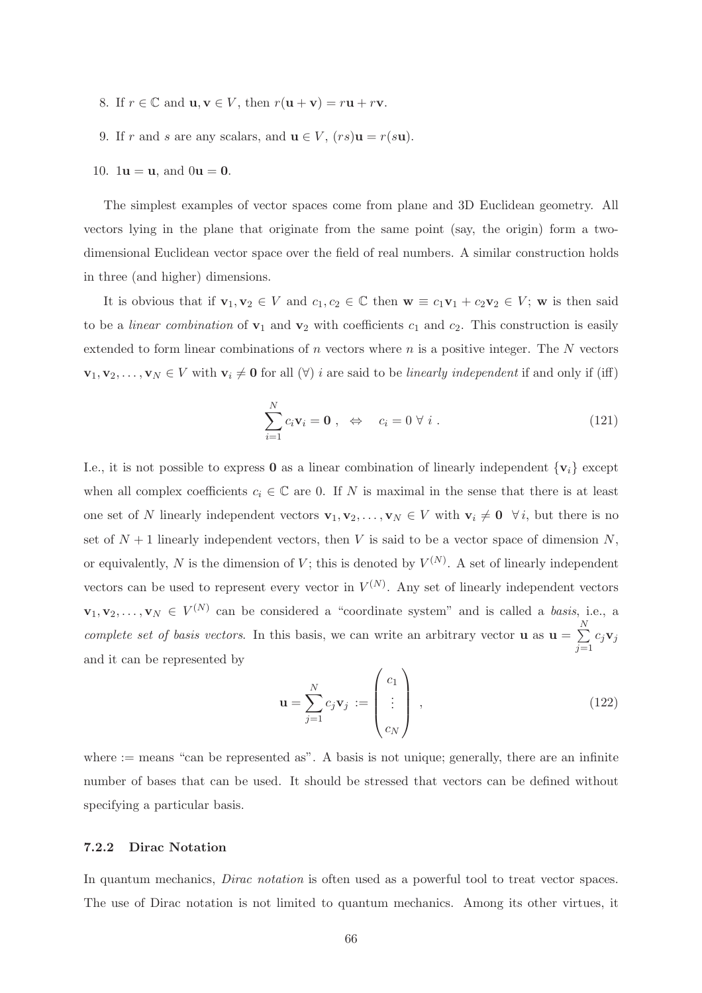- 8. If  $r \in \mathbb{C}$  and  $\mathbf{u}, \mathbf{v} \in V$ , then  $r(\mathbf{u} + \mathbf{v}) = r\mathbf{u} + r\mathbf{v}$ .
- 9. If r and s are any scalars, and  $\mathbf{u} \in V$ ,  $(rs)\mathbf{u} = r(s\mathbf{u})$ .
- 10.  $1u = u$ , and  $0u = 0$ .

The simplest examples of vector spaces come from plane and 3D Euclidean geometry. All vectors lying in the plane that originate from the same point (say, the origin) form a twodimensional Euclidean vector space over the field of real numbers. A similar construction holds in three (and higher) dimensions.

It is obvious that if  $\mathbf{v}_1, \mathbf{v}_2 \in V$  and  $c_1, c_2 \in \mathbb{C}$  then  $\mathbf{w} \equiv c_1 \mathbf{v}_1 + c_2 \mathbf{v}_2 \in V$ ; w is then said to be a *linear combination* of  $v_1$  and  $v_2$  with coefficients  $c_1$  and  $c_2$ . This construction is easily extended to form linear combinations of n vectors where  $n$  is a positive integer. The  $N$  vectors  $\mathbf{v}_1, \mathbf{v}_2, \ldots, \mathbf{v}_N \in V$  with  $\mathbf{v}_i \neq \mathbf{0}$  for all  $(\forall)$  i are said to be linearly independent if and only if (iff)

$$
\sum_{i=1}^{N} c_i \mathbf{v}_i = \mathbf{0} , \Leftrightarrow c_i = 0 \ \forall \ i .
$$
 (121)

I.e., it is not possible to express 0 as a linear combination of linearly independent  $\{v_i\}$  except when all complex coefficients  $c_i \in \mathbb{C}$  are 0. If N is maximal in the sense that there is at least one set of N linearly independent vectors  $\mathbf{v}_1, \mathbf{v}_2, \ldots, \mathbf{v}_N \in V$  with  $\mathbf{v}_i \neq \mathbf{0}$   $\forall i$ , but there is no set of  $N + 1$  linearly independent vectors, then V is said to be a vector space of dimension N, or equivalently, N is the dimension of V; this is denoted by  $V^{(N)}$ . A set of linearly independent vectors can be used to represent every vector in  $V^{(N)}$ . Any set of linearly independent vectors  $\mathbf{v}_1, \mathbf{v}_2, \ldots, \mathbf{v}_N \in V^{(N)}$  can be considered a "coordinate system" and is called a basis, i.e., a complete set of basis vectors. In this basis, we can write an arbitrary vector **u** as  $\mathbf{u} = \sum_{n=1}^{N}$  $j=1$  $c_j\mathbf{v}_j$ and it can be represented by

<span id="page-65-0"></span>
$$
\mathbf{u} = \sum_{j=1}^{N} c_j \mathbf{v}_j := \begin{pmatrix} c_1 \\ \vdots \\ c_N \end{pmatrix} , \qquad (122)
$$

where  $:=$  means "can be represented as". A basis is not unique; generally, there are an infinite number of bases that can be used. It should be stressed that vectors can be defined without specifying a particular basis.

# 7.2.2 Dirac Notation

In quantum mechanics, *Dirac notation* is often used as a powerful tool to treat vector spaces. The use of Dirac notation is not limited to quantum mechanics. Among its other virtues, it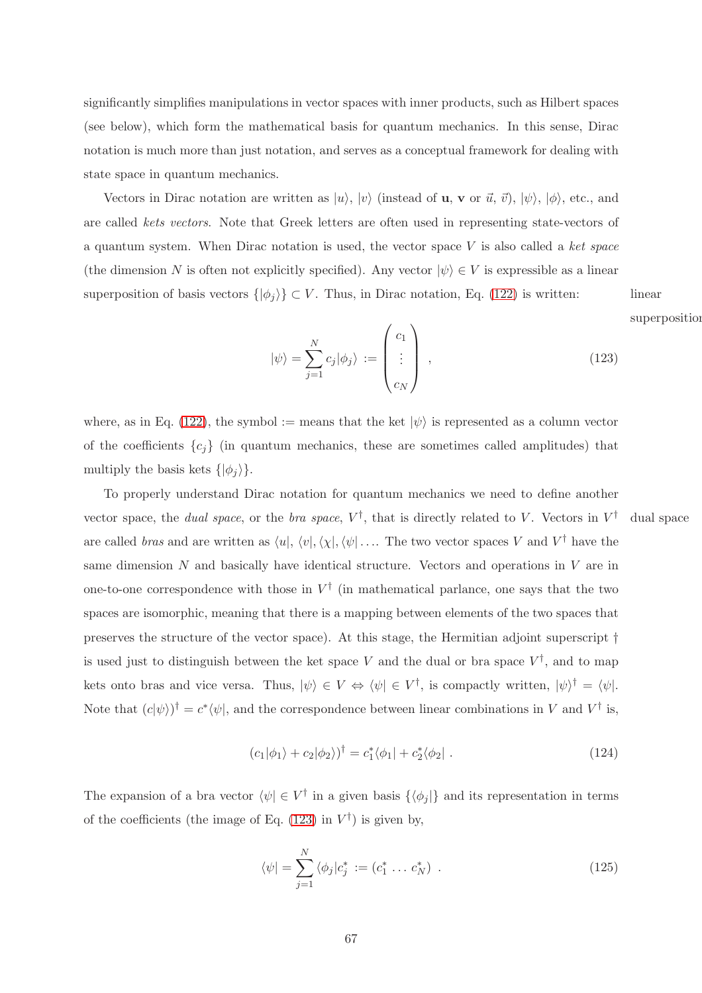significantly simplifies manipulations in vector spaces with inner products, such as Hilbert spaces (see below), which form the mathematical basis for quantum mechanics. In this sense, Dirac notation is much more than just notation, and serves as a conceptual framework for dealing with state space in quantum mechanics.

Vectors in Dirac notation are written as  $|u\rangle$ ,  $|v\rangle$  (instead of **u**, **v** or  $\vec{u}$ ,  $\vec{v}$ ),  $|\psi\rangle$ ,  $|\phi\rangle$ , etc., and are called kets vectors. Note that Greek letters are often used in representing state-vectors of a quantum system. When Dirac notation is used, the vector space  $V$  is also called a ket space (the dimension N is often not explicitly specified). Any vector  $|\psi\rangle \in V$  is expressible as a linear superposition of basis vectors  $\{|\phi_j\rangle\} \subset V$ . Thus, in Dirac notation, Eq. [\(122\)](#page-65-0) is written: linear

superposition

<span id="page-66-0"></span>
$$
|\psi\rangle = \sum_{j=1}^{N} c_j |\phi_j\rangle := \begin{pmatrix} c_1 \\ \vdots \\ c_N \end{pmatrix} ,
$$
 (123)

where, as in Eq. [\(122\)](#page-65-0), the symbol := means that the ket  $|\psi\rangle$  is represented as a column vector of the coefficients  ${c_i}$  (in quantum mechanics, these are sometimes called amplitudes) that multiply the basis kets  $\{|\phi_i\rangle\}.$ 

To properly understand Dirac notation for quantum mechanics we need to define another vector space, the *dual space*, or the *bra space*,  $V^{\dagger}$ , that is directly related to V. Vectors in V † dual space are called *bras* and are written as  $\langle u|, \langle v|, \langle \chi |, \langle \psi | \dots$  The two vector spaces V and V<sup>†</sup> have the same dimension  $N$  and basically have identical structure. Vectors and operations in  $V$  are in one-to-one correspondence with those in  $V^{\dagger}$  (in mathematical parlance, one says that the two spaces are isomorphic, meaning that there is a mapping between elements of the two spaces that preserves the structure of the vector space). At this stage, the Hermitian adjoint superscript † is used just to distinguish between the ket space V and the dual or bra space  $V^{\dagger}$ , and to map kets onto bras and vice versa. Thus,  $|\psi\rangle \in V \Leftrightarrow \langle \psi | \in V^{\dagger}$ , is compactly written,  $|\psi\rangle^{\dagger} = \langle \psi |$ . Note that  $(c|\psi\rangle)^{\dagger} = c^* \langle \psi |$ , and the correspondence between linear combinations in V and  $V^{\dagger}$  is,

$$
(c_1|\phi_1\rangle + c_2|\phi_2\rangle)^{\dagger} = c_1^* \langle \phi_1 | + c_2^* \langle \phi_2 |.
$$
 (124)

The expansion of a bra vector  $\langle \psi | \in V^{\dagger}$  in a given basis  $\{\langle \phi_j | \}$  and its representation in terms of the coefficients (the image of Eq.  $(123)$  in  $V^{\dagger}$ ) is given by,

$$
\langle \psi | = \sum_{j=1}^{N} \langle \phi_j | c_j^* := (c_1^* \dots c_N^*) \quad . \tag{125}
$$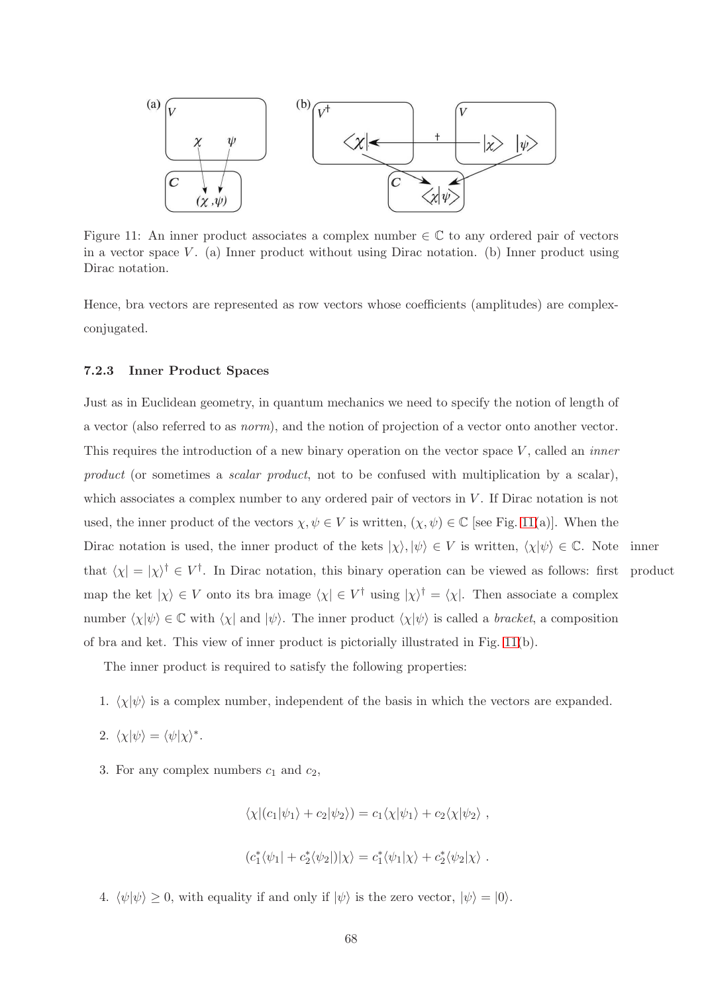

<span id="page-67-0"></span>Figure 11: An inner product associates a complex number  $\in \mathbb{C}$  to any ordered pair of vectors in a vector space  $V$ . (a) Inner product without using Dirac notation. (b) Inner product using Dirac notation.

Hence, bra vectors are represented as row vectors whose coefficients (amplitudes) are complexconjugated.

# 7.2.3 Inner Product Spaces

Just as in Euclidean geometry, in quantum mechanics we need to specify the notion of length of a vector (also referred to as norm), and the notion of projection of a vector onto another vector. This requires the introduction of a new binary operation on the vector space  $V$ , called an *inner* product (or sometimes a *scalar product*, not to be confused with multiplication by a scalar), which associates a complex number to any ordered pair of vectors in V. If Dirac notation is not used, the inner product of the vectors  $\chi, \psi \in V$  is written,  $(\chi, \psi) \in \mathbb{C}$  [see Fig. [11\(](#page-67-0)a)]. When the Dirac notation is used, the inner product of the kets  $|\chi\rangle, |\psi\rangle \in V$  is written,  $\langle \chi | \psi \rangle \in \mathbb{C}$ . Note inner that  $\langle \chi | = | \chi \rangle^{\dagger} \in V^{\dagger}$ . In Dirac notation, this binary operation can be viewed as follows: first product map the ket  $|\chi\rangle \in V$  onto its bra image  $\langle \chi | \in V^{\dagger}$  using  $|\chi\rangle^{\dagger} = \langle \chi |$ . Then associate a complex number  $\langle \chi | \psi \rangle \in \mathbb{C}$  with  $\langle \chi | \psi \rangle$ . The inner product  $\langle \chi | \psi \rangle$  is called a bracket, a composition of bra and ket. This view of inner product is pictorially illustrated in Fig. [11\(](#page-67-0)b).

The inner product is required to satisfy the following properties:

- 1.  $\langle \chi | \psi \rangle$  is a complex number, independent of the basis in which the vectors are expanded.
- 2.  $\langle \chi | \psi \rangle = \langle \psi | \chi \rangle^*$ .
- 3. For any complex numbers  $c_1$  and  $c_2$ ,

$$
\langle \chi | (c_1 | \psi_1 \rangle + c_2 | \psi_2 \rangle) = c_1 \langle \chi | \psi_1 \rangle + c_2 \langle \chi | \psi_2 \rangle ,
$$
  

$$
(c_1^* \langle \psi_1 | + c_2^* \langle \psi_2 |) | \chi \rangle = c_1^* \langle \psi_1 | \chi \rangle + c_2^* \langle \psi_2 | \chi \rangle .
$$

4.  $\langle \psi | \psi \rangle \ge 0$ , with equality if and only if  $| \psi \rangle$  is the zero vector,  $| \psi \rangle = | 0 \rangle$ .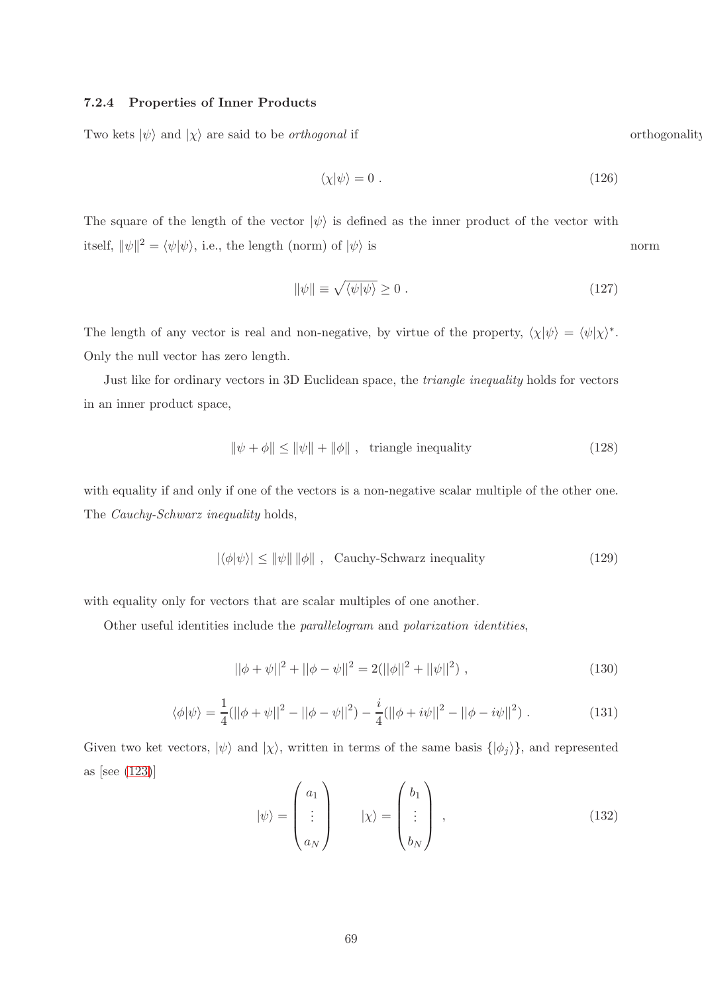# 7.2.4 Properties of Inner Products

Two kets  $|\psi\rangle$  and  $|\chi\rangle$  are said to be *orthogonal* if orthogonality

<span id="page-68-0"></span>
$$
\langle \chi | \psi \rangle = 0 \tag{126}
$$

The square of the length of the vector  $|\psi\rangle$  is defined as the inner product of the vector with itself,  $\|\psi\|^2 = \langle \psi | \psi \rangle$ , i.e., the length (norm) of  $|\psi \rangle$  is norm

$$
\|\psi\| \equiv \sqrt{\langle \psi | \psi \rangle} \ge 0. \tag{127}
$$

The length of any vector is real and non-negative, by virtue of the property,  $\langle \chi | \psi \rangle = \langle \psi | \chi \rangle^*$ . Only the null vector has zero length.

Just like for ordinary vectors in 3D Euclidean space, the triangle inequality holds for vectors in an inner product space,

$$
\|\psi + \phi\| \le \|\psi\| + \|\phi\| \text{ , triangle inequality} \tag{128}
$$

with equality if and only if one of the vectors is a non-negative scalar multiple of the other one. The *Cauchy-Schwarz inequality* holds,

$$
|\langle \phi | \psi \rangle| \le ||\psi|| \, ||\phi|| \, , \quad \text{Cauchy-Schwarz inequality} \tag{129}
$$

with equality only for vectors that are scalar multiples of one another.

Other useful identities include the parallelogram and polarization identities,

$$
||\phi + \psi||^2 + ||\phi - \psi||^2 = 2(||\phi||^2 + ||\psi||^2), \qquad (130)
$$

$$
\langle \phi | \psi \rangle = \frac{1}{4} (||\phi + \psi||^2 - ||\phi - \psi||^2) - \frac{i}{4} (||\phi + i\psi||^2 - ||\phi - i\psi||^2) . \tag{131}
$$

Given two ket vectors,  $|\psi\rangle$  and  $|\chi\rangle$ , written in terms of the same basis  $\{|\phi_j\rangle\}$ , and represented as [see [\(123\)](#page-66-0)]  $\mathcal{L}$ 

$$
|\psi\rangle = \begin{pmatrix} a_1 \\ \vdots \\ a_N \end{pmatrix} \qquad |\chi\rangle = \begin{pmatrix} b_1 \\ \vdots \\ b_N \end{pmatrix} , \qquad (132)
$$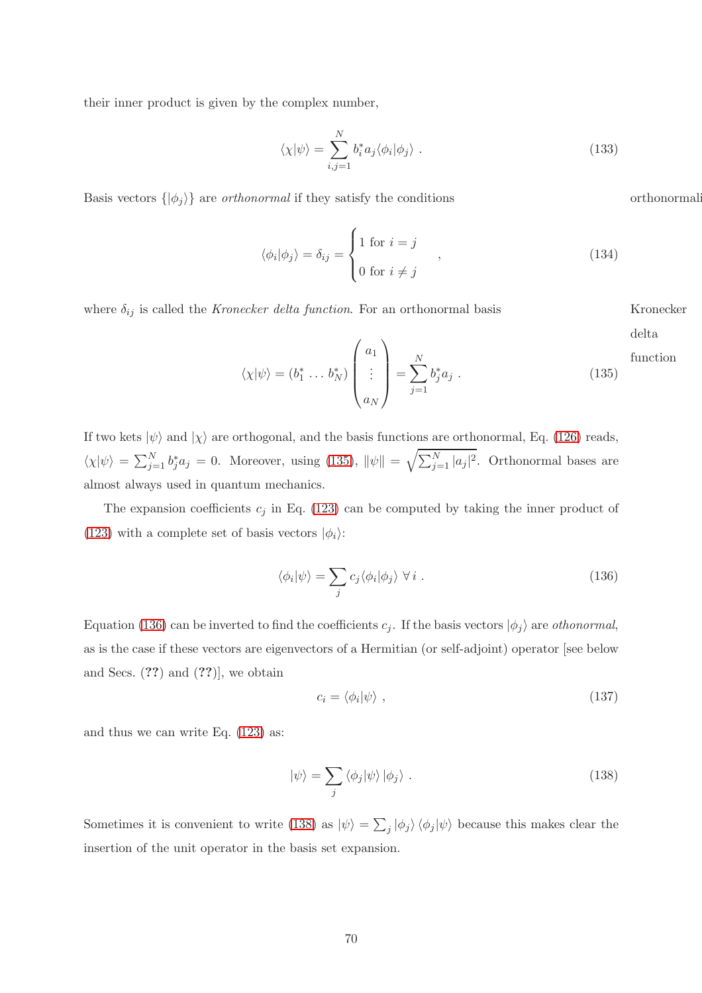their inner product is given by the complex number,

$$
\langle \chi | \psi \rangle = \sum_{i,j=1}^{N} b_i^* a_j \langle \phi_i | \phi_j \rangle . \tag{133}
$$

Basis vectors  $\{|\phi_j\rangle\}$  are *orthonormal* if they satisfy the conditions orthonormality

$$
\langle \phi_i | \phi_j \rangle = \delta_{ij} = \begin{cases} 1 \text{ for } i = j \\ 0 \text{ for } i \neq j \end{cases}, \qquad (134)
$$

where  $\delta_{ij}$  is called the *Kronecker delta function*. For an orthonormal basis Kronecker

delta

<span id="page-69-0"></span>
$$
\langle \chi | \psi \rangle = (b_1^* \dots b_N^*) \begin{pmatrix} a_1 \\ \vdots \\ a_N \end{pmatrix} = \sum_{j=1}^N b_j^* a_j .
$$
 function (135)

If two kets  $|\psi\rangle$  and  $|\chi\rangle$  are orthogonal, and the basis functions are orthonormal, Eq. [\(126\)](#page-68-0) reads,  $\langle \chi | \psi \rangle = \sum_{j=1}^N b_j^* a_j = 0$ . Moreover, using [\(135\)](#page-69-0),  $\|\psi\| = \sqrt{\sum_{j=1}^N |a_j|^2}$ . Orthonormal bases are almost always used in quantum mechanics.

The expansion coefficients  $c_j$  in Eq. [\(123\)](#page-66-0) can be computed by taking the inner product of [\(123\)](#page-66-0) with a complete set of basis vectors  $|\phi_i\rangle$ :

<span id="page-69-1"></span>
$$
\langle \phi_i | \psi \rangle = \sum_j c_j \langle \phi_i | \phi_j \rangle \ \forall \ i \ . \tag{136}
$$

Equation [\(136\)](#page-69-1) can be inverted to find the coefficients  $c_j$ . If the basis vectors  $|\phi_j\rangle$  are *othonormal*, as is the case if these vectors are eigenvectors of a Hermitian (or self-adjoint) operator [see below and Secs.  $(??)$  and  $(??)$ , we obtain

$$
c_i = \langle \phi_i | \psi \rangle \tag{137}
$$

and thus we can write Eq. [\(123\)](#page-66-0) as:

<span id="page-69-2"></span>
$$
|\psi\rangle = \sum_{j} \langle \phi_j | \psi \rangle | \phi_j \rangle . \tag{138}
$$

Sometimes it is convenient to write [\(138\)](#page-69-2) as  $|\psi\rangle = \sum_j |\phi_j\rangle \langle \phi_j | \psi \rangle$  because this makes clear the insertion of the unit operator in the basis set expansion.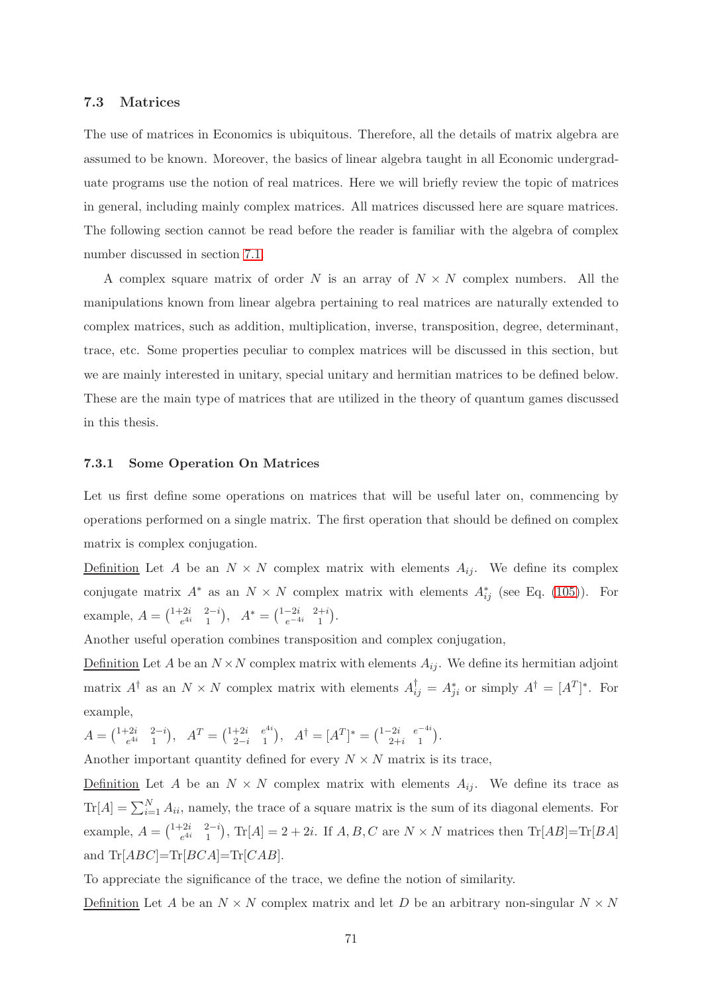# <span id="page-70-0"></span>7.3 Matrices

The use of matrices in Economics is ubiquitous. Therefore, all the details of matrix algebra are assumed to be known. Moreover, the basics of linear algebra taught in all Economic undergraduate programs use the notion of real matrices. Here we will briefly review the topic of matrices in general, including mainly complex matrices. All matrices discussed here are square matrices. The following section cannot be read before the reader is familiar with the algebra of complex number discussed in section [7.1.](#page-57-0)

A complex square matrix of order N is an array of  $N \times N$  complex numbers. All the manipulations known from linear algebra pertaining to real matrices are naturally extended to complex matrices, such as addition, multiplication, inverse, transposition, degree, determinant, trace, etc. Some properties peculiar to complex matrices will be discussed in this section, but we are mainly interested in unitary, special unitary and hermitian matrices to be defined below. These are the main type of matrices that are utilized in the theory of quantum games discussed in this thesis.

### 7.3.1 Some Operation On Matrices

Let us first define some operations on matrices that will be useful later on, commencing by operations performed on a single matrix. The first operation that should be defined on complex matrix is complex conjugation.

Definition Let A be an  $N \times N$  complex matrix with elements  $A_{ij}$ . We define its complex conjugate matrix  $A^*$  as an  $N \times N$  complex matrix with elements  $A_{ij}^*$  (see Eq. [\(105\)](#page-58-0)). For example,  $A = \begin{pmatrix} 1+2i & 2-i \\ e^{4i} & 1 \end{pmatrix}$ ,  $A^* = \begin{pmatrix} 1-2i & 2+i \\ e^{-4i} & 1 \end{pmatrix}$ .

Another useful operation combines transposition and complex conjugation,

Definition Let A be an  $N \times N$  complex matrix with elements  $A_{ij}$ . We define its hermitian adjoint matrix  $A^{\dagger}$  as an  $N \times N$  complex matrix with elements  $A^{\dagger}_{ij} = A^*_{ji}$  or simply  $A^{\dagger} = [A^T]^*$ . For example,

$$
A = \begin{pmatrix} 1+2i & 2-i \\ e^{4i} & 1 \end{pmatrix}, \quad A^T = \begin{pmatrix} 1+2i & e^{4i} \\ 2-i & 1 \end{pmatrix}, \quad A^{\dagger} = [A^T]^* = \begin{pmatrix} 1-2i & e^{-4i} \\ 2+i & 1 \end{pmatrix}.
$$

Another important quantity defined for every  $N \times N$  matrix is its trace,

Definition Let A be an  $N \times N$  complex matrix with elements  $A_{ij}$ . We define its trace as  $\text{Tr}[A] = \sum_{i=1}^{N} A_{ii}$ , namely, the trace of a square matrix is the sum of its diagonal elements. For example,  $A = \begin{pmatrix} 1+2i & 2-i \\ e^{4i} & 1 \end{pmatrix}$ ,  $\text{Tr}[A] = 2 + 2i$ . If  $A, B, C$  are  $N \times N$  matrices then  $\text{Tr}[AB] = \text{Tr}[BA]$ and  $\text{Tr}[ABC] = \text{Tr}[BCA] = \text{Tr}[CAB]$ .

To appreciate the significance of the trace, we define the notion of similarity.

Definition Let A be an  $N \times N$  complex matrix and let D be an arbitrary non-singular  $N \times N$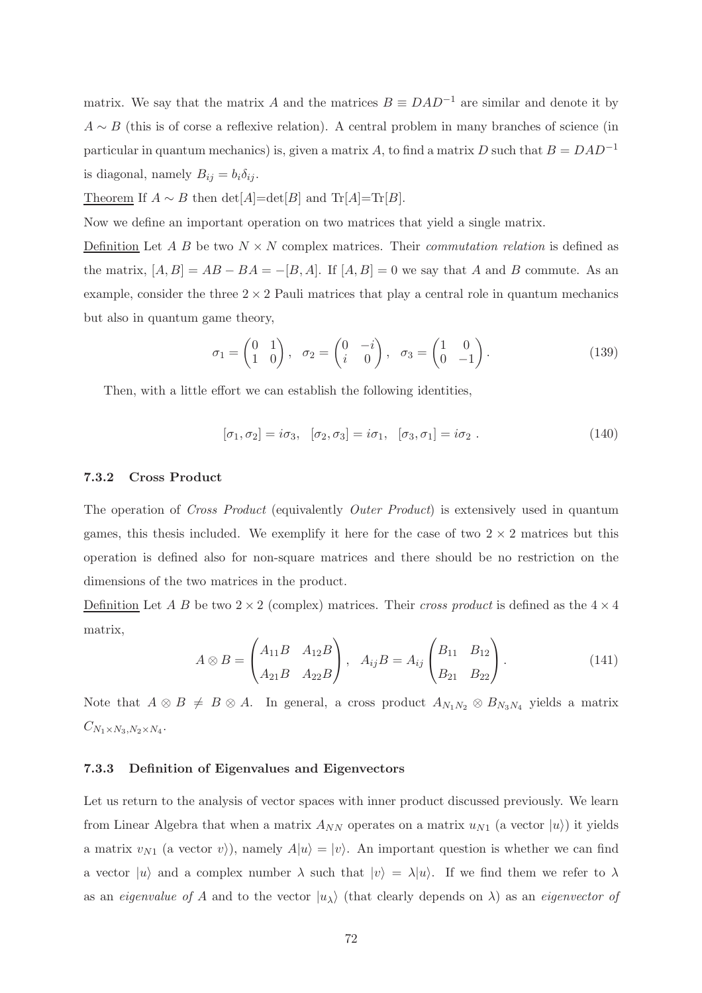matrix. We say that the matrix A and the matrices  $B \equiv DAD^{-1}$  are similar and denote it by  $A \sim B$  (this is of corse a reflexive relation). A central problem in many branches of science (in particular in quantum mechanics) is, given a matrix A, to find a matrix D such that  $B = DAD^{-1}$ is diagonal, namely  $B_{ij} = b_i \delta_{ij}$ .

Theorem If  $A \sim B$  then  $\det[A] = \det[B]$  and  $\text{Tr}[A] = \text{Tr}[B]$ .

Now we define an important operation on two matrices that yield a single matrix.

Definition Let A B be two  $N \times N$  complex matrices. Their *commutation relation* is defined as the matrix,  $[A, B] = AB - BA = -[B, A]$ . If  $[A, B] = 0$  we say that A and B commute. As an example, consider the three  $2 \times 2$  Pauli matrices that play a central role in quantum mechanics but also in quantum game theory,

$$
\sigma_1 = \begin{pmatrix} 0 & 1 \\ 1 & 0 \end{pmatrix}, \quad \sigma_2 = \begin{pmatrix} 0 & -i \\ i & 0 \end{pmatrix}, \quad \sigma_3 = \begin{pmatrix} 1 & 0 \\ 0 & -1 \end{pmatrix}.
$$
 (139)

Then, with a little effort we can establish the following identities,

$$
[\sigma_1, \sigma_2] = i\sigma_3, \quad [\sigma_2, \sigma_3] = i\sigma_1, \quad [\sigma_3, \sigma_1] = i\sigma_2 \ . \tag{140}
$$

# 7.3.2 Cross Product

The operation of Cross Product (equivalently Outer Product) is extensively used in quantum games, this thesis included. We exemplify it here for the case of two  $2 \times 2$  matrices but this operation is defined also for non-square matrices and there should be no restriction on the dimensions of the two matrices in the product.

Definition Let A B be two  $2 \times 2$  (complex) matrices. Their cross product is defined as the  $4 \times 4$ matrix,

$$
A \otimes B = \begin{pmatrix} A_{11}B & A_{12}B \\ A_{21}B & A_{22}B \end{pmatrix}, A_{ij}B = A_{ij} \begin{pmatrix} B_{11} & B_{12} \\ B_{21} & B_{22} \end{pmatrix}.
$$
 (141)

Note that  $A \otimes B \neq B \otimes A$ . In general, a cross product  $A_{N_1N_2} \otimes B_{N_3N_4}$  yields a matrix  $C_{N_1\times N_3,N_2\times N_4}.$ 

# 7.3.3 Definition of Eigenvalues and Eigenvectors

Let us return to the analysis of vector spaces with inner product discussed previously. We learn from Linear Algebra that when a matrix  $A_{NN}$  operates on a matrix  $u_{N1}$  (a vector  $|u\rangle$ ) it yields a matrix  $v_{N1}$  (a vector  $v$ ), namely  $A|u\rangle = |v\rangle$ . An important question is whether we can find a vector  $|u\rangle$  and a complex number  $\lambda$  such that  $|v\rangle = \lambda |u\rangle$ . If we find them we refer to  $\lambda$ as an *eigenvalue of A* and to the vector  $|u_\lambda\rangle$  (that clearly depends on  $\lambda$ ) as an *eigenvector of*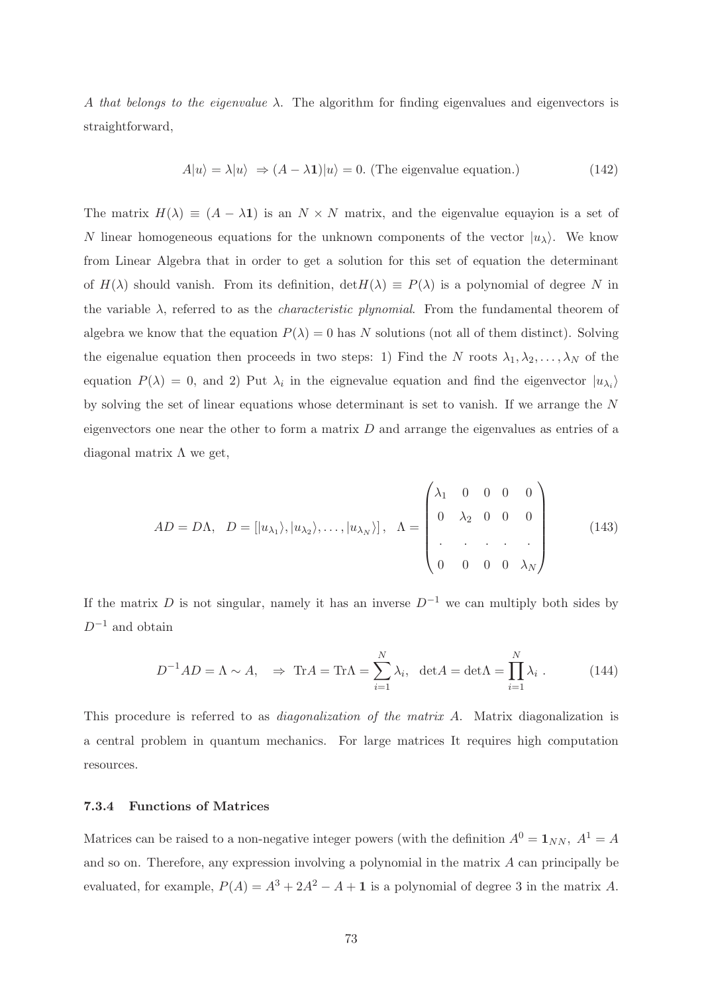A that belongs to the eigenvalue  $\lambda$ . The algorithm for finding eigenvalues and eigenvectors is straightforward,

$$
A|u\rangle = \lambda|u\rangle \Rightarrow (A - \lambda \mathbf{1})|u\rangle = 0.
$$
 (The eigenvalue equation.) (142)

The matrix  $H(\lambda) \equiv (A - \lambda \mathbf{1})$  is an  $N \times N$  matrix, and the eigenvalue equayion is a set of N linear homogeneous equations for the unknown components of the vector  $|u_\lambda\rangle$ . We know from Linear Algebra that in order to get a solution for this set of equation the determinant of  $H(\lambda)$  should vanish. From its definition,  $\det H(\lambda) \equiv P(\lambda)$  is a polynomial of degree N in the variable  $\lambda$ , referred to as the *characteristic plynomial*. From the fundamental theorem of algebra we know that the equation  $P(\lambda) = 0$  has N solutions (not all of them distinct). Solving the eigenalue equation then proceeds in two steps: 1) Find the N roots  $\lambda_1, \lambda_2, \ldots, \lambda_N$  of the equation  $P(\lambda) = 0$ , and 2) Put  $\lambda_i$  in the eignevalue equation and find the eigenvector  $|u_{\lambda_i}\rangle$ by solving the set of linear equations whose determinant is set to vanish. If we arrange the N eigenvectors one near the other to form a matrix  $D$  and arrange the eigenvalues as entries of a diagonal matrix  $\Lambda$  we get,

<span id="page-72-0"></span>
$$
AD = D\Lambda, \quad D = [|u_{\lambda_1}\rangle, |u_{\lambda_2}\rangle, \dots, |u_{\lambda_N}\rangle], \quad \Lambda = \begin{pmatrix} \lambda_1 & 0 & 0 & 0 & 0 \\ 0 & \lambda_2 & 0 & 0 & 0 \\ . & . & . & . & . \\ 0 & 0 & 0 & 0 & \lambda_N \end{pmatrix}
$$
(143)

If the matrix D is not singular, namely it has an inverse  $D^{-1}$  we can multiply both sides by  $D^{-1}$  and obtain

<span id="page-72-1"></span>
$$
D^{-1}AD = \Lambda \sim A, \quad \Rightarrow \text{Tr}A = \text{Tr}\Lambda = \sum_{i=1}^{N} \lambda_i, \ \det A = \det \Lambda = \prod_{i=1}^{N} \lambda_i.
$$
 (144)

This procedure is referred to as *diagonalization of the matrix A*. Matrix diagonalization is a central problem in quantum mechanics. For large matrices It requires high computation resources.

## 7.3.4 Functions of Matrices

Matrices can be raised to a non-negative integer powers (with the definition  $A^0 = 1_{NN}$ ,  $A^1 = A$ and so on. Therefore, any expression involving a polynomial in the matrix A can principally be evaluated, for example,  $P(A) = A^3 + 2A^2 - A + 1$  is a polynomial of degree 3 in the matrix A.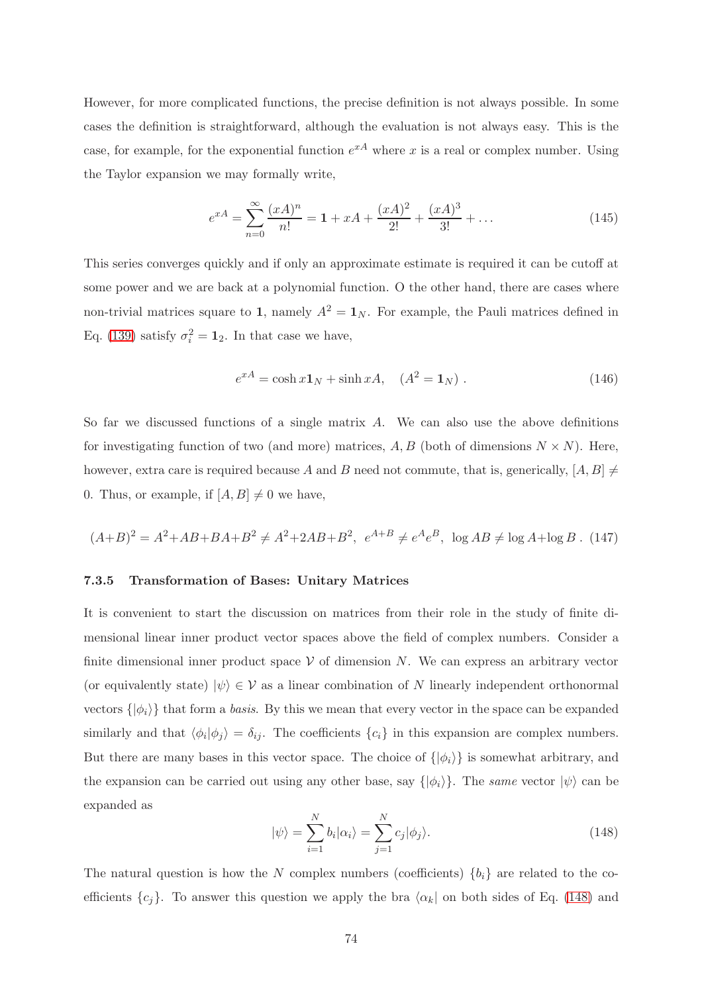However, for more complicated functions, the precise definition is not always possible. In some cases the definition is straightforward, although the evaluation is not always easy. This is the case, for example, for the exponential function  $e^{xA}$  where x is a real or complex number. Using the Taylor expansion we may formally write,

$$
e^{xA} = \sum_{n=0}^{\infty} \frac{(xA)^n}{n!} = 1 + xA + \frac{(xA)^2}{2!} + \frac{(xA)^3}{3!} + \dots
$$
 (145)

This series converges quickly and if only an approximate estimate is required it can be cutoff at some power and we are back at a polynomial function. O the other hand, there are cases where non-trivial matrices square to 1, namely  $A^2 = 1_N$ . For example, the Pauli matrices defined in Eq. [\(139\)](#page-71-0) satisfy  $\sigma_i^2 = \mathbf{1}_2$ . In that case we have,

<span id="page-73-1"></span>
$$
e^{xA} = \cosh x \mathbf{1}_N + \sinh xA, \quad (A^2 = \mathbf{1}_N). \tag{146}
$$

So far we discussed functions of a single matrix A. We can also use the above definitions for investigating function of two (and more) matrices,  $A, B$  (both of dimensions  $N \times N$ ). Here, however, extra care is required because A and B need not commute, that is, generically,  $[A, B] \neq$ 0. Thus, or example, if  $[A, B] \neq 0$  we have,

$$
(A+B)^2 = A^2 + AB + BA + B^2 \neq A^2 + 2AB + B^2, e^{A+B} \neq e^A e^B, \log AB \neq \log A + \log B
$$
 (147)

#### 7.3.5 Transformation of Bases: Unitary Matrices

It is convenient to start the discussion on matrices from their role in the study of finite dimensional linear inner product vector spaces above the field of complex numbers. Consider a finite dimensional inner product space  $V$  of dimension N. We can express an arbitrary vector (or equivalently state)  $|\psi\rangle \in \mathcal{V}$  as a linear combination of N linearly independent orthonormal vectors  $\{|\phi_i\rangle\}$  that form a basis. By this we mean that every vector in the space can be expanded similarly and that  $\langle \phi_i | \phi_j \rangle = \delta_{ij}$ . The coefficients  $\{c_i\}$  in this expansion are complex numbers. But there are many bases in this vector space. The choice of  $\{|\phi_i\rangle\}$  is somewhat arbitrary, and the expansion can be carried out using any other base, say  $\{|\phi_i\rangle\}$ . The same vector  $|\psi\rangle$  can be expanded as

<span id="page-73-0"></span>
$$
|\psi\rangle = \sum_{i=1}^{N} b_i |\alpha_i\rangle = \sum_{j=1}^{N} c_j |\phi_j\rangle.
$$
 (148)

The natural question is how the N complex numbers (coefficients)  $\{b_i\}$  are related to the coefficients  ${c_j}$ . To answer this question we apply the bra  $\langle \alpha_k |$  on both sides of Eq. [\(148\)](#page-73-0) and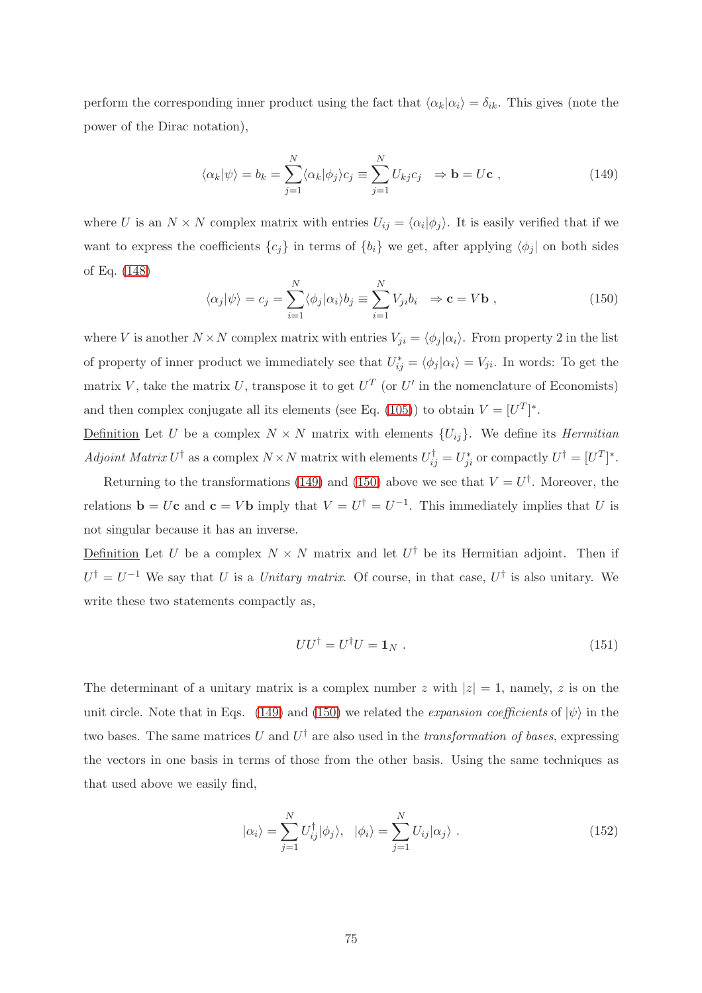perform the corresponding inner product using the fact that  $\langle \alpha_k | \alpha_i \rangle = \delta_{ik}$ . This gives (note the power of the Dirac notation),

<span id="page-74-0"></span>
$$
\langle \alpha_k | \psi \rangle = b_k = \sum_{j=1}^N \langle \alpha_k | \phi_j \rangle c_j \equiv \sum_{j=1}^N U_{kj} c_j \Rightarrow \mathbf{b} = U \mathbf{c} \;, \tag{149}
$$

where U is an  $N \times N$  complex matrix with entries  $U_{ij} = \langle \alpha_i | \phi_j \rangle$ . It is easily verified that if we want to express the coefficients  $\{c_j\}$  in terms of  $\{b_i\}$  we get, after applying  $\langle \phi_j |$  on both sides of Eq. [\(148\)](#page-73-0)

<span id="page-74-1"></span>
$$
\langle \alpha_j | \psi \rangle = c_j = \sum_{i=1}^N \langle \phi_j | \alpha_i \rangle b_j \equiv \sum_{i=1}^N V_{ji} b_i \Rightarrow \mathbf{c} = V \mathbf{b} , \qquad (150)
$$

where V is another  $N \times N$  complex matrix with entries  $V_{ji} = \langle \phi_j | \alpha_i \rangle$ . From property 2 in the list of property of inner product we immediately see that  $U^*_{ij} = \langle \phi_j | \alpha_i \rangle = V_{ji}$ . In words: To get the matrix V, take the matrix U, transpose it to get  $U^T$  (or U' in the nomenclature of Economists) and then complex conjugate all its elements (see Eq. [\(105\)](#page-58-0)) to obtain  $V = [U^T]^*$ .

Definition Let U be a complex  $N \times N$  matrix with elements  $\{U_{ij}\}\$ . We define its *Hermitian* Adjoint Matrix  $U^{\dagger}$  as a complex  $N \times N$  matrix with elements  $U^{\dagger}_{ij} = U^*_{ji}$  or compactly  $U^{\dagger} = [U^T]^*$ .

Returning to the transformations [\(149\)](#page-74-0) and [\(150\)](#page-74-1) above we see that  $V = U^{\dagger}$ . Moreover, the relations  $\mathbf{b} = U\mathbf{c}$  and  $\mathbf{c} = V\mathbf{b}$  imply that  $V = U^{\dagger} = U^{-1}$ . This immediately implies that U is not singular because it has an inverse.

Definition Let U be a complex  $N \times N$  matrix and let  $U^{\dagger}$  be its Hermitian adjoint. Then if  $U^{\dagger} = U^{-1}$  We say that U is a Unitary matrix. Of course, in that case,  $U^{\dagger}$  is also unitary. We write these two statements compactly as,

$$
UU^{\dagger} = U^{\dagger}U = \mathbf{1}_N \tag{151}
$$

The determinant of a unitary matrix is a complex number z with  $|z|=1$ , namely, z is on the unit circle. Note that in Eqs. [\(149\)](#page-74-0) and [\(150\)](#page-74-1) we related the *expansion coefficients* of  $|\psi\rangle$  in the two bases. The same matrices U and  $U^{\dagger}$  are also used in the transformation of bases, expressing the vectors in one basis in terms of those from the other basis. Using the same techniques as that used above we easily find,

$$
|\alpha_i\rangle = \sum_{j=1}^{N} U_{ij}^{\dagger} |\phi_j\rangle, \quad |\phi_i\rangle = \sum_{j=1}^{N} U_{ij} |\alpha_j\rangle . \tag{152}
$$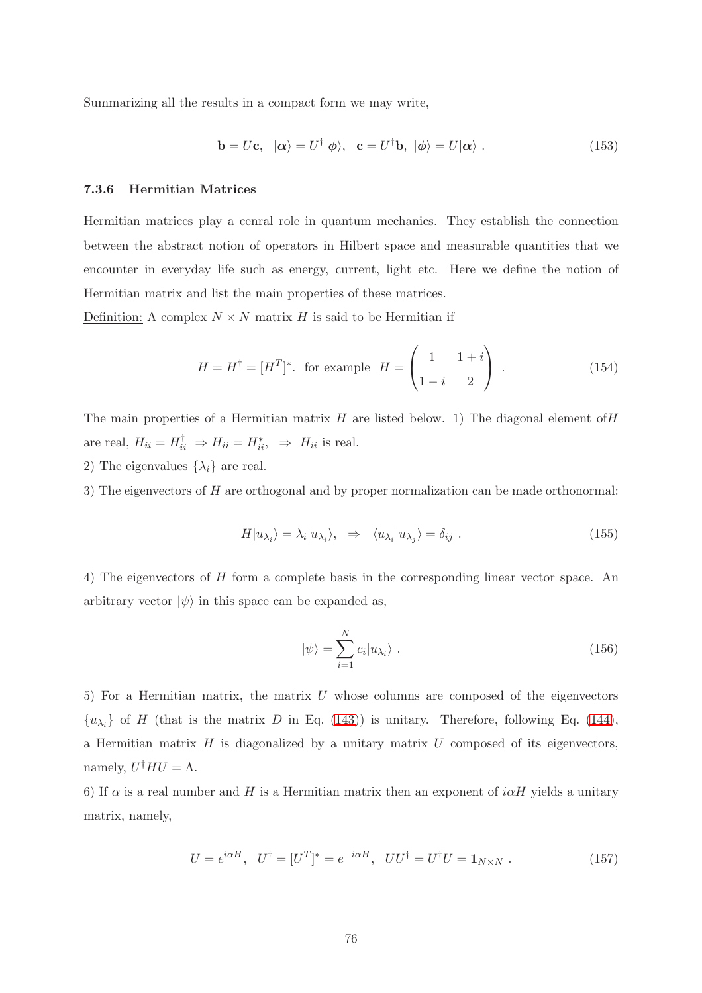Summarizing all the results in a compact form we may write,

$$
\mathbf{b} = U\mathbf{c}, \quad |\alpha\rangle = U^{\dagger}|\phi\rangle, \quad \mathbf{c} = U^{\dagger}\mathbf{b}, \quad |\phi\rangle = U|\alpha\rangle. \tag{153}
$$

## 7.3.6 Hermitian Matrices

Hermitian matrices play a cenral role in quantum mechanics. They establish the connection between the abstract notion of operators in Hilbert space and measurable quantities that we encounter in everyday life such as energy, current, light etc. Here we define the notion of Hermitian matrix and list the main properties of these matrices.

Definition: A complex  $N \times N$  matrix H is said to be Hermitian if

$$
H = H^{\dagger} = [H^T]^*.
$$
 for example 
$$
H = \begin{pmatrix} 1 & 1+i \\ 1-i & 2 \end{pmatrix}.
$$
 (154)

The main properties of a Hermitian matrix  $H$  are listed below. 1) The diagonal element of  $H$ are real,  $H_{ii} = H_{ii}^{\dagger} \Rightarrow H_{ii} = H_{ii}^* , \Rightarrow H_{ii}$  is real.

2) The eigenvalues  $\{\lambda_i\}$  are real.

3) The eigenvectors of H are orthogonal and by proper normalization can be made orthonormal:

$$
H|u_{\lambda_i}\rangle = \lambda_i|u_{\lambda_i}\rangle, \Rightarrow \langle u_{\lambda_i}|u_{\lambda_j}\rangle = \delta_{ij} . \tag{155}
$$

4) The eigenvectors of H form a complete basis in the corresponding linear vector space. An arbitrary vector  $|\psi\rangle$  in this space can be expanded as,

$$
|\psi\rangle = \sum_{i=1}^{N} c_i |u_{\lambda_i}\rangle . \qquad (156)
$$

5) For a Hermitian matrix, the matrix U whose columns are composed of the eigenvectors  $\{u_{\lambda_i}\}\$  of H (that is the matrix D in Eq. [\(143\)](#page-72-0)) is unitary. Therefore, following Eq. [\(144\)](#page-72-1), a Hermitian matrix  $H$  is diagonalized by a unitary matrix  $U$  composed of its eigenvectors, namely,  $U^{\dagger}HU = \Lambda$ .

6) If  $\alpha$  is a real number and H is a Hermitian matrix then an exponent of  $i\alpha H$  yields a unitary matrix, namely,

$$
U = e^{i\alpha H}, \quad U^{\dagger} = [U^T]^* = e^{-i\alpha H}, \quad UU^{\dagger} = U^{\dagger}U = \mathbf{1}_{N \times N} . \tag{157}
$$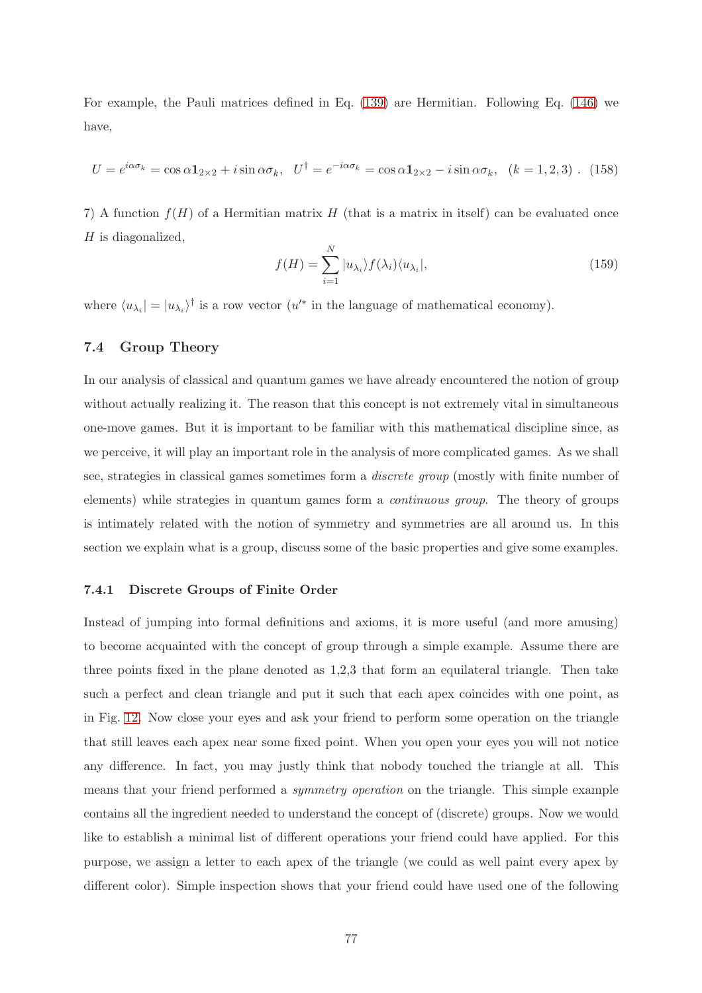For example, the Pauli matrices defined in Eq. [\(139\)](#page-71-0) are Hermitian. Following Eq. [\(146\)](#page-73-1) we have,

<span id="page-76-0"></span>
$$
U = e^{i\alpha\sigma_k} = \cos\alpha \mathbf{1}_{2\times 2} + i\sin\alpha\sigma_k, \quad U^{\dagger} = e^{-i\alpha\sigma_k} = \cos\alpha \mathbf{1}_{2\times 2} - i\sin\alpha\sigma_k, \quad (k = 1, 2, 3) \quad (158)
$$

7) A function  $f(H)$  of a Hermitian matrix H (that is a matrix in itself) can be evaluated once  $H$  is diagonalized,

$$
f(H) = \sum_{i=1}^{N} |u_{\lambda_i}\rangle f(\lambda_i) \langle u_{\lambda_i}|,
$$
\n(159)

where  $\langle u_{\lambda_i}| = |u_{\lambda_i}\rangle^{\dagger}$  is a row vector  $(u'^*$  in the language of mathematical economy).

## 7.4 Group Theory

In our analysis of classical and quantum games we have already encountered the notion of group without actually realizing it. The reason that this concept is not extremely vital in simultaneous one-move games. But it is important to be familiar with this mathematical discipline since, as we perceive, it will play an important role in the analysis of more complicated games. As we shall see, strategies in classical games sometimes form a discrete group (mostly with finite number of elements) while strategies in quantum games form a continuous group. The theory of groups is intimately related with the notion of symmetry and symmetries are all around us. In this section we explain what is a group, discuss some of the basic properties and give some examples.

## 7.4.1 Discrete Groups of Finite Order

Instead of jumping into formal definitions and axioms, it is more useful (and more amusing) to become acquainted with the concept of group through a simple example. Assume there are three points fixed in the plane denoted as 1,2,3 that form an equilateral triangle. Then take such a perfect and clean triangle and put it such that each apex coincides with one point, as in Fig. [12.](#page-77-0) Now close your eyes and ask your friend to perform some operation on the triangle that still leaves each apex near some fixed point. When you open your eyes you will not notice any difference. In fact, you may justly think that nobody touched the triangle at all. This means that your friend performed a symmetry operation on the triangle. This simple example contains all the ingredient needed to understand the concept of (discrete) groups. Now we would like to establish a minimal list of different operations your friend could have applied. For this purpose, we assign a letter to each apex of the triangle (we could as well paint every apex by different color). Simple inspection shows that your friend could have used one of the following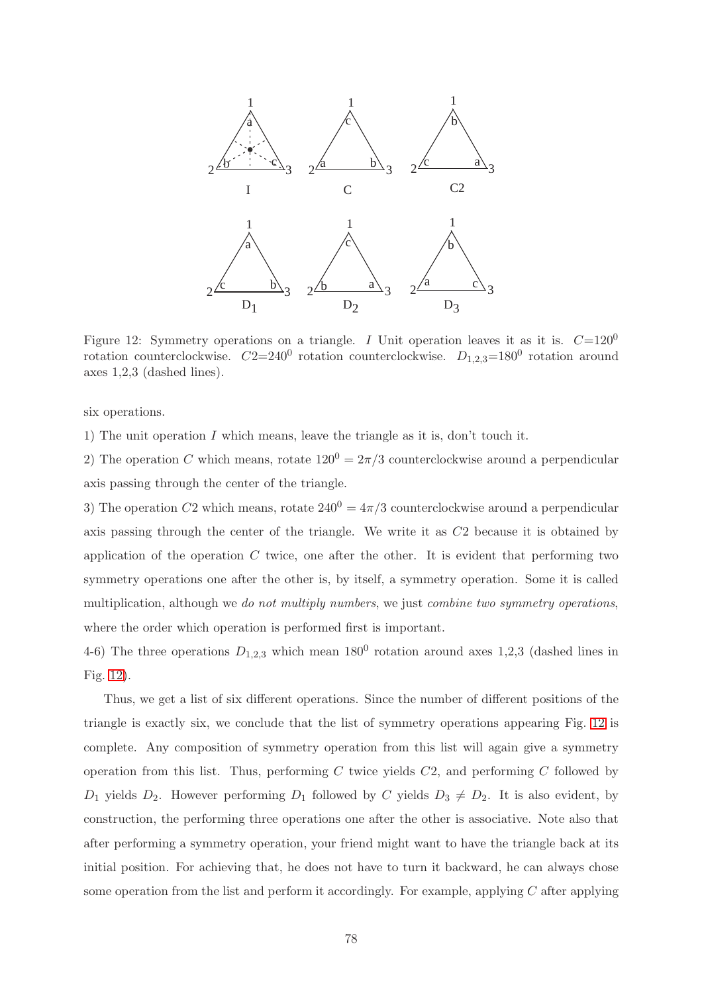

<span id="page-77-0"></span>Figure 12: Symmetry operations on a triangle. I Unit operation leaves it as it is.  $C=120^0$ rotation counterclockwise.  $C2=240^0$  rotation counterclockwise.  $D_{1,2,3}=180^0$  rotation around axes 1,2,3 (dashed lines).

six operations.

1) The unit operation  $I$  which means, leave the triangle as it is, don't touch it.

2) The operation C which means, rotate  $120^0 = 2\pi/3$  counterclockwise around a perpendicular axis passing through the center of the triangle.

3) The operation C2 which means, rotate  $240^0 = 4\pi/3$  counterclockwise around a perpendicular axis passing through the center of the triangle. We write it as C2 because it is obtained by application of the operation  $C$  twice, one after the other. It is evident that performing two symmetry operations one after the other is, by itself, a symmetry operation. Some it is called multiplication, although we do not multiply numbers, we just combine two symmetry operations, where the order which operation is performed first is important.

4-6) The three operations  $D_{1,2,3}$  which mean  $180^0$  rotation around axes 1,2,3 (dashed lines in Fig. [12\)](#page-77-0).

Thus, we get a list of six different operations. Since the number of different positions of the triangle is exactly six, we conclude that the list of symmetry operations appearing Fig. [12](#page-77-0) is complete. Any composition of symmetry operation from this list will again give a symmetry operation from this list. Thus, performing C twice yields  $C2$ , and performing C followed by  $D_1$  yields  $D_2$ . However performing  $D_1$  followed by C yields  $D_3 \neq D_2$ . It is also evident, by construction, the performing three operations one after the other is associative. Note also that after performing a symmetry operation, your friend might want to have the triangle back at its initial position. For achieving that, he does not have to turn it backward, he can always chose some operation from the list and perform it accordingly. For example, applying  $C$  after applying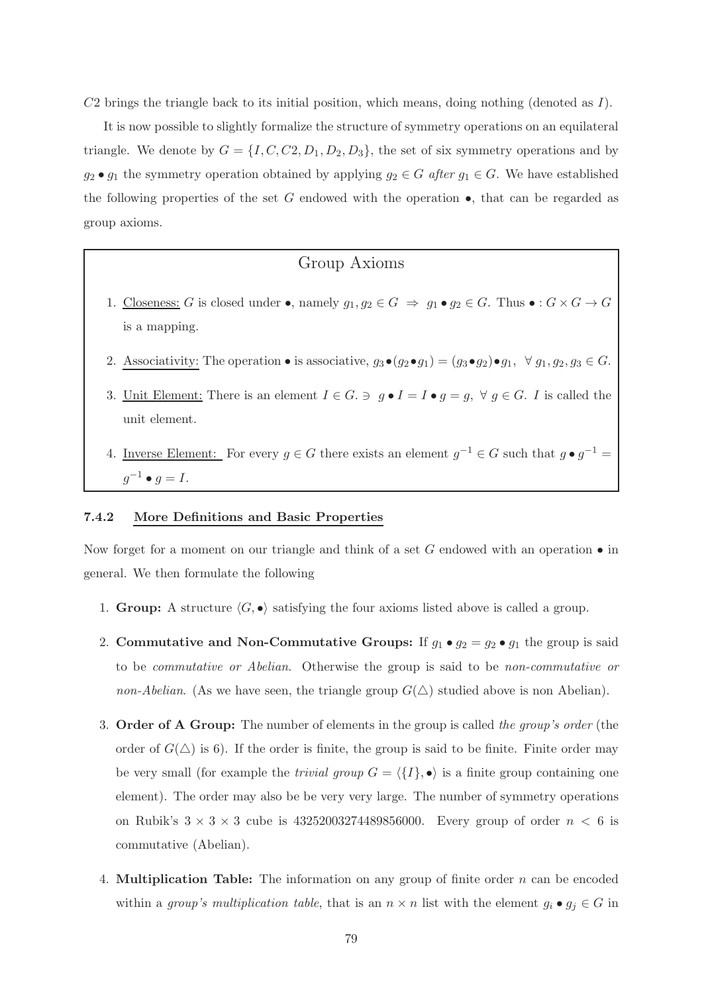$C2$  brings the triangle back to its initial position, which means, doing nothing (denoted as I).

It is now possible to slightly formalize the structure of symmetry operations on an equilateral triangle. We denote by  $G = \{I, C, C, D_1, D_2, D_3\}$ , the set of six symmetry operations and by  $g_2 \bullet g_1$  the symmetry operation obtained by applying  $g_2 \in G$  after  $g_1 \in G$ . We have established the following properties of the set  $G$  endowed with the operation  $\bullet$ , that can be regarded as group axioms.

# Group Axioms

- 1. Closeness: G is closed under •, namely  $g_1, g_2 \in G \Rightarrow g_1 \bullet g_2 \in G$ . Thus :  $G \times G \rightarrow G$ is a mapping.
- 2. Associativity: The operation is associative,  $g_3 \bullet (g_2 \bullet g_1) = (g_3 \bullet g_2) \bullet g_1, \forall g_1, g_2, g_3 \in G$ .
- 3. Unit Element: There is an element  $I \in G$ .  $\ni g \bullet I = I \bullet g = g$ ,  $\forall g \in G$ . I is called the unit element.
- 4. <u>Inverse Element:</u> For every  $g \in G$  there exists an element  $g^{-1} \in G$  such that  $g \bullet g^{-1} =$  $g^{-1} \bullet g = I.$

## 7.4.2 More Definitions and Basic Properties

Now forget for a moment on our triangle and think of a set G endowed with an operation  $\bullet$  in general. We then formulate the following

- 1. Group: A structure  $\langle G, \bullet \rangle$  satisfying the four axioms listed above is called a group.
- 2. Commutative and Non-Commutative Groups: If  $g_1 \bullet g_2 = g_2 \bullet g_1$  the group is said to be commutative or Abelian. Otherwise the group is said to be non-commutative or non-Abelian. (As we have seen, the triangle group  $G(\triangle)$  studied above is non Abelian).
- 3. Order of A Group: The number of elements in the group is called the group's order (the order of  $G(\triangle)$  is 6). If the order is finite, the group is said to be finite. Finite order may be very small (for example the *trivial group*  $G = \langle \{I\}, \bullet \rangle$  is a finite group containing one element). The order may also be be very very large. The number of symmetry operations on Rubik's  $3 \times 3 \times 3$  cube is  $43252003274489856000$ . Every group of order  $n < 6$  is commutative (Abelian).
- 4. **Multiplication Table:** The information on any group of finite order  $n$  can be encoded within a group's multiplication table, that is an  $n \times n$  list with the element  $g_i \bullet g_j \in G$  in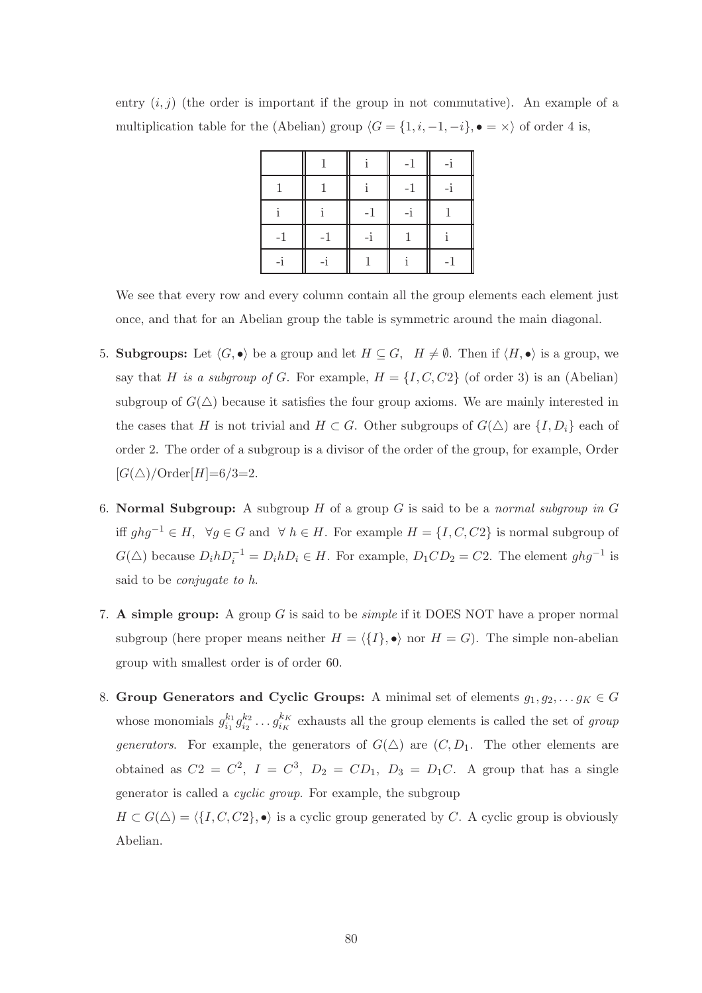entry  $(i, j)$  (the order is important if the group in not commutative). An example of a multiplication table for the (Abelian) group  $\langle G = \{1, i, -1, -i\}, \bullet = \times \rangle$  of order 4 is,

|      |      |    | $-1$ |      |
|------|------|----|------|------|
|      |      |    | $-1$ |      |
|      |      | -1 | -i   |      |
| $-1$ | $-1$ | -i |      |      |
|      |      |    |      | $-1$ |

We see that every row and every column contain all the group elements each element just once, and that for an Abelian group the table is symmetric around the main diagonal.

- 5. Subgroups: Let  $\langle G, \bullet \rangle$  be a group and let  $H \subseteq G$ ,  $H \neq \emptyset$ . Then if  $\langle H, \bullet \rangle$  is a group, we say that H is a subgroup of G. For example,  $H = \{I, C, C2\}$  (of order 3) is an (Abelian) subgroup of  $G(\triangle)$  because it satisfies the four group axioms. We are mainly interested in the cases that H is not trivial and  $H \subset G$ . Other subgroups of  $G(\triangle)$  are  $\{I, D_i\}$  each of order 2. The order of a subgroup is a divisor of the order of the group, for example, Order  $[G(\triangle)/Order[H]=6/3=2.$
- 6. Normal Subgroup: A subgroup H of a group G is said to be a normal subgroup in G iff  $ghg^{-1} ∈ H$ ,  $\forall g ∈ G$  and  $\forall h ∈ H$ . For example  $H = \{I, C, C2\}$  is normal subgroup of  $G(\triangle)$  because  $D_i h D_i^{-1} = D_i h D_i \in H$ . For example,  $D_1 C D_2 = C2$ . The element  $ghg^{-1}$  is said to be conjugate to h.
- 7. A simple group: A group  $G$  is said to be *simple* if it DOES NOT have a proper normal subgroup (here proper means neither  $H = \langle \{I\}, \bullet \rangle$  nor  $H = G$ ). The simple non-abelian group with smallest order is of order 60.
- 8. Group Generators and Cyclic Groups: A minimal set of elements  $g_1, g_2, \ldots g_K \in G$ whose monomials  $g_{i_1}^{k_1}$  ${}^{k_1}_{i_1}g^{k_2}_{i_2}$  $\frac{k_2}{i_2}\ldots g^{k_K}_{i_K}$  $\frac{k}{i_K}$  exhausts all the group elements is called the set of group generators. For example, the generators of  $G(\triangle)$  are  $(C, D_1)$ . The other elements are obtained as  $C2 = C^2$ ,  $I = C^3$ ,  $D_2 = CD_1$ ,  $D_3 = D_1C$ . A group that has a single generator is called a cyclic group. For example, the subgroup

 $H \subset G(\triangle) = \langle \{I, C, C2\}, \bullet \rangle$  is a cyclic group generated by C. A cyclic group is obviously Abelian.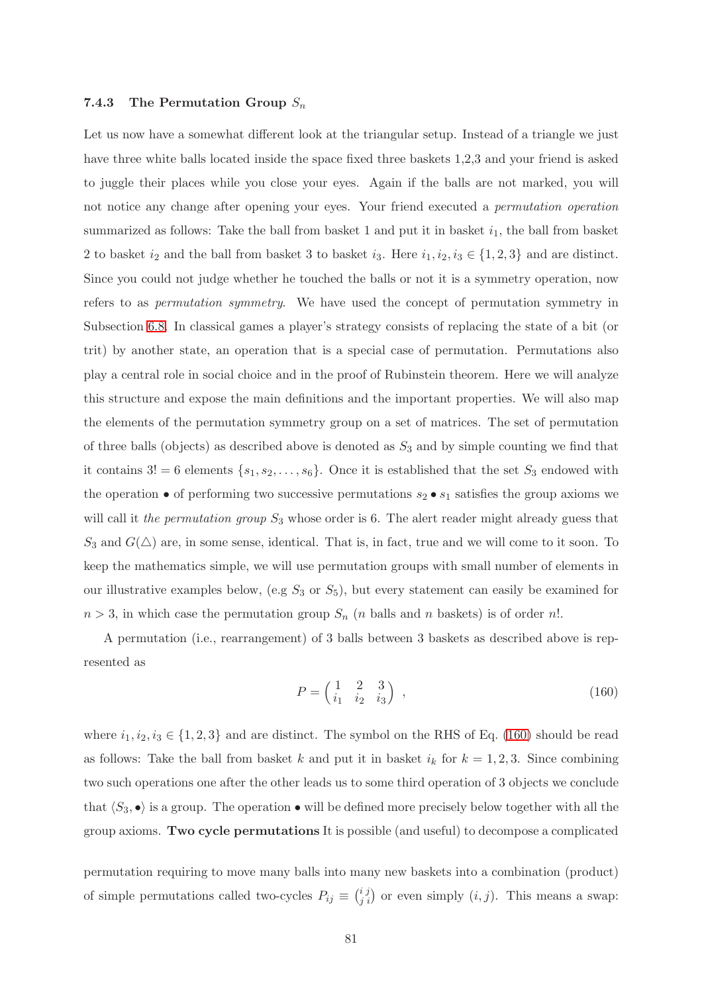## 7.4.3 The Permutation Group  $S_n$

Let us now have a somewhat different look at the triangular setup. Instead of a triangle we just have three white balls located inside the space fixed three baskets 1,2,3 and your friend is asked to juggle their places while you close your eyes. Again if the balls are not marked, you will not notice any change after opening your eyes. Your friend executed a *permutation operation* summarized as follows: Take the ball from basket 1 and put it in basket  $i_1$ , the ball from basket 2 to basket  $i_2$  and the ball from basket 3 to basket  $i_3$ . Here  $i_1, i_2, i_3 \in \{1, 2, 3\}$  and are distinct. Since you could not judge whether he touched the balls or not it is a symmetry operation, now refers to as permutation symmetry. We have used the concept of permutation symmetry in Subsection [6.8.](#page-50-0) In classical games a player's strategy consists of replacing the state of a bit (or trit) by another state, an operation that is a special case of permutation. Permutations also play a central role in social choice and in the proof of Rubinstein theorem. Here we will analyze this structure and expose the main definitions and the important properties. We will also map the elements of the permutation symmetry group on a set of matrices. The set of permutation of three balls (objects) as described above is denoted as  $S_3$  and by simple counting we find that it contains  $3! = 6$  elements  $\{s_1, s_2, \ldots, s_6\}$ . Once it is established that the set  $S_3$  endowed with the operation  $\bullet$  of performing two successive permutations  $s_2 \bullet s_1$  satisfies the group axioms we will call it the permutation group  $S_3$  whose order is 6. The alert reader might already guess that  $S_3$  and  $G(\triangle)$  are, in some sense, identical. That is, in fact, true and we will come to it soon. To keep the mathematics simple, we will use permutation groups with small number of elements in our illustrative examples below, (e.g  $S_3$  or  $S_5$ ), but every statement can easily be examined for  $n > 3$ , in which case the permutation group  $S_n$  (*n* balls and *n* baskets) is of order *n*!.

A permutation (i.e., rearrangement) of 3 balls between 3 baskets as described above is represented as

<span id="page-80-0"></span>
$$
P = \begin{pmatrix} 1 & 2 & 3 \\ i_1 & i_2 & i_3 \end{pmatrix} , \qquad (160)
$$

where  $i_1, i_2, i_3 \in \{1, 2, 3\}$  and are distinct. The symbol on the RHS of Eq. [\(160\)](#page-80-0) should be read as follows: Take the ball from basket k and put it in basket  $i_k$  for  $k = 1, 2, 3$ . Since combining two such operations one after the other leads us to some third operation of 3 objects we conclude that  $\langle S_3, \bullet \rangle$  is a group. The operation  $\bullet$  will be defined more precisely below together with all the group axioms. Two cycle permutations It is possible (and useful) to decompose a complicated

permutation requiring to move many balls into many new baskets into a combination (product) of simple permutations called two-cycles  $P_{ij} \equiv \binom{i}{j}$  or even simply  $(i, j)$ . This means a swap: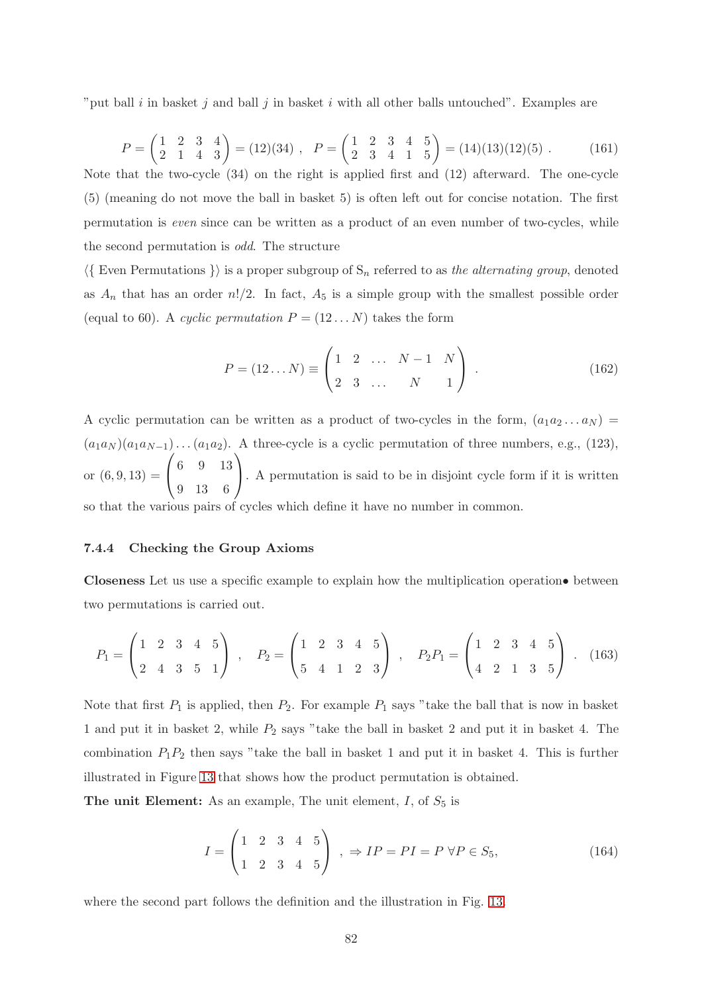"put ball i in basket j and ball j in basket i with all other balls untouched". Examples are

$$
P = \begin{pmatrix} 1 & 2 & 3 & 4 \\ 2 & 1 & 4 & 3 \end{pmatrix} = (12)(34) , P = \begin{pmatrix} 1 & 2 & 3 & 4 & 5 \\ 2 & 3 & 4 & 1 & 5 \end{pmatrix} = (14)(13)(12)(5) .
$$
 (161)

Note that the two-cycle (34) on the right is applied first and (12) afterward. The one-cycle (5) (meaning do not move the ball in basket 5) is often left out for concise notation. The first permutation is even since can be written as a product of an even number of two-cycles, while the second permutation is odd. The structure

 $\langle\{\rangle\}$  Even Permutations  $\rangle$  is a proper subgroup of  $S_n$  referred to as the alternating group, denoted as  $A_n$  that has an order  $n!/2$ . In fact,  $A_5$  is a simple group with the smallest possible order (equal to 60). A cyclic permutation  $P = (12 \dots N)$  takes the form

$$
P = (12...N) \equiv \begin{pmatrix} 1 & 2 & \dots & N-1 & N \\ 2 & 3 & \dots & N & 1 \end{pmatrix} .
$$
 (162)

A cyclic permutation can be written as a product of two-cycles in the form,  $(a_1a_2...a_N)$  =  $(a_1a_N)(a_1a_{N-1})\dots(a_1a_2)$ . A three-cycle is a cyclic permutation of three numbers, e.g., (123), or  $(6, 9, 13) =$  $\sqrt{ }$  $\mathcal{L}$ 6 9 13 9 13 6  $\setminus$ . A permutation is said to be in disjoint cycle form if it is written so that the various pairs of cycles which define it have no number in common.

## 7.4.4 Checking the Group Axioms

Closeness Let us use a specific example to explain how the multiplication operation• between two permutations is carried out.

<span id="page-81-0"></span>
$$
P_1 = \begin{pmatrix} 1 & 2 & 3 & 4 & 5 \\ 2 & 4 & 3 & 5 & 1 \end{pmatrix} , P_2 = \begin{pmatrix} 1 & 2 & 3 & 4 & 5 \\ 5 & 4 & 1 & 2 & 3 \end{pmatrix} , P_2P_1 = \begin{pmatrix} 1 & 2 & 3 & 4 & 5 \\ 4 & 2 & 1 & 3 & 5 \end{pmatrix} . (163)
$$

Note that first  $P_1$  is applied, then  $P_2$ . For example  $P_1$  says "take the ball that is now in basket 1 and put it in basket 2, while  $P_2$  says "take the ball in basket 2 and put it in basket 4. The combination  $P_1P_2$  then says "take the ball in basket 1 and put it in basket 4. This is further illustrated in Figure [13](#page-82-0) that shows how the product permutation is obtained.

The unit Element: As an example, The unit element,  $I$ , of  $S_5$  is

$$
I = \begin{pmatrix} 1 & 2 & 3 & 4 & 5 \\ 1 & 2 & 3 & 4 & 5 \end{pmatrix} , \Rightarrow IP = PI = P \forall P \in S_5,
$$
 (164)

where the second part follows the definition and the illustration in Fig. [13.](#page-82-0)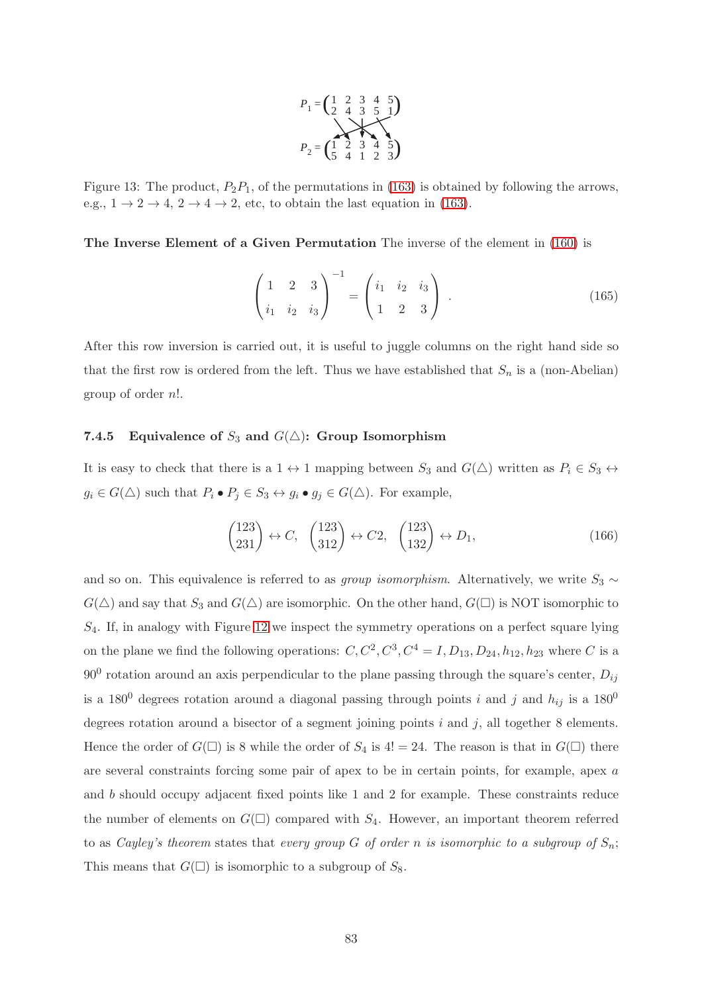

<span id="page-82-0"></span>Figure 13: The product,  $P_2P_1$ , of the permutations in [\(163\)](#page-81-0) is obtained by following the arrows, e.g.,  $1 \rightarrow 2 \rightarrow 4$ ,  $2 \rightarrow 4 \rightarrow 2$ , etc, to obtain the last equation in [\(163\)](#page-81-0).

The Inverse Element of a Given Permutation The inverse of the element in [\(160\)](#page-80-0) is

$$
\begin{pmatrix} 1 & 2 & 3 \ i_1 & i_2 & i_3 \end{pmatrix}^{-1} = \begin{pmatrix} i_1 & i_2 & i_3 \ 1 & 2 & 3 \end{pmatrix} .
$$
 (165)

After this row inversion is carried out, it is useful to juggle columns on the right hand side so that the first row is ordered from the left. Thus we have established that  $S_n$  is a (non-Abelian) group of order n!.

## 7.4.5 Equivalence of  $S_3$  and  $G(\triangle)$ : Group Isomorphism

It is easy to check that there is a 1  $\leftrightarrow$  1 mapping between  $S_3$  and  $G(\triangle)$  written as  $P_i \in S_3 \leftrightarrow$  $g_i \in G(\triangle)$  such that  $P_i \bullet P_j \in S_3 \leftrightarrow g_i \bullet g_j \in G(\triangle)$ . For example,

$$
\begin{pmatrix} 123 \\ 231 \end{pmatrix} \leftrightarrow C, \quad \begin{pmatrix} 123 \\ 312 \end{pmatrix} \leftrightarrow C2, \quad \begin{pmatrix} 123 \\ 132 \end{pmatrix} \leftrightarrow D_1,\tag{166}
$$

and so on. This equivalence is referred to as *group isomorphism*. Alternatively, we write  $S_3 \sim$  $G(\triangle)$  and say that  $S_3$  and  $G(\triangle)$  are isomorphic. On the other hand,  $G(\square)$  is NOT isomorphic to  $S_4$ . If, in analogy with Figure [12](#page-77-0) we inspect the symmetry operations on a perfect square lying on the plane we find the following operations:  $C, C^2, C^3, C^4 = I, D_{13}, D_{24}, h_{12}, h_{23}$  where C is a  $90^0$  rotation around an axis perpendicular to the plane passing through the square's center,  $D_{ij}$ is a 180<sup>0</sup> degrees rotation around a diagonal passing through points i and j and  $h_{ij}$  is a 180<sup>0</sup> degrees rotation around a bisector of a segment joining points  $i$  and  $j$ , all together 8 elements. Hence the order of  $G(\Box)$  is 8 while the order of  $S_4$  is 4! = 24. The reason is that in  $G(\Box)$  there are several constraints forcing some pair of apex to be in certain points, for example, apex  $a$ and b should occupy adjacent fixed points like 1 and 2 for example. These constraints reduce the number of elements on  $G(\square)$  compared with  $S_4$ . However, an important theorem referred to as Cayley's theorem states that every group G of order n is isomorphic to a subgroup of  $S_n$ ; This means that  $G(\square)$  is isomorphic to a subgroup of  $S_8$ .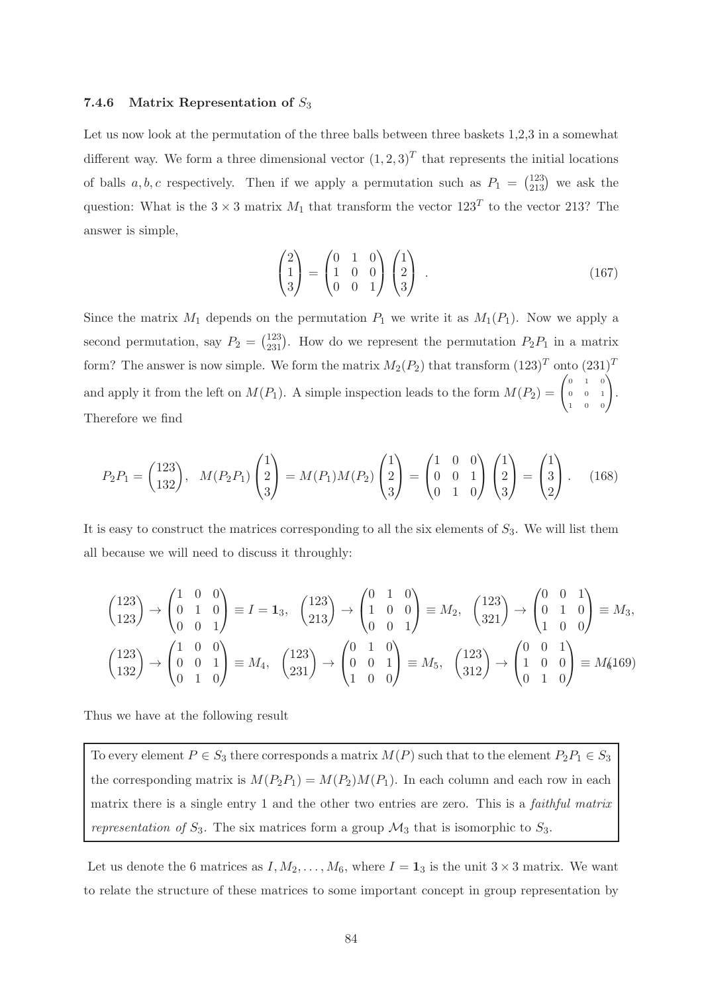#### 7.4.6 Matrix Representation of  $S_3$

Let us now look at the permutation of the three balls between three baskets 1,2,3 in a somewhat different way. We form a three dimensional vector  $(1, 2, 3)^T$  that represents the initial locations of balls  $a, b, c$  respectively. Then if we apply a permutation such as  $P_1 = \binom{123}{213}$  we ask the question: What is the  $3 \times 3$  matrix  $M_1$  that transform the vector  $123^T$  to the vector 213? The answer is simple,

$$
\begin{pmatrix} 2 \\ 1 \\ 3 \end{pmatrix} = \begin{pmatrix} 0 & 1 & 0 \\ 1 & 0 & 0 \\ 0 & 0 & 1 \end{pmatrix} \begin{pmatrix} 1 \\ 2 \\ 3 \end{pmatrix} . \tag{167}
$$

Since the matrix  $M_1$  depends on the permutation  $P_1$  we write it as  $M_1(P_1)$ . Now we apply a second permutation, say  $P_2 = \binom{123}{231}$ . How do we represent the permutation  $P_2P_1$  in a matrix form? The answer is now simple. We form the matrix  $M_2(P_2)$  that transform  $(123)^T$  onto  $(231)^T$ and apply it from the left on  $M(P_1)$ . A simple inspection leads to the form  $M(P_2) = \begin{pmatrix} 0 & 1 & 0 \\ 0 & 0 & 1 \end{pmatrix}$ 0 0 1  $\begin{pmatrix} 0 & 1 & 0 \ 0 & 0 & 1 \ 1 & 0 & 0 \end{pmatrix}$ . Therefore we find

$$
P_2P_1 = \begin{pmatrix} 123 \\ 132 \end{pmatrix}, \quad M(P_2P_1) \begin{pmatrix} 1 \\ 2 \\ 3 \end{pmatrix} = M(P_1)M(P_2) \begin{pmatrix} 1 \\ 2 \\ 3 \end{pmatrix} = \begin{pmatrix} 1 & 0 & 0 \\ 0 & 0 & 1 \\ 0 & 1 & 0 \end{pmatrix} \begin{pmatrix} 1 \\ 2 \\ 3 \end{pmatrix} = \begin{pmatrix} 1 \\ 3 \\ 2 \end{pmatrix}.
$$
 (168)

It is easy to construct the matrices corresponding to all the six elements of  $S_3$ . We will list them all because we will need to discuss it throughly:

<span id="page-83-0"></span>
$$
\begin{pmatrix} 123 \\ 123 \end{pmatrix} \rightarrow \begin{pmatrix} 1 & 0 & 0 \\ 0 & 1 & 0 \\ 0 & 0 & 1 \end{pmatrix} \equiv I = \mathbf{1}_3, \quad \begin{pmatrix} 123 \\ 213 \end{pmatrix} \rightarrow \begin{pmatrix} 0 & 1 & 0 \\ 1 & 0 & 0 \\ 0 & 0 & 1 \end{pmatrix} \equiv M_2, \quad \begin{pmatrix} 123 \\ 321 \end{pmatrix} \rightarrow \begin{pmatrix} 0 & 0 & 1 \\ 0 & 1 & 0 \\ 1 & 0 & 0 \end{pmatrix} \equiv M_3,
$$
  

$$
\begin{pmatrix} 123 \\ 132 \end{pmatrix} \rightarrow \begin{pmatrix} 1 & 0 & 0 \\ 0 & 0 & 1 \\ 0 & 1 & 0 \end{pmatrix} \equiv M_4, \quad \begin{pmatrix} 123 \\ 231 \end{pmatrix} \rightarrow \begin{pmatrix} 0 & 1 & 0 \\ 0 & 0 & 1 \\ 1 & 0 & 0 \end{pmatrix} \equiv M_5, \quad \begin{pmatrix} 123 \\ 312 \end{pmatrix} \rightarrow \begin{pmatrix} 0 & 0 & 1 \\ 1 & 0 & 0 \\ 0 & 1 & 0 \end{pmatrix} \equiv M_6(169)
$$

Thus we have at the following result

To every element  $P \in S_3$  there corresponds a matrix  $M(P)$  such that to the element  $P_2P_1 \in S_3$ the corresponding matrix is  $M(P_2P_1) = M(P_2)M(P_1)$ . In each column and each row in each matrix there is a single entry 1 and the other two entries are zero. This is a faithful matrix representation of  $S_3$ . The six matrices form a group  $\mathcal{M}_3$  that is isomorphic to  $S_3$ .

Let us denote the 6 matrices as  $I, M_2, \ldots, M_6$ , where  $I = 1_3$  is the unit  $3 \times 3$  matrix. We want to relate the structure of these matrices to some important concept in group representation by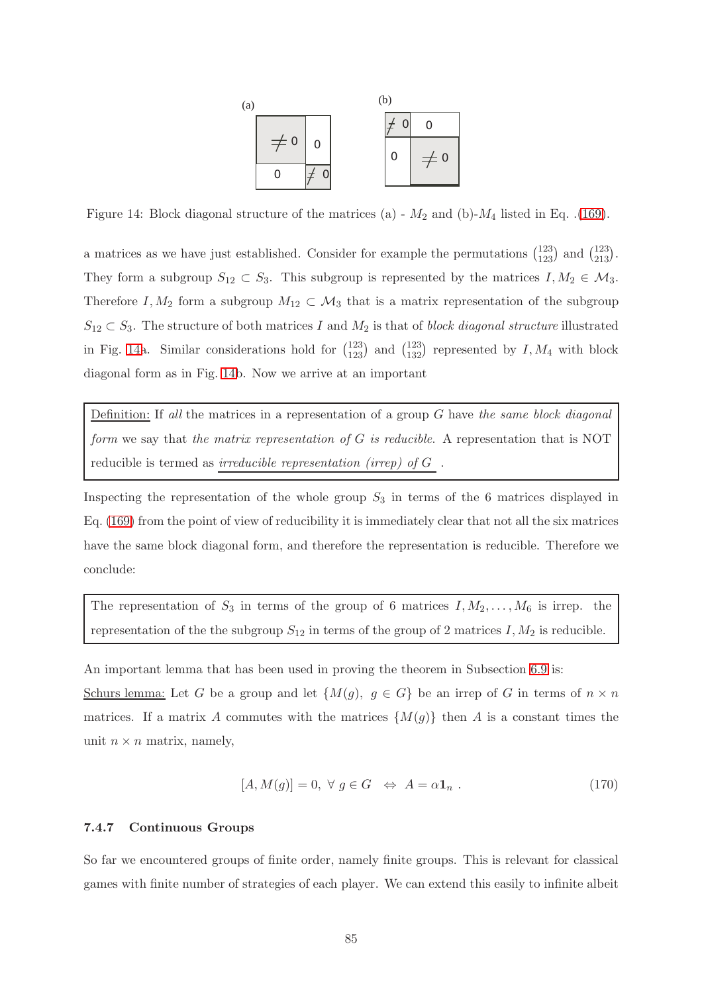

<span id="page-84-0"></span>Figure14: Block diagonal structure of the matrices (a) -  $M_2$  and (b)- $M_4$  listed in Eq. .[\(169\)](#page-83-0).

a matrices as we have just established. Consider for example the permutations  $\binom{123}{123}$  and  $\binom{123}{213}$ . They form a subgroup  $S_{12} \subset S_3$ . This subgroup is represented by the matrices  $I, M_2 \in \mathcal{M}_3$ . Therefore I,  $M_2$  form a subgroup  $M_{12} \subset M_3$  that is a matrix representation of the subgroup  $S_{12} \subset S_3$ . The structure of both matrices I and  $M_2$  is that of block diagonal structure illustrated in Fig. [14a](#page-84-0). Similar considerations hold for  $\binom{123}{123}$  and  $\binom{123}{132}$  represented by  $I, M_4$  with block diagonal form as in Fig. [14b](#page-84-0). Now we arrive at an important

Definition: If all the matrices in a representation of a group  $G$  have the same block diagonal form we say that the matrix representation of  $G$  is reducible. A representation that is NOT reducible is termed as  $\underline{irreducible}$   $representation$   $\left( \underline{irrep}\right)$  of  $G$  .

Inspecting the representation of the whole group  $S_3$  in terms of the 6 matrices displayed in Eq. [\(169\)](#page-83-0) from the point of view of reducibility it is immediately clear that not all the six matrices have the same block diagonal form, and therefore the representation is reducible. Therefore we conclude:

The representation of  $S_3$  in terms of the group of 6 matrices  $I, M_2, \ldots, M_6$  is irrep. the representation of the the subgroup  $S_{12}$  in terms of the group of 2 matrices  $I, M_2$  is reducible.

An important lemma that has been used in proving the theorem in Subsection [6.9](#page-51-0) is: Schurs lemma: Let G be a group and let  $\{M(g), g \in G\}$  be an irrep of G in terms of  $n \times n$ matrices. If a matrix A commutes with the matrices  $\{M(g)\}\$  then A is a constant times the unit  $n \times n$  matrix, namely,

$$
[A, M(g)] = 0, \ \forall \ g \in G \ \Leftrightarrow A = \alpha \mathbf{1}_n \ . \tag{170}
$$

## 7.4.7 Continuous Groups

So far we encountered groups of finite order, namely finite groups. This is relevant for classical games with finite number of strategies of each player. We can extend this easily to infinite albeit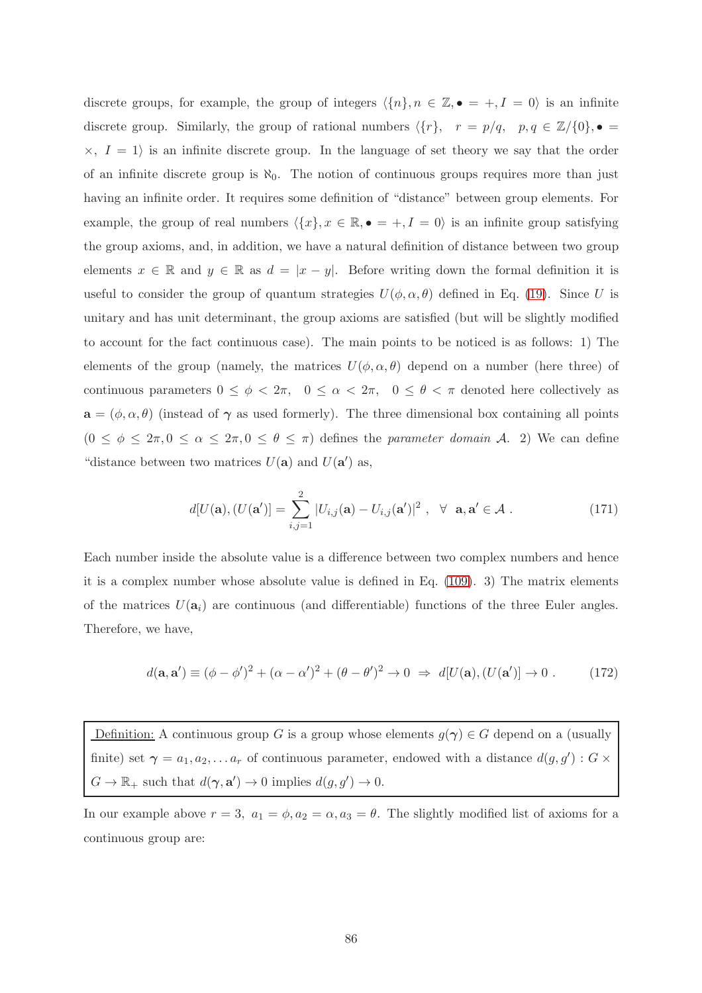discrete groups, for example, the group of integers  $\langle \{n\}, n \in \mathbb{Z}, \bullet = +, I = 0 \rangle$  is an infinite discrete group. Similarly, the group of rational numbers  $\langle \{r\}, r = p/q, p, q \in \mathbb{Z}/\{0\}, \bullet =$  $\times$ ,  $I = 1$  is an infinite discrete group. In the language of set theory we say that the order of an infinite discrete group is  $\aleph_0$ . The notion of continuous groups requires more than just having an infinite order. It requires some definition of "distance" between group elements. For example, the group of real numbers  $\langle \{x\}, x \in \mathbb{R}, \bullet = +, I = 0 \rangle$  is an infinite group satisfying the group axioms, and, in addition, we have a natural definition of distance between two group elements  $x \in \mathbb{R}$  and  $y \in \mathbb{R}$  as  $d = |x - y|$ . Before writing down the formal definition it is useful to consider the group of quantum strategies  $U(\phi, \alpha, \theta)$  defined in Eq. [\(19\)](#page-15-0). Since U is unitary and has unit determinant, the group axioms are satisfied (but will be slightly modified to account for the fact continuous case). The main points to be noticed is as follows: 1) The elements of the group (namely, the matrices  $U(\phi, \alpha, \theta)$  depend on a number (here three) of continuous parameters  $0 \le \phi < 2\pi$ ,  $0 \le \alpha < 2\pi$ ,  $0 \le \theta < \pi$  denoted here collectively as  $\mathbf{a} = (\phi, \alpha, \theta)$  (instead of  $\gamma$  as used formerly). The three dimensional box containing all points  $(0 \le \phi \le 2\pi, 0 \le \alpha \le 2\pi, 0 \le \theta \le \pi)$  defines the parameter domain A. 2) We can define "distance between two matrices  $U(\mathbf{a})$  and  $U(\mathbf{a}')$  as,

$$
d[U(\mathbf{a}), (U(\mathbf{a}')] = \sum_{i,j=1}^{2} |U_{i,j}(\mathbf{a}) - U_{i,j}(\mathbf{a}')|^2, \ \forall \ \mathbf{a}, \mathbf{a}' \in \mathcal{A}.
$$
 (171)

Each number inside the absolute value is a difference between two complex numbers and hence it is a complex number whose absolute value is defined in Eq. [\(109\)](#page-59-0). 3) The matrix elements of the matrices  $U(\mathbf{a}_i)$  are continuous (and differentiable) functions of the three Euler angles. Therefore, we have,

$$
d(\mathbf{a}, \mathbf{a}') \equiv (\phi - \phi')^2 + (\alpha - \alpha')^2 + (\theta - \theta')^2 \to 0 \implies d[U(\mathbf{a}), (U(\mathbf{a}')] \to 0. \tag{172}
$$

Definition: A continuous group G is a group whose elements  $g(\gamma) \in G$  depend on a (usually finite) set  $\gamma = a_1, a_2, \dots a_r$  of continuous parameter, endowed with a distance  $d(g, g') : G \times$  $G \to \mathbb{R}_+$  such that  $d(\gamma, \mathbf{a}') \to 0$  implies  $d(g, g') \to 0$ .

In our example above  $r = 3$ ,  $a_1 = \phi$ ,  $a_2 = \alpha$ ,  $a_3 = \theta$ . The slightly modified list of axioms for a continuous group are: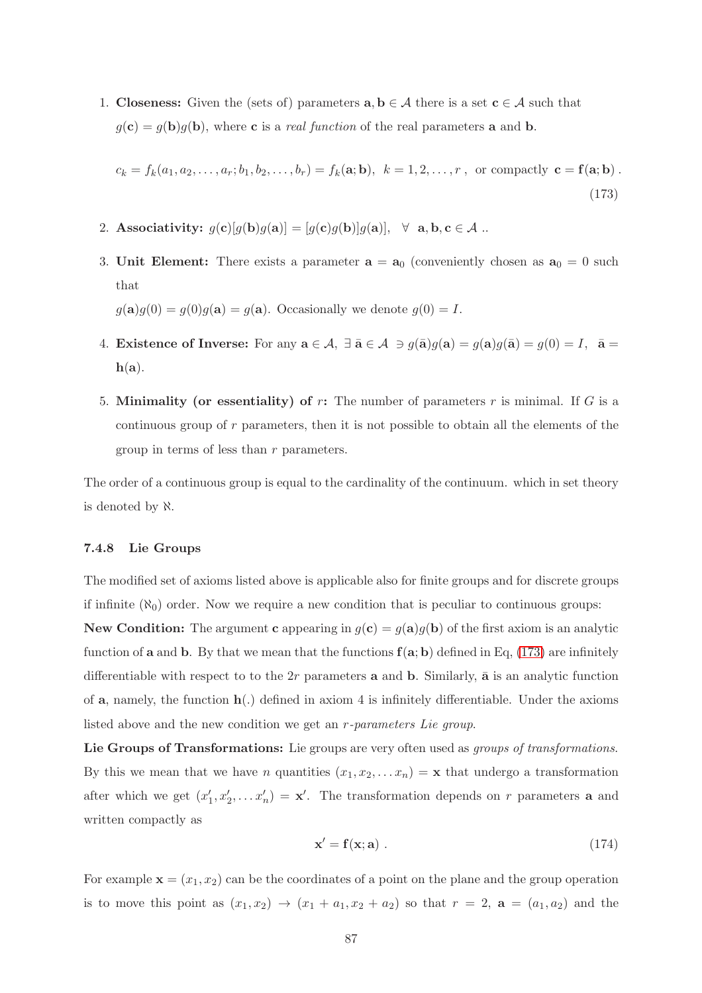1. Closeness: Given the (sets of) parameters  $a, b \in A$  there is a set  $c \in A$  such that  $g(\mathbf{c}) = g(\mathbf{b})g(\mathbf{b})$ , where **c** is a *real function* of the real parameters **a** and **b**.

<span id="page-86-0"></span>
$$
c_k = f_k(a_1, a_2, \dots, a_r; b_1, b_2, \dots, b_r) = f_k(\mathbf{a}; \mathbf{b}), \quad k = 1, 2, \dots, r \text{, or compactly } \mathbf{c} = \mathbf{f}(\mathbf{a}; \mathbf{b}) \tag{173}
$$

- 2. Associativity:  $g(c)[g(b)g(a)] = [g(c)g(b)]g(a)], \forall a, b, c \in \mathcal{A}$ ..
- 3. Unit Element: There exists a parameter  $a = a_0$  (conveniently chosen as  $a_0 = 0$  such that

 $g(\mathbf{a})g(0) = g(0)g(\mathbf{a}) = g(\mathbf{a})$ . Occasionally we denote  $g(0) = I$ .

- 4. Existence of Inverse: For any  $\mathbf{a} \in \mathcal{A}$ ,  $\exists \bar{\mathbf{a}} \in \mathcal{A} \ni g(\bar{\mathbf{a}})g(\mathbf{a}) = g(\mathbf{a})g(\bar{\mathbf{a}}) = g(0) = I$ ,  $\bar{\mathbf{a}} =$  $h(a)$ .
- 5. Minimality (or essentiality) of  $r$ : The number of parameters  $r$  is minimal. If  $G$  is a continuous group of r parameters, then it is not possible to obtain all the elements of the group in terms of less than r parameters.

The order of a continuous group is equal to the cardinality of the continuum. which in set theory is denoted by ℵ.

#### 7.4.8 Lie Groups

The modified set of axioms listed above is applicable also for finite groups and for discrete groups if infinite  $(\aleph_0)$  order. Now we require a new condition that is peculiar to continuous groups:

New Condition: The argument c appearing in  $g(c) = g(a)g(b)$  of the first axiom is an analytic function of **a** and **b**. By that we mean that the functions  $f(a; b)$  defined in Eq, [\(173\)](#page-86-0) are infinitely differentiable with respect to to the  $2r$  parameters **a** and **b**. Similarly, **a** is an analytic function of **a**, namely, the function  $h(.)$  defined in axiom 4 is infinitely differentiable. Under the axioms listed above and the new condition we get an r-parameters Lie group.

Lie Groups of Transformations: Lie groups are very often used as groups of transformations. By this we mean that we have *n* quantities  $(x_1, x_2, \ldots, x_n) = \mathbf{x}$  that undergo a transformation after which we get  $(x'_1, x'_2, \ldots, x'_n) = \mathbf{x}'$ . The transformation depends on r parameters **a** and written compactly as

<span id="page-86-1"></span>
$$
\mathbf{x}' = \mathbf{f}(\mathbf{x}; \mathbf{a}) \tag{174}
$$

For example  $\mathbf{x} = (x_1, x_2)$  can be the coordinates of a point on the plane and the group operation is to move this point as  $(x_1, x_2) \rightarrow (x_1 + a_1, x_2 + a_2)$  so that  $r = 2$ ,  $\mathbf{a} = (a_1, a_2)$  and the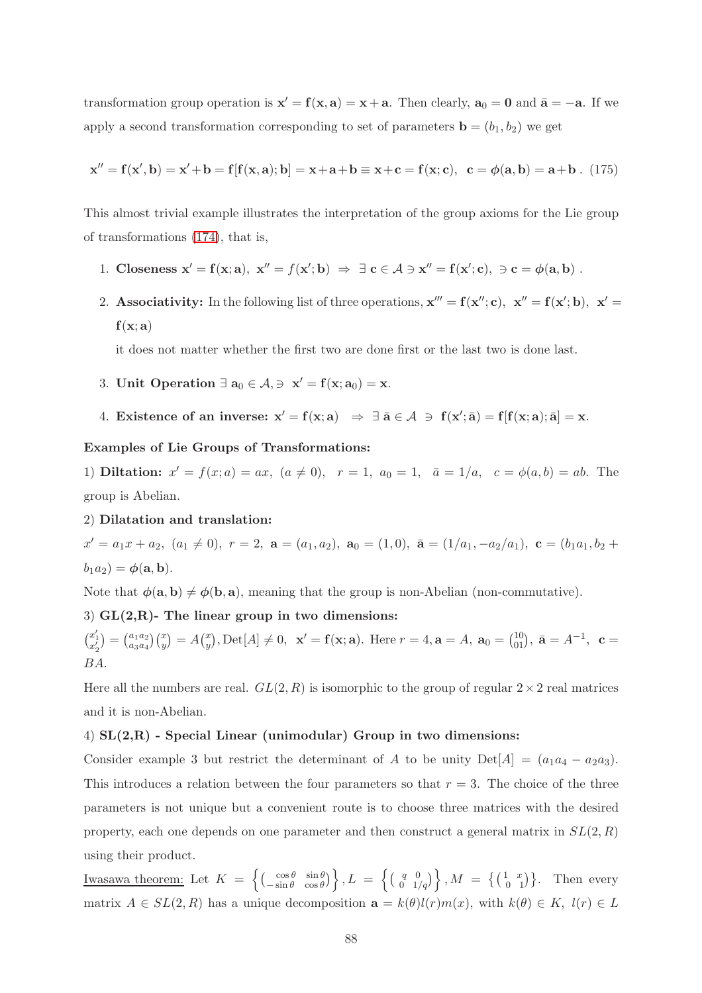transformation group operation is  $x' = f(x, a) = x + a$ . Then clearly,  $a_0 = 0$  and  $\bar{a} = -a$ . If we apply a second transformation corresponding to set of parameters  $\mathbf{b} = (b_1, b_2)$  we get

$$
\mathbf{x}'' = \mathbf{f}(\mathbf{x}', \mathbf{b}) = \mathbf{x}' + \mathbf{b} = \mathbf{f}[\mathbf{f}(\mathbf{x}, \mathbf{a}); \mathbf{b}] = \mathbf{x} + \mathbf{a} + \mathbf{b} \equiv \mathbf{x} + \mathbf{c} = \mathbf{f}(\mathbf{x}; \mathbf{c}), \ \mathbf{c} = \phi(\mathbf{a}, \mathbf{b}) = \mathbf{a} + \mathbf{b} \ . \ (175)
$$

This almost trivial example illustrates the interpretation of the group axioms for the Lie group of transformations [\(174\)](#page-86-1), that is,

- 1. Closeness  $\mathbf{x}' = \mathbf{f}(\mathbf{x}; \mathbf{a}), \ \mathbf{x}'' = f(\mathbf{x}'; \mathbf{b}) \Rightarrow \exists \ \mathbf{c} \in \mathcal{A} \ni \mathbf{x}'' = \mathbf{f}(\mathbf{x}'; \mathbf{c}), \ \ni \mathbf{c} = \phi(\mathbf{a}, \mathbf{b})$ .
- 2. Associativity: In the following list of three operations,  $x''' = f(x''; c)$ ,  $x'' = f(x'; b)$ ,  $x' = f(x; b)$  $f(x; a)$

it does not matter whether the first two are done first or the last two is done last.

- 3. Unit Operation  $\exists \mathbf{a}_0 \in \mathcal{A}, \exists \mathbf{x}' = \mathbf{f}(\mathbf{x}; \mathbf{a}_0) = \mathbf{x}.$
- 4. Existence of an inverse:  $x' = f(x; a) \Rightarrow \exists \bar{a} \in \mathcal{A} \Rightarrow f(x'; \bar{a}) = f[f(x; a); \bar{a}] = x$ .

#### Examples of Lie Groups of Transformations:

1) **Diltation:**  $x' = f(x; a) = ax$ ,  $(a \neq 0)$ ,  $r = 1$ ,  $a_0 = 1$ ,  $\bar{a} = 1/a$ ,  $c = \phi(a, b) = ab$ . The group is Abelian.

2) Dilatation and translation:

 $x' = a_1x + a_2, (a_1 \neq 0), r = 2, \mathbf{a} = (a_1, a_2), \mathbf{a}_0 = (1, 0), \mathbf{\bar{a}} = (1/a_1, -a_2/a_1), \mathbf{c} = (b_1a_1, b_2 + b_1b_2, -b_2b_1b_2, -b_3b_2, -b_4b_2, -b_5b_3, -b_6b_3, -b_7b_4, -b_8b_4, -b_9b_5, -b_9b_6, -b_9b_7, -b_9b_8, -b_9b_9, -b_9b_9, -b_9b_9$  $b_1a_2$ ) =  $\phi$ (**a**, **b**).

Note that  $\phi(\mathbf{a}, \mathbf{b}) \neq \phi(\mathbf{b}, \mathbf{a})$ , meaning that the group is non-Abelian (non-commutative).

## 3)  $GL(2,R)$ - The linear group in two dimensions:

 $\binom{x_1'}{x_2'} = \binom{a_1 a_2}{a_3 a_4}$  $_{a_{3}a_{4}}^{a_{1}a_{2}}\left( _{y}^{x}\right) =A\left( _{y}^{x}\right)$  $y^x_y$ , Det[A]  $\neq 0$ ,  $\mathbf{x}' = \mathbf{f}(\mathbf{x}; \mathbf{a})$ . Here  $r = 4$ ,  $\mathbf{a} = A$ ,  $\mathbf{a}_0 = \begin{pmatrix} 10 \\ 01 \end{pmatrix}$ ,  $\bar{\mathbf{a}} = A^{-1}$ ,  $\mathbf{c} =$ BA.

Here all the numbers are real.  $GL(2, R)$  is isomorphic to the group of regular  $2 \times 2$  real matrices and it is non-Abelian.

## 4)  $SL(2,R)$  - Special Linear (unimodular) Group in two dimensions:

Consider example 3 but restrict the determinant of A to be unity  $Det[A] = (a_1a_4 - a_2a_3)$ . This introduces a relation between the four parameters so that  $r = 3$ . The choice of the three parameters is not unique but a convenient route is to choose three matrices with the desired property, each one depends on one parameter and then construct a general matrix in  $SL(2, R)$ using their product.

Iwasawa theorem: Let  $K = \left\{ \begin{pmatrix} \cos \theta & \sin \theta \\ -\sin \theta & \cos \theta \end{pmatrix} \right\}$  $\begin{pmatrix} \cos \theta & \sin \theta \\ -\sin \theta & \cos \theta \end{pmatrix}$ ,  $L = \begin{cases} \begin{pmatrix} q & 0 \\ 0 & 1 \end{pmatrix}$  $\begin{pmatrix} q & 0 \\ 0 & 1/q \end{pmatrix}$ ,  $M = \{ \begin{pmatrix} 1 & x \\ 0 & 1 \end{pmatrix} \}$ . Then every matrix  $A \in SL(2, R)$  has a unique decomposition  $\mathbf{a} = k(\theta)l(r)m(x)$ , with  $k(\theta) \in K$ ,  $l(r) \in L$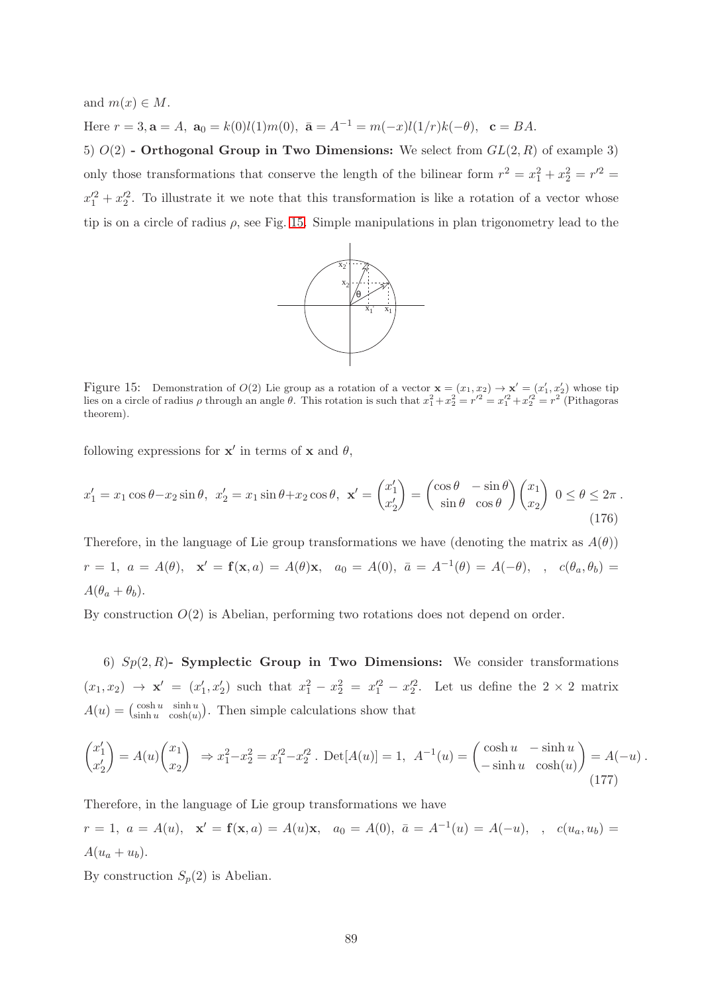and  $m(x) \in M$ . Here  $r = 3$ ,  $\mathbf{a} = A$ ,  $\mathbf{a}_0 = k(0)l(1)m(0)$ ,  $\bar{\mathbf{a}} = A^{-1} = m(-x)l(1/r)k(-\theta)$ ,  $\mathbf{c} = BA$ .

5)  $O(2)$  - Orthogonal Group in Two Dimensions: We select from  $GL(2, R)$  of example 3) only those transformations that conserve the length of the bilinear form  $r^2 = x_1^2 + x_2^2 = r'^2 =$  $x_1^2 + x_2^2$ . To illustrate it we note that this transformation is like a rotation of a vector whose tip is on a circle of radius  $\rho$ , see Fig. [15.](#page-88-0) Simple manipulations in plan trigonometry lead to the



<span id="page-88-0"></span>Figure 15: Demonstration of  $O(2)$  Lie group as a rotation of a vector  $\mathbf{x} = (x_1, x_2) \rightarrow \mathbf{x}' = (x'_1, x'_2)$  whose tip lies on a circle of radius  $\rho$  through an angle  $\theta$ . This rotation is such that  $x_1^2 + x_2^2 = r'^2 = x_1'^2 + x_2'^2 = r^2$  (Pithagoras theorem).

following expressions for  $x'$  in terms of x and  $\theta$ ,

$$
x'_1 = x_1 \cos \theta - x_2 \sin \theta, \ \ x'_2 = x_1 \sin \theta + x_2 \cos \theta, \ \ \mathbf{x}' = \begin{pmatrix} x'_1 \\ x'_2 \end{pmatrix} = \begin{pmatrix} \cos \theta & -\sin \theta \\ \sin \theta & \cos \theta \end{pmatrix} \begin{pmatrix} x_1 \\ x_2 \end{pmatrix} \ \ 0 \le \theta \le 2\pi \ . \tag{176}
$$

Therefore, in the language of Lie group transformations we have (denoting the matrix as  $A(\theta)$ )  $r = 1, a = A(\theta), x' = f(x, a) = A(\theta)x, a_0 = A(0), \bar{a} = A^{-1}(\theta) = A(-\theta), \bar{a} = (\theta_a, \theta_b) =$  $A(\theta_a + \theta_b)$ .

By construction  $O(2)$  is Abelian, performing two rotations does not depend on order.

6)  $Sp(2, R)$ - Symplectic Group in Two Dimensions: We consider transformations  $(x_1, x_2) \to \mathbf{x}' = (x'_1, x'_2)$  such that  $x_1^2 - x_2^2 = x_1'^2 - x_2'^2$ . Let us define the  $2 \times 2$  matrix  $A(u) = \begin{pmatrix} \cosh u & \sinh u \\ \sinh u & \cosh(u) \end{pmatrix}$  $\frac{\cosh u}{\cosh(u)}$  sinh  $\frac{u}{\cosh(u)}$ . Then simple calculations show that

$$
\begin{pmatrix} x_1' \\ x_2' \end{pmatrix} = A(u) \begin{pmatrix} x_1 \\ x_2 \end{pmatrix} \implies x_1^2 - x_2^2 = x_1'^2 - x_2'^2. \text{ Det}[A(u)] = 1, \quad A^{-1}(u) = \begin{pmatrix} \cosh u & -\sinh u \\ -\sinh u & \cosh(u) \end{pmatrix} = A(-u) \tag{177}
$$

Therefore, in the language of Lie group transformations we have

 $r = 1, a = A(u), x' = f(x, a) = A(u)x, a_0 = A(0), \bar{a} = A^{-1}(u) = A(-u), \bar{a} = a(u, u) = a(u)$  $A(u_a + u_b).$ 

By construction  $S_p(2)$  is Abelian.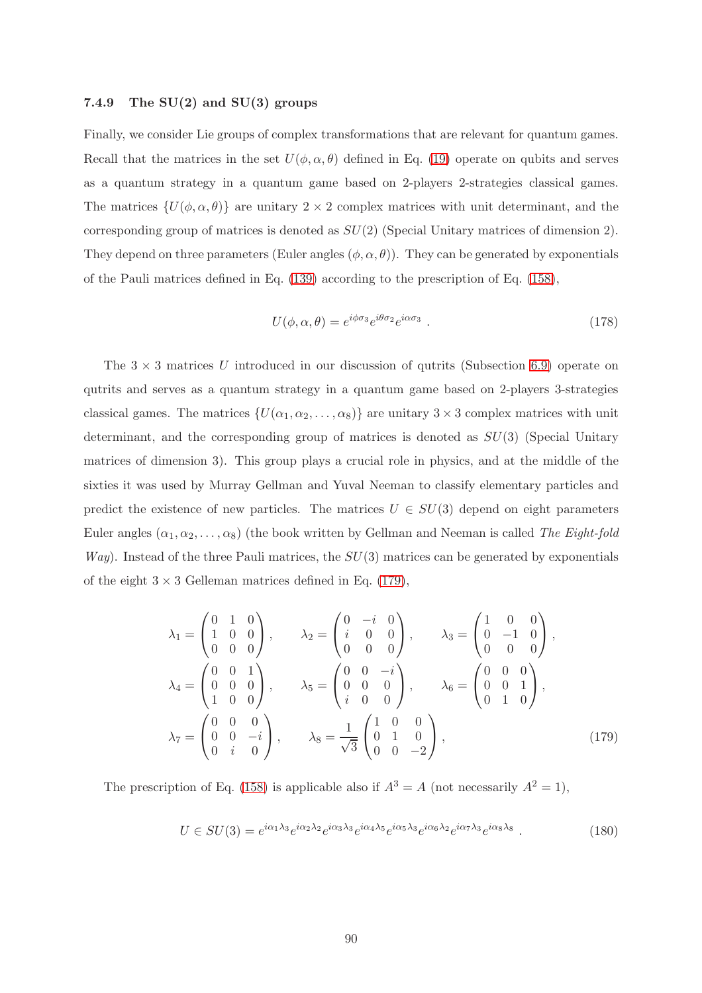## 7.4.9 The  $SU(2)$  and  $SU(3)$  groups

Finally, we consider Lie groups of complex transformations that are relevant for quantum games. Recall that the matrices in the set  $U(\phi, \alpha, \theta)$  defined in Eq. [\(19\)](#page-15-0) operate on qubits and serves as a quantum strategy in a quantum game based on 2-players 2-strategies classical games. The matrices  $\{U(\phi, \alpha, \theta)\}\$ are unitary  $2 \times 2$  complex matrices with unit determinant, and the corresponding group of matrices is denoted as  $SU(2)$  (Special Unitary matrices of dimension 2). They depend on three parameters (Euler angles  $(\phi, \alpha, \theta)$ ). They can be generated by exponentials of the Pauli matrices defined in Eq. [\(139\)](#page-71-0) according to the prescription of Eq. [\(158\)](#page-76-0),

$$
U(\phi, \alpha, \theta) = e^{i\phi\sigma_3} e^{i\theta\sigma_2} e^{i\alpha\sigma_3} \tag{178}
$$

The  $3 \times 3$  matrices U introduced in our discussion of qutrits (Subsection [6.9\)](#page-51-0) operate on qutrits and serves as a quantum strategy in a quantum game based on 2-players 3-strategies classical games. The matrices  $\{U(\alpha_1, \alpha_2, \ldots, \alpha_8)\}\$  are unitary  $3 \times 3$  complex matrices with unit determinant, and the corresponding group of matrices is denoted as  $SU(3)$  (Special Unitary matrices of dimension 3). This group plays a crucial role in physics, and at the middle of the sixties it was used by Murray Gellman and Yuval Neeman to classify elementary particles and predict the existence of new particles. The matrices  $U \in SU(3)$  depend on eight parameters Euler angles  $(\alpha_1, \alpha_2, \ldots, \alpha_8)$  (the book written by Gellman and Neeman is called The Eight-fold  $Way$ ). Instead of the three Pauli matrices, the  $SU(3)$  matrices can be generated by exponentials of the eight  $3 \times 3$  Gelleman matrices defined in Eq. [\(179\)](#page-89-0),

<span id="page-89-0"></span>
$$
\lambda_1 = \begin{pmatrix} 0 & 1 & 0 \\ 1 & 0 & 0 \\ 0 & 0 & 0 \end{pmatrix}, \qquad \lambda_2 = \begin{pmatrix} 0 & -i & 0 \\ i & 0 & 0 \\ 0 & 0 & 0 \end{pmatrix}, \qquad \lambda_3 = \begin{pmatrix} 1 & 0 & 0 \\ 0 & -1 & 0 \\ 0 & 0 & 0 \end{pmatrix},
$$

$$
\lambda_4 = \begin{pmatrix} 0 & 0 & 1 \\ 0 & 0 & 0 \\ 1 & 0 & 0 \end{pmatrix}, \qquad \lambda_5 = \begin{pmatrix} 0 & 0 & -i \\ 0 & 0 & 0 \\ i & 0 & 0 \end{pmatrix}, \qquad \lambda_6 = \begin{pmatrix} 0 & 0 & 0 \\ 0 & 0 & 1 \\ 0 & 1 & 0 \end{pmatrix},
$$

$$
\lambda_7 = \begin{pmatrix} 0 & 0 & 0 \\ 0 & 0 & -i \\ 0 & i & 0 \end{pmatrix}, \qquad \lambda_8 = \frac{1}{\sqrt{3}} \begin{pmatrix} 1 & 0 & 0 \\ 0 & 1 & 0 \\ 0 & 0 & -2 \end{pmatrix}, \qquad (179)
$$

The prescription of Eq. [\(158\)](#page-76-0) is applicable also if  $A^3 = A$  (not necessarily  $A^2 = 1$ ),

$$
U \in SU(3) = e^{i\alpha_1\lambda_3} e^{i\alpha_2\lambda_2} e^{i\alpha_3\lambda_3} e^{i\alpha_4\lambda_5} e^{i\alpha_5\lambda_3} e^{i\alpha_6\lambda_2} e^{i\alpha_7\lambda_3} e^{i\alpha_8\lambda_8} . \tag{180}
$$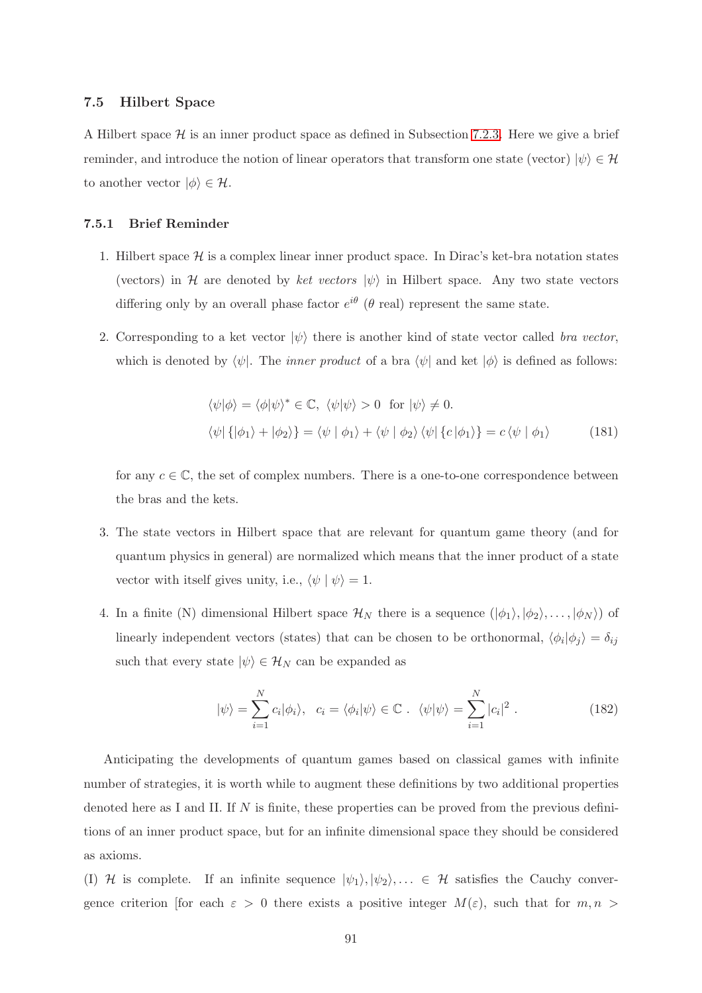#### 7.5 Hilbert Space

A Hilbert space  $\mathcal H$  is an inner product space as defined in Subsection [7.2.3.](#page-67-0) Here we give a brief reminder, and introduce the notion of linear operators that transform one state (vector)  $|\psi\rangle \in \mathcal{H}$ to another vector  $|\phi\rangle \in \mathcal{H}$ .

## 7.5.1 Brief Reminder

- 1. Hilbert space  $\mathcal H$  is a complex linear inner product space. In Dirac's ket-bra notation states (vectors) in H are denoted by ket vectors  $|\psi\rangle$  in Hilbert space. Any two state vectors differing only by an overall phase factor  $e^{i\theta}$  ( $\theta$  real) represent the same state.
- 2. Corresponding to a ket vector  $|\psi\rangle$  there is another kind of state vector called bra vector, which is denoted by  $\langle \psi |$ . The *inner product* of a bra  $\langle \psi |$  and ket  $|\phi \rangle$  is defined as follows:

$$
\langle \psi | \phi \rangle = \langle \phi | \psi \rangle^* \in \mathbb{C}, \ \langle \psi | \psi \rangle > 0 \text{ for } |\psi \rangle \neq 0.
$$
  

$$
\langle \psi | \{ | \phi_1 \rangle + | \phi_2 \rangle \} = \langle \psi | \phi_1 \rangle + \langle \psi | \phi_2 \rangle \langle \psi | \{ c | \phi_1 \rangle \} = c \langle \psi | \phi_1 \rangle \tag{181}
$$

for any  $c \in \mathbb{C}$ , the set of complex numbers. There is a one-to-one correspondence between the bras and the kets.

- 3. The state vectors in Hilbert space that are relevant for quantum game theory (and for quantum physics in general) are normalized which means that the inner product of a state vector with itself gives unity, i.e.,  $\langle \psi | \psi \rangle = 1$ .
- 4. In a finite (N) dimensional Hilbert space  $\mathcal{H}_N$  there is a sequence  $(|\phi_1\rangle, |\phi_2\rangle, \ldots, |\phi_N\rangle)$  of linearly independent vectors (states) that can be chosen to be orthonormal,  $\langle \phi_i | \phi_j \rangle = \delta_{ij}$ such that every state  $|\psi\rangle \in \mathcal{H}_N$  can be expanded as

$$
|\psi\rangle = \sum_{i=1}^{N} c_i |\phi_i\rangle, \quad c_i = \langle \phi_i | \psi \rangle \in \mathbb{C} \ . \ \langle \psi | \psi \rangle = \sum_{i=1}^{N} |c_i|^2 \ . \tag{182}
$$

Anticipating the developments of quantum games based on classical games with infinite number of strategies, it is worth while to augment these definitions by two additional properties denoted here as I and II. If  $N$  is finite, these properties can be proved from the previous definitions of an inner product space, but for an infinite dimensional space they should be considered as axioms.

(I) H is complete. If an infinite sequence  $|\psi_1\rangle, |\psi_2\rangle, \dots \in \mathcal{H}$  satisfies the Cauchy convergence criterion [for each  $\varepsilon > 0$  there exists a positive integer  $M(\varepsilon)$ , such that for  $m, n >$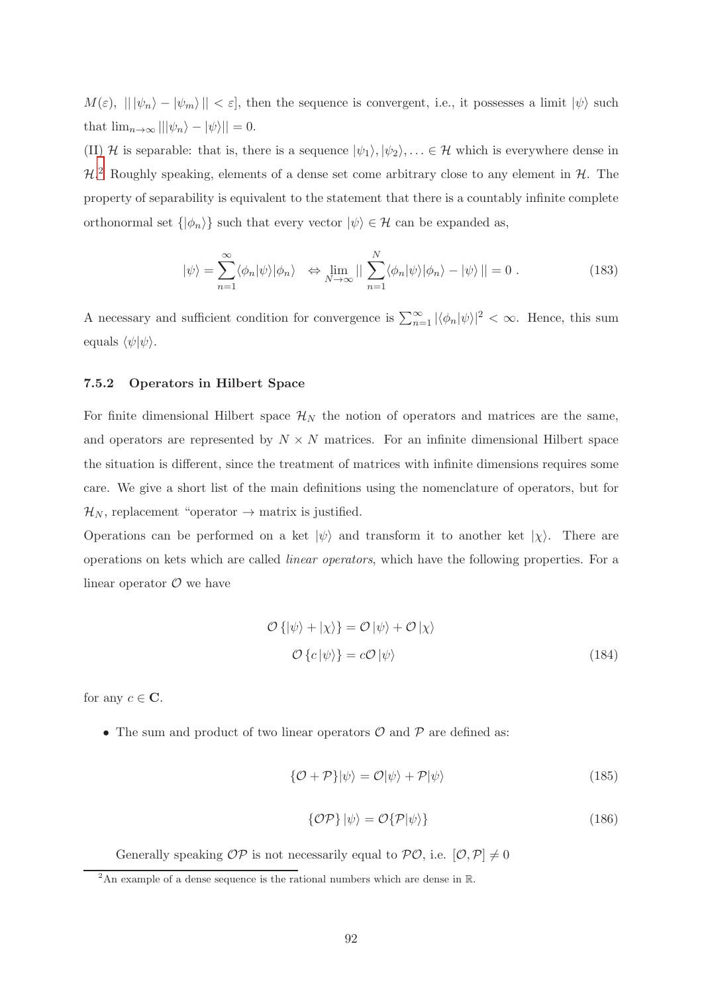$M(\varepsilon), \| |\psi_n\rangle - |\psi_m\rangle \| < \varepsilon$ , then the sequence is convergent, i.e., it possesses a limit  $|\psi\rangle$  such that  $\lim_{n\to\infty} |||\psi_n\rangle - |\psi\rangle|| = 0.$ 

(II) H is separable: that is, there is a sequence  $|\psi_1\rangle, |\psi_2\rangle, \dots \in \mathcal{H}$  which is everywhere dense in  $\mathcal{H}^2$  Roughly speaking, elements of a dense set come arbitrary close to any element in  $\mathcal{H}$ . The property of separability is equivalent to the statement that there is a countably infinite complete orthonormal set  $\{\ket{\phi_n}\}$  such that every vector  $\ket{\psi} \in \mathcal{H}$  can be expanded as,

$$
|\psi\rangle = \sum_{n=1}^{\infty} \langle \phi_n | \psi \rangle | \phi_n \rangle \quad \Leftrightarrow \lim_{N \to \infty} || \sum_{n=1}^{N} \langle \phi_n | \psi \rangle | \phi_n \rangle - | \psi \rangle || = 0 \; . \tag{183}
$$

A necessary and sufficient condition for convergence is  $\sum_{n=1}^{\infty} |\langle \phi_n | \psi \rangle|^2 < \infty$ . Hence, this sum equals  $\langle \psi | \psi \rangle$ .

## 7.5.2 Operators in Hilbert Space

For finite dimensional Hilbert space  $\mathcal{H}_N$  the notion of operators and matrices are the same, and operators are represented by  $N \times N$  matrices. For an infinite dimensional Hilbert space the situation is different, since the treatment of matrices with infinite dimensions requires some care. We give a short list of the main definitions using the nomenclature of operators, but for  $\mathcal{H}_N$ , replacement "operator  $\rightarrow$  matrix is justified.

Operations can be performed on a ket  $|\psi\rangle$  and transform it to another ket  $|\chi\rangle$ . There are operations on kets which are called linear operators, which have the following properties. For a linear operator  $\mathcal O$  we have

$$
\mathcal{O}\left\{|\psi\rangle + |\chi\rangle\right\} = \mathcal{O}\left|\psi\rangle + \mathcal{O}\left|\chi\right\rangle
$$
  

$$
\mathcal{O}\left\{c|\psi\rangle\right\} = c\mathcal{O}\left|\psi\right\rangle
$$
 (184)

for any  $c \in \mathbb{C}$ .

• The sum and product of two linear operators  $\mathcal O$  and  $\mathcal P$  are defined as:

$$
\{\mathcal{O} + \mathcal{P}\}|\psi\rangle = \mathcal{O}|\psi\rangle + \mathcal{P}|\psi\rangle \tag{185}
$$

$$
\{\mathcal{OP}\}\ket{\psi} = \mathcal{O}\{\mathcal{P}|\psi\rangle\} \tag{186}
$$

Generally speaking  $OP$  is not necessarily equal to  $PO$ , i.e.  $[O, P] \neq 0$ 

 $\frac{1}{2}$ An example of a dense sequence is the rational numbers which are dense in R.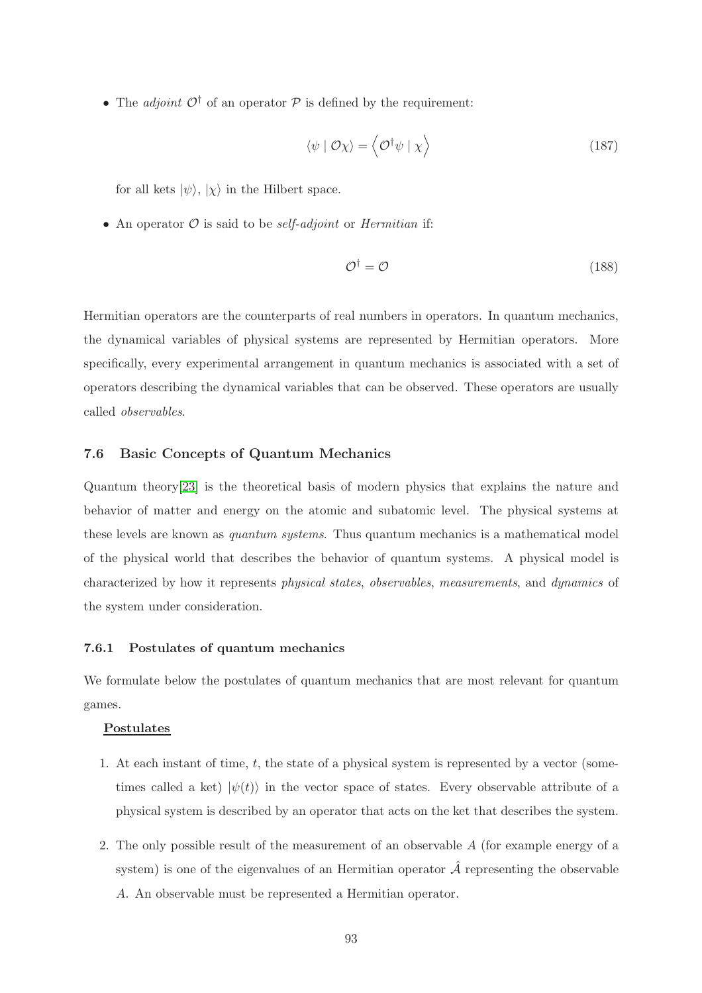• The *adjoint*  $\mathcal{O}^{\dagger}$  of an operator  $\mathcal{P}$  is defined by the requirement:

$$
\langle \psi | \mathcal{O} \chi \rangle = \langle \mathcal{O}^{\dagger} \psi | \chi \rangle \tag{187}
$$

for all kets  $|\psi\rangle$ ,  $|\chi\rangle$  in the Hilbert space.

• An operator  $O$  is said to be *self-adjoint* or *Hermitian* if:

$$
\mathcal{O}^{\dagger} = \mathcal{O} \tag{188}
$$

Hermitian operators are the counterparts of real numbers in operators. In quantum mechanics, the dynamical variables of physical systems are represented by Hermitian operators. More specifically, every experimental arrangement in quantum mechanics is associated with a set of operators describing the dynamical variables that can be observed. These operators are usually called observables.

## 7.6 Basic Concepts of Quantum Mechanics

Quantum theory[\[23\]](#page-95-0) is the theoretical basis of modern physics that explains the nature and behavior of matter and energy on the atomic and subatomic level. The physical systems at these levels are known as quantum systems. Thus quantum mechanics is a mathematical model of the physical world that describes the behavior of quantum systems. A physical model is characterized by how it represents physical states, observables, measurements, and dynamics of the system under consideration.

#### 7.6.1 Postulates of quantum mechanics

We formulate below the postulates of quantum mechanics that are most relevant for quantum games.

## Postulates

- 1. At each instant of time, t, the state of a physical system is represented by a vector (sometimes called a ket)  $|\psi(t)\rangle$  in the vector space of states. Every observable attribute of a physical system is described by an operator that acts on the ket that describes the system.
- 2. The only possible result of the measurement of an observable A (for example energy of a system) is one of the eigenvalues of an Hermitian operator  $\hat{\mathcal{A}}$  representing the observable A. An observable must be represented a Hermitian operator.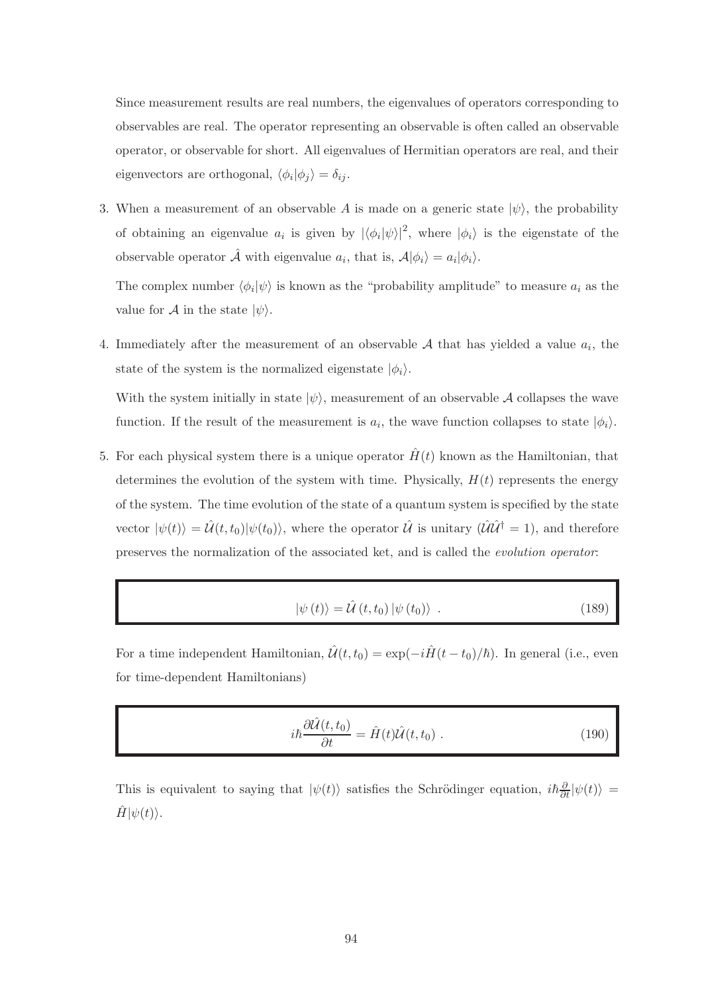Since measurement results are real numbers, the eigenvalues of operators corresponding to observables are real. The operator representing an observable is often called an observable operator, or observable for short. All eigenvalues of Hermitian operators are real, and their eigenvectors are orthogonal,  $\langle \phi_i | \phi_j \rangle = \delta_{ij}$ .

3. When a measurement of an observable A is made on a generic state  $|\psi\rangle$ , the probability of obtaining an eigenvalue  $a_i$  is given by  $|\langle \phi_i | \psi \rangle|^2$ , where  $|\phi_i \rangle$  is the eigenstate of the observable operator  $\hat{\mathcal{A}}$  with eigenvalue  $a_i$ , that is,  $\mathcal{A}|\phi_i\rangle = a_i|\phi_i\rangle$ .

The complex number  $\langle \phi_i | \psi \rangle$  is known as the "probability amplitude" to measure  $a_i$  as the value for A in the state  $|\psi\rangle$ .

4. Immediately after the measurement of an observable  $A$  that has yielded a value  $a_i$ , the state of the system is the normalized eigenstate  $|\phi_i\rangle$ .

With the system initially in state  $|\psi\rangle$ , measurement of an observable A collapses the wave function. If the result of the measurement is  $a_i$ , the wave function collapses to state  $|\phi_i\rangle$ .

5. For each physical system there is a unique operator  $\hat{H}(t)$  known as the Hamiltonian, that determines the evolution of the system with time. Physically,  $H(t)$  represents the energy of the system. The time evolution of the state of a quantum system is specified by the state vector  $|\psi(t)\rangle = \hat{\mathcal{U}}(t,t_0)|\psi(t_0)\rangle$ , where the operator  $\hat{\mathcal{U}}$  is unitary  $(\hat{\mathcal{U}}\hat{\mathcal{U}}^{\dagger} = 1)$ , and therefore preserves the normalization of the associated ket, and is called the evolution operator:

$$
|\psi(t)\rangle = \hat{\mathcal{U}}(t, t_0) |\psi(t_0)\rangle . \qquad (189)
$$

For a time independent Hamiltonian,  $\hat{\mathcal{U}}(t, t_0) = \exp(-i\hat{H}(t - t_0)/\hbar)$ . In general (i.e., even for time-dependent Hamiltonians)

$$
i\hbar \frac{\partial \hat{\mathcal{U}}(t,t_0)}{\partial t} = \hat{H}(t)\hat{\mathcal{U}}(t,t_0) . \qquad (190)
$$

This is equivalent to saying that  $|\psi(t)\rangle$  satisfies the Schrödinger equation,  $i\hbar\frac{\partial}{\partial t}|\psi(t)\rangle =$  $\ddot{H} |\psi(t)\rangle.$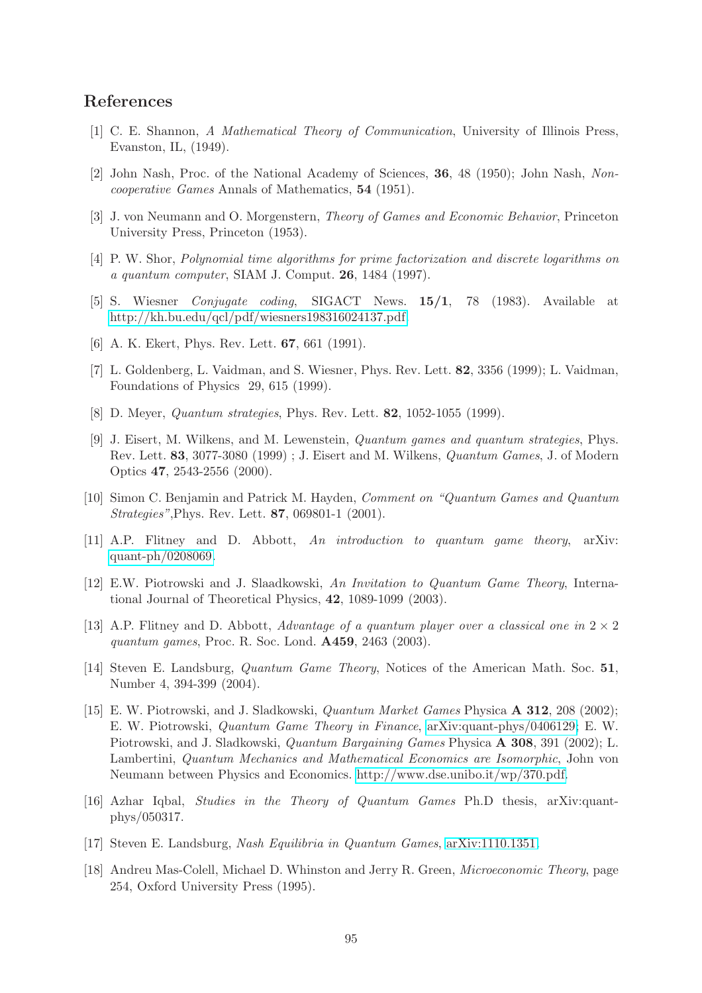# References

- [1] C. E. Shannon, A Mathematical Theory of Communication, University of Illinois Press, Evanston, IL, (1949).
- [2] John Nash, Proc. of the National Academy of Sciences, 36, 48 (1950); John Nash, Noncooperative Games Annals of Mathematics, 54 (1951).
- [3] J. von Neumann and O. Morgenstern, Theory of Games and Economic Behavior, Princeton University Press, Princeton (1953).
- [4] P. W. Shor, Polynomial time algorithms for prime factorization and discrete logarithms on a quantum computer, SIAM J. Comput. 26, 1484 (1997).
- [5] S. Wiesner Conjugate coding, SIGACT News. 15/1, 78 (1983). Available at [http://kh.bu.edu/qcl/pdf/wiesners198316024137.pdf.](http://kh.bu.edu/qcl/pdf/wiesners198316024137.pdf)
- [6] A. K. Ekert, Phys. Rev. Lett. 67, 661 (1991).
- [7] L. Goldenberg, L. Vaidman, and S. Wiesner, Phys. Rev. Lett. 82, 3356 (1999); L. Vaidman, Foundations of Physics 29, 615 (1999).
- [8] D. Meyer, Quantum strategies, Phys. Rev. Lett. 82, 1052-1055 (1999).
- [9] J. Eisert, M. Wilkens, and M. Lewenstein, Quantum games and quantum strategies, Phys. Rev. Lett. 83, 3077-3080 (1999) ; J. Eisert and M. Wilkens, Quantum Games, J. of Modern Optics 47, 2543-2556 (2000).
- [10] Simon C. Benjamin and Patrick M. Hayden, Comment on "Quantum Games and Quantum Strategies",Phys. Rev. Lett. 87, 069801-1 (2001).
- [11] A.P. Flitney and D. Abbott, An introduction to quantum game theory, arXiv: [quant-ph/0208069.](http://arxiv.org/abs/quant-ph/0208069)
- [12] E.W. Piotrowski and J. Slaadkowski, An Invitation to Quantum Game Theory, International Journal of Theoretical Physics, 42, 1089-1099 (2003).
- [13] A.P. Flitney and D. Abbott, Advantage of a quantum player over a classical one in  $2 \times 2$ quantum games, Proc. R. Soc. Lond. A459, 2463 (2003).
- [14] Steven E. Landsburg, *Quantum Game Theory*, Notices of the American Math. Soc. 51, Number 4, 394-399 (2004).
- [15] E. W. Piotrowski, and J. Sladkowski, Quantum Market Games Physica A 312, 208 (2002); E. W. Piotrowski, Quantum Game Theory in Finance, [arXiv:quant-phys/0406129;](http://arxiv.org/abs/quant-phys/0406129) E. W. Piotrowski, and J. Sladkowski, Quantum Bargaining Games Physica A 308, 391 (2002); L. Lambertini, Quantum Mechanics and Mathematical Economics are Isomorphic, John von Neumann between Physics and Economics. [http://www.dse.unibo.it/wp/370.pdf.](http://www.dse.unibo.it/wp/370.pdf)
- [16] Azhar Iqbal, Studies in the Theory of Quantum Games Ph.D thesis, arXiv:quantphys/050317.
- [17] Steven E. Landsburg, Nash Equilibria in Quantum Games, [arXiv:1110.1351.](http://arxiv.org/abs/1110.1351)
- [18] Andreu Mas-Colell, Michael D. Whinston and Jerry R. Green, Microeconomic Theory, page 254, Oxford University Press (1995).